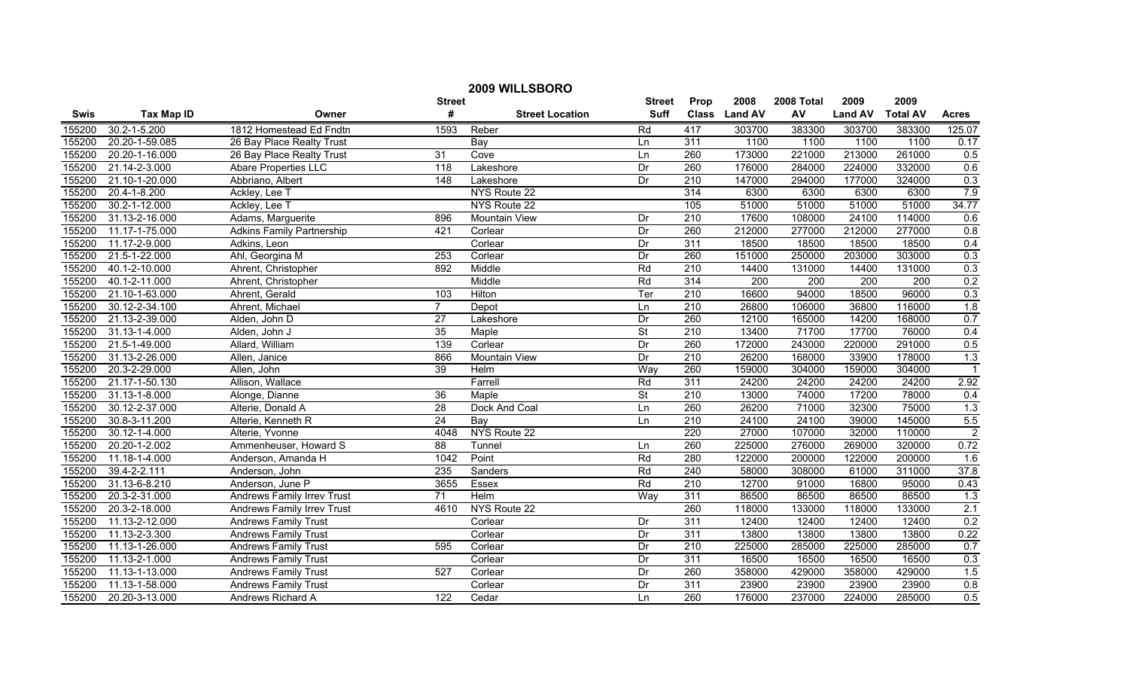|             | 2009 WILLSBORO     |                                   |                  |                        |                          |                  |               |            |                |                  |                         |
|-------------|--------------------|-----------------------------------|------------------|------------------------|--------------------------|------------------|---------------|------------|----------------|------------------|-------------------------|
|             |                    |                                   | <b>Street</b>    |                        | <b>Street</b>            | Prop             | 2008          | 2008 Total | 2009           | 2009             |                         |
| <b>Swis</b> | <b>Tax Map ID</b>  | Owner                             | #                | <b>Street Location</b> | <b>Suff</b>              |                  | Class Land AV | AV         | <b>Land AV</b> | <b>Total AV</b>  | <b>Acres</b>            |
| 155200      | $30.2 - 1 - 5.200$ | 1812 Homestead Ed Fndtn           | 1593             | Reber                  | Rd                       | 417              | 303700        | 383300     | 303700         | 383300           | 125.07                  |
| 155200      | 20.20-1-59.085     | 26 Bay Place Realty Trust         |                  | Bay                    | Ln                       | 311              | 1100          | 1100       | 1100           | 1100             | 0.17                    |
| 155200      | 20.20-1-16.000     | 26 Bay Place Realty Trust         | 31               | Cove                   | Ln                       | 260              | 173000        | 221000     | 213000         | 261000           | 0.5                     |
| 155200      | 21.14-2-3.000      | <b>Abare Properties LLC</b>       | $\overline{118}$ | Lakeshore              | Dr                       | 260              | 176000        | 284000     | 224000         | 332000           | 0.6                     |
| 155200      | 21.10-1-20.000     | Abbriano, Albert                  | 148              | Lakeshore              | Dr                       | 210              | 147000        | 294000     | 177000         | 324000           | 0.3                     |
| 155200      | 20.4-1-8.200       | Ackley, Lee T                     |                  | NYS Route 22           |                          | 314              | 6300          | 6300       | 6300           | 6300             | 7.9                     |
| 155200      | 30.2-1-12.000      | Ackley, Lee T                     |                  | NYS Route 22           |                          | 105              | 51000         | 51000      | 51000          | 51000            | 34.77                   |
| 155200      | 31.13-2-16.000     | Adams, Marguerite                 | 896              | Mountain View          | Dr                       | 210              | 17600         | 108000     | 24100          | 114000           | 0.6                     |
| 155200      | 11.17-1-75.000     | <b>Adkins Family Partnership</b>  | 421              | Corlear                | Dr                       | 260              | 212000        | 277000     | 212000         | 277000           | 0.8                     |
| 155200      | 11.17-2-9.000      | Adkins, Leon                      |                  | Corlear                | Dr                       | $\overline{311}$ | 18500         | 18500      | 18500          | 18500            | 0.4                     |
| 155200      | 21.5-1-22.000      | Ahl, Georgina M                   | $\overline{253}$ | Corlear                | Dr                       | 260              | 151000        | 250000     | 203000         | 303000           | 0.3                     |
| 155200      | 40.1-2-10.000      | Ahrent, Christopher               | 892              | Middle                 | Rd                       | 210              | 14400         | 131000     | 14400          | 131000           | 0.3                     |
| 155200      | 40.1-2-11.000      | Ahrent, Christopher               |                  | Middle                 | Rd                       | 314              | 200           | 200        | 200            | $\overline{200}$ | 0.2                     |
| 155200      | 21.10-1-63.000     | Ahrent, Gerald                    | 103              | Hilton                 | Ter                      | 210              | 16600         | 94000      | 18500          | 96000            | 0.3                     |
| 155200      | 30.12-2-34.100     | Ahrent, Michael                   | $\overline{7}$   | Depot                  | Ln                       | 210              | 26800         | 106000     | 36800          | 116000           | 1.8                     |
| 155200      | 21.13-2-39.000     | Alden, John D                     | 27               | Lakeshore              | Dr                       | 260              | 12100         | 165000     | 14200          | 168000           | 0.7                     |
| 155200      | 31.13-1-4.000      | Alden, John J                     | 35               | Maple                  | $\overline{\mathsf{St}}$ | 210              | 13400         | 71700      | 17700          | 76000            | 0.4                     |
| 155200      | 21.5-1-49.000      | Allard, William                   | 139              | Corlear                | Dr                       | 260              | 172000        | 243000     | 220000         | 291000           | 0.5                     |
| 155200      | 31.13-2-26.000     | Allen, Janice                     | 866              | Mountain View          | Dr                       | $\overline{210}$ | 26200         | 168000     | 33900          | 178000           | 1.3                     |
| 155200      | 20.3-2-29.000      | Allen, John                       | 39               | Helm                   | Way                      | 260              | 159000        | 304000     | 159000         | 304000           | $\overline{\mathbf{1}}$ |
| 155200      | 21.17-1-50.130     | Allison, Wallace                  |                  | Farrell                | Rd                       | 311              | 24200         | 24200      | 24200          | 24200            | 2.92                    |
| 155200      | 31.13-1-8.000      | Alonge, Dianne                    | 36               | Maple                  | $\overline{\mathsf{St}}$ | 210              | 13000         | 74000      | 17200          | 78000            | 0.4                     |
| 155200      | 30.12-2-37.000     | Alterie, Donald A                 | 28               | Dock And Coal          | Ln                       | 260              | 26200         | 71000      | 32300          | 75000            | 1.3                     |
| 155200      | 30.8-3-11.200      | Alterie, Kenneth R                | 24               | $\overline{Bav}$       | Ln                       | 210              | 24100         | 24100      | 39000          | 145000           | 5.5                     |
| 155200      | 30.12-1-4.000      | Alterie, Yvonne                   | 4048             | NYS Route 22           |                          | 220              | 27000         | 107000     | 32000          | 110000           | $\overline{2}$          |
| 155200      | 20.20-1-2.002      | Ammenheuser, Howard S             | 88               | Tunnel                 | Ln                       | 260              | 225000        | 276000     | 269000         | 320000           | 0.72                    |
| 155200      | 11.18-1-4.000      | Anderson, Amanda H                | 1042             | Point                  | Rd                       | 280              | 122000        | 200000     | 122000         | 200000           | 1.6                     |
| 155200      | 39.4-2-2.111       | Anderson, John                    | 235              | Sanders                | Rd                       | 240              | 58000         | 308000     | 61000          | 311000           | 37.8                    |
| 155200      | 31.13-6-8.210      | Anderson, June P                  | 3655             | Essex                  | Rd                       | 210              | 12700         | 91000      | 16800          | 95000            | 0.43                    |
| 155200      | 20.3-2-31.000      | Andrews Family Irrev Trust        | $\overline{71}$  | Helm                   | Way                      | $\overline{311}$ | 86500         | 86500      | 86500          | 86500            | 1.3                     |
| 155200      | 20.3-2-18.000      | <b>Andrews Family Irrev Trust</b> | 4610             | NYS Route 22           |                          | 260              | 118000        | 133000     | 118000         | 133000           | 2.1                     |
| 155200      | 11.13-2-12.000     | <b>Andrews Family Trust</b>       |                  | Corlear                | Dr                       | $\overline{311}$ | 12400         | 12400      | 12400          | 12400            | 0.2                     |
| 155200      | 11.13-2-3.300      | <b>Andrews Family Trust</b>       |                  | Corlear                | Dr                       | $\overline{311}$ | 13800         | 13800      | 13800          | 13800            | 0.22                    |
| 155200      | 11.13-1-26.000     | <b>Andrews Family Trust</b>       | 595              | Corlear                | Dr                       | $\overline{210}$ | 225000        | 285000     | 225000         | 285000           | 0.7                     |
| 155200      | 11.13-2-1.000      | <b>Andrews Family Trust</b>       |                  | Corlear                | Dr                       | 311              | 16500         | 16500      | 16500          | 16500            | 0.3                     |
| 155200      | 11.13-1-13.000     | <b>Andrews Family Trust</b>       | $\overline{527}$ | Corlear                | Dr                       | 260              | 358000        | 429000     | 358000         | 429000           | 1.5                     |
| 155200      | 11.13-1-58.000     | <b>Andrews Family Trust</b>       |                  | Corlear                | Dr                       | 311              | 23900         | 23900      | 23900          | 23900            | 0.8                     |
| 155200      | 20.20-3-13.000     | Andrews Richard A                 | 122              | Cedar                  | Ln                       | 260              | 176000        | 237000     | 224000         | 285000           | 0.5                     |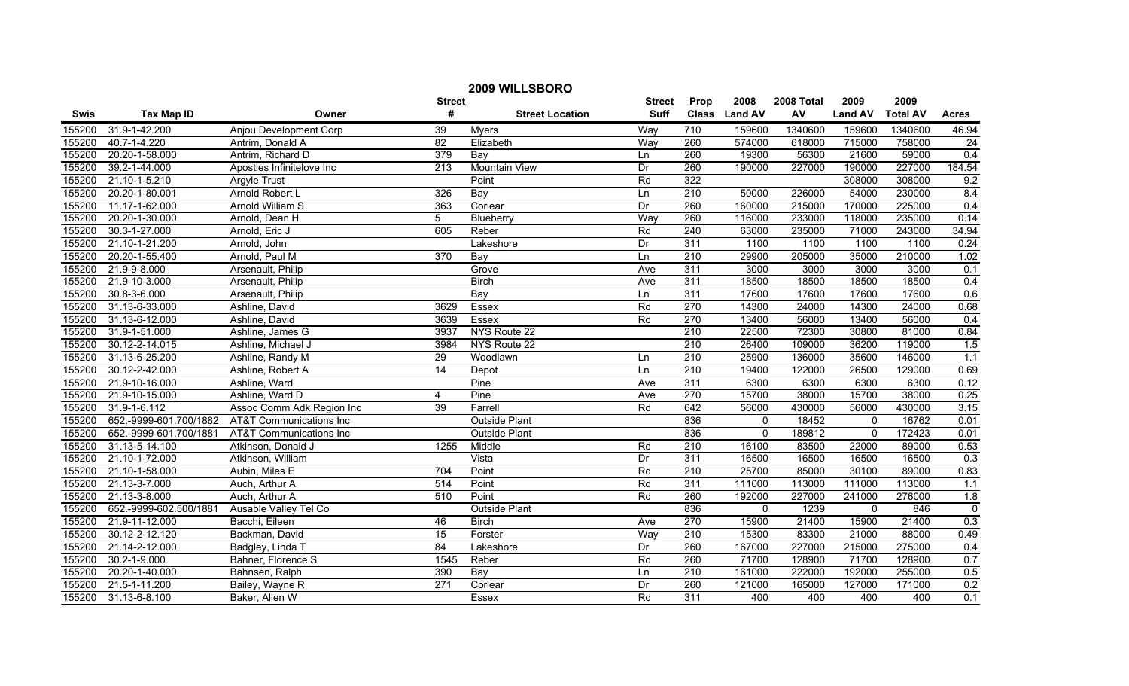| 2009 WILLSBORO |                        |                                    |                  |                        |               |                  |               |            |                |                 |                |
|----------------|------------------------|------------------------------------|------------------|------------------------|---------------|------------------|---------------|------------|----------------|-----------------|----------------|
|                |                        |                                    | <b>Street</b>    |                        | <b>Street</b> | Prop             | 2008          | 2008 Total | 2009           | 2009            |                |
| Swis           | <b>Tax Map ID</b>      | Owner                              | #                | <b>Street Location</b> | <b>Suff</b>   |                  | Class Land AV | AV         | <b>Land AV</b> | <b>Total AV</b> | <b>Acres</b>   |
| 155200         | 31.9-1-42.200          | Anjou Development Corp             | 39               | <b>Myers</b>           | Way           | 710              | 159600        | 1340600    | 159600         | 1340600         | 46.94          |
| 155200         | 40.7-1-4.220           | Antrim, Donald A                   | $\overline{82}$  | Elizabeth              | Way           | 260              | 574000        | 618000     | 715000         | 758000          | 24             |
| 155200         | 20.20-1-58.000         | Antrim, Richard D                  | 379              | Bay                    | Ln            | 260              | 19300         | 56300      | 21600          | 59000           | 0.4            |
| 155200         | 39.2-1-44.000          | Apostles Infinitelove Inc          | $\overline{213}$ | <b>Mountain View</b>   | Dr            | 260              | 190000        | 227000     | 190000         | 227000          | 184.54         |
| 155200         | 21.10-1-5.210          | Argyle Trust                       |                  | Point                  | Rd            | 322              |               |            | 308000         | 308000          | 9.2            |
| 155200         | 20.20-1-80.001         | Arnold Robert L                    | 326              | Bay                    | Ln            | 210              | 50000         | 226000     | 54000          | 230000          | 8.4            |
| 155200         | 11.17-1-62.000         | <b>Arnold William S</b>            | 363              | Corlear                | Dr            | 260              | 160000        | 215000     | 170000         | 225000          | 0.4            |
| 155200         | 20.20-1-30.000         | Arnold, Dean H                     | 5                | Blueberry              | Way           | 260              | 116000        | 233000     | 118000         | 235000          | 0.14           |
| 155200         | 30.3-1-27.000          | Arnold, Eric J                     | 605              | Reber                  | Rd            | $\overline{240}$ | 63000         | 235000     | 71000          | 243000          | 34.94          |
| 155200         | 21.10-1-21.200         | Arnold, John                       |                  | Lakeshore              | Dr            | $\overline{311}$ | 1100          | 1100       | 1100           | 1100            | 0.24           |
| 155200         | 20.20-1-55.400         | Arnold, Paul M                     | $\overline{370}$ | Bay                    | Ln            | $\overline{210}$ | 29900         | 205000     | 35000          | 210000          | 1.02           |
| 155200         | 21.9-9-8.000           | Arsenault, Philip                  |                  | Grove                  | Ave           | 311              | 3000          | 3000       | 3000           | 3000            | 0.1            |
| 155200         | 21.9-10-3.000          | Arsenault, Philip                  |                  | <b>Birch</b>           | Ave           | 311              | 18500         | 18500      | 18500          | 18500           | 0.4            |
| 155200         | 30.8-3-6.000           | Arsenault, Philip                  |                  | Bay                    | Ln            | 311              | 17600         | 17600      | 17600          | 17600           | 0.6            |
| 155200         | 31.13-6-33.000         | Ashline, David                     | 3629             | Essex                  | Rd            | 270              | 14300         | 24000      | 14300          | 24000           | 0.68           |
| 155200         | 31.13-6-12.000         | Ashline, David                     | 3639             | Essex                  | Rd            | 270              | 13400         | 56000      | 13400          | 56000           | 0.4            |
| 155200         | 31.9-1-51.000          | Ashline, James G                   | 3937             | NYS Route 22           |               | 210              | 22500         | 72300      | 30800          | 81000           | 0.84           |
| 155200         | 30.12-2-14.015         | Ashline, Michael J                 | 3984             | NYS Route 22           |               | 210              | 26400         | 109000     | 36200          | 119000          | 1.5            |
| 155200         | 31.13-6-25.200         | Ashline, Randy M                   | 29               | Woodlawn               | Ln            | 210              | 25900         | 136000     | 35600          | 146000          | 1.1            |
| 155200         | 30.12-2-42.000         | Ashline, Robert A                  | 14               | Depot                  | Ln            | 210              | 19400         | 122000     | 26500          | 129000          | 0.69           |
| 155200         | 21.9-10-16.000         | Ashline, Ward                      |                  | Pine                   | Ave           | 311              | 6300          | 6300       | 6300           | 6300            | 0.12           |
| 155200         | 21.9-10-15.000         | Ashline, Ward D                    | 4                | Pine                   | Ave           | 270              | 15700         | 38000      | 15700          | 38000           | 0.25           |
| 155200         | 31.9-1-6.112           | Assoc Comm Adk Region Inc          | 39               | Farrell                | Rd            | 642              | 56000         | 430000     | 56000          | 430000          | 3.15           |
| 155200         | 652.-9999-601.700/1882 | <b>AT&amp;T Communications Inc</b> |                  | <b>Outside Plant</b>   |               | 836              | $\mathbf 0$   | 18452      | $\mathbf 0$    | 16762           | 0.01           |
| 155200         | 652.-9999-601.700/1881 | <b>AT&amp;T Communications Inc</b> |                  | <b>Outside Plant</b>   |               | 836              | $\mathbf{0}$  | 189812     | $\Omega$       | 172423          | 0.01           |
| 155200         | 31.13-5-14.100         | Atkinson, Donald J                 | 1255             | Middle                 | Rd            | $\overline{210}$ | 16100         | 83500      | 22000          | 89000           | 0.53           |
| 155200         | 21.10-1-72.000         | Atkinson, William                  |                  | Vista                  | Dr            | $\overline{311}$ | 16500         | 16500      | 16500          | 16500           | 0.3            |
| 155200         | 21.10-1-58.000         | Aubin, Miles E                     | 704              | Point                  | Rd            | 210              | 25700         | 85000      | 30100          | 89000           | 0.83           |
| 155200         | 21.13-3-7.000          | Auch, Arthur A                     | 514              | Point                  | Rd            | 311              | 111000        | 113000     | 111000         | 113000          | 1.1            |
| 155200         | 21.13-3-8.000          | Auch, Arthur A                     | 510              | Point                  | Rd            | 260              | 192000        | 227000     | 241000         | 276000          | 1.8            |
| 155200         | 652.-9999-602.500/1881 | Ausable Valley Tel Co              |                  | <b>Outside Plant</b>   |               | 836              | 0             | 1239       | 0              | 846             | $\overline{0}$ |
| 155200         | 21.9-11-12.000         | Bacchi, Eileen                     | 46               | <b>Birch</b>           | Ave           | 270              | 15900         | 21400      | 15900          | 21400           | 0.3            |
| 155200         | 30.12-2-12.120         | Backman, David                     | 15               | Forster                | Way           | 210              | 15300         | 83300      | 21000          | 88000           | 0.49           |
| 155200         | 21.14-2-12.000         | Badgley, Linda T                   | 84               | Lakeshore              | Dr            | 260              | 167000        | 227000     | 215000         | 275000          | 0.4            |
| 155200         | 30.2-1-9.000           | Bahner, Florence S                 | 1545             | Reber                  | Rd            | 260              | 71700         | 128900     | 71700          | 128900          | 0.7            |
| 155200         | 20.20-1-40.000         | Bahnsen, Ralph                     | 390              | Bay                    | Ln            | 210              | 161000        | 222000     | 192000         | 255000          | 0.5            |
| 155200         | 21.5-1-11.200          | Bailey, Wayne R                    | $\overline{271}$ | Corlear                | Dr            | 260              | 121000        | 165000     | 127000         | 171000          | 0.2            |
| 155200         | 31.13-6-8.100          | Baker, Allen W                     |                  | Essex                  | Rd            | 311              | 400           | 400        | 400            | 400             | 0.1            |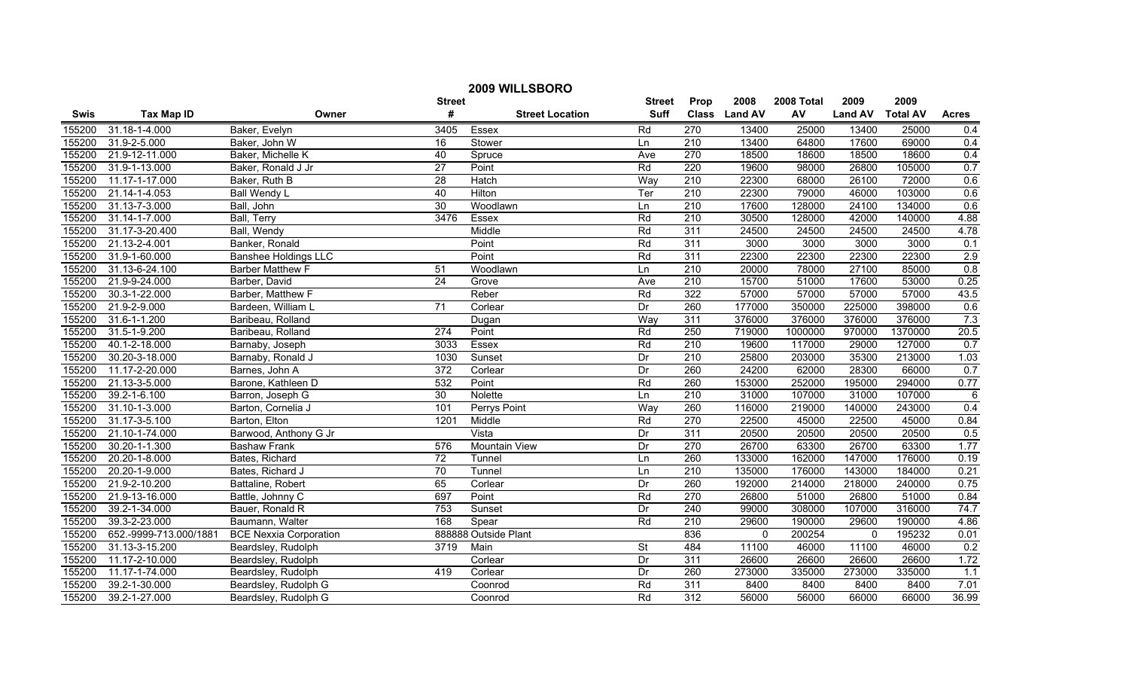| 2009 WILLSBORO |                        |                               |                 |                        |                          |                  |               |            |                |                 |                  |
|----------------|------------------------|-------------------------------|-----------------|------------------------|--------------------------|------------------|---------------|------------|----------------|-----------------|------------------|
|                |                        |                               | <b>Street</b>   |                        | <b>Street</b>            | Prop             | 2008          | 2008 Total | 2009           | 2009            |                  |
| <b>Swis</b>    | <b>Tax Map ID</b>      | Owner                         | #               | <b>Street Location</b> | Suff                     |                  | Class Land AV | AV         | <b>Land AV</b> | <b>Total AV</b> | <b>Acres</b>     |
| 155200         | 31.18-1-4.000          | Baker, Evelyn                 | 3405            | Essex                  | Rd                       | 270              | 13400         | 25000      | 13400          | 25000           | 0.4              |
| 155200         | 31.9-2-5.000           | Baker, John W                 | $\overline{16}$ | Stower                 | Ln                       | $\overline{210}$ | 13400         | 64800      | 17600          | 69000           | 0.4              |
| 155200         | 21.9-12-11.000         | Baker, Michelle K             | 40              | Spruce                 | Ave                      | 270              | 18500         | 18600      | 18500          | 18600           | 0.4              |
| 155200         | 31.9-1-13.000          | Baker, Ronald J Jr            | $\overline{27}$ | Point                  | Rd                       | 220              | 19600         | 98000      | 26800          | 105000          | 0.7              |
| 155200         | 11.17-1-17.000         | Baker, Ruth B                 | 28              | Hatch                  | Way                      | 210              | 22300         | 68000      | 26100          | 72000           | 0.6              |
| 155200         | 21.14-1-4.053          | Ball Wendy L                  | 40              | Hilton                 | Ter                      | 210              | 22300         | 79000      | 46000          | 103000          | 0.6              |
| 155200         | 31.13-7-3.000          | Ball, John                    | 30              | Woodlawn               | Ln                       | 210              | 17600         | 128000     | 24100          | 134000          | 0.6              |
| 155200         | 31.14-1-7.000          | Ball, Terry                   | 3476            | Essex                  | Rd                       | 210              | 30500         | 128000     | 42000          | 140000          | 4.88             |
| 155200         | 31.17-3-20.400         | Ball, Wendy                   |                 | Middle                 | Rd                       | $\overline{311}$ | 24500         | 24500      | 24500          | 24500           | 4.78             |
| 155200         | 21.13-2-4.001          | Banker, Ronald                |                 | Point                  | Rd                       | $\overline{311}$ | 3000          | 3000       | 3000           | 3000            | 0.1              |
| 155200         | 31.9-1-60.000          | <b>Banshee Holdings LLC</b>   |                 | Point                  | Rd                       | $\overline{311}$ | 22300         | 22300      | 22300          | 22300           | 2.9              |
| 155200         | 31.13-6-24.100         | <b>Barber Matthew F</b>       | 51              | Woodlawn               | Ln                       | 210              | 20000         | 78000      | 27100          | 85000           | 0.8              |
| 155200         | 21.9-9-24.000          | Barber, David                 | $\overline{24}$ | Grove                  | Ave                      | 210              | 15700         | 51000      | 17600          | 53000           | 0.25             |
| 155200         | 30.3-1-22.000          | Barber, Matthew F             |                 | Reber                  | Rd                       | 322              | 57000         | 57000      | 57000          | 57000           | 43.5             |
| 155200         | 21.9-2-9.000           | Bardeen, William L            | $\overline{71}$ | Corlear                | Dr                       | 260              | 177000        | 350000     | 225000         | 398000          | 0.6              |
| 155200         | $31.6 - 1 - 1.200$     | Baribeau, Rolland             |                 | Dugan                  | Way                      | 311              | 376000        | 376000     | 376000         | 376000          | 7.3              |
| 155200         | 31.5-1-9.200           | Baribeau, Rolland             | 274             | Point                  | Rd                       | 250              | 719000        | 1000000    | 970000         | 1370000         | 20.5             |
| 155200         | 40.1-2-18.000          | Barnaby, Joseph               | 3033            | <b>Essex</b>           | Rd                       | 210              | 19600         | 117000     | 29000          | 127000          | 0.7              |
| 155200         | 30.20-3-18.000         | Barnaby, Ronald J             | 1030            | Sunset                 | Dr                       | 210              | 25800         | 203000     | 35300          | 213000          | 1.03             |
| 155200         | 11.17-2-20.000         | Barnes, John A                | 372             | Corlear                | Dr                       | 260              | 24200         | 62000      | 28300          | 66000           | 0.7              |
| 155200         | 21.13-3-5.000          | Barone, Kathleen D            | 532             | Point                  | Rd                       | 260              | 153000        | 252000     | 195000         | 294000          | 0.77             |
| 155200         | 39.2-1-6.100           | Barron, Joseph G              | 30              | Nolette                | Ln                       | 210              | 31000         | 107000     | 31000          | 107000          | $6\phantom{1}6$  |
| 155200         | 31.10-1-3.000          | Barton, Cornelia J            | 101             | Perrys Point           | Way                      | 260              | 116000        | 219000     | 140000         | 243000          | 0.4              |
| 155200         | 31.17-3-5.100          | Barton, Elton                 | 1201            | Middle                 | Rd                       | 270              | 22500         | 45000      | 22500          | 45000           | 0.84             |
| 155200         | 21.10-1-74.000         | Barwood, Anthony G Jr         |                 | Vista                  | Dr                       | 311              | 20500         | 20500      | 20500          | 20500           | 0.5              |
| 155200         | 30.20-1-1.300          | <b>Bashaw Frank</b>           | 576             | <b>Mountain View</b>   | Dr                       | $\overline{270}$ | 26700         | 63300      | 26700          | 63300           | 1.77             |
| 155200         | 20.20-1-8.000          | Bates, Richard                | $\overline{72}$ | Tunnel                 | Ln                       | 260              | 133000        | 162000     | 147000         | 176000          | 0.19             |
| 155200         | 20.20-1-9.000          | Bates, Richard J              | 70              | Tunnel                 | Ln                       | $\overline{210}$ | 135000        | 176000     | 143000         | 184000          | 0.21             |
| 155200         | 21.9-2-10.200          | Battaline, Robert             | 65              | Corlear                | Dr                       | 260              | 192000        | 214000     | 218000         | 240000          | 0.75             |
| 155200         | 21.9-13-16.000         | Battle, Johnny C              | 697             | Point                  | Rd                       | 270              | 26800         | 51000      | 26800          | 51000           | 0.84             |
| 155200         | 39.2-1-34.000          | Bauer, Ronald R               | 753             | Sunset                 | Dr                       | 240              | 99000         | 308000     | 107000         | 316000          | 74.7             |
| 155200         | 39.3-2-23.000          | Baumann, Walter               | 168             | Spear                  | Rd                       | 210              | 29600         | 190000     | 29600          | 190000          | 4.86             |
| 155200         | 652.-9999-713.000/1881 | <b>BCE Nexxia Corporation</b> |                 | 888888 Outside Plant   |                          | 836              | 0             | 200254     | 0              | 195232          | 0.01             |
| 155200         | 31.13-3-15.200         | Beardsley, Rudolph            | 3719            | Main                   | $\overline{\mathsf{St}}$ | 484              | 11100         | 46000      | 11100          | 46000           | 0.2              |
| 155200         | 11.17-2-10.000         | Beardsley, Rudolph            |                 | Corlear                | Dr                       | $\overline{311}$ | 26600         | 26600      | 26600          | 26600           | 1.72             |
| 155200         | 11.17-1-74.000         | Beardsley, Rudolph            | 419             | Corlear                | Dr                       | 260              | 273000        | 335000     | 273000         | 335000          | $\overline{1.1}$ |
| 155200         | 39.2-1-30.000          | Beardsley, Rudolph G          |                 | Coonrod                | Rd                       | $\overline{311}$ | 8400          | 8400       | 8400           | 8400            | 7.01             |
| 155200         | 39.2-1-27.000          | Beardsley, Rudolph G          |                 | Coonrod                | Rd                       | 312              | 56000         | 56000      | 66000          | 66000           | 36.99            |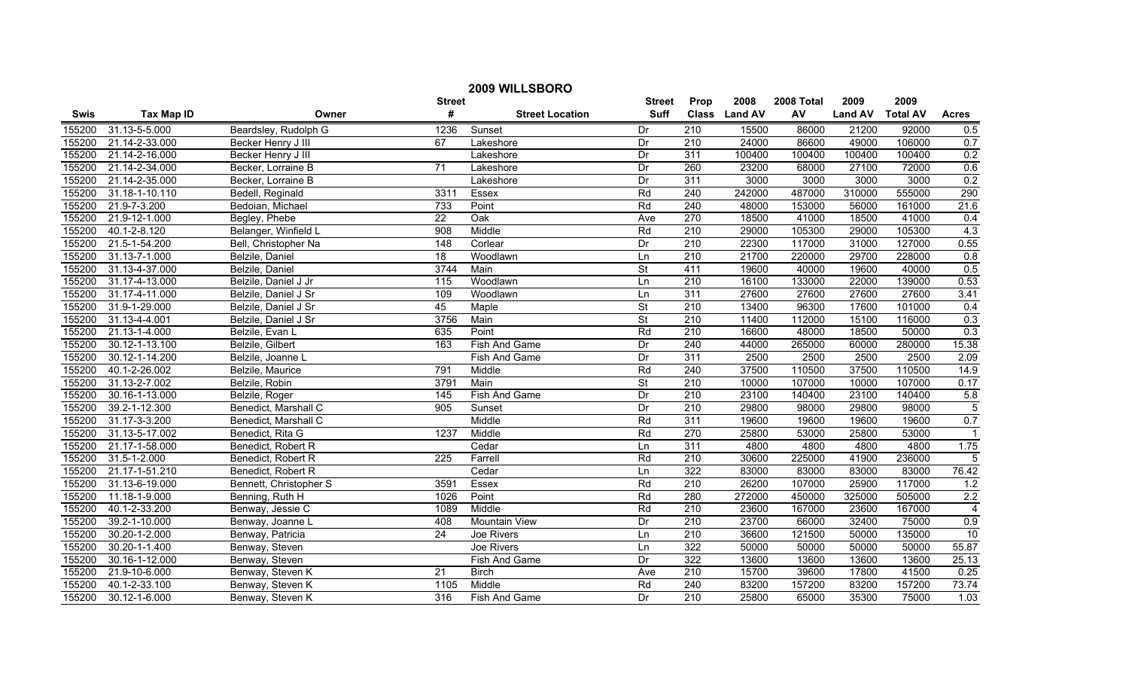| 2009 WILLSBORO |                   |                        |                   |                        |                          |                  |               |            |                |                 |                |
|----------------|-------------------|------------------------|-------------------|------------------------|--------------------------|------------------|---------------|------------|----------------|-----------------|----------------|
|                |                   |                        | <b>Street</b>     |                        | <b>Street</b>            | Prop             | 2008          | 2008 Total | 2009           | 2009            |                |
| <b>Swis</b>    | <b>Tax Map ID</b> | Owner                  | #                 | <b>Street Location</b> | <b>Suff</b>              |                  | Class Land AV | AV         | <b>Land AV</b> | <b>Total AV</b> | <b>Acres</b>   |
| 155200         | 31.13-5-5.000     | Beardsley, Rudolph G   | 1236              | Sunset                 | Dr                       | 210              | 15500         | 86000      | 21200          | 92000           | 0.5            |
| 155200         | 21.14-2-33.000    | Becker Henry J III     | 67                | Lakeshore              | Dr                       | 210              | 24000         | 86600      | 49000          | 106000          | 0.7            |
| 155200         | 21.14-2-16.000    | Becker Henry J III     |                   | Lakeshore              | Dr                       | $\overline{311}$ | 100400        | 100400     | 100400         | 100400          | 0.2            |
| 155200         | 21.14-2-34.000    | Becker, Lorraine B     | 71                | Lakeshore              | Dr                       | 260              | 23200         | 68000      | 27100          | 72000           | 0.6            |
| 155200         | 21.14-2-35.000    | Becker, Lorraine B     |                   | Lakeshore              | Dr                       | 311              | 3000          | 3000       | 3000           | 3000            | 0.2            |
| 155200         | 31.18-1-10.110    | Bedell, Reginald       | 3311              | Essex                  | Rd                       | 240              | 242000        | 487000     | 310000         | 555000          | 290            |
| 155200         | 21.9-7-3.200      | Bedoian, Michael       | 733               | Point                  | Rd                       | 240              | 48000         | 153000     | 56000          | 161000          | 21.6           |
| 155200         | 21.9-12-1.000     | Begley, Phebe          | $\overline{22}$   | Oak                    | Ave                      | 270              | 18500         | 41000      | 18500          | 41000           | 0.4            |
| 155200         | 40.1-2-8.120      | Belanger, Winfield L   | 908               | Middle                 | Rd                       | 210              | 29000         | 105300     | 29000          | 105300          | 4.3            |
| 155200         | 21.5-1-54.200     | Bell, Christopher Na   | 148               | Corlear                | Dr                       | 210              | 22300         | 117000     | 31000          | 127000          | 0.55           |
| 155200         | 31.13-7-1.000     | Belzile, Daniel        | 18                | Woodlawn               | Ln                       | 210              | 21700         | 220000     | 29700          | 228000          | 0.8            |
| 155200         | 31.13-4-37.000    | Belzile, Daniel        | 3744              | Main                   | $\overline{\mathsf{St}}$ | 411              | 19600         | 40000      | 19600          | 40000           | 0.5            |
| 155200         | 31.17-4-13.000    | Belzile, Daniel J Jr   | $\frac{115}{115}$ | Woodlawn               | Ln                       | 210              | 16100         | 133000     | 22000          | 139000          | 0.53           |
| 155200         | 31.17-4-11.000    | Belzile, Daniel J Sr   | 109               | Woodlawn               | Ln                       | 311              | 27600         | 27600      | 27600          | 27600           | 3.41           |
| 155200         | 31.9-1-29.000     | Belzile, Daniel J Sr   | 45                | Maple                  | $\overline{\mathsf{St}}$ | 210              | 13400         | 96300      | 17600          | 101000          | 0.4            |
| 155200         | 31.13-4-4.001     | Belzile, Daniel J Sr   | 3756              | Main                   | St                       | 210              | 11400         | 112000     | 15100          | 116000          | 0.3            |
| 155200         | 21.13-1-4.000     | Belzile, Evan L        | 635               | Point                  | Rd                       | 210              | 16600         | 48000      | 18500          | 50000           | 0.3            |
| 155200         | 30.12-1-13.100    | Belzile, Gilbert       | 163               | Fish And Game          | Dr                       | 240              | 44000         | 265000     | 60000          | 280000          | 15.38          |
| 155200         | 30.12-1-14.200    | Belzile, Joanne L      |                   | <b>Fish And Game</b>   | Dr                       | 311              | 2500          | 2500       | 2500           | 2500            | 2.09           |
| 155200         | 40.1-2-26.002     | Belzile, Maurice       | 791               | Middle                 | Rd                       | 240              | 37500         | 110500     | 37500          | 110500          | 14.9           |
| 155200         | 31.13-2-7.002     | Belzile, Robin         | 3791              | Main                   | $\overline{\mathsf{St}}$ | $\overline{210}$ | 10000         | 107000     | 10000          | 107000          | 0.17           |
| 155200         | 30.16-1-13.000    | Belzile, Roger         | $\overline{145}$  | Fish And Game          | Dr                       | 210              | 23100         | 140400     | 23100          | 140400          | 5.8            |
| 155200         | 39.2-1-12.300     | Benedict, Marshall C   | 905               | Sunset                 | Dr                       | 210              | 29800         | 98000      | 29800          | 98000           | $\overline{5}$ |
| 155200         | 31.17-3-3.200     | Benedict, Marshall C   |                   | Middle                 | Rd                       | 311              | 19600         | 19600      | 19600          | 19600           | 0.7            |
| 155200         | 31.13-5-17.002    | Benedict, Rita G       | 1237              | Middle                 | Rd                       | 270              | 25800         | 53000      | 25800          | 53000           |                |
| 155200         | 21.17-1-58.000    | Benedict, Robert R     |                   | Cedar                  | Ln                       | 311              | 4800          | 4800       | 4800           | 4800            | 1.75           |
| 155200         | 31.5-1-2.000      | Benedict, Robert R     | $\overline{225}$  | Farrell                | Rd                       | 210              | 30600         | 225000     | 41900          | 236000          | 5              |
| 155200         | 21.17-1-51.210    | Benedict, Robert R     |                   | Cedar                  | Ln                       | 322              | 83000         | 83000      | 83000          | 83000           | 76.42          |
| 155200         | 31.13-6-19.000    | Bennett, Christopher S | 3591              | Essex                  | Rd                       | 210              | 26200         | 107000     | 25900          | 117000          | 1.2            |
| 155200         | 11.18-1-9.000     | Benning, Ruth H        | 1026              | Point                  | Rd                       | 280              | 272000        | 450000     | 325000         | 505000          | 2.2            |
| 155200         | 40.1-2-33.200     | Benway, Jessie C       | 1089              | Middle                 | Rd                       | 210              | 23600         | 167000     | 23600          | 167000          | $\overline{4}$ |
| 155200         | 39.2-1-10.000     | Benway, Joanne L       | 408               | <b>Mountain View</b>   | Dr                       | 210              | 23700         | 66000      | 32400          | 75000           | 0.9            |
| 155200         | 30.20-1-2.000     | Benway, Patricia       | 24                | Joe Rivers             | Ln                       | 210              | 36600         | 121500     | 50000          | 135000          | 10             |
| 155200         | 30.20-1-1.400     | Benway, Steven         |                   | Joe Rivers             | Ln                       | 322              | 50000         | 50000      | 50000          | 50000           | 55.87          |
| 155200         | 30.16-1-12.000    | Benway, Steven         |                   | Fish And Game          | Dr                       | 322              | 13600         | 13600      | 13600          | 13600           | 25.13          |
| 155200         | 21.9-10-6.000     | Benway, Steven K       | $\overline{21}$   | <b>Birch</b>           | Ave                      | 210              | 15700         | 39600      | 17800          | 41500           | 0.25           |
| 155200         | 40.1-2-33.100     | Benway, Steven K       | 1105              | Middle                 | Rd                       | $\overline{240}$ | 83200         | 157200     | 83200          | 157200          | 73.74          |
| 155200         | 30.12-1-6.000     | Benway, Steven K       | 316               | Fish And Game          | Dr                       | 210              | 25800         | 65000      | 35300          | 75000           | 1.03           |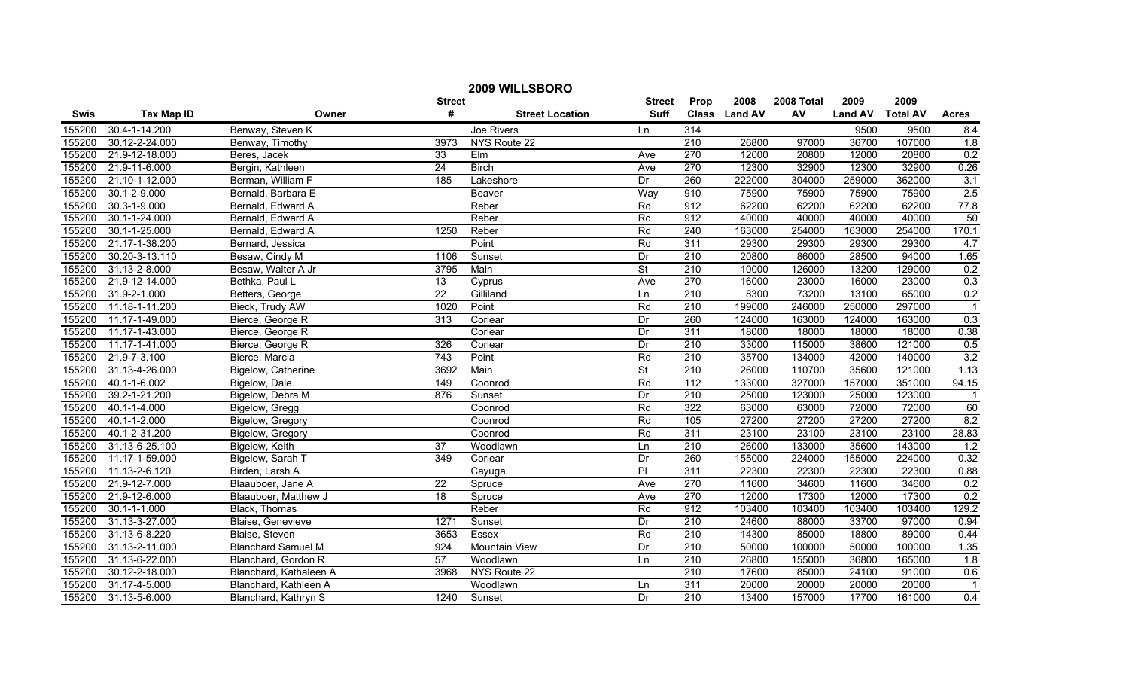|             | 2009 WILLSBORO     |                           |                 |                        |                          |                  |               |            |                |                 |                |
|-------------|--------------------|---------------------------|-----------------|------------------------|--------------------------|------------------|---------------|------------|----------------|-----------------|----------------|
|             |                    |                           | <b>Street</b>   |                        | <b>Street</b>            | Prop             | 2008          | 2008 Total | 2009           | 2009            |                |
| <b>Swis</b> | <b>Tax Map ID</b>  | Owner                     | #               | <b>Street Location</b> | <b>Suff</b>              |                  | Class Land AV | AV         | <b>Land AV</b> | <b>Total AV</b> | <b>Acres</b>   |
| 155200      | 30.4-1-14.200      | Benway, Steven K          |                 | Joe Rivers             | Ln                       | 314              |               |            | 9500           | 9500            | 8.4            |
| 155200      | 30.12-2-24.000     | Benway, Timothy           | 3973            | NYS Route 22           |                          | $\overline{210}$ | 26800         | 97000      | 36700          | 107000          | 1.8            |
| 155200      | 21.9-12-18.000     | Beres, Jacek              | 33              | EIm                    | Ave                      | 270              | 12000         | 20800      | 12000          | 20800           | 0.2            |
| 155200      | 21.9-11-6.000      | Bergin, Kathleen          | 24              | <b>Birch</b>           | Ave                      | 270              | 12300         | 32900      | 12300          | 32900           | 0.26           |
| 155200      | 21.10-1-12.000     | Berman, William F         | 185             | Lakeshore              | Dr                       | 260              | 222000        | 304000     | 259000         | 362000          | 3.1            |
| 155200      | 30.1-2-9.000       | Bernald, Barbara E        |                 | Beaver                 | Way                      | 910              | 75900         | 75900      | 75900          | 75900           | 2.5            |
| 155200      | 30.3-1-9.000       | Bernald, Edward A         |                 | Reber                  | Rd                       | 912              | 62200         | 62200      | 62200          | 62200           | 77.8           |
| 155200      | 30.1-1-24.000      | Bernald, Edward A         |                 | Reber                  | Rd                       | 912              | 40000         | 40000      | 40000          | 40000           | 50             |
| 155200      | 30.1-1-25.000      | Bernald, Edward A         | 1250            | Reber                  | Rd                       | $\overline{240}$ | 163000        | 254000     | 163000         | 254000          | 170.1          |
| 155200      | 21.17-1-38.200     | Bernard, Jessica          |                 | Point                  | Rd                       | 311              | 29300         | 29300      | 29300          | 29300           | 4.7            |
| 155200      | 30.20-3-13.110     | Besaw, Cindy M            | 1106            | Sunset                 | Dr                       | $\overline{210}$ | 20800         | 86000      | 28500          | 94000           | 1.65           |
| 155200      | 31.13-2-8.000      | Besaw, Walter A Jr        | 3795            | Main                   | $\overline{\mathsf{St}}$ | $\overline{210}$ | 10000         | 126000     | 13200          | 129000          | 0.2            |
| 155200      | 21.9-12-14.000     | Bethka, Paul L            | $\overline{13}$ | Cyprus                 | Ave                      | 270              | 16000         | 23000      | 16000          | 23000           | 0.3            |
| 155200      | 31.9-2-1.000       | Betters, George           | $\overline{22}$ | Gilliland              | Ln                       | $\overline{210}$ | 8300          | 73200      | 13100          | 65000           | 0.2            |
| 155200      | 11.18-1-11.200     | Bieck, Trudy AW           | 1020            | Point                  | Rd                       | $\overline{210}$ | 199000        | 246000     | 250000         | 297000          |                |
| 155200      | 11.17-1-49.000     | Bierce, George R          | 313             | Corlear                | Dr                       | 260              | 124000        | 163000     | 124000         | 163000          | 0.3            |
| 155200      | 11.17-1-43.000     | Bierce, George R          |                 | Corlear                | Dr                       | 311              | 18000         | 18000      | 18000          | 18000           | 0.38           |
| 155200      | 11.17-1-41.000     | Bierce, George R          | 326             | Corlear                | Dr                       | 210              | 33000         | 115000     | 38600          | 121000          | 0.5            |
| 155200      | 21.9-7-3.100       | Bierce, Marcia            | 743             | Point                  | Rd                       | 210              | 35700         | 134000     | 42000          | 140000          | 3.2            |
| 155200      | 31.13-4-26.000     | Bigelow, Catherine        | 3692            | Main                   | <b>St</b>                | 210              | 26000         | 110700     | 35600          | 121000          | 1.13           |
| 155200      | 40.1-1-6.002       | Bigelow, Dale             | 149             | Coonrod                | Rd                       | $\frac{11}{2}$   | 133000        | 327000     | 157000         | 351000          | 94.15          |
| 155200      | 39.2-1-21.200      | Bigelow, Debra M          | 876             | Sunset                 | Dr                       | $\overline{210}$ | 25000         | 123000     | 25000          | 123000          |                |
| 155200      | 40.1-1-4.000       | Bigelow, Gregg            |                 | Coonrod                | Rd                       | 322              | 63000         | 63000      | 72000          | 72000           | 60             |
| 155200      | 40.1-1-2.000       | Bigelow, Gregory          |                 | Coonrod                | Rd                       | 105              | 27200         | 27200      | 27200          | 27200           | 8.2            |
| 155200      | 40.1-2-31.200      | Bigelow, Gregory          |                 | Coonrod                | Rd                       | 311              | 23100         | 23100      | 23100          | 23100           | 28.83          |
| 155200      | 31.13-6-25.100     | Bigelow, Keith            | $\overline{37}$ | Woodlawn               | Ln                       | $\overline{210}$ | 26000         | 133000     | 35600          | 143000          | 1.2            |
| 155200      | 11.17-1-59.000     | Bigelow, Sarah T          | 349             | Corlear                | Dr                       | 260              | 155000        | 224000     | 155000         | 224000          | 0.32           |
| 155200      | 11.13-2-6.120      | Birden, Larsh A           |                 | Cayuga                 | $\overline{P}$           | 311              | 22300         | 22300      | 22300          | 22300           | 0.88           |
| 155200      | 21.9-12-7.000      | Blaauboer, Jane A         | $\overline{22}$ | Spruce                 | Ave                      | 270              | 11600         | 34600      | 11600          | 34600           | 0.2            |
| 155200      | 21.9-12-6.000      | Blaauboer, Matthew J      | $\overline{18}$ | Spruce                 | Ave                      | 270              | 12000         | 17300      | 12000          | 17300           | 0.2            |
| 155200      | $30.1 - 1 - 1.000$ | Black, Thomas             |                 | Reber                  | Rd                       | 912              | 103400        | 103400     | 103400         | 103400          | 129.2          |
| 155200      | 31.13-3-27.000     | Blaise, Genevieve         | 1271            | Sunset                 | Dr                       | 210              | 24600         | 88000      | 33700          | 97000           | 0.94           |
| 155200      | 31.13-6-8.220      | Blaise, Steven            | 3653            | Essex                  | Rd                       | 210              | 14300         | 85000      | 18800          | 89000           | 0.44           |
| 155200      | 31.13-2-11.000     | <b>Blanchard Samuel M</b> | 924             | <b>Mountain View</b>   | Dr                       | $\overline{210}$ | 50000         | 100000     | 50000          | 100000          | 1.35           |
| 155200      | 31.13-6-22.000     | Blanchard, Gordon R       | 57              | Woodlawn               | Ln                       | $\overline{210}$ | 26800         | 155000     | 36800          | 165000          | 1.8            |
| 155200      | 30.12-2-18.000     | Blanchard, Kathaleen A    | 3968            | NYS Route 22           |                          | $\overline{210}$ | 17600         | 85000      | 24100          | 91000           | 0.6            |
| 155200      | 31.17-4-5.000      | Blanchard, Kathleen A     |                 | Woodlawn               | Ln                       | 311              | 20000         | 20000      | 20000          | 20000           | $\overline{1}$ |
| 155200      | 31.13-5-6.000      | Blanchard, Kathryn S      | 1240            | Sunset                 | Dr.                      | 210              | 13400         | 157000     | 17700          | 161000          | 0.4            |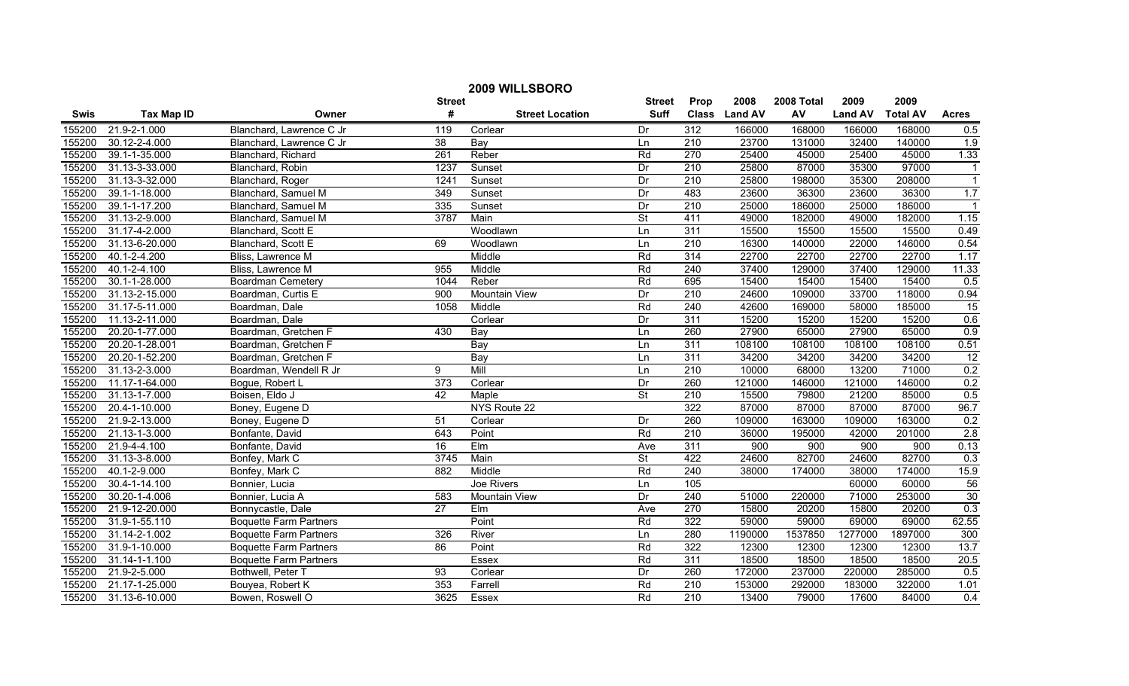| 2009 WILLSBORO |                   |                               |                  |                        |                          |                  |               |            |                |                 |                  |
|----------------|-------------------|-------------------------------|------------------|------------------------|--------------------------|------------------|---------------|------------|----------------|-----------------|------------------|
|                |                   |                               | <b>Street</b>    |                        | <b>Street</b>            | Prop             | 2008          | 2008 Total | 2009           | 2009            |                  |
| <b>Swis</b>    | <b>Tax Map ID</b> | Owner                         | #                | <b>Street Location</b> | <b>Suff</b>              |                  | Class Land AV | AV         | <b>Land AV</b> | <b>Total AV</b> | <b>Acres</b>     |
| 155200         | 21.9-2-1.000      | Blanchard, Lawrence C Jr      | 119              | Corlear                | Dr                       | 312              | 166000        | 168000     | 166000         | 168000          | 0.5              |
| 155200         | 30.12-2-4.000     | Blanchard, Lawrence C Jr      | 38               | Bay                    | Ln                       | $\overline{210}$ | 23700         | 131000     | 32400          | 140000          | 1.9              |
| 155200         | 39.1-1-35.000     | Blanchard, Richard            | $\overline{261}$ | Reber                  | Rd                       | 270              | 25400         | 45000      | 25400          | 45000           | 1.33             |
| 155200         | 31.13-3-33.000    | Blanchard, Robin              | 1237             | Sunset                 | Dr                       | 210              | 25800         | 87000      | 35300          | 97000           | $\overline{1}$   |
| 155200         | 31.13-3-32.000    | Blanchard, Roger              | 1241             | Sunset                 | Dr                       | 210              | 25800         | 198000     | 35300          | 208000          | $\overline{1}$   |
| 155200         | 39.1-1-18.000     | Blanchard, Samuel M           | 349              | Sunset                 | Dr                       | 483              | 23600         | 36300      | 23600          | 36300           | 1.7              |
| 155200         | 39.1-1-17.200     | Blanchard, Samuel M           | 335              | Sunset                 | Dr                       | 210              | 25000         | 186000     | 25000          | 186000          |                  |
| 155200         | 31.13-2-9.000     | Blanchard, Samuel M           | 3787             | Main                   | $\overline{\mathsf{St}}$ | 411              | 49000         | 182000     | 49000          | 182000          | 1.15             |
| 155200         | 31.17-4-2.000     | Blanchard, Scott E            |                  | Woodlawn               | Ln                       | 311              | 15500         | 15500      | 15500          | 15500           | 0.49             |
| 155200         | 31.13-6-20.000    | Blanchard, Scott E            | 69               | Woodlawn               | Ln                       | $\overline{210}$ | 16300         | 140000     | 22000          | 146000          | 0.54             |
| 155200         | 40.1-2-4.200      | Bliss, Lawrence M             |                  | Middle                 | Rd                       | 314              | 22700         | 22700      | 22700          | 22700           | 1.17             |
| 155200         | 40.1-2-4.100      | Bliss, Lawrence M             | 955              | Middle                 | Rd                       | 240              | 37400         | 129000     | 37400          | 129000          | 11.33            |
| 155200         | 30.1-1-28.000     | <b>Boardman Cemetery</b>      | 1044             | Reber                  | Rd                       | 695              | 15400         | 15400      | 15400          | 15400           | 0.5              |
| 155200         | 31.13-2-15.000    | Boardman, Curtis E            | $\overline{900}$ | <b>Mountain View</b>   | Dr                       | 210              | 24600         | 109000     | 33700          | 118000          | 0.94             |
| 155200         | 31.17-5-11.000    | Boardman, Dale                | 1058             | Middle                 | Rd                       | $\overline{240}$ | 42600         | 169000     | 58000          | 185000          | 15               |
| 155200         | 11.13-2-11.000    | Boardman, Dale                |                  | Corlear                | Dr                       | 311              | 15200         | 15200      | 15200          | 15200           | 0.6              |
| 155200         | 20.20-1-77.000    | Boardman, Gretchen F          | 430              | Bay                    | Ln                       | 260              | 27900         | 65000      | 27900          | 65000           | 0.9              |
| 155200         | 20.20-1-28.001    | Boardman, Gretchen F          |                  | Bay                    | Ln                       | 311              | 108100        | 108100     | 108100         | 108100          | 0.51             |
| 155200         | 20.20-1-52.200    | Boardman, Gretchen F          |                  | Bay                    | Ln                       | 311              | 34200         | 34200      | 34200          | 34200           | 12               |
| 155200         | 31.13-2-3.000     | Boardman, Wendell R Jr        | 9                | Mill                   | Ln                       | 210              | 10000         | 68000      | 13200          | 71000           | 0.2              |
| 155200         | 11.17-1-64.000    | Bogue, Robert L               | $\overline{373}$ | Corlear                | Dr                       | 260              | 121000        | 146000     | 121000         | 146000          | 0.2              |
| 155200         | 31.13-1-7.000     | Boisen, Eldo J                | 42               | Maple                  | $\overline{\mathsf{St}}$ | 210              | 15500         | 79800      | 21200          | 85000           | 0.5              |
| 155200         | 20.4-1-10.000     | Boney, Eugene D               |                  | NYS Route 22           |                          | 322              | 87000         | 87000      | 87000          | 87000           | 96.7             |
| 155200         | 21.9-2-13.000     | Boney, Eugene D               | 51               | Corlear                | Dr                       | 260              | 109000        | 163000     | 109000         | 163000          | 0.2              |
| 155200         | 21.13-1-3.000     | Bonfante, David               | 643              | Point                  | Rd                       | $\overline{210}$ | 36000         | 195000     | 42000          | 201000          | 2.8              |
| 155200         | 21.9-4-4.100      | Bonfante, David               | $\overline{16}$  | Elm                    | Ave                      | 311              | 900           | 900        | 900            | 900             | 0.13             |
| 155200         | 31.13-3-8.000     | Bonfey, Mark C                | 3745             | Main                   | $\overline{\mathsf{St}}$ | 422              | 24600         | 82700      | 24600          | 82700           | 0.3              |
| 155200         | 40.1-2-9.000      | Bonfey, Mark C                | 882              | Middle                 | Rd                       | 240              | 38000         | 174000     | 38000          | 174000          | 15.9             |
| 155200         | 30.4-1-14.100     | Bonnier, Lucia                |                  | Joe Rivers             | Ln                       | 105              |               |            | 60000          | 60000           | 56               |
| 155200         | 30.20-1-4.006     | Bonnier, Lucia A              | 583              | <b>Mountain View</b>   | Dr                       | 240              | 51000         | 220000     | 71000          | 253000          | 30               |
| 155200         | 21.9-12-20.000    | Bonnycastle, Dale             | 27               | Elm                    | Ave                      | 270              | 15800         | 20200      | 15800          | 20200           | 0.3              |
| 155200         | 31.9-1-55.110     | <b>Boquette Farm Partners</b> |                  | Point                  | Rd                       | 322              | 59000         | 59000      | 69000          | 69000           | 62.55            |
| 155200         | 31.14-2-1.002     | <b>Boquette Farm Partners</b> | 326              | River                  | Ln                       | 280              | 1190000       | 1537850    | 1277000        | 1897000         | 300              |
| 155200         | 31.9-1-10.000     | <b>Boquette Farm Partners</b> | 86               | Point                  | Rd                       | 322              | 12300         | 12300      | 12300          | 12300           | 13.7             |
| 155200         | 31.14-1-1.100     | <b>Boquette Farm Partners</b> |                  | Essex                  | Rd                       | $\overline{311}$ | 18500         | 18500      | 18500          | 18500           | 20.5             |
| 155200         | 21.9-2-5.000      | Bothwell, Peter T             | 93               | Corlear                | Dr                       | 260              | 172000        | 237000     | 220000         | 285000          | 0.5              |
| 155200         | 21.17-1-25.000    | Bouyea, Robert K              | 353              | Farrell                | Rd                       | 210              | 153000        | 292000     | 183000         | 322000          | 1.01             |
| 155200         | 31.13-6-10.000    | Bowen, Roswell O              | 3625             | Essex                  | Rd                       | 210              | 13400         | 79000      | 17600          | 84000           | $\overline{0.4}$ |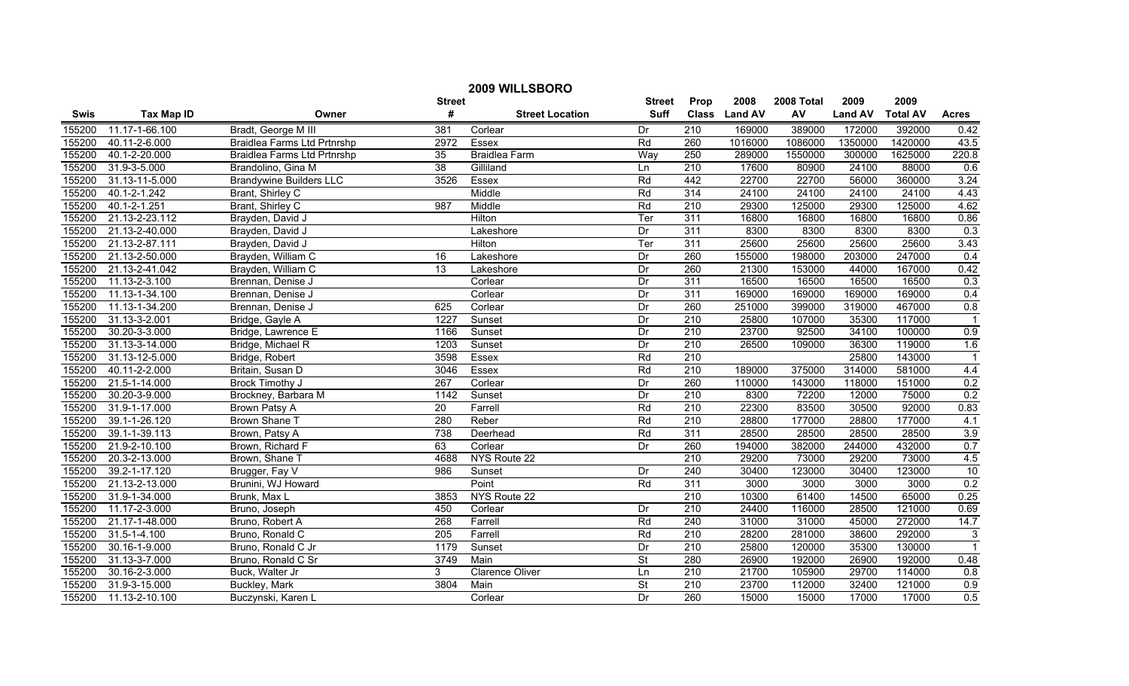| 2009 WILLSBORO |                    |                                |                 |                        |                          |                  |               |            |                |                 |                  |
|----------------|--------------------|--------------------------------|-----------------|------------------------|--------------------------|------------------|---------------|------------|----------------|-----------------|------------------|
|                |                    |                                | <b>Street</b>   |                        | <b>Street</b>            | Prop             | 2008          | 2008 Total | 2009           | 2009            |                  |
| Swis           | <b>Tax Map ID</b>  | Owner                          | #               | <b>Street Location</b> | <b>Suff</b>              |                  | Class Land AV | AV         | <b>Land AV</b> | <b>Total AV</b> | <b>Acres</b>     |
| 155200         | 11.17-1-66.100     | Bradt, George M III            | 381             | Corlear                | Dr                       | 210              | 169000        | 389000     | 172000         | 392000          | 0.42             |
| 155200         | 40.11-2-6.000      | Braidlea Farms Ltd Prtnrshp    | 2972            | Essex                  | Rd                       | 260              | 1016000       | 1086000    | 1350000        | 1420000         | 43.5             |
| 155200         | 40.1-2-20.000      | Braidlea Farms Ltd Prtnrshp    | $\overline{35}$ | <b>Braidlea Farm</b>   | Way                      | 250              | 289000        | 1550000    | 300000         | 1625000         | 220.8            |
| 155200         | 31.9-3-5.000       | Brandolino, Gina M             | 38              | Gilliland              | Ln                       | 210              | 17600         | 80900      | 24100          | 88000           | 0.6              |
| 155200         | 31.13-11-5.000     | <b>Brandywine Builders LLC</b> | 3526            | Essex                  | Rd                       | 442              | 22700         | 22700      | 56000          | 360000          | 3.24             |
| 155200         | 40.1-2-1.242       | Brant, Shirley C               |                 | Middle                 | Rd                       | 314              | 24100         | 24100      | 24100          | 24100           | 4.43             |
| 155200         | 40.1-2-1.251       | Brant, Shirley C               | 987             | Middle                 | Rd                       | 210              | 29300         | 125000     | 29300          | 125000          | 4.62             |
| 155200         | 21.13-2-23.112     | Brayden, David J               |                 | Hilton                 | Ter                      | 311              | 16800         | 16800      | 16800          | 16800           | 0.86             |
| 155200         | 21.13-2-40.000     | Brayden, David J               |                 | Lakeshore              | Dr                       | 311              | 8300          | 8300       | 8300           | 8300            | 0.3              |
| 155200         | 21.13-2-87.111     | Brayden, David J               |                 | Hilton                 | Ter                      | $\overline{311}$ | 25600         | 25600      | 25600          | 25600           | 3.43             |
| 155200         | 21.13-2-50.000     | Brayden, William C             | $\overline{16}$ | Lakeshore              | Dr                       | 260              | 155000        | 198000     | 203000         | 247000          | $\overline{0.4}$ |
| 155200         | 21.13-2-41.042     | Brayden, William C             | 13              | Lakeshore              | Dr                       | 260              | 21300         | 153000     | 44000          | 167000          | 0.42             |
| 155200         | 11.13-2-3.100      | Brennan, Denise J              |                 | Corlear                | Dr                       | 311              | 16500         | 16500      | 16500          | 16500           | 0.3              |
| 155200         | 11.13-1-34.100     | Brennan, Denise J              |                 | Corlear                | Dr                       | 311              | 169000        | 169000     | 169000         | 169000          | 0.4              |
| 155200         | 11.13-1-34.200     | Brennan, Denise J              | 625             | Corlear                | Dr                       | 260              | 251000        | 399000     | 319000         | 467000          | 0.8              |
| 155200         | 31.13-3-2.001      | Bridge, Gayle A                | 1227            | Sunset                 | Dr                       | 210              | 25800         | 107000     | 35300          | 117000          | $\overline{1}$   |
| 155200         | 30.20-3-3.000      | Bridge, Lawrence E             | 1166            | Sunset                 | Dr                       | 210              | 23700         | 92500      | 34100          | 100000          | 0.9              |
| 155200         | 31.13-3-14.000     | Bridge, Michael R              | 1203            | Sunset                 | Dr                       | 210              | 26500         | 109000     | 36300          | 119000          | 1.6              |
| 155200         | 31.13-12-5.000     | Bridge, Robert                 | 3598            | Essex                  | Rd                       | 210              |               |            | 25800          | 143000          | $\overline{1}$   |
| 155200         | 40.11-2-2.000      | Britain, Susan D               | 3046            | <b>Essex</b>           | Rd                       | 210              | 189000        | 375000     | 314000         | 581000          | 4.4              |
| 155200         | 21.5-1-14.000      | <b>Brock Timothy J</b>         | 267             | Corlear                | Dr                       | 260              | 110000        | 143000     | 118000         | 151000          | 0.2              |
| 155200         | 30.20-3-9.000      | Brockney, Barbara M            | 1142            | Sunset                 | Dr                       | 210              | 8300          | 72200      | 12000          | 75000           | 0.2              |
| 155200         | 31.9-1-17.000      | <b>Brown Patsy A</b>           | $\overline{20}$ | Farrell                | Rd                       | 210              | 22300         | 83500      | 30500          | 92000           | 0.83             |
| 155200         | 39.1-1-26.120      | <b>Brown Shane T</b>           | 280             | Reber                  | Rd                       | 210              | 28800         | 177000     | 28800          | 177000          | 4.1              |
| 155200         | 39.1-1-39.113      | Brown, Patsy A                 | 738             | Deerhead               | Rd                       | 311              | 28500         | 28500      | 28500          | 28500           | 3.9              |
| 155200         | 21.9-2-10.100      | Brown, Richard F               | 63              | Corlear                | Dr                       | 260              | 194000        | 382000     | 244000         | 432000          | 0.7              |
| 155200         | 20.3-2-13.000      | Brown, Shane T                 | 4688            | NYS Route 22           |                          | 210              | 29200         | 73000      | 29200          | 73000           | 4.5              |
| 155200         | 39.2-1-17.120      | Brugger, Fay V                 | 986             | Sunset                 | Dr                       | 240              | 30400         | 123000     | 30400          | 123000          | 10               |
| 155200         | 21.13-2-13.000     | Brunini, WJ Howard             |                 | Point                  | Rd                       | 311              | 3000          | 3000       | 3000           | 3000            | 0.2              |
| 155200         | 31.9-1-34.000      | Brunk, Max L                   | 3853            | NYS Route 22           |                          | 210              | 10300         | 61400      | 14500          | 65000           | 0.25             |
| 155200         | 11.17-2-3.000      | Bruno, Joseph                  | 450             | Corlear                | Dr                       | 210              | 24400         | 116000     | 28500          | 121000          | 0.69             |
| 155200         | 21.17-1-48.000     | Bruno, Robert A                | 268             | Farrell                | Rd                       | 240              | 31000         | 31000      | 45000          | 272000          | 14.7             |
| 155200         | $31.5 - 1 - 4.100$ | Bruno, Ronald C                | 205             | Farrell                | Rd                       | 210              | 28200         | 281000     | 38600          | 292000          | 3                |
| 155200         | 30.16-1-9.000      | Bruno, Ronald C Jr             | 1179            | Sunset                 | Dr                       | 210              | 25800         | 120000     | 35300          | 130000          | $\overline{1}$   |
| 155200         | 31.13-3-7.000      | Bruno, Ronald C Sr             | 3749            | Main                   | $\overline{\mathsf{St}}$ | 280              | 26900         | 192000     | 26900          | 192000          | 0.48             |
| 155200         | 30.16-2-3.000      | Buck, Walter Jr                | 3               | <b>Clarence Oliver</b> | Ln                       | 210              | 21700         | 105900     | 29700          | 114000          | 0.8              |
| 155200         | 31.9-3-15.000      | Buckley, Mark                  | 3804            | Main                   | $\overline{\mathsf{St}}$ | 210              | 23700         | 112000     | 32400          | 121000          | 0.9              |
| 155200         | 11.13-2-10.100     | Buczynski, Karen L             |                 | Corlear                | Dr                       | 260              | 15000         | 15000      | 17000          | 17000           | 0.5              |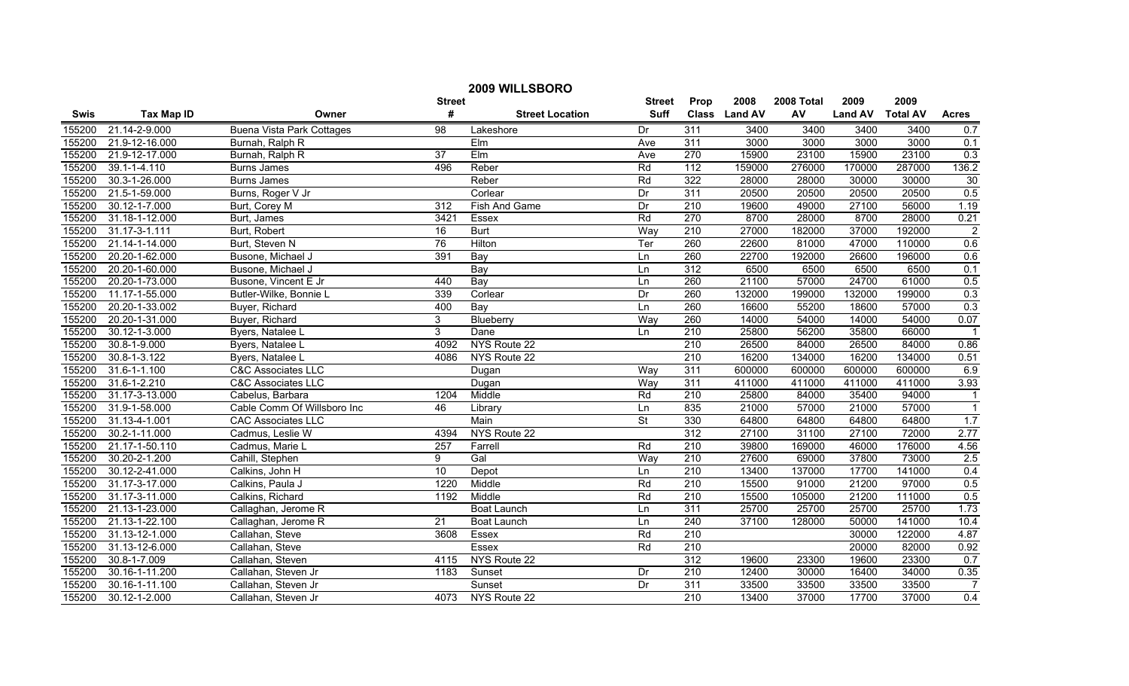| 2009 WILLSBORO |                    |                                  |                  |                        |               |                  |               |            |                |                 |                         |
|----------------|--------------------|----------------------------------|------------------|------------------------|---------------|------------------|---------------|------------|----------------|-----------------|-------------------------|
|                |                    |                                  | <b>Street</b>    |                        | <b>Street</b> | Prop             | 2008          | 2008 Total | 2009           | 2009            |                         |
| Swis           | <b>Tax Map ID</b>  | Owner                            | #                | <b>Street Location</b> | <b>Suff</b>   |                  | Class Land AV | AV         | <b>Land AV</b> | <b>Total AV</b> | <b>Acres</b>            |
| 155200         | 21.14-2-9.000      | <b>Buena Vista Park Cottages</b> | 98               | Lakeshore              | Dr            | 311              | 3400          | 3400       | 3400           | 3400            | 0.7                     |
| 155200         | 21.9-12-16.000     | Burnah, Ralph R                  |                  | EIm                    | Ave           | 311              | 3000          | 3000       | 3000           | 3000            | 0.1                     |
| 155200         | 21.9-12-17.000     | Burnah, Ralph R                  | 37               | EIm                    | Ave           | 270              | 15900         | 23100      | 15900          | 23100           | 0.3                     |
| 155200         | 39.1-1-4.110       | <b>Burns James</b>               | 496              | Reber                  | Rd            | 112              | 159000        | 276000     | 170000         | 287000          | 136.2                   |
| 155200         | 30.3-1-26.000      | <b>Burns James</b>               |                  | Reber                  | Rd            | 322              | 28000         | 28000      | 30000          | 30000           | 30                      |
| 155200         | 21.5-1-59.000      | Burns, Roger V Jr                |                  | Corlear                | Dr            | 311              | 20500         | 20500      | 20500          | 20500           | 0.5                     |
| 155200         | 30.12-1-7.000      | Burt, Corey M                    | 312              | Fish And Game          | Dr            | 210              | 19600         | 49000      | 27100          | 56000           | 1.19                    |
| 155200         | 31.18-1-12.000     | Burt, James                      | 342 <sup>7</sup> | Essex                  | Rd            | 270              | 8700          | 28000      | 8700           | 28000           | 0.21                    |
| 155200         | 31.17-3-1.111      | Burt, Robert                     | 16               | <b>Burt</b>            | Way           | $\overline{210}$ | 27000         | 182000     | 37000          | 192000          | $\overline{2}$          |
| 155200         | 21.14-1-14.000     | Burt, Steven N                   | 76               | Hilton                 | Ter           | 260              | 22600         | 81000      | 47000          | 110000          | 0.6                     |
| 155200         | 20.20-1-62.000     | Busone, Michael J                | 391              | Bay                    | Ln            | 260              | 22700         | 192000     | 26600          | 196000          | 0.6                     |
| 155200         | 20.20-1-60.000     | Busone, Michael J                |                  | Bay                    | Ln            | 312              | 6500          | 6500       | 6500           | 6500            | 0.1                     |
| 155200         | 20.20-1-73.000     | Busone, Vincent E Jr             | 440              | $\overline{Bav}$       | Ln            | 260              | 21100         | 57000      | 24700          | 61000           | 0.5                     |
| 155200         | 11.17-1-55.000     | Butler-Wilke, Bonnie L           | 339              | Corlear                | Dr            | 260              | 132000        | 199000     | 132000         | 199000          | 0.3                     |
| 155200         | 20.20-1-33.002     | Buyer, Richard                   | 400              | Bay                    | Ln            | 260              | 16600         | 55200      | 18600          | 57000           | 0.3                     |
| 155200         | 20.20-1-31.000     | Buyer, Richard                   | 3                | Blueberry              | Way           | 260              | 14000         | 54000      | 14000          | 54000           | 0.07                    |
| 155200         | 30.12-1-3.000      | Byers, Natalee L                 | $\overline{3}$   | Dane                   | Ln            | 210              | 25800         | 56200      | 35800          | 66000           | $\overline{\mathbf{1}}$ |
| 155200         | 30.8-1-9.000       | Byers, Natalee L                 | 4092             | NYS Route 22           |               | 210              | 26500         | 84000      | 26500          | 84000           | 0.86                    |
| 155200         | 30.8-1-3.122       | Byers, Natalee L                 | 4086             | NYS Route 22           |               | 210              | 16200         | 134000     | 16200          | 134000          | 0.51                    |
| 155200         | $31.6 - 1 - 1.100$ | <b>C&amp;C Associates LLC</b>    |                  | Dugan                  | Way           | 311              | 600000        | 600000     | 600000         | 600000          | 6.9                     |
| 155200         | 31.6-1-2.210       | <b>C&amp;C Associates LLC</b>    |                  | Dugan                  | Way           | 311              | 411000        | 411000     | 411000         | 411000          | 3.93                    |
| 155200         | 31.17-3-13.000     | Cabelus, Barbara                 | 1204             | Middle                 | Rd            | $\overline{210}$ | 25800         | 84000      | 35400          | 94000           | $\overline{1}$          |
| 155200         | 31.9-1-58.000      | Cable Comm Of Willsboro Inc      | 46               | Library                | Ln            | 835              | 21000         | 57000      | 21000          | 57000           | $\overline{1}$          |
| 155200         | 31.13-4-1.001      | <b>CAC Associates LLC</b>        |                  | Main                   | St            | 330              | 64800         | 64800      | 64800          | 64800           | 1.7                     |
| 155200         | 30.2-1-11.000      | Cadmus, Leslie W                 | 4394             | NYS Route 22           |               | 312              | 27100         | 31100      | 27100          | 72000           | 2.77                    |
| 155200         | 21.17-1-50.110     | Cadmus, Marie L                  | 257              | Farrell                | Rd            | $\overline{210}$ | 39800         | 169000     | 46000          | 176000          | 4.56                    |
| 155200         | 30.20-2-1.200      | Cahill, Stephen                  | 9                | Gal                    | Way           | 210              | 27600         | 69000      | 37800          | 73000           | 2.5                     |
| 155200         | 30.12-2-41.000     | Calkins, John H                  | 10               | Depot                  | Ln            | $\overline{210}$ | 13400         | 137000     | 17700          | 141000          | 0.4                     |
| 155200         | 31.17-3-17.000     | Calkins, Paula J                 | 1220             | Middle                 | Rd            | 210              | 15500         | 91000      | 21200          | 97000           | 0.5                     |
| 155200         | 31.17-3-11.000     | Calkins, Richard                 | 1192             | Middle                 | Rd            | 210              | 15500         | 105000     | 21200          | 111000          | 0.5                     |
| 155200         | 21.13-1-23.000     | Callaghan, Jerome R              |                  | Boat Launch            | Ln            | 311              | 25700         | 25700      | 25700          | 25700           | 1.73                    |
| 155200         | 21.13-1-22.100     | Callaghan, Jerome R              | 21               | Boat Launch            | Ln            | 240              | 37100         | 128000     | 50000          | 141000          | 10.4                    |
| 155200         | 31.13-12-1.000     | Callahan, Steve                  | 3608             | Essex                  | Rd            | 210              |               |            | 30000          | 122000          | 4.87                    |
| 155200         | 31.13-12-6.000     | Callahan, Steve                  |                  | Essex                  | Rd            | 210              |               |            | 20000          | 82000           | 0.92                    |
| 155200         | 30.8-1-7.009       | Callahan, Steven                 | 4115             | NYS Route 22           |               | 312              | 19600         | 23300      | 19600          | 23300           | 0.7                     |
| 155200         | 30.16-1-11.200     | Callahan, Steven Jr              | 1183             | Sunset                 | Dr            | $\overline{210}$ | 12400         | 30000      | 16400          | 34000           | 0.35                    |
| 155200         | 30.16-1-11.100     | Callahan, Steven Jr              |                  | Sunset                 | Dr            | $\overline{311}$ | 33500         | 33500      | 33500          | 33500           | $\overline{7}$          |
| 155200         | 30.12-1-2.000      | Callahan, Steven Jr              | 4073             | NYS Route 22           |               | 210              | 13400         | 37000      | 17700          | 37000           | 0.4                     |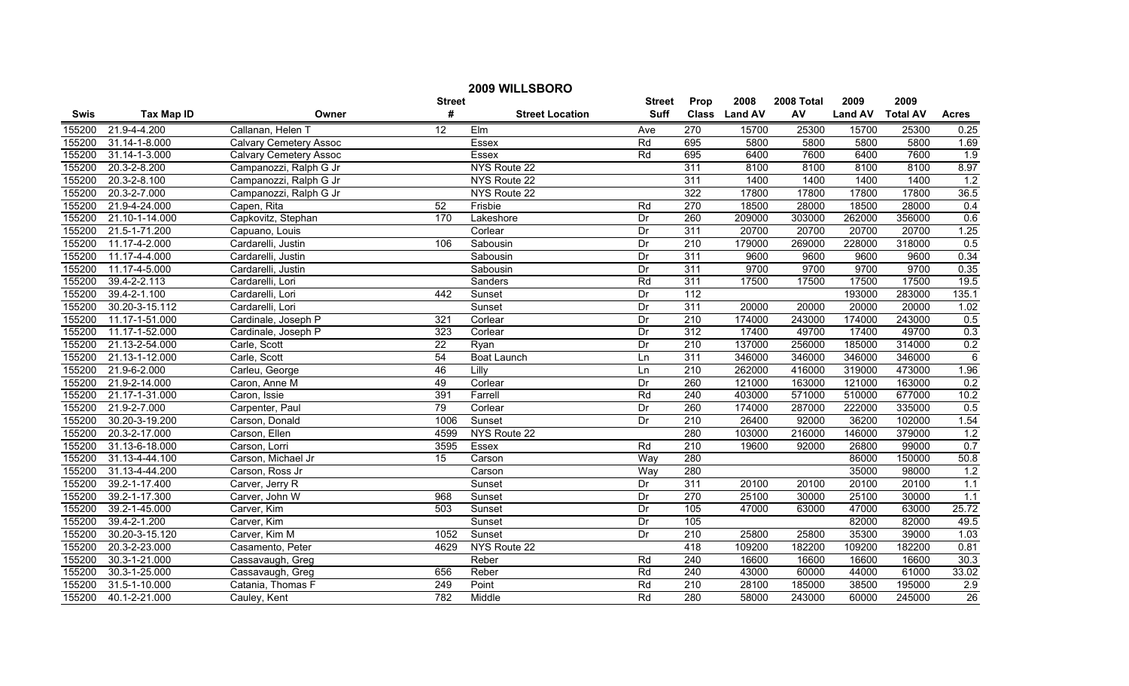|             | 2009 WILLSBORO    |                               |                 |                        |               |                  |               |            |                |                 |              |  |
|-------------|-------------------|-------------------------------|-----------------|------------------------|---------------|------------------|---------------|------------|----------------|-----------------|--------------|--|
|             |                   |                               | <b>Street</b>   |                        | <b>Street</b> | Prop             | 2008          | 2008 Total | 2009           | 2009            |              |  |
| <b>Swis</b> | <b>Tax Map ID</b> | Owner                         | #               | <b>Street Location</b> | <b>Suff</b>   |                  | Class Land AV | AV         | <b>Land AV</b> | <b>Total AV</b> | <b>Acres</b> |  |
| 155200      | 21.9-4-4.200      | Callanan, Helen T             | $\overline{12}$ | Elm                    | Ave           | 270              | 15700         | 25300      | 15700          | 25300           | 0.25         |  |
| 155200      | 31.14-1-8.000     | <b>Calvary Cemetery Assoc</b> |                 | Essex                  | Rd            | 695              | 5800          | 5800       | 5800           | 5800            | 1.69         |  |
| 155200      | 31.14-1-3.000     | <b>Calvary Cemetery Assoc</b> |                 | Essex                  | Rd            | 695              | 6400          | 7600       | 6400           | 7600            | 1.9          |  |
| 155200      | 20.3-2-8.200      | Campanozzi, Ralph G Jr        |                 | NYS Route 22           |               | 311              | 8100          | 8100       | 8100           | 8100            | 8.97         |  |
| 155200      | 20.3-2-8.100      | Campanozzi, Ralph G Jr        |                 | NYS Route 22           |               | 311              | 1400          | 1400       | 1400           | 1400            | 1.2          |  |
| 155200      | 20.3-2-7.000      | Campanozzi, Ralph G Jr        |                 | NYS Route 22           |               | 322              | 17800         | 17800      | 17800          | 17800           | 36.5         |  |
| 155200      | 21.9-4-24.000     | Capen, Rita                   | 52              | Frisbie                | Rd            | 270              | 18500         | 28000      | 18500          | 28000           | 0.4          |  |
| 155200      | 21.10-1-14.000    | Capkovitz, Stephan            | 170             | Lakeshore              | Dr            | 260              | 209000        | 303000     | 262000         | 356000          | 0.6          |  |
| 155200      | 21.5-1-71.200     | Capuano, Louis                |                 | Corlear                | Dr            | 311              | 20700         | 20700      | 20700          | 20700           | 1.25         |  |
| 155200      | 11.17-4-2.000     | Cardarelli, Justin            | 106             | Sabousin               | Dr            | 210              | 179000        | 269000     | 228000         | 318000          | 0.5          |  |
| 155200      | 11.17-4-4.000     | Cardarelli, Justin            |                 | Sabousin               | Dr            | $\overline{311}$ | 9600          | 9600       | 9600           | 9600            | 0.34         |  |
| 155200      | 11.17-4-5.000     | Cardarelli, Justin            |                 | Sabousin               | Dr            | 311              | 9700          | 9700       | 9700           | 9700            | 0.35         |  |
| 155200      | 39.4-2-2.113      | Cardarelli, Lori              |                 | Sanders                | Rd            | 311              | 17500         | 17500      | 17500          | 17500           | 19.5         |  |
| 155200      | 39.4-2-1.100      | Cardarelli, Lori              | 442             | Sunset                 | Dr            | 112              |               |            | 193000         | 283000          | 135.1        |  |
| 155200      | 30.20-3-15.112    | Cardarelli, Lori              |                 | Sunset                 | Dr            | 311              | 20000         | 20000      | 20000          | 20000           | 1.02         |  |
| 155200      | 11.17-1-51.000    | Cardinale, Joseph P           | 321             | Corlear                | Dr            | $\overline{210}$ | 174000        | 243000     | 174000         | 243000          | 0.5          |  |
| 155200      | 11.17-1-52.000    | Cardinale, Joseph P           | 323             | Corlear                | Dr            | 312              | 17400         | 49700      | 17400          | 49700           | 0.3          |  |
| 155200      | 21.13-2-54.000    | Carle, Scott                  | 22              | Ryan                   | Dr            | 210              | 137000        | 256000     | 185000         | 314000          | 0.2          |  |
| 155200      | 21.13-1-12.000    | Carle, Scott                  | 54              | Boat Launch            | Ln            | 311              | 346000        | 346000     | 346000         | 346000          | 6            |  |
| 155200      | 21.9-6-2.000      | Carleu, George                | 46              | Lilly                  | Ln            | $\overline{210}$ | 262000        | 416000     | 319000         | 473000          | 1.96         |  |
| 155200      | 21.9-2-14.000     | Caron, Anne M                 | 49              | Corlear                | Dr            | 260              | 121000        | 163000     | 121000         | 163000          | 0.2          |  |
| 155200      | 21.17-1-31.000    | Caron, Issie                  | 391             | Farrell                | Rd            | $\overline{240}$ | 403000        | 571000     | 510000         | 677000          | 10.2         |  |
| 155200      | 21.9-2-7.000      | Carpenter, Paul               | 79              | Corlear                | Dr            | 260              | 174000        | 287000     | 222000         | 335000          | 0.5          |  |
| 155200      | 30.20-3-19.200    | Carson, Donald                | 1006            | Sunset                 | Dr            | $\overline{210}$ | 26400         | 92000      | 36200          | 102000          | 1.54         |  |
| 155200      | 20.3-2-17.000     | Carson, Ellen                 | 4599            | NYS Route 22           |               | 280              | 103000        | 216000     | 146000         | 379000          | 1.2          |  |
| 155200      | 31.13-6-18.000    | Carson, Lorri                 | 3595            | Essex                  | Rd            | $\overline{210}$ | 19600         | 92000      | 26800          | 99000           | 0.7          |  |
| 155200      | 31.13-4-44.100    | Carson, Michael Jr            | 15              | Carson                 | Way           | 280              |               |            | 86000          | 150000          | 50.8         |  |
| 155200      | 31.13-4-44.200    | Carson, Ross Jr               |                 | Carson                 | Way           | 280              |               |            | 35000          | 98000           | 1.2          |  |
| 155200      | 39.2-1-17.400     | Carver, Jerry R               |                 | Sunset                 | Dr            | 311              | 20100         | 20100      | 20100          | 20100           | 1.1          |  |
| 155200      | 39.2-1-17.300     | Carver, John W                | 968             | Sunset                 | Dr            | 270              | 25100         | 30000      | 25100          | 30000           | 1.1          |  |
| 155200      | 39.2-1-45.000     | Carver, Kim                   | 503             | Sunset                 | Dr            | 105              | 47000         | 63000      | 47000          | 63000           | 25.72        |  |
| 155200      | 39.4-2-1.200      | Carver, Kim                   |                 | Sunset                 | Dr            | 105              |               |            | 82000          | 82000           | 49.5         |  |
| 155200      | 30.20-3-15.120    | Carver, Kim M                 | 1052            | Sunset                 | Dr            | 210              | 25800         | 25800      | 35300          | 39000           | 1.03         |  |
| 155200      | 20.3-2-23.000     | Casamento, Peter              | 4629            | NYS Route 22           |               | 418              | 109200        | 182200     | 109200         | 182200          | 0.81         |  |
| 155200      | 30.3-1-21.000     | Cassavaugh, Greg              |                 | Reber                  | Rd            | 240              | 16600         | 16600      | 16600          | 16600           | 30.3         |  |
| 155200      | 30.3-1-25.000     | Cassavaugh, Greg              | 656             | Reber                  | Rd            | $\overline{240}$ | 43000         | 60000      | 44000          | 61000           | 33.02        |  |
| 155200      | 31.5-1-10.000     | Catania, Thomas F             | 249             | Point                  | Rd            | 210              | 28100         | 185000     | 38500          | 195000          | 2.9          |  |
| 155200      | 40.1-2-21.000     | Cauley, Kent                  | 782             | Middle                 | Rd            | 280              | 58000         | 243000     | 60000          | 245000          | 26           |  |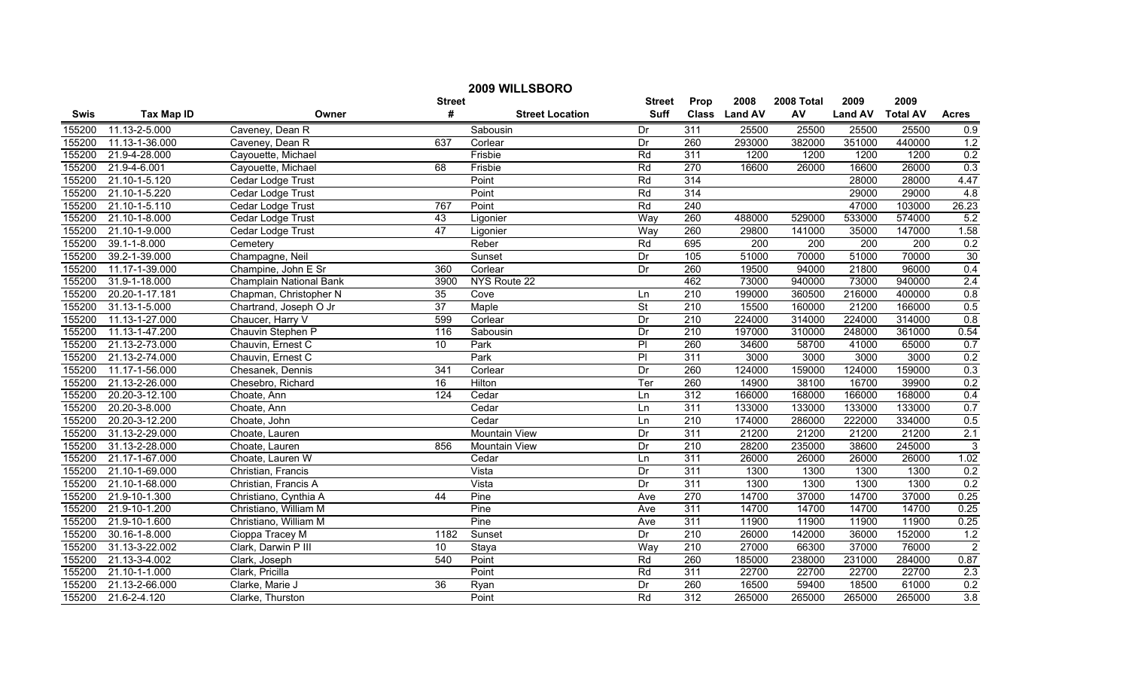| 2009 WILLSBORO |                   |                         |                 |                        |                          |                  |                  |                  |                  |                  |                  |
|----------------|-------------------|-------------------------|-----------------|------------------------|--------------------------|------------------|------------------|------------------|------------------|------------------|------------------|
|                |                   |                         | <b>Street</b>   |                        | <b>Street</b>            | Prop             | 2008             | 2008 Total       | 2009             | 2009             |                  |
| <b>Swis</b>    | <b>Tax Map ID</b> | Owner                   | #               | <b>Street Location</b> | <b>Suff</b>              |                  | Class Land AV    | AV               | <b>Land AV</b>   | <b>Total AV</b>  | <b>Acres</b>     |
| 155200         | 11.13-2-5.000     | Caveney, Dean R         |                 | Sabousin               | Dr                       | 311              | 25500            | 25500            | 25500            | 25500            | 0.9              |
| 155200         | 11.13-1-36.000    | Caveney, Dean R         | 637             | Corlear                | Dr                       | 260              | 293000           | 382000           | 351000           | 440000           | 1.2              |
| 155200         | 21.9-4-28.000     | Cayouette, Michael      |                 | Frisbie                | Rd                       | 311              | 1200             | 1200             | 1200             | 1200             | 0.2              |
| 155200         | 21.9-4-6.001      | Cayouette, Michael      | 68              | Frisbie                | Rd                       | 270              | 16600            | 26000            | 16600            | 26000            | 0.3              |
| 155200         | 21.10-1-5.120     | Cedar Lodge Trust       |                 | Point                  | Rd                       | 314              |                  |                  | 28000            | 28000            | 4.47             |
| 155200         | 21.10-1-5.220     | Cedar Lodge Trust       |                 | Point                  | Rd                       | 314              |                  |                  | 29000            | 29000            | 4.8              |
| 155200         | 21.10-1-5.110     | Cedar Lodge Trust       | 767             | Point                  | Rd                       | 240              |                  |                  | 47000            | 103000           | 26.23            |
| 155200         | 21.10-1-8.000     | Cedar Lodge Trust       | 43              | Ligonier               | Way                      | 260              | 488000           | 529000           | 533000           | 574000           | 5.2              |
| 155200         | 21.10-1-9.000     | Cedar Lodge Trust       | 47              | Ligonier               | Way                      | 260              | 29800            | 141000           | 35000            | 147000           | 1.58             |
| 155200         | 39.1-1-8.000      | Cemetery                |                 | Reber                  | Rd                       | 695              | $\overline{200}$ | $\overline{200}$ | $\overline{200}$ | $\overline{200}$ | 0.2              |
| 155200         | 39.2-1-39.000     | Champagne, Neil         |                 | Sunset                 | Dr                       | 105              | 51000            | 70000            | 51000            | 70000            | 30               |
| 155200         | 11.17-1-39.000    | Champine, John E Sr     | 360             | Corlear                | Dr                       | 260              | 19500            | 94000            | 21800            | 96000            | 0.4              |
| 155200         | 31.9-1-18.000     | Champlain National Bank | 3900            | NYS Route 22           |                          | 462              | 73000            | 940000           | 73000            | 940000           | 2.4              |
| 155200         | 20.20-1-17.181    | Chapman, Christopher N  | 35              | Cove                   | Ln                       | $\overline{210}$ | 199000           | 360500           | 216000           | 400000           | 0.8              |
| 155200         | 31.13-1-5.000     | Chartrand, Joseph O Jr  | $\overline{37}$ | Maple                  | $\overline{\mathsf{St}}$ | $\overline{210}$ | 15500            | 160000           | 21200            | 166000           | 0.5              |
| 155200         | 11.13-1-27.000    | Chaucer, Harry V        | 599             | Corlear                | Dr                       | $\overline{210}$ | 224000           | 314000           | 224000           | 314000           | 0.8              |
| 155200         | 11.13-1-47.200    | Chauvin Stephen P       | 116             | Sabousin               | Dr                       | 210              | 197000           | 310000           | 248000           | 361000           | 0.54             |
| 155200         | 21.13-2-73.000    | Chauvin, Ernest C       | 10              | Park                   | P                        | 260              | 34600            | 58700            | 41000            | 65000            | 0.7              |
| 155200         | 21.13-2-74.000    | Chauvin, Ernest C       |                 | Park                   | PI                       | 311              | 3000             | 3000             | 3000             | 3000             | 0.2              |
| 155200         | 11.17-1-56.000    | Chesanek, Dennis        | 341             | Corlear                | Dr                       | 260              | 124000           | 159000           | 124000           | 159000           | 0.3              |
| 155200         | 21.13-2-26.000    | Chesebro, Richard       | 16              | Hilton                 | Ter                      | 260              | 14900            | 38100            | 16700            | 39900            | 0.2              |
| 155200         | 20.20-3-12.100    | Choate, Ann             | 124             | Cedar                  | Ln                       | 312              | 166000           | 168000           | 166000           | 168000           | 0.4              |
| 155200         | 20.20-3-8.000     | Choate, Ann             |                 | Cedar                  | Ln                       | 311              | 133000           | 133000           | 133000           | 133000           | 0.7              |
| 155200         | 20.20-3-12.200    | Choate, John            |                 | Cedar                  | Ln                       | 210              | 174000           | 286000           | 222000           | 334000           | 0.5              |
| 155200         | 31.13-2-29.000    | Choate, Lauren          |                 | Mountain View          | Dr                       | 311              | 21200            | 21200            | 21200            | 21200            | 2.1              |
| 155200         | 31.13-2-28.000    | Choate, Lauren          | 856             | Mountain View          | Dr                       | 210              | 28200            | 235000           | 38600            | 245000           | 3                |
| 155200         | 21.17-1-67.000    | Choate, Lauren W        |                 | Cedar                  | Ln                       | $\overline{311}$ | 26000            | 26000            | 26000            | 26000            | 1.02             |
| 155200         | 21.10-1-69.000    | Christian, Francis      |                 | Vista                  | Dr                       | $\overline{311}$ | 1300             | 1300             | 1300             | 1300             | 0.2              |
| 155200         | 21.10-1-68.000    | Christian, Francis A    |                 | Vista                  | Dr                       | 311              | 1300             | 1300             | 1300             | 1300             | 0.2              |
| 155200         | 21.9-10-1.300     | Christiano, Cynthia A   | 44              | Pine                   | Ave                      | 270              | 14700            | 37000            | 14700            | 37000            | 0.25             |
| 155200         | 21.9-10-1.200     | Christiano, William M   |                 | Pine                   | Ave                      | 311              | 14700            | 14700            | 14700            | 14700            | 0.25             |
| 155200         | 21.9-10-1.600     | Christiano, William M   |                 | Pine                   | Ave                      | 311              | 11900            | 11900            | 11900            | 11900            | 0.25             |
| 155200         | 30.16-1-8.000     | Cioppa Tracey M         | 1182            | Sunset                 | Dr                       | 210              | 26000            | 142000           | 36000            | 152000           | 1.2              |
| 155200         | 31.13-3-22.002    | Clark, Darwin P III     | 10              | Staya                  | Way                      | $\overline{210}$ | 27000            | 66300            | 37000            | 76000            | $\overline{2}$   |
| 155200         | 21.13-3-4.002     | Clark, Joseph           | 540             | Point                  | Rd                       | 260              | 185000           | 238000           | 231000           | 284000           | 0.87             |
| 155200         | 21.10-1-1.000     | Clark, Pricilla         |                 | Point                  | Rd                       | 311              | 22700            | 22700            | 22700            | 22700            | 2.3              |
| 155200         | 21.13-2-66.000    | Clarke, Marie J         | $\overline{36}$ | Ryan                   | Dr                       | 260              | 16500            | 59400            | 18500            | 61000            | 0.2              |
| 155200         | 21.6-2-4.120      | Clarke, Thurston        |                 | Point                  | Rd                       | 312              | 265000           | 265000           | 265000           | 265000           | $\overline{3.8}$ |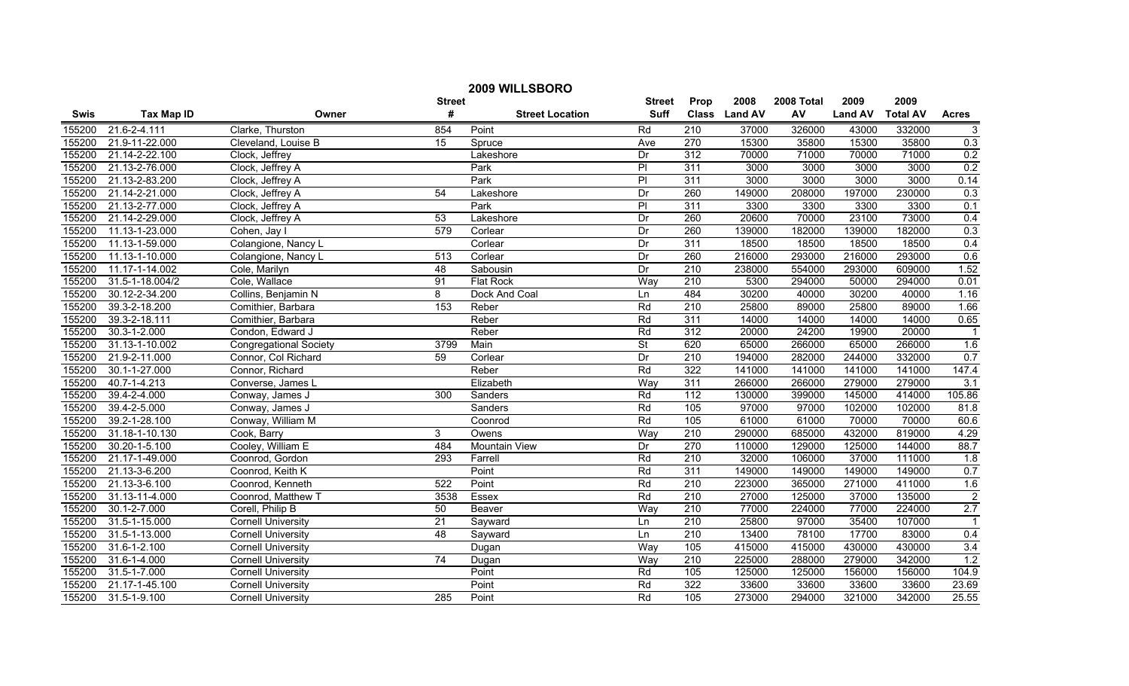| 2009 WILLSBORO |                    |                               |                 |                        |                |                  |               |            |                |                 |                |
|----------------|--------------------|-------------------------------|-----------------|------------------------|----------------|------------------|---------------|------------|----------------|-----------------|----------------|
|                |                    |                               | <b>Street</b>   |                        | <b>Street</b>  | Prop             | 2008          | 2008 Total | 2009           | 2009            |                |
| <b>Swis</b>    | <b>Tax Map ID</b>  | Owner                         | #               | <b>Street Location</b> | <b>Suff</b>    |                  | Class Land AV | AV         | <b>Land AV</b> | <b>Total AV</b> | <b>Acres</b>   |
| 155200         | 21.6-2-4.111       | Clarke, Thurston              | 854             | Point                  | Rd             | 210              | 37000         | 326000     | 43000          | 332000          | $\mathbf{3}$   |
| 155200         | 21.9-11-22.000     | Cleveland, Louise B           | 15              | Spruce                 | Ave            | 270              | 15300         | 35800      | 15300          | 35800           | 0.3            |
| 155200         | 21.14-2-22.100     | Clock, Jeffrey                |                 | Lakeshore              | Dr             | 312              | 70000         | 71000      | 70000          | 71000           | 0.2            |
| 155200         | 21.13-2-76.000     | Clock, Jeffrey A              |                 | Park                   | $\overline{P}$ | 311              | 3000          | 3000       | 3000           | 3000            | 0.2            |
| 155200         | 21.13-2-83.200     | Clock, Jeffrey A              |                 | Park                   | $\overline{P}$ | 311              | 3000          | 3000       | 3000           | 3000            | 0.14           |
| 155200         | 21.14-2-21.000     | Clock, Jeffrey A              | 54              | Lakeshore              | Dr             | 260              | 149000        | 208000     | 197000         | 230000          | 0.3            |
| 155200         | 21.13-2-77.000     | Clock, Jeffrey A              |                 | Park                   | PI             | 311              | 3300          | 3300       | 3300           | 3300            | 0.1            |
| 155200         | 21.14-2-29.000     | Clock, Jeffrey A              | 53              | Lakeshore              | Dr             | 260              | 20600         | 70000      | 23100          | 73000           | 0.4            |
| 155200         | 11.13-1-23.000     | Cohen, Jay I                  | 579             | Corlear                | Dr             | 260              | 139000        | 182000     | 139000         | 182000          | 0.3            |
| 155200         | 11.13-1-59.000     | Colangione, Nancy L           |                 | Corlear                | Dr             | 311              | 18500         | 18500      | 18500          | 18500           | 0.4            |
| 155200         | 11.13-1-10.000     | Colangione, Nancy L           | 513             | Corlear                | Dr             | 260              | 216000        | 293000     | 216000         | 293000          | 0.6            |
| 155200         | 11.17-1-14.002     | Cole, Marilyn                 | $\overline{48}$ | Sabousin               | Dr             | $\overline{210}$ | 238000        | 554000     | 293000         | 609000          | 1.52           |
| 155200         | 31.5-1-18.004/2    | Cole, Wallace                 | 91              | <b>Flat Rock</b>       | Way            | $\overline{210}$ | 5300          | 294000     | 50000          | 294000          | 0.01           |
| 155200         | 30.12-2-34.200     | Collins, Benjamin N           | 8               | Dock And Coal          | Ln             | 484              | 30200         | 40000      | 30200          | 40000           | 1.16           |
| 155200         | 39.3-2-18.200      | Comithier, Barbara            | 153             | Reber                  | Rd             | $\overline{210}$ | 25800         | 89000      | 25800          | 89000           | 1.66           |
| 155200         | 39.3-2-18.111      | Comithier, Barbara            |                 | Reber                  | Rd             | 311              | 14000         | 14000      | 14000          | 14000           | 0.65           |
| 155200         | $30.3 - 1 - 2.000$ | Condon, Edward J              |                 | Reber                  | Rd             | 312              | 20000         | 24200      | 19900          | 20000           |                |
| 155200         | 31.13-1-10.002     | <b>Congregational Society</b> | 3799            | Main                   | <b>St</b>      | 620              | 65000         | 266000     | 65000          | 266000          | 1.6            |
| 155200         | 21.9-2-11.000      | Connor, Col Richard           | 59              | Corlear                | Dr             | 210              | 194000        | 282000     | 244000         | 332000          | 0.7            |
| 155200         | 30.1-1-27.000      | Connor, Richard               |                 | Reber                  | Rd             | 322              | 141000        | 141000     | 141000         | 141000          | 147.4          |
| 155200         | 40.7-1-4.213       | Converse, James L             |                 | Elizabeth              | Way            | 311              | 266000        | 266000     | 279000         | 279000          | 3.1            |
| 155200         | 39.4-2-4.000       | Conway, James J               | 300             | Sanders                | Rd             | $\frac{11}{2}$   | 130000        | 399000     | 145000         | 414000          | 105.86         |
| 155200         | 39.4-2-5.000       | Conway, James J               |                 | Sanders                | Rd             | 105              | 97000         | 97000      | 102000         | 102000          | 81.8           |
| 155200         | 39.2-1-28.100      | Conway, William M             |                 | Coonrod                | Rd             | 105              | 61000         | 61000      | 70000          | 70000           | 60.6           |
| 155200         | 31.18-1-10.130     | Cook, Barry                   | 3               | Owens                  | Way            | 210              | 290000        | 685000     | 432000         | 819000          | 4.29           |
| 155200         | 30.20-1-5.100      | Cooley, William E             | 484             | Mountain View          | Dr             | 270              | 110000        | 129000     | 125000         | 144000          | 88.7           |
| 155200         | 21.17-1-49.000     | Coonrod, Gordon               | 293             | Farrell                | Rd             | $\overline{210}$ | 32000         | 106000     | 37000          | 111000          | 1.8            |
| 155200         | 21.13-3-6.200      | Coonrod, Keith K              |                 | Point                  | Rd             | 311              | 149000        | 149000     | 149000         | 149000          | 0.7            |
| 155200         | 21.13-3-6.100      | Coonrod, Kenneth              | 522             | Point                  | Rd             | 210              | 223000        | 365000     | 271000         | 411000          | 1.6            |
| 155200         | 31.13-11-4.000     | Coonrod, Matthew T            | 3538            | Essex                  | Rd             | 210              | 27000         | 125000     | 37000          | 135000          | $\overline{2}$ |
| 155200         | $30.1 - 2 - 7.000$ | Corell, Philip B              | 50              | Beaver                 | Way            | 210              | 77000         | 224000     | 77000          | 224000          | 2.7            |
| 155200         | 31.5-1-15.000      | <b>Cornell University</b>     | 21              | Sayward                | Ln             | 210              | 25800         | 97000      | 35400          | 107000          |                |
| 155200         | 31.5-1-13.000      | <b>Cornell University</b>     | 48              | Sayward                | Ln             | 210              | 13400         | 78100      | 17700          | 83000           | 0.4            |
| 155200         | 31.6-1-2.100       | <b>Cornell University</b>     |                 | Dugan                  | Way            | $\frac{105}{2}$  | 415000        | 415000     | 430000         | 430000          | 3.4            |
| 155200         | 31.6-1-4.000       | <b>Cornell University</b>     | 74              | Dugan                  | Way            | $\overline{210}$ | 225000        | 288000     | 279000         | 342000          | 1.2            |
| 155200         | 31.5-1-7.000       | <b>Cornell University</b>     |                 | Point                  | Rd             | $\frac{105}{2}$  | 125000        | 125000     | 156000         | 156000          | 104.9          |
| 155200         | 21.17-1-45.100     | <b>Cornell University</b>     |                 | Point                  | Rd             | 322              | 33600         | 33600      | 33600          | 33600           | 23.69          |
| 155200         | 31.5-1-9.100       | <b>Cornell University</b>     | 285             | Point                  | Rd             | 105              | 273000        | 294000     | 321000         | 342000          | 25.55          |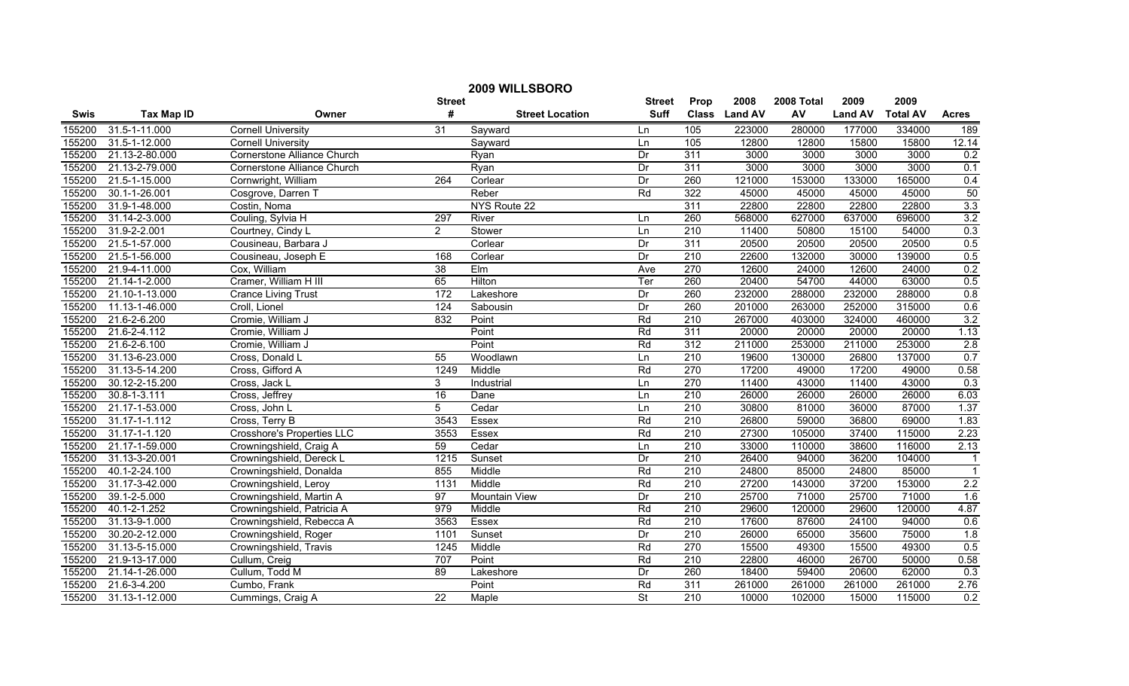|             | 2009 WILLSBORO     |                                    |                  |                        |                 |                  |                |            |                |                 |                  |
|-------------|--------------------|------------------------------------|------------------|------------------------|-----------------|------------------|----------------|------------|----------------|-----------------|------------------|
|             |                    |                                    | <b>Street</b>    |                        | <b>Street</b>   | Prop             | 2008           | 2008 Total | 2009           | 2009            |                  |
| <b>Swis</b> | <b>Tax Map ID</b>  | Owner                              | #                | <b>Street Location</b> | <b>Suff</b>     | <b>Class</b>     | <b>Land AV</b> | AV         | <b>Land AV</b> | <b>Total AV</b> | <b>Acres</b>     |
| 155200      | 31.5-1-11.000      | <b>Cornell University</b>          | $\overline{31}$  | Sayward                | Ln              | 105              | 223000         | 280000     | 177000         | 334000          | 189              |
| 155200      | 31.5-1-12.000      | <b>Cornell University</b>          |                  | Sayward                | Ln              | 105              | 12800          | 12800      | 15800          | 15800           | 12.14            |
| 155200      | 21.13-2-80.000     | <b>Cornerstone Alliance Church</b> |                  | Ryan                   | Dr              | 311              | 3000           | 3000       | 3000           | 3000            | 0.2              |
| 155200      | 21.13-2-79.000     | <b>Cornerstone Alliance Church</b> |                  | Ryan                   | Dr              | 311              | 3000           | 3000       | 3000           | 3000            | 0.1              |
| 155200      | 21.5-1-15.000      | Cornwright, William                | 264              | Corlear                | Dr              | 260              | 121000         | 153000     | 133000         | 165000          | 0.4              |
| 155200      | 30.1-1-26.001      | Cosgrove, Darren T                 |                  | Reber                  | Rd              | 322              | 45000          | 45000      | 45000          | 45000           | 50               |
| 155200      | 31.9-1-48.000      | Costin, Noma                       |                  | NYS Route 22           |                 | 311              | 22800          | 22800      | 22800          | 22800           | 3.3              |
| 155200      | 31.14-2-3.000      | Couling, Sylvia H                  | 297              | River                  | Ln              | 260              | 568000         | 627000     | 637000         | 696000          | 3.2              |
| 155200      | 31.9-2-2.001       | Courtney, Cindy L                  | $\overline{2}$   | Stower                 | Ln              | 210              | 11400          | 50800      | 15100          | 54000           | 0.3              |
| 155200      | 21.5-1-57.000      | Cousineau, Barbara J               |                  | Corlear                | Dr              | 311              | 20500          | 20500      | 20500          | 20500           | 0.5              |
| 155200      | 21.5-1-56.000      | Cousineau, Joseph E                | 168              | Corlear                | Dr              | $\overline{210}$ | 22600          | 132000     | 30000          | 139000          | 0.5              |
| 155200      | 21.9-4-11.000      | Cox, William                       | $\overline{38}$  | Elm                    | Ave             | 270              | 12600          | 24000      | 12600          | 24000           | 0.2              |
| 155200      | 21.14-1-2.000      | Cramer, William H III              | 65               | Hilton                 | Ter             | 260              | 20400          | 54700      | 44000          | 63000           | 0.5              |
| 155200      | 21.10-1-13.000     | <b>Crance Living Trust</b>         | $\overline{172}$ | Lakeshore              | Dr              | 260              | 232000         | 288000     | 232000         | 288000          | 0.8              |
| 155200      | 11.13-1-46.000     | Croll, Lionel                      | 124              | Sabousin               | Dr              | 260              | 201000         | 263000     | 252000         | 315000          | 0.6              |
| 155200      | 21.6-2-6.200       | Cromie, William J                  | 832              | Point                  | Rd              | $\overline{210}$ | 267000         | 403000     | 324000         | 460000          | 3.2              |
| 155200      | 21.6-2-4.112       | Cromie, William J                  |                  | Point                  | Rd              | 311              | 20000          | 20000      | 20000          | 20000           | 1.13             |
| 155200      | 21.6-2-6.100       | Cromie, William J                  |                  | Point                  | Rd              | 312              | 211000         | 253000     | 211000         | 253000          | 2.8              |
| 155200      | 31.13-6-23.000     | Cross, Donald L                    | 55               | Woodlawn               | Ln              | 210              | 19600          | 130000     | 26800          | 137000          | 0.7              |
| 155200      | 31.13-5-14.200     | Cross, Gifford A                   | 1249             | Middle                 | Rd              | 270              | 17200          | 49000      | 17200          | 49000           | 0.58             |
| 155200      | 30.12-2-15.200     | Cross, Jack L                      | 3                | Industrial             | Ln              | $\overline{270}$ | 11400          | 43000      | 11400          | 43000           | 0.3              |
| 155200      | $30.8 - 1 - 3.111$ | Cross, Jeffrey                     | 16               | Dane                   | Ln              | 210              | 26000          | 26000      | 26000          | 26000           | 6.03             |
| 155200      | 21.17-1-53.000     | Cross, John L                      | $\overline{5}$   | Cedar                  | Ln              | 210              | 30800          | 81000      | 36000          | 87000           | 1.37             |
| 155200      | 31.17-1-1.112      | Cross, Terry B                     | 3543             | Essex                  | Rd              | $\overline{210}$ | 26800          | 59000      | 36800          | 69000           | 1.83             |
| 155200      | 31.17-1-1.120      | <b>Crosshore's Properties LLC</b>  | 3553             | Essex                  | Rd              | $\overline{210}$ | 27300          | 105000     | 37400          | 115000          | 2.23             |
| 155200      | 21.17-1-59.000     | Crowningshield, Craig A            | 59               | Cedar                  | Ln              | $\overline{210}$ | 33000          | 110000     | 38600          | 116000          | 2.13             |
| 155200      | 31.13-3-20.001     | Crowningshield, Dereck L           | 1215             | Sunset                 | Dr              | 210              | 26400          | 94000      | 36200          | 104000          | $\mathbf{1}$     |
| 155200      | 40.1-2-24.100      | Crowningshield, Donalda            | 855              | Middle                 | Rd              | 210              | 24800          | 85000      | 24800          | 85000           |                  |
| 155200      | 31.17-3-42.000     | Crowningshield, Leroy              | 1131             | Middle                 | Rd              | 210              | 27200          | 143000     | 37200          | 153000          | 2.2              |
| 155200      | 39.1-2-5.000       | Crowningshield, Martin A           | 97               | <b>Mountain View</b>   | Dr              | $\overline{210}$ | 25700          | 71000      | 25700          | 71000           | 1.6              |
| 155200      | 40.1-2-1.252       | Crowningshield, Patricia A         | 979              | Middle                 | Rd              | 210              | 29600          | 120000     | 29600          | 120000          | 4.87             |
| 155200      | 31.13-9-1.000      | Crowningshield, Rebecca A          | 3563             | Essex                  | Rd              | 210              | 17600          | 87600      | 24100          | 94000           | 0.6              |
| 155200      | 30.20-2-12.000     | Crowningshield, Roger              | 1101             | Sunset                 | Dr              | 210              | 26000          | 65000      | 35600          | 75000           | 1.8              |
| 155200      | 31.13-5-15.000     | Crowningshield, Travis             | 1245             | Middle                 | Rd              | 270              | 15500          | 49300      | 15500          | 49300           | 0.5              |
| 155200      | 21.9-13-17.000     | Cullum, Creig                      | 707              | Point                  | Rd              | $\overline{210}$ | 22800          | 46000      | 26700          | 50000           | 0.58             |
| 155200      | 21.14-1-26.000     | Cullum, Todd M                     | $\overline{89}$  | Lakeshore              | $\overline{Dr}$ | 260              | 18400          | 59400      | 20600          | 62000           | 0.3              |
| 155200      | 21.6-3-4.200       | Cumbo, Frank                       |                  | Point                  | Rd              | 311              | 261000         | 261000     | 261000         | 261000          | 2.76             |
| 155200      | 31.13-1-12.000     | Cummings, Craig A                  | $\overline{22}$  | Maple                  | <b>St</b>       | 210              | 10000          | 102000     | 15000          | 115000          | $\overline{0.2}$ |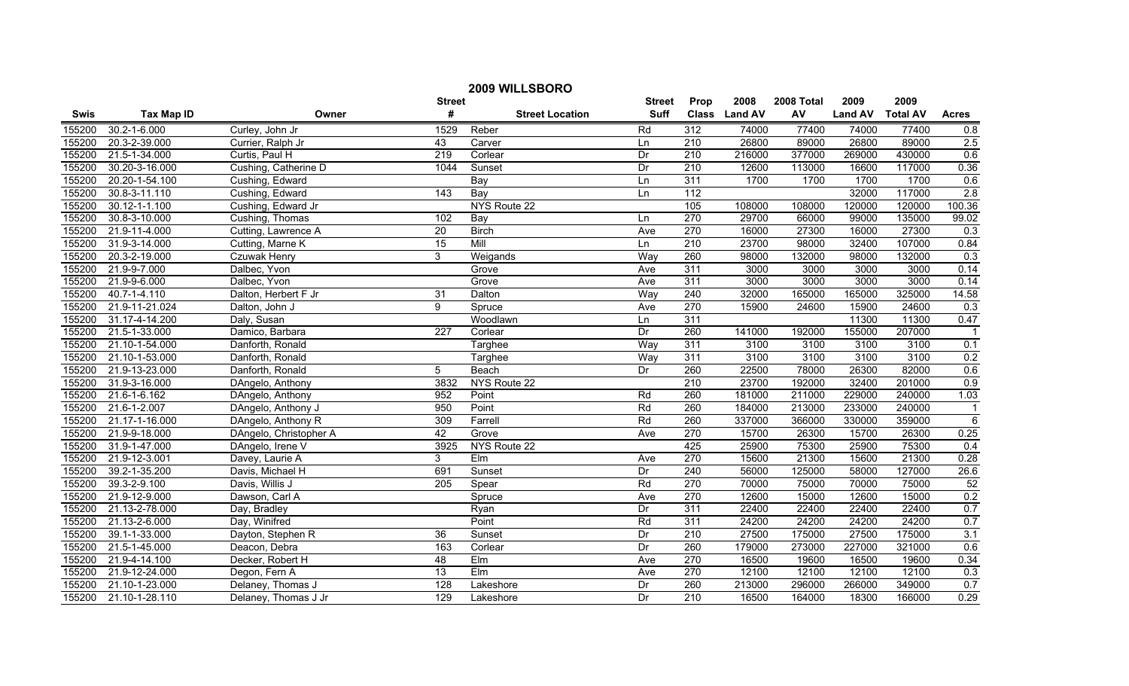| 2009 WILLSBORO |                     |                        |                  |                        |               |                  |               |            |                |                 |                |
|----------------|---------------------|------------------------|------------------|------------------------|---------------|------------------|---------------|------------|----------------|-----------------|----------------|
|                |                     |                        | <b>Street</b>    |                        | <b>Street</b> | Prop             | 2008          | 2008 Total | 2009           | 2009            |                |
| <b>Swis</b>    | <b>Tax Map ID</b>   | Owner                  | #                | <b>Street Location</b> | <b>Suff</b>   |                  | Class Land AV | AV         | <b>Land AV</b> | <b>Total AV</b> | <b>Acres</b>   |
| 155200         | 30.2-1-6.000        | Curley, John Jr        | 1529             | Reber                  | Rd            | 312              | 74000         | 77400      | 74000          | 77400           | 0.8            |
| 155200         | 20.3-2-39.000       | Currier, Ralph Jr      | 43               | Carver                 | Ln            | 210              | 26800         | 89000      | 26800          | 89000           | 2.5            |
| 155200         | 21.5-1-34.000       | Curtis, Paul H         | 219              | Corlear                | Dr            | 210              | 216000        | 377000     | 269000         | 430000          | 0.6            |
| 155200         | 30.20-3-16.000      | Cushing, Catherine D   | 1044             | Sunset                 | Dr            | 210              | 12600         | 113000     | 16600          | 117000          | 0.36           |
| 155200         | 20.20-1-54.100      | Cushing, Edward        |                  | Bay                    | Ln            | 311              | 1700          | 1700       | 1700           | 1700            | 0.6            |
| 155200         | 30.8-3-11.110       | Cushing, Edward        | 143              | Bay                    | Ln            | 112              |               |            | 32000          | 117000          | 2.8            |
| 155200         | $30.12 - 1 - 1.100$ | Cushing, Edward Jr     |                  | NYS Route 22           |               | 105              | 108000        | 108000     | 120000         | 120000          | 100.36         |
| 155200         | 30.8-3-10.000       | Cushing, Thomas        | 102              | Bay                    | Ln            | 270              | 29700         | 66000      | 99000          | 135000          | 99.02          |
| 155200         | 21.9-11-4.000       | Cutting, Lawrence A    | $\overline{20}$  | <b>Birch</b>           | Ave           | 270              | 16000         | 27300      | 16000          | 27300           | 0.3            |
| 155200         | 31.9-3-14.000       | Cutting, Marne K       | $\overline{15}$  | Mill                   | Ln            | $\overline{210}$ | 23700         | 98000      | 32400          | 107000          | 0.84           |
| 155200         | 20.3-2-19.000       | <b>Czuwak Henry</b>    | 3                | Weigands               | Way           | 260              | 98000         | 132000     | 98000          | 132000          | 0.3            |
| 155200         | 21.9-9-7.000        | Dalbec, Yvon           |                  | Grove                  | Ave           | 311              | 3000          | 3000       | 3000           | 3000            | 0.14           |
| 155200         | 21.9-9-6.000        | Dalbec, Yvon           |                  | Grove                  | Ave           | 311              | 3000          | 3000       | 3000           | 3000            | 0.14           |
| 155200         | 40.7-1-4.110        | Dalton, Herbert F Jr   | $\overline{31}$  | Dalton                 | Way           | $\overline{240}$ | 32000         | 165000     | 165000         | 325000          | 14.58          |
| 155200         | 21.9-11-21.024      | Dalton, John J         | 9                | Spruce                 | Ave           | 270              | 15900         | 24600      | 15900          | 24600           | 0.3            |
| 155200         | 31.17-4-14.200      | Daly, Susan            |                  | Woodlawn               | Ln            | 311              |               |            | 11300          | 11300           | 0.47           |
| 155200         | 21.5-1-33.000       | Damico, Barbara        | 227              | Corlear                | Dr            | 260              | 141000        | 192000     | 155000         | 207000          |                |
| 155200         | 21.10-1-54.000      | Danforth, Ronald       |                  | Targhee                | Way           | 311              | 3100          | 3100       | 3100           | 3100            | 0.1            |
| 155200         | 21.10-1-53.000      | Danforth, Ronald       |                  | Targhee                | Way           | 311              | 3100          | 3100       | 3100           | 3100            | 0.2            |
| 155200         | 21.9-13-23.000      | Danforth, Ronald       | 5                | Beach                  | Dr            | 260              | 22500         | 78000      | 26300          | 82000           | 0.6            |
| 155200         | 31.9-3-16.000       | DAngelo, Anthony       | 3832             | NYS Route 22           |               | 210              | 23700         | 192000     | 32400          | 201000          | 0.9            |
| 155200         | 21.6-1-6.162        | DAngelo, Anthony       | 952              | Point                  | Rd            | 260              | 181000        | 211000     | 229000         | 240000          | 1.03           |
| 155200         | 21.6-1-2.007        | DAngelo, Anthony J     | 950              | Point                  | Rd            | 260              | 184000        | 213000     | 233000         | 240000          | $\overline{1}$ |
| 155200         | 21.17-1-16.000      | DAngelo, Anthony R     | 309              | Farrell                | Rd            | 260              | 337000        | 366000     | 330000         | 359000          | $\overline{6}$ |
| 155200         | 21.9-9-18.000       | DAngelo, Christopher A | 42               | Grove                  | Ave           | 270              | 15700         | 26300      | 15700          | 26300           | 0.25           |
| 155200         | 31.9-1-47.000       | DAngelo, Irene V       | 3925             | NYS Route 22           |               | 425              | 25900         | 75300      | 25900          | 75300           | 0.4            |
| 155200         | 21.9-12-3.001       | Davey, Laurie A        | 3                | EIm                    | Ave           | 270              | 15600         | 21300      | 15600          | 21300           | 0.28           |
| 155200         | 39.2-1-35.200       | Davis, Michael H       | 691              | Sunset                 | Dr            | 240              | 56000         | 125000     | 58000          | 127000          | 26.6           |
| 155200         | 39.3-2-9.100        | Davis, Willis J        | 205              | Spear                  | Rd            | 270              | 70000         | 75000      | 70000          | 75000           | 52             |
| 155200         | 21.9-12-9.000       | Dawson, Carl A         |                  | Spruce                 | Ave           | 270              | 12600         | 15000      | 12600          | 15000           | 0.2            |
| 155200         | 21.13-2-78.000      | Day, Bradley           |                  | Ryan                   | Dr            | 311              | 22400         | 22400      | 22400          | 22400           | 0.7            |
| 155200         | 21.13-2-6.000       | Day, Winifred          |                  | Point                  | Rd            | 311              | 24200         | 24200      | 24200          | 24200           | 0.7            |
| 155200         | 39.1-1-33.000       | Dayton, Stephen R      | 36               | Sunset                 | Dr            | 210              | 27500         | 175000     | 27500          | 175000          | 3.1            |
| 155200         | 21.5-1-45.000       | Deacon, Debra          | 163              | Corlear                | Dr            | 260              | 179000        | 273000     | 227000         | 321000          | 0.6            |
| 155200         | 21.9-4-14.100       | Decker, Robert H       | 48               | EIm                    | Ave           | 270              | 16500         | 19600      | 16500          | 19600           | 0.34           |
| 155200         | 21.9-12-24.000      | Degon, Fern A          | $\overline{13}$  | EIm                    | Ave           | 270              | 12100         | 12100      | 12100          | 12100           | 0.3            |
| 155200         | 21.10-1-23.000      | Delaney, Thomas J      | $\overline{128}$ | Lakeshore              | Dr            | 260              | 213000        | 296000     | 266000         | 349000          | 0.7            |
| 155200         | 21.10-1-28.110      | Delaney, Thomas J Jr   | 129              | Lakeshore              | Dr            | 210              | 16500         | 164000     | 18300          | 166000          | 0.29           |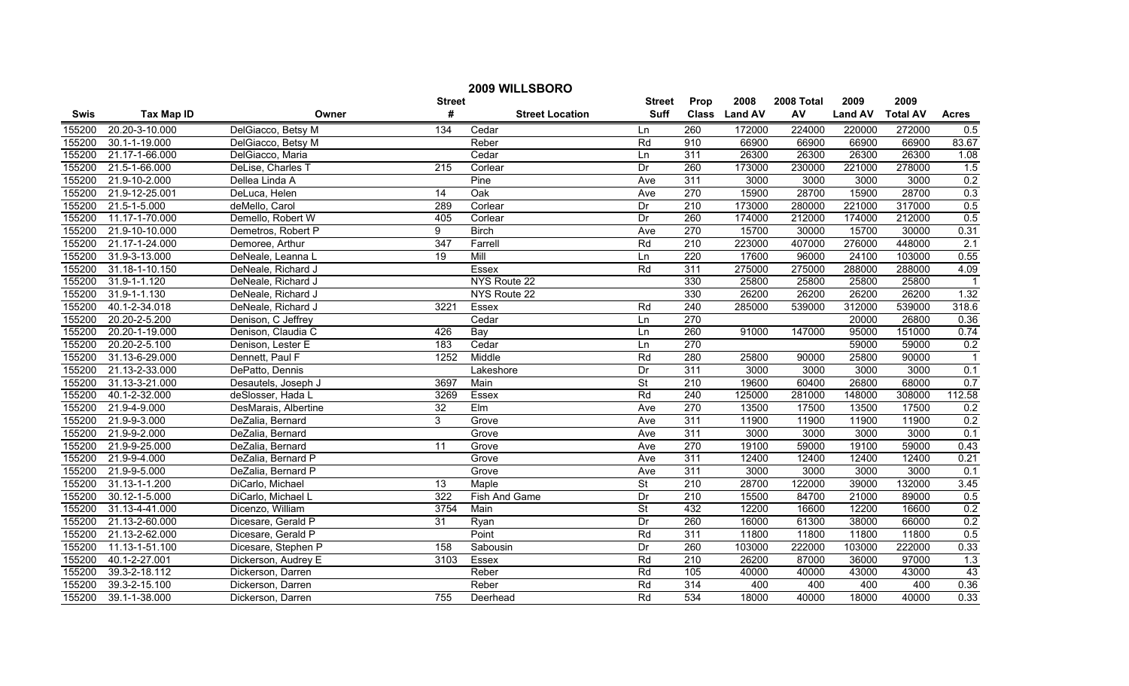|             | 2009 WILLSBORO     |                      |                  |                        |                          |                  |               |            |                |                 |                |  |
|-------------|--------------------|----------------------|------------------|------------------------|--------------------------|------------------|---------------|------------|----------------|-----------------|----------------|--|
|             |                    |                      | <b>Street</b>    |                        | <b>Street</b>            | Prop             | 2008          | 2008 Total | 2009           | 2009            |                |  |
| <b>Swis</b> | <b>Tax Map ID</b>  | Owner                | #                | <b>Street Location</b> | <b>Suff</b>              |                  | Class Land AV | AV         | <b>Land AV</b> | <b>Total AV</b> | <b>Acres</b>   |  |
| 155200      | 20.20-3-10.000     | DelGiacco, Betsy M   | 134              | Cedar                  | Ln                       | 260              | 172000        | 224000     | 220000         | 272000          | 0.5            |  |
| 155200      | 30.1-1-19.000      | DelGiacco, Betsy M   |                  | Reber                  | Rd                       | 910              | 66900         | 66900      | 66900          | 66900           | 83.67          |  |
| 155200      | 21.17-1-66.000     | DelGiacco, Maria     |                  | Cedar                  | Ln                       | 311              | 26300         | 26300      | 26300          | 26300           | 1.08           |  |
| 155200      | 21.5-1-66.000      | DeLise, Charles T    | 215              | Corlear                | Dr                       | 260              | 173000        | 230000     | 221000         | 278000          | 1.5            |  |
| 155200      | 21.9-10-2.000      | Dellea Linda A       |                  | Pine                   | Ave                      | 311              | 3000          | 3000       | 3000           | 3000            | 0.2            |  |
| 155200      | 21.9-12-25.001     | DeLuca, Helen        | 14               | Oak                    | Ave                      | 270              | 15900         | 28700      | 15900          | 28700           | 0.3            |  |
| 155200      | 21.5-1-5.000       | deMello, Carol       | 289              | Corlear                | Dr                       | 210              | 173000        | 280000     | 221000         | 317000          | 0.5            |  |
| 155200      | 11.17-1-70.000     | Demello, Robert W    | 405              | Corlear                | Dr                       | 260              | 174000        | 212000     | 174000         | 212000          | 0.5            |  |
| 155200      | 21.9-10-10.000     | Demetros, Robert P   | 9                | <b>Birch</b>           | Ave                      | 270              | 15700         | 30000      | 15700          | 30000           | 0.31           |  |
| 155200      | 21.17-1-24.000     | Demoree, Arthur      | $\overline{347}$ | Farrell                | Rd                       | $\overline{210}$ | 223000        | 407000     | 276000         | 448000          | 2.1            |  |
| 155200      | 31.9-3-13.000      | DeNeale, Leanna L    | 19               | Mill                   | Ln                       | $\overline{220}$ | 17600         | 96000      | 24100          | 103000          | 0.55           |  |
| 155200      | 31.18-1-10.150     | DeNeale, Richard J   |                  | Essex                  | Rd                       | 311              | 275000        | 275000     | 288000         | 288000          | 4.09           |  |
| 155200      | 31.9-1-1.120       | DeNeale, Richard J   |                  | NYS Route 22           |                          | 330              | 25800         | 25800      | 25800          | 25800           | $\overline{1}$ |  |
| 155200      | $31.9 - 1 - 1.130$ | DeNeale, Richard J   |                  | NYS Route 22           |                          | 330              | 26200         | 26200      | 26200          | 26200           | 1.32           |  |
| 155200      | 40.1-2-34.018      | DeNeale, Richard J   | 3221             | Essex                  | Rd                       | $\overline{240}$ | 285000        | 539000     | 312000         | 539000          | 318.6          |  |
| 155200      | 20.20-2-5.200      | Denison, C Jeffrey   |                  | Cedar                  | Ln                       | 270              |               |            | 20000          | 26800           | 0.36           |  |
| 155200      | 20.20-1-19.000     | Denison, Claudia C   | 426              | Bay                    | Ln                       | 260              | 91000         | 147000     | 95000          | 151000          | 0.74           |  |
| 155200      | 20.20-2-5.100      | Denison, Lester E    | 183              | Cedar                  | Ln                       | 270              |               |            | 59000          | 59000           | 0.2            |  |
| 155200      | 31.13-6-29.000     | Dennett, Paul F      | 1252             | Middle                 | Rd                       | 280              | 25800         | 90000      | 25800          | 90000           | $\overline{1}$ |  |
| 155200      | 21.13-2-33.000     | DePatto, Dennis      |                  | Lakeshore              | Dr                       | 311              | 3000          | 3000       | 3000           | 3000            | 0.1            |  |
| 155200      | 31.13-3-21.000     | Desautels, Joseph J  | 3697             | Main                   | <b>St</b>                | $\overline{210}$ | 19600         | 60400      | 26800          | 68000           | 0.7            |  |
| 155200      | 40.1-2-32.000      | deSlosser, Hada L    | 3269             | Essex                  | Rd                       | $\overline{240}$ | 125000        | 281000     | 148000         | 308000          | 112.58         |  |
| 155200      | 21.9-4-9.000       | DesMarais, Albertine | $\overline{32}$  | EIm                    | Ave                      | 270              | 13500         | 17500      | 13500          | 17500           | 0.2            |  |
| 155200      | 21.9-9-3.000       | DeZalia, Bernard     | 3                | Grove                  | Ave                      | 311              | 11900         | 11900      | 11900          | 11900           | 0.2            |  |
| 155200      | 21.9-9-2.000       | DeZalia, Bernard     |                  | Grove                  | Ave                      | 311              | 3000          | 3000       | 3000           | 3000            | 0.1            |  |
| 155200      | 21.9-9-25.000      | DeZalia, Bernard     | 11               | Grove                  | Ave                      | 270              | 19100         | 59000      | 19100          | 59000           | 0.43           |  |
| 155200      | 21.9-9-4.000       | DeZalia, Bernard P   |                  | Grove                  | Ave                      | 311              | 12400         | 12400      | 12400          | 12400           | 0.21           |  |
| 155200      | 21.9-9-5.000       | DeZalia, Bernard P   |                  | Grove                  | Ave                      | 311              | 3000          | 3000       | 3000           | 3000            | 0.1            |  |
| 155200      | 31.13-1-1.200      | DiCarlo, Michael     | $\overline{13}$  | Maple                  | <b>St</b>                | 210              | 28700         | 122000     | 39000          | 132000          | 3.45           |  |
| 155200      | 30.12-1-5.000      | DiCarlo, Michael L   | 322              | Fish And Game          | Dr                       | 210              | 15500         | 84700      | 21000          | 89000           | 0.5            |  |
| 155200      | 31.13-4-41.000     | Dicenzo, William     | 3754             | Main                   | $\overline{\mathsf{St}}$ | 432              | 12200         | 16600      | 12200          | 16600           | 0.2            |  |
| 155200      | 21.13-2-60.000     | Dicesare, Gerald P   | 31               | Ryan                   | Dr                       | 260              | 16000         | 61300      | 38000          | 66000           | 0.2            |  |
| 155200      | 21.13-2-62.000     | Dicesare, Gerald P   |                  | Point                  | Rd                       | 311              | 11800         | 11800      | 11800          | 11800           | 0.5            |  |
| 155200      | 11.13-1-51.100     | Dicesare, Stephen P  | 158              | Sabousin               | Dr                       | 260              | 103000        | 222000     | 103000         | 222000          | 0.33           |  |
| 155200      | 40.1-2-27.001      | Dickerson, Audrey E  | 3103             | Essex                  | Rd                       | $\overline{210}$ | 26200         | 87000      | 36000          | 97000           | 1.3            |  |
| 155200      | 39.3-2-18.112      | Dickerson, Darren    |                  | Reber                  | Rd                       | 105              | 40000         | 40000      | 43000          | 43000           | 43             |  |
| 155200      | 39.3-2-15.100      | Dickerson, Darren    |                  | Reber                  | Rd                       | 314              | 400           | 400        | 400            | 400             | 0.36           |  |
| 155200      | 39.1-1-38.000      | Dickerson, Darren    | 755              | Deerhead               | Rd                       | 534              | 18000         | 40000      | 18000          | 40000           | 0.33           |  |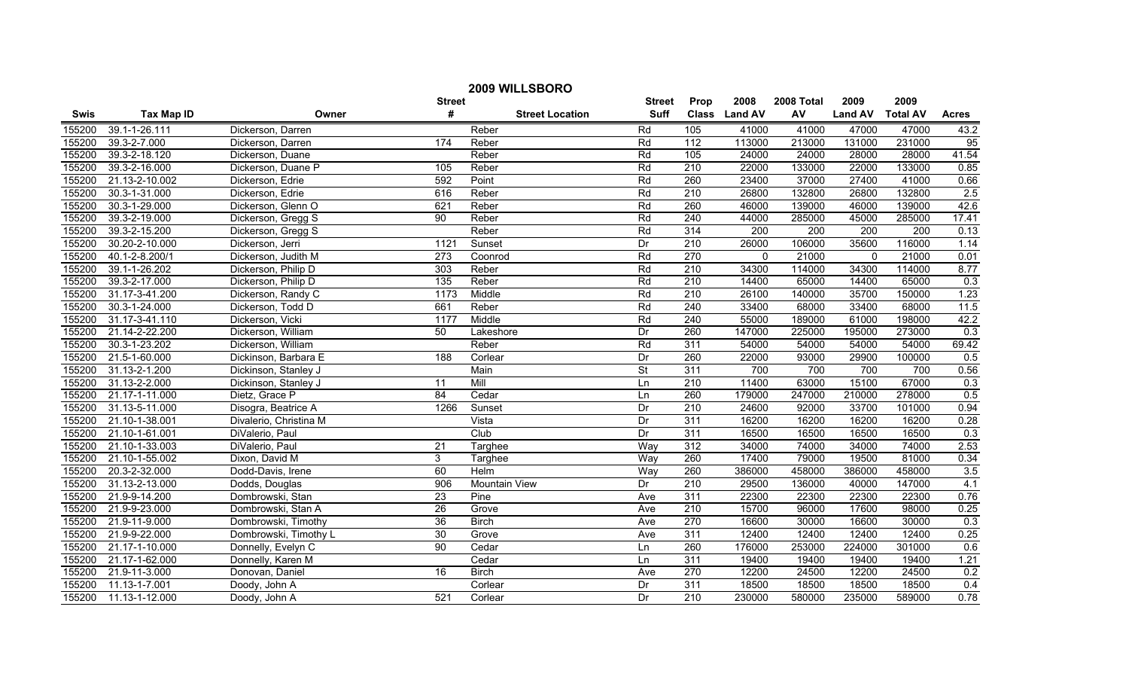| 2009 WILLSBORO |                   |                        |                  |                        |                          |                  |                  |            |                |                  |              |
|----------------|-------------------|------------------------|------------------|------------------------|--------------------------|------------------|------------------|------------|----------------|------------------|--------------|
|                |                   |                        | <b>Street</b>    |                        | <b>Street</b>            | Prop             | 2008             | 2008 Total | 2009           | 2009             |              |
| <b>Swis</b>    | <b>Tax Map ID</b> | Owner                  | #                | <b>Street Location</b> | <b>Suff</b>              |                  | Class Land AV    | AV         | <b>Land AV</b> | <b>Total AV</b>  | <b>Acres</b> |
| 155200         | 39.1-1-26.111     | Dickerson, Darren      |                  | Reber                  | Rd                       | 105              | 41000            | 41000      | 47000          | 47000            | 43.2         |
| 155200         | 39.3-2-7.000      | Dickerson, Darren      | 174              | Reber                  | Rd                       | $\overline{112}$ | 113000           | 213000     | 131000         | 231000           | 95           |
| 155200         | 39.3-2-18.120     | Dickerson, Duane       |                  | Reber                  | Rd                       | 105              | 24000            | 24000      | 28000          | 28000            | 41.54        |
| 155200         | 39.3-2-16.000     | Dickerson, Duane P     | 105              | Reber                  | Rd                       | 210              | 22000            | 133000     | 22000          | 133000           | 0.85         |
| 155200         | 21.13-2-10.002    | Dickerson, Edrie       | 592              | Point                  | Rd                       | 260              | 23400            | 37000      | 27400          | 41000            | 0.66         |
| 155200         | 30.3-1-31.000     | Dickerson, Edrie       | 616              | Reber                  | Rd                       | 210              | 26800            | 132800     | 26800          | 132800           | 2.5          |
| 155200         | 30.3-1-29.000     | Dickerson, Glenn O     | 621              | Reber                  | Rd                       | 260              | 46000            | 139000     | 46000          | 139000           | 42.6         |
| 155200         | 39.3-2-19.000     | Dickerson, Gregg S     | 90               | Reber                  | Rd                       | 240              | 44000            | 285000     | 45000          | 285000           | 17.41        |
| 155200         | 39.3-2-15.200     | Dickerson, Gregg S     |                  | Reber                  | Rd                       | 314              | $\overline{200}$ | 200        | 200            | $\overline{200}$ | 0.13         |
| 155200         | 30.20-2-10.000    | Dickerson, Jerri       | 1121             | Sunset                 | Dr                       | $\overline{210}$ | 26000            | 106000     | 35600          | 116000           | 1.14         |
| 155200         | 40.1-2-8.200/1    | Dickerson, Judith M    | 273              | Coonrod                | Rd                       | 270              | $\Omega$         | 21000      | $\Omega$       | 21000            | 0.01         |
| 155200         | 39.1-1-26.202     | Dickerson, Philip D    | 303              | Reber                  | Rd                       | $\overline{210}$ | 34300            | 114000     | 34300          | 114000           | 8.77         |
| 155200         | 39.3-2-17.000     | Dickerson, Philip D    | $\overline{135}$ | Reber                  | Rd                       | $\overline{210}$ | 14400            | 65000      | 14400          | 65000            | 0.3          |
| 155200         | 31.17-3-41.200    | Dickerson, Randy C     | 1173             | Middle                 | Rd                       | 210              | 26100            | 140000     | 35700          | 150000           | 1.23         |
| 155200         | 30.3-1-24.000     | Dickerson, Todd D      | 661              | Reber                  | Rd                       | 240              | 33400            | 68000      | 33400          | 68000            | 11.5         |
| 155200         | 31.17-3-41.110    | Dickerson, Vicki       | 1177             | Middle                 | Rd                       | 240              | 55000            | 189000     | 61000          | 198000           | 42.2         |
| 155200         | 21.14-2-22.200    | Dickerson, William     | 50               | Lakeshore              | Dr                       | 260              | 147000           | 225000     | 195000         | 273000           | 0.3          |
| 155200         | 30.3-1-23.202     | Dickerson, William     |                  | Reber                  | Rd                       | 311              | 54000            | 54000      | 54000          | 54000            | 69.42        |
| 155200         | 21.5-1-60.000     | Dickinson, Barbara E   | 188              | Corlear                | Dr                       | 260              | 22000            | 93000      | 29900          | 100000           | 0.5          |
| 155200         | 31.13-2-1.200     | Dickinson, Stanley J   |                  | Main                   | $\overline{\mathsf{St}}$ | 311              | 700              | 700        | 700            | 700              | 0.56         |
| 155200         | 31.13-2-2.000     | Dickinson, Stanley J   | 11               | Mill                   | Ln                       | $\overline{210}$ | 11400            | 63000      | 15100          | 67000            | 0.3          |
| 155200         | 21.17-1-11.000    | Dietz, Grace P         | 84               | Cedar                  | Ln                       | 260              | 179000           | 247000     | 210000         | 278000           | 0.5          |
| 155200         | 31.13-5-11.000    | Disogra, Beatrice A    | 1266             | Sunset                 | Dr                       | $\overline{210}$ | 24600            | 92000      | 33700          | 101000           | 0.94         |
| 155200         | 21.10-1-38.001    | Divalerio, Christina M |                  | Vista                  | Dr                       | 311              | 16200            | 16200      | 16200          | 16200            | 0.28         |
| 155200         | 21.10-1-61.001    | DiValerio, Paul        |                  | Club                   | Dr                       | 311              | 16500            | 16500      | 16500          | 16500            | 0.3          |
| 155200         | 21.10-1-33.003    | DiValerio, Paul        | 21               | Targhee                | Way                      | 312              | 34000            | 74000      | 34000          | 74000            | 2.53         |
| 155200         | 21.10-1-55.002    | Dixon, David M         | 3                | Targhee                | Way                      | 260              | 17400            | 79000      | 19500          | 81000            | 0.34         |
| 155200         | 20.3-2-32.000     | Dodd-Davis, Irene      | 60               | Helm                   | Way                      | 260              | 386000           | 458000     | 386000         | 458000           | 3.5          |
| 155200         | 31.13-2-13.000    | Dodds, Douglas         | 906              | <b>Mountain View</b>   | Dr                       | 210              | 29500            | 136000     | 40000          | 147000           | 4.1          |
| 155200         | 21.9-9-14.200     | Dombrowski, Stan       | 23               | Pine                   | Ave                      | 311              | 22300            | 22300      | 22300          | 22300            | 0.76         |
| 155200         | 21.9-9-23.000     | Dombrowski, Stan A     | 26               | Grove                  | Ave                      | 210              | 15700            | 96000      | 17600          | 98000            | 0.25         |
| 155200         | 21.9-11-9.000     | Dombrowski, Timothy    | 36               | <b>Birch</b>           | Ave                      | 270              | 16600            | 30000      | 16600          | 30000            | 0.3          |
| 155200         | 21.9-9-22.000     | Dombrowski, Timothy L  | 30               | Grove                  | Ave                      | 311              | 12400            | 12400      | 12400          | 12400            | 0.25         |
| 155200         | 21.17-1-10.000    | Donnelly, Evelyn C     | 90               | Cedar                  | Ln                       | 260              | 176000           | 253000     | 224000         | 301000           | 0.6          |
| 155200         | 21.17-1-62.000    | Donnelly, Karen M      |                  | Cedar                  | Ln                       | 311              | 19400            | 19400      | 19400          | 19400            | 1.21         |
| 155200         | 21.9-11-3.000     | Donovan, Daniel        | $\overline{16}$  | <b>Birch</b>           | Ave                      | 270              | 12200            | 24500      | 12200          | 24500            | 0.2          |
| 155200         | 11.13-1-7.001     | Doody, John A          |                  | Corlear                | Dr                       | 311              | 18500            | 18500      | 18500          | 18500            | 0.4          |
| 155200         | 11.13-1-12.000    | Doody, John A          | 521              | Corlear                | Dr                       | 210              | 230000           | 580000     | 235000         | 589000           | 0.78         |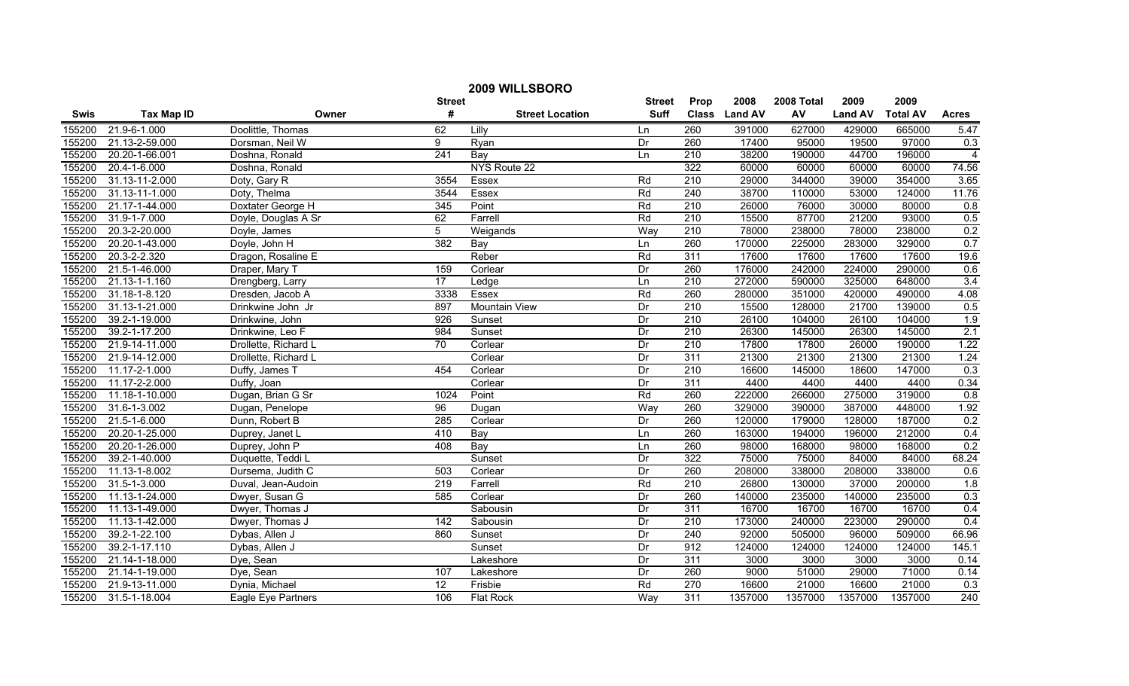| 2009 WILLSBORO |                             |                      |                  |                        |               |                  |               |            |                |                 |                |
|----------------|-----------------------------|----------------------|------------------|------------------------|---------------|------------------|---------------|------------|----------------|-----------------|----------------|
|                |                             |                      | <b>Street</b>    |                        | <b>Street</b> | Prop             | 2008          | 2008 Total | 2009           | 2009            |                |
| <b>Swis</b>    | <b>Tax Map ID</b>           | Owner                | #                | <b>Street Location</b> | <b>Suff</b>   |                  | Class Land AV | AV         | <b>Land AV</b> | <b>Total AV</b> | <b>Acres</b>   |
| 155200         | 21.9-6-1.000                | Doolittle, Thomas    | 62               | Lilly                  | Ln            | 260              | 391000        | 627000     | 429000         | 665000          | 5.47           |
| 155200         | 21.13-2-59.000              | Dorsman, Neil W      | 9                | Ryan                   | Dr            | 260              | 17400         | 95000      | 19500          | 97000           | 0.3            |
| 155200         | 20.20-1-66.001              | Doshna, Ronald       | $\overline{241}$ | Bay                    | Ln            | $\overline{210}$ | 38200         | 190000     | 44700          | 196000          | $\overline{4}$ |
| 155200         | 20.4-1-6.000                | Doshna, Ronald       |                  | NYS Route 22           |               | 322              | 60000         | 60000      | 60000          | 60000           | 74.56          |
| 155200         | 31.13-11-2.000              | Doty, Gary R         | 3554             | Essex                  | Rd            | 210              | 29000         | 344000     | 39000          | 354000          | 3.65           |
| 155200         | 31.13-11-1.000              | Doty, Thelma         | 3544             | <b>Essex</b>           | Rd            | 240              | 38700         | 110000     | 53000          | 124000          | 11.76          |
| 155200         | 21.17-1-44.000              | Doxtater George H    | 345              | Point                  | Rd            | 210              | 26000         | 76000      | 30000          | 80000           | 0.8            |
| 155200         | 31.9-1-7.000                | Doyle, Douglas A Sr  | 62               | Farrell                | Rd            | 210              | 15500         | 87700      | 21200          | 93000           | 0.5            |
| 155200         | 20.3-2-20.000               | Doyle, James         | $\overline{5}$   | Weigands               | Way           | 210              | 78000         | 238000     | 78000          | 238000          | 0.2            |
| 155200         | 20.20-1-43.000              | Doyle, John H        | 382              | $\overline{Bav}$       | Ln            | 260              | 170000        | 225000     | 283000         | 329000          | 0.7            |
| 155200         | 20.3-2-2.320                | Dragon, Rosaline E   |                  | Reber                  | Rd            | 311              | 17600         | 17600      | 17600          | 17600           | 19.6           |
| 155200         | 21.5-1-46.000               | Draper, Mary T       | 159              | Corlear                | Dr            | 260              | 176000        | 242000     | 224000         | 290000          | 0.6            |
| 155200         | 21.13-1-1.160               | Drengberg, Larry     | 17               | Ledge                  | Ln            | 210              | 272000        | 590000     | 325000         | 648000          | 3.4            |
| 155200         | 31.18-1-8.120               | Dresden, Jacob A     | 3338             | Essex                  | Rd            | 260              | 280000        | 351000     | 420000         | 490000          | 4.08           |
| 155200         | 31.13-1-21.000              | Drinkwine John Jr    | 897              | <b>Mountain View</b>   | Dr            | 210              | 15500         | 128000     | 21700          | 139000          | 0.5            |
| 155200         | 39.2-1-19.000               | Drinkwine, John      | 926              | Sunset                 | Dr            | 210              | 26100         | 104000     | 26100          | 104000          | 1.9            |
| 155200         | 39.2-1-17.200               | Drinkwine, Leo F     | 984              | Sunset                 | Dr            | 210              | 26300         | 145000     | 26300          | 145000          | 2.1            |
| 155200         | 21.9-14-11.000              | Drollette, Richard L | 70               | Corlear                | Dr            | 210              | 17800         | 17800      | 26000          | 190000          | 1.22           |
| 155200         | 21.9-14-12.000              | Drollette, Richard L |                  | Corlear                | Dr            | 311              | 21300         | 21300      | 21300          | 21300           | 1.24           |
| 155200         | 11.17-2-1.000               | Duffy, James T       | 454              | Corlear                | Dr            | 210              | 16600         | 145000     | 18600          | 147000          | 0.3            |
| 155200         | 11.17-2-2.000               | Duffy, Joan          |                  | Corlear                | Dr            | 311              | 4400          | 4400       | 4400           | 4400            | 0.34           |
| 155200         | 11.18-1-10.000              | Dugan, Brian G Sr    | 1024             | Point                  | Rd            | 260              | 222000        | 266000     | 275000         | 319000          | 0.8            |
| 155200         | 31.6-1-3.002                | Dugan, Penelope      | 96               | Dugan                  | Way           | 260              | 329000        | 390000     | 387000         | 448000          | 1.92           |
| 155200         | 21.5-1-6.000                | Dunn, Robert B       | 285              | Corlear                | Dr            | 260              | 120000        | 179000     | 128000         | 187000          | 0.2            |
| 155200         | 20.20-1-25.000              | Duprey, Janet L      | 410              | Bay                    | Ln            | 260              | 163000        | 194000     | 196000         | 212000          | 0.4            |
| 155200         | 20.20-1-26.000              | Duprey, John P       | 408              | Bay                    | Ln            | 260              | 98000         | 168000     | 98000          | 168000          | 0.2            |
| 155200         | 39.2-1-40.000               | Duquette, Teddi L    |                  | Sunset                 | Dr            | 322              | 75000         | 75000      | 84000          | 84000           | 68.24          |
| 155200         | 11.13-1-8.002               | Dursema, Judith C    | 503              | Corlear                | Dr            | 260              | 208000        | 338000     | 208000         | 338000          | 0.6            |
| 155200         | 31.5-1-3.000                | Duval, Jean-Audoin   | 219              | Farrell                | Rd            | 210              | 26800         | 130000     | 37000          | 200000          | 1.8            |
| 155200         | 11.13-1-24.000              | Dwyer, Susan G       | 585              | Corlear                | Dr            | 260              | 140000        | 235000     | 140000         | 235000          | 0.3            |
| 155200         | 11.13-1-49.000              | Dwyer, Thomas J      |                  | Sabousin               | Dr            | 311              | 16700         | 16700      | 16700          | 16700           | 0.4            |
| 155200         | 11.13-1-42.000              | Dwyer, Thomas J      | 142              | Sabousin               | Dr            | 210              | 173000        | 240000     | 223000         | 290000          | 0.4            |
| 155200         | 39.2-1-22.100               | Dybas, Allen J       | 860              | Sunset                 | Dr            | 240              | 92000         | 505000     | 96000          | 509000          | 66.96          |
| 155200         | 39.2-1-17.110               | Dybas, Allen J       |                  | Sunset                 | Dr            | 912              | 124000        | 124000     | 124000         | 124000          | 145.1          |
| 155200         | 21.14-1-18.000              | Dye, Sean            |                  | Lakeshore              | Dr            | 311              | 3000          | 3000       | 3000           | 3000            | 0.14           |
| 155200         | 21.14-1-19.000              | Dye, Sean            | 107              | Lakeshore              | Dr            | 260              | 9000          | 51000      | 29000          | 71000           | 0.14           |
| 155200         | 21.9-13-11.000              | Dynia, Michael       | $\overline{12}$  | Frisbie                | Rd            | 270              | 16600         | 21000      | 16600          | 21000           | 0.3            |
| 155200         | $\overline{31.5}$ -1-18.004 | Eagle Eye Partners   | 106              | <b>Flat Rock</b>       | Way           | 311              | 1357000       | 1357000    | 1357000        | 1357000         | 240            |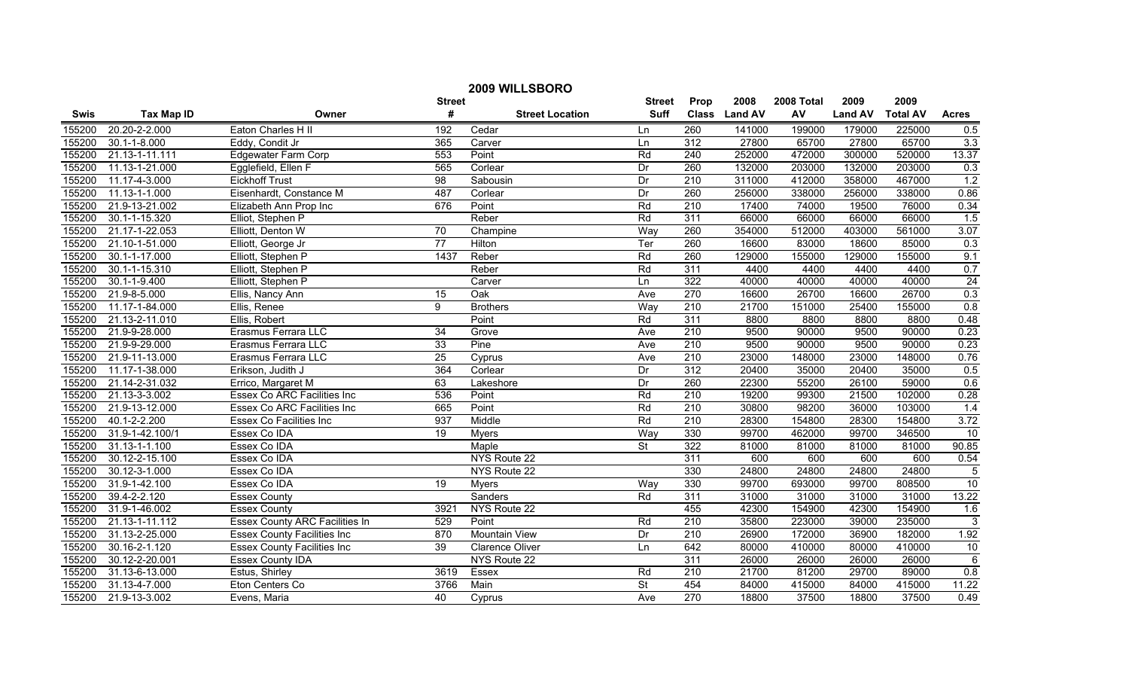|        | 2009 WILLSBORO     |                                       |                 |                        |                          |                  |               |            |                |                 |                  |  |
|--------|--------------------|---------------------------------------|-----------------|------------------------|--------------------------|------------------|---------------|------------|----------------|-----------------|------------------|--|
|        |                    |                                       | <b>Street</b>   |                        | <b>Street</b>            | Prop             | 2008          | 2008 Total | 2009           | 2009            |                  |  |
| Swis   | <b>Tax Map ID</b>  | Owner                                 | #               | <b>Street Location</b> | <b>Suff</b>              |                  | Class Land AV | AV         | <b>Land AV</b> | <b>Total AV</b> | <b>Acres</b>     |  |
| 155200 | 20.20-2-2.000      | Eaton Charles H II                    | 192             | Cedar                  | Ln                       | 260              | 141000        | 199000     | 179000         | 225000          | 0.5              |  |
| 155200 | $30.1 - 1 - 8.000$ | Eddy, Condit Jr                       | 365             | Carver                 | Ln                       | $\overline{312}$ | 27800         | 65700      | 27800          | 65700           | 3.3              |  |
| 155200 | 21.13-1-11.111     | <b>Edgewater Farm Corp</b>            | 553             | Point                  | Rd                       | 240              | 252000        | 472000     | 300000         | 520000          | 13.37            |  |
| 155200 | 11.13-1-21.000     | Egglefield, Ellen F                   | 565             | Corlear                | Dr                       | 260              | 132000        | 203000     | 132000         | 203000          | 0.3              |  |
| 155200 | 11.17-4-3.000      | <b>Eickhoff Trust</b>                 | $\overline{98}$ | Sabousin               | Dr                       | 210              | 311000        | 412000     | 358000         | 467000          | 1.2              |  |
| 155200 | 11.13-1-1.000      | Eisenhardt, Constance M               | 487             | Corlear                | Dr                       | 260              | 256000        | 338000     | 256000         | 338000          | 0.86             |  |
| 155200 | 21.9-13-21.002     | Elizabeth Ann Prop Inc                | 676             | Point                  | Rd                       | 210              | 17400         | 74000      | 19500          | 76000           | 0.34             |  |
| 155200 | 30.1-1-15.320      | Elliot, Stephen P                     |                 | Reber                  | Rd                       | 311              | 66000         | 66000      | 66000          | 66000           | 1.5              |  |
| 155200 | 21.17-1-22.053     | Elliott, Denton W                     | 70              | Champine               | Way                      | 260              | 354000        | 512000     | 403000         | 561000          | 3.07             |  |
| 155200 | 21.10-1-51.000     | Elliott, George Jr                    | $\overline{77}$ | Hilton                 | Ter                      | 260              | 16600         | 83000      | 18600          | 85000           | 0.3              |  |
| 155200 | 30.1-1-17.000      | Elliott, Stephen P                    | 1437            | Reber                  | Rd                       | 260              | 129000        | 155000     | 129000         | 155000          | 9.1              |  |
| 155200 | 30.1-1-15.310      | Elliott, Stephen P                    |                 | Reber                  | Rd                       | $\overline{311}$ | 4400          | 4400       | 4400           | 4400            | 0.7              |  |
| 155200 | 30.1-1-9.400       | Elliott, Stephen P                    |                 | Carver                 | Ln                       | 322              | 40000         | 40000      | 40000          | 40000           | $\overline{24}$  |  |
| 155200 | 21.9-8-5.000       | Ellis, Nancy Ann                      | 15              | $\overline{Oak}$       | Ave                      | 270              | 16600         | 26700      | 16600          | 26700           | 0.3              |  |
| 155200 | 11.17-1-84.000     | Ellis, Renee                          | 9               | <b>Brothers</b>        | Way                      | 210              | 21700         | 151000     | 25400          | 155000          | 0.8              |  |
| 155200 | 21.13-2-11.010     | Ellis, Robert                         |                 | Point                  | Rd                       | $\overline{311}$ | 8800          | 8800       | 8800           | 8800            | 0.48             |  |
| 155200 | 21.9-9-28.000      | Erasmus Ferrara LLC                   | 34              | Grove                  | Ave                      | 210              | 9500          | 90000      | 9500           | 90000           | 0.23             |  |
| 155200 | 21.9-9-29.000      | Erasmus Ferrara LLC                   | 33              | Pine                   | Ave                      | 210              | 9500          | 90000      | 9500           | 90000           | 0.23             |  |
| 155200 | 21.9-11-13.000     | Erasmus Ferrara LLC                   | 25              | Cyprus                 | Ave                      | 210              | 23000         | 148000     | 23000          | 148000          | 0.76             |  |
| 155200 | 11.17-1-38.000     | Erikson, Judith J                     | 364             | Corlear                | Dr                       | 312              | 20400         | 35000      | 20400          | 35000           | 0.5              |  |
| 155200 | 21.14-2-31.032     | Errico, Margaret M                    | 63              | Lakeshore              | Dr                       | 260              | 22300         | 55200      | 26100          | 59000           | 0.6              |  |
| 155200 | 21.13-3-3.002      | Essex Co ARC Facilities Inc           | 536             | Point                  | Rd                       | 210              | 19200         | 99300      | 21500          | 102000          | 0.28             |  |
| 155200 | 21.9-13-12.000     | <b>Essex Co ARC Facilities Inc</b>    | 665             | Point                  | Rd                       | 210              | 30800         | 98200      | 36000          | 103000          | 1.4              |  |
| 155200 | 40.1-2-2.200       | Essex Co Facilities Inc               | 937             | Middle                 | Rd                       | $\overline{210}$ | 28300         | 154800     | 28300          | 154800          | 3.72             |  |
| 155200 | 31.9-1-42.100/1    | Essex Co IDA                          | 19              | <b>Myers</b>           | Way                      | 330              | 99700         | 462000     | 99700          | 346500          | 10               |  |
| 155200 | 31.13-1-1.100      | Essex Co IDA                          |                 | Maple                  | $\overline{\mathsf{St}}$ | 322              | 81000         | 81000      | 81000          | 81000           | 90.85            |  |
| 155200 | 30.12-2-15.100     | Essex Co IDA                          |                 | NYS Route 22           |                          | 311              | 600           | 600        | 600            | 600             | 0.54             |  |
| 155200 | 30.12-3-1.000      | Essex Co IDA                          |                 | NYS Route 22           |                          | 330              | 24800         | 24800      | 24800          | 24800           | $\overline{5}$   |  |
| 155200 | 31.9-1-42.100      | Essex Co IDA                          | 19              | Myers                  | Wav                      | 330              | 99700         | 693000     | 99700          | 808500          | 10               |  |
| 155200 | 39.4-2-2.120       | <b>Essex County</b>                   |                 | <b>Sanders</b>         | Rd                       | 311              | 31000         | 31000      | 31000          | 31000           | 13.22            |  |
| 155200 | 31.9-1-46.002      | <b>Essex County</b>                   | 3921            | NYS Route 22           |                          | 455              | 42300         | 154900     | 42300          | 154900          | 1.6              |  |
| 155200 | 21.13-1-11.112     | <b>Essex County ARC Facilities In</b> | 529             | Point                  | Rd                       | 210              | 35800         | 223000     | 39000          | 235000          | $\overline{3}$   |  |
| 155200 | 31.13-2-25.000     | <b>Essex County Facilities Inc</b>    | 870             | <b>Mountain View</b>   | Dr                       | 210              | 26900         | 172000     | 36900          | 182000          | 1.92             |  |
| 155200 | 30.16-2-1.120      | <b>Essex County Facilities Inc</b>    | 39              | <b>Clarence Oliver</b> | Ln                       | 642              | 80000         | 410000     | 80000          | 410000          | 10               |  |
| 155200 | 30.12-2-20.001     | <b>Essex County IDA</b>               |                 | NYS Route 22           |                          | $\overline{311}$ | 26000         | 26000      | 26000          | 26000           | $\overline{6}$   |  |
| 155200 | 31.13-6-13.000     | Estus, Shirley                        | 3619            | Essex                  | Rd                       | 210              | 21700         | 81200      | 29700          | 89000           | $\overline{0.8}$ |  |
| 155200 | 31.13-4-7.000      | Eton Centers Co                       | 3766            | Main                   | $\overline{\mathsf{St}}$ | 454              | 84000         | 415000     | 84000          | 415000          | 11.22            |  |
| 155200 | 21.9-13-3.002      | Evens, Maria                          | 40              | Cyprus                 | Ave                      | 270              | 18800         | 37500      | 18800          | 37500           | 0.49             |  |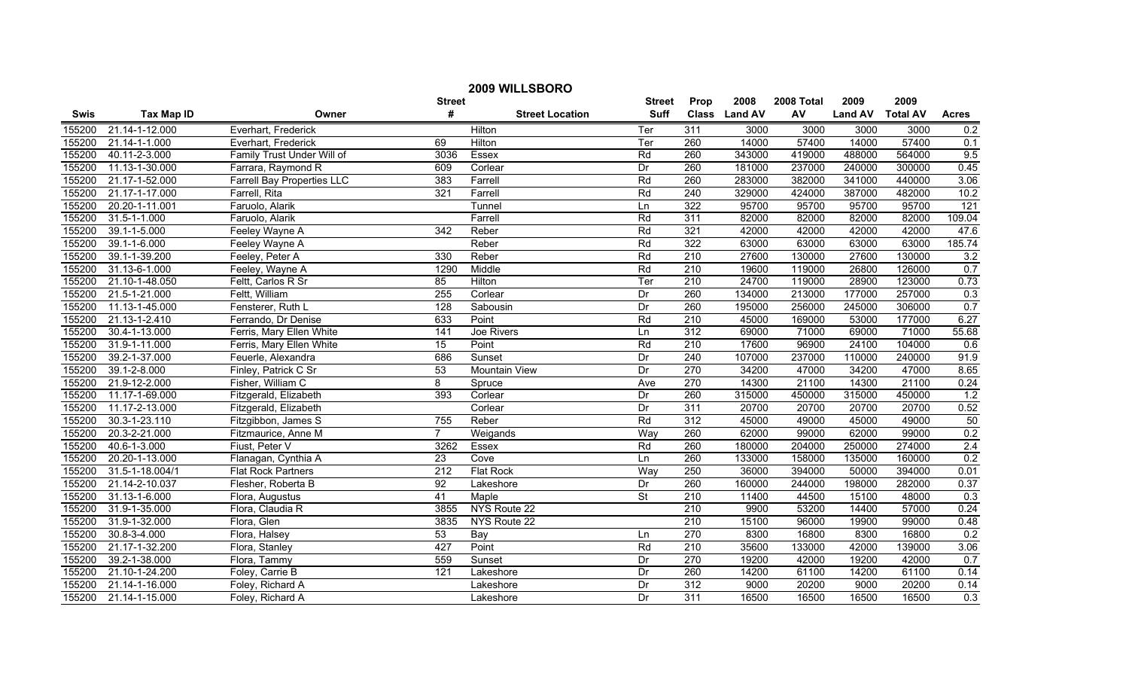| 2009 WILLSBORO |                   |                                   |                 |                        |                          |                  |               |            |                |                 |                  |
|----------------|-------------------|-----------------------------------|-----------------|------------------------|--------------------------|------------------|---------------|------------|----------------|-----------------|------------------|
|                |                   |                                   | <b>Street</b>   |                        | <b>Street</b>            | Prop             | 2008          | 2008 Total | 2009           | 2009            |                  |
| <b>Swis</b>    | <b>Tax Map ID</b> | Owner                             | #               | <b>Street Location</b> | <b>Suff</b>              |                  | Class Land AV | AV         | <b>Land AV</b> | <b>Total AV</b> | <b>Acres</b>     |
| 155200         | 21.14-1-12.000    | Everhart, Frederick               |                 | Hilton                 | Ter                      | 311              | 3000          | 3000       | 3000           | 3000            | 0.2              |
| 155200         | 21.14-1-1.000     | Everhart, Frederick               | 69              | Hilton                 | Ter                      | 260              | 14000         | 57400      | 14000          | 57400           | 0.1              |
| 155200         | 40.11-2-3.000     | Family Trust Under Will of        | 3036            | Essex                  | Rd                       | 260              | 343000        | 419000     | 488000         | 564000          | 9.5              |
| 155200         | 11.13-1-30.000    | Farrara, Raymond R                | 609             | Corlear                | $\overline{Dr}$          | 260              | 181000        | 237000     | 240000         | 300000          | 0.45             |
| 155200         | 21.17-1-52.000    | <b>Farrell Bay Properties LLC</b> | 383             | Farrell                | Rd                       | 260              | 283000        | 382000     | 341000         | 440000          | 3.06             |
| 155200         | 21.17-1-17.000    | Farrell, Rita                     | 321             | Farrell                | Rd                       | 240              | 329000        | 424000     | 387000         | 482000          | 10.2             |
| 155200         | 20.20-1-11.001    | Faruolo, Alarik                   |                 | Tunnel                 | Ln                       | 322              | 95700         | 95700      | 95700          | 95700           | 121              |
| 155200         | 31.5-1-1.000      | Faruolo, Alarik                   |                 | Farrell                | Rd                       | 311              | 82000         | 82000      | 82000          | 82000           | 109.04           |
| 155200         | 39.1-1-5.000      | Feeley Wayne A                    | 342             | Reber                  | Rd                       | 321              | 42000         | 42000      | 42000          | 42000           | 47.6             |
| 155200         | 39.1-1-6.000      | Feeley Wayne A                    |                 | Reber                  | Rd                       | 322              | 63000         | 63000      | 63000          | 63000           | 185.74           |
| 155200         | 39.1-1-39.200     | Feeley, Peter A                   | 330             | Reber                  | Rd                       | $\overline{210}$ | 27600         | 130000     | 27600          | 130000          | 3.2              |
| 155200         | 31.13-6-1.000     | Feeley, Wayne A                   | 1290            | Middle                 | Rd                       | 210              | 19600         | 119000     | 26800          | 126000          | 0.7              |
| 155200         | 21.10-1-48.050    | Feltt, Carlos R Sr                | 85              | Hilton                 | Ter                      | $\overline{210}$ | 24700         | 119000     | 28900          | 123000          | 0.73             |
| 155200         | 21.5-1-21.000     | Feltt, William                    | 255             | Corlear                | Dr                       | 260              | 134000        | 213000     | 177000         | 257000          | 0.3              |
| 155200         | 11.13-1-45.000    | Fensterer, Ruth L                 | 128             | Sabousin               | Dr                       | 260              | 195000        | 256000     | 245000         | 306000          | 0.7              |
| 155200         | 21.13-1-2.410     | Ferrando, Dr Denise               | 633             | Point                  | Rd                       | $\overline{210}$ | 45000         | 169000     | 53000          | 177000          | 6.27             |
| 155200         | 30.4-1-13.000     | Ferris, Mary Ellen White          | 141             | Joe Rivers             | Ln                       | 312              | 69000         | 71000      | 69000          | 71000           | 55.68            |
| 155200         | 31.9-1-11.000     | Ferris, Mary Ellen White          | 15              | Point                  | Rd                       | 210              | 17600         | 96900      | 24100          | 104000          | 0.6              |
| 155200         | 39.2-1-37.000     | Feuerle, Alexandra                | 686             | Sunset                 | Dr                       | 240              | 107000        | 237000     | 110000         | 240000          | 91.9             |
| 155200         | 39.1-2-8.000      | Finley, Patrick C Sr              | 53              | <b>Mountain View</b>   | Dr                       | 270              | 34200         | 47000      | 34200          | 47000           | 8.65             |
| 155200         | 21.9-12-2.000     | Fisher, William C                 | 8               | Spruce                 | Ave                      | $\overline{270}$ | 14300         | 21100      | 14300          | 21100           | 0.24             |
| 155200         | 11.17-1-69.000    | Fitzgerald, Elizabeth             | 393             | Corlear                | Dr                       | 260              | 315000        | 450000     | 315000         | 450000          | 1.2              |
| 155200         | 11.17-2-13.000    | Fitzgerald, Elizabeth             |                 | Corlear                | Dr                       | 311              | 20700         | 20700      | 20700          | 20700           | 0.52             |
| 155200         | 30.3-1-23.110     | Fitzgibbon, James S               | 755             | Reber                  | Rd                       | $\overline{312}$ | 45000         | 49000      | 45000          | 49000           | 50               |
| 155200         | 20.3-2-21.000     | Fitzmaurice, Anne M               | $\overline{7}$  | Weigands               | Way                      | 260              | 62000         | 99000      | 62000          | 99000           | 0.2              |
| 155200         | 40.6-1-3.000      | Fiust, Peter V                    | 3262            | Essex                  | Rd                       | 260              | 180000        | 204000     | 250000         | 274000          | 2.4              |
| 155200         | 20.20-1-13.000    | Flanagan, Cynthia A               | $\overline{23}$ | Cove                   | Ln                       | 260              | 133000        | 158000     | 135000         | 160000          | 0.2              |
| 155200         | 31.5-1-18.004/1   | <b>Flat Rock Partners</b>         | 212             | <b>Flat Rock</b>       | Way                      | 250              | 36000         | 394000     | 50000          | 394000          | 0.01             |
| 155200         | 21.14-2-10.037    | Flesher, Roberta B                | 92              | Lakeshore              | Dr                       | 260              | 160000        | 244000     | 198000         | 282000          | 0.37             |
| 155200         | 31.13-1-6.000     | Flora, Augustus                   | 41              | Maple                  | $\overline{\mathsf{St}}$ | $\overline{210}$ | 11400         | 44500      | 15100          | 48000           | 0.3              |
| 155200         | 31.9-1-35.000     | Flora, Claudia R                  | 3855            | NYS Route 22           |                          | $\overline{210}$ | 9900          | 53200      | 14400          | 57000           | 0.24             |
| 155200         | 31.9-1-32.000     | Flora, Glen                       | 3835            | NYS Route 22           |                          | 210              | 15100         | 96000      | 19900          | 99000           | 0.48             |
| 155200         | 30.8-3-4.000      | Flora, Halsey                     | 53              | Bay                    | Ln                       | 270              | 8300          | 16800      | 8300           | 16800           | 0.2              |
| 155200         | 21.17-1-32.200    | Flora, Stanley                    | 427             | Point                  | Rd                       | $\overline{210}$ | 35600         | 133000     | 42000          | 139000          | 3.06             |
| 155200         | 39.2-1-38.000     | Flora, Tammy                      | 559             | Sunset                 | Dr                       | 270              | 19200         | 42000      | 19200          | 42000           | 0.7              |
| 155200         | 21.10-1-24.200    | Foley, Carrie B                   | 121             | Lakeshore              | $\overline{Dr}$          | 260              | 14200         | 61100      | 14200          | 61100           | 0.14             |
| 155200         | 21.14-1-16.000    | Foley, Richard A                  |                 | Lakeshore              | Dr                       | 312              | 9000          | 20200      | 9000           | 20200           | 0.14             |
| 155200         | 21.14-1-15.000    | Foley, Richard A                  |                 | Lakeshore              | Dr                       | 311              | 16500         | 16500      | 16500          | 16500           | $\overline{0.3}$ |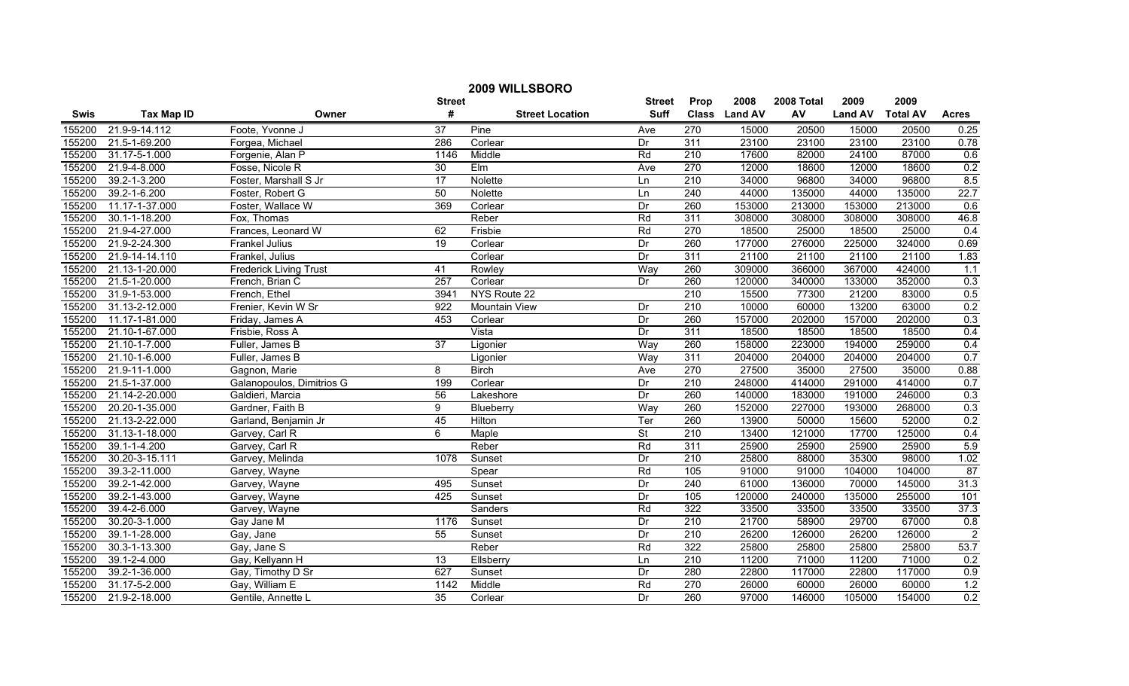| 2009 WILLSBORO |                   |                               |                  |                        |                 |                  |               |            |                |                 |                 |
|----------------|-------------------|-------------------------------|------------------|------------------------|-----------------|------------------|---------------|------------|----------------|-----------------|-----------------|
|                |                   |                               | <b>Street</b>    |                        | <b>Street</b>   | Prop             | 2008          | 2008 Total | 2009           | 2009            |                 |
| <b>Swis</b>    | <b>Tax Map ID</b> | Owner                         | #                | <b>Street Location</b> | <b>Suff</b>     |                  | Class Land AV | AV         | <b>Land AV</b> | <b>Total AV</b> | <b>Acres</b>    |
| 155200         | 21.9-9-14.112     | Foote, Yvonne J               | $\overline{37}$  | Pine                   | Ave             | 270              | 15000         | 20500      | 15000          | 20500           | 0.25            |
| 155200         | 21.5-1-69.200     | Forgea, Michael               | 286              | Corlear                | Dr              | 311              | 23100         | 23100      | 23100          | 23100           | 0.78            |
| 155200         | 31.17-5-1.000     | Forgenie, Alan P              | 1146             | Middle                 | Rd              | $\overline{210}$ | 17600         | 82000      | 24100          | 87000           | 0.6             |
| 155200         | 21.9-4-8.000      | Fosse, Nicole R               | 30               | Elm                    | Ave             | 270              | 12000         | 18600      | 12000          | 18600           | 0.2             |
| 155200         | 39.2-1-3.200      | Foster, Marshall S Jr         | 17               | Nolette                | Ln              | 210              | 34000         | 96800      | 34000          | 96800           | 8.5             |
| 155200         | 39.2-1-6.200      | Foster, Robert G              | 50               | Nolette                | Ln              | 240              | 44000         | 135000     | 44000          | 135000          | 22.7            |
| 155200         | 11.17-1-37.000    | Foster, Wallace W             | 369              | Corlear                | Dr              | 260              | 153000        | 213000     | 153000         | 213000          | 0.6             |
| 155200         | 30.1-1-18.200     | Fox, Thomas                   |                  | Reber                  | Rd              | 311              | 308000        | 308000     | 308000         | 308000          | 46.8            |
| 155200         | 21.9-4-27.000     | Frances, Leonard W            | 62               | Frisbie                | Rd              | 270              | 18500         | 25000      | 18500          | 25000           | 0.4             |
| 155200         | 21.9-2-24.300     | Frankel Julius                | $\overline{19}$  | Corlear                | Dr              | 260              | 177000        | 276000     | 225000         | 324000          | 0.69            |
| 155200         | 21.9-14-14.110    | Frankel, Julius               |                  | Corlear                | Dr              | 311              | 21100         | 21100      | 21100          | 21100           | 1.83            |
| 155200         | 21.13-1-20.000    | <b>Frederick Living Trust</b> | 41               | Rowley                 | Way             | 260              | 309000        | 366000     | 367000         | 424000          | 1.1             |
| 155200         | 21.5-1-20.000     | French, Brian C               | 257              | Corlear                | Dr              | 260              | 120000        | 340000     | 133000         | 352000          | 0.3             |
| 155200         | 31.9-1-53.000     | French, Ethel                 | 3941             | NYS Route 22           |                 | $\overline{210}$ | 15500         | 77300      | 21200          | 83000           | 0.5             |
| 155200         | 31.13-2-12.000    | Frenier, Kevin W Sr           | $\overline{922}$ | Mountain View          | $\overline{Dr}$ | $\overline{210}$ | 10000         | 60000      | 13200          | 63000           | 0.2             |
| 155200         | 11.17-1-81.000    | Friday, James A               | 453              | Corlear                | Dr              | 260              | 157000        | 202000     | 157000         | 202000          | 0.3             |
| 155200         | 21.10-1-67.000    | Frisbie, Ross A               |                  | Vista                  | Dr              | 311              | 18500         | 18500      | 18500          | 18500           | 0.4             |
| 155200         | 21.10-1-7.000     | Fuller, James B               | 37               | Ligonier               | Way             | 260              | 158000        | 223000     | 194000         | 259000          | 0.4             |
| 155200         | 21.10-1-6.000     | Fuller, James B               |                  | Ligonier               | Way             | 311              | 204000        | 204000     | 204000         | 204000          | 0.7             |
| 155200         | 21.9-11-1.000     | Gagnon, Marie                 | 8                | <b>Birch</b>           | Ave             | 270              | 27500         | 35000      | 27500          | 35000           | 0.88            |
| 155200         | 21.5-1-37.000     | Galanopoulos, Dimitrios G     | 199              | Corlear                | Dr              | $\overline{210}$ | 248000        | 414000     | 291000         | 414000          | 0.7             |
| 155200         | 21.14-2-20.000    | Galdieri, Marcia              | 56               | Lakeshore              | Dr              | 260              | 140000        | 183000     | 191000         | 246000          | 0.3             |
| 155200         | 20.20-1-35.000    | Gardner, Faith B              | 9                | Blueberry              | Way             | 260              | 152000        | 227000     | 193000         | 268000          | 0.3             |
| 155200         | 21.13-2-22.000    | Garland, Benjamin Jr          | 45               | Hilton                 | Ter             | 260              | 13900         | 50000      | 15600          | 52000           | 0.2             |
| 155200         | 31.13-1-18.000    | Garvey, Carl R                | 6                | Maple                  | <b>St</b>       | 210              | 13400         | 121000     | 17700          | 125000          | 0.4             |
| 155200         | 39.1-1-4.200      | Garvey, Carl R                |                  | Reber                  | Rd              | 311              | 25900         | 25900      | 25900          | 25900           | 5.9             |
| 155200         | 30.20-3-15.111    | Garvey, Melinda               | 1078             | Sunset                 | Dr              | 210              | 25800         | 88000      | 35300          | 98000           | 1.02            |
| 155200         | 39.3-2-11.000     | Garvey, Wayne                 |                  | Spear                  | Rd              | 105              | 91000         | 91000      | 104000         | 104000          | $\overline{87}$ |
| 155200         | 39.2-1-42.000     | Garvey, Wayne                 | 495              | Sunset                 | Dr              | 240              | 61000         | 136000     | 70000          | 145000          | 31.3            |
| 155200         | 39.2-1-43.000     | Garvey, Wayne                 | 425              | Sunset                 | Dr              | 105              | 120000        | 240000     | 135000         | 255000          | 101             |
| 155200         | 39.4-2-6.000      | Garvey, Wayne                 |                  | Sanders                | Rd              | 322              | 33500         | 33500      | 33500          | 33500           | 37.3            |
| 155200         | 30.20-3-1.000     | Gay Jane M                    | 1176             | Sunset                 | Dr              | 210              | 21700         | 58900      | 29700          | 67000           | 0.8             |
| 155200         | 39.1-1-28.000     | Gay, Jane                     | 55               | Sunset                 | Dr              | 210              | 26200         | 126000     | 26200          | 126000          | $\overline{2}$  |
| 155200         | 30.3-1-13.300     | Gay, Jane S                   |                  | Reber                  | Rd              | 322              | 25800         | 25800      | 25800          | 25800           | 53.7            |
| 155200         | 39.1-2-4.000      | Gay, Kellyann H               | $\overline{13}$  | Ellsberry              | Ln              | $\overline{210}$ | 11200         | 71000      | 11200          | 71000           | 0.2             |
| 155200         | 39.2-1-36.000     | Gay, Timothy D Sr             | 627              | Sunset                 | Dr              | 280              | 22800         | 117000     | 22800          | 117000          | 0.9             |
| 155200         | 31.17-5-2.000     | Gay, William E                | 1142             | Middle                 | Rd              | 270              | 26000         | 60000      | 26000          | 60000           | 1.2             |
| 155200         | 21.9-2-18.000     | Gentile, Annette L            | 35               | Corlear                | Dr              | 260              | 97000         | 146000     | 105000         | 154000          | 0.2             |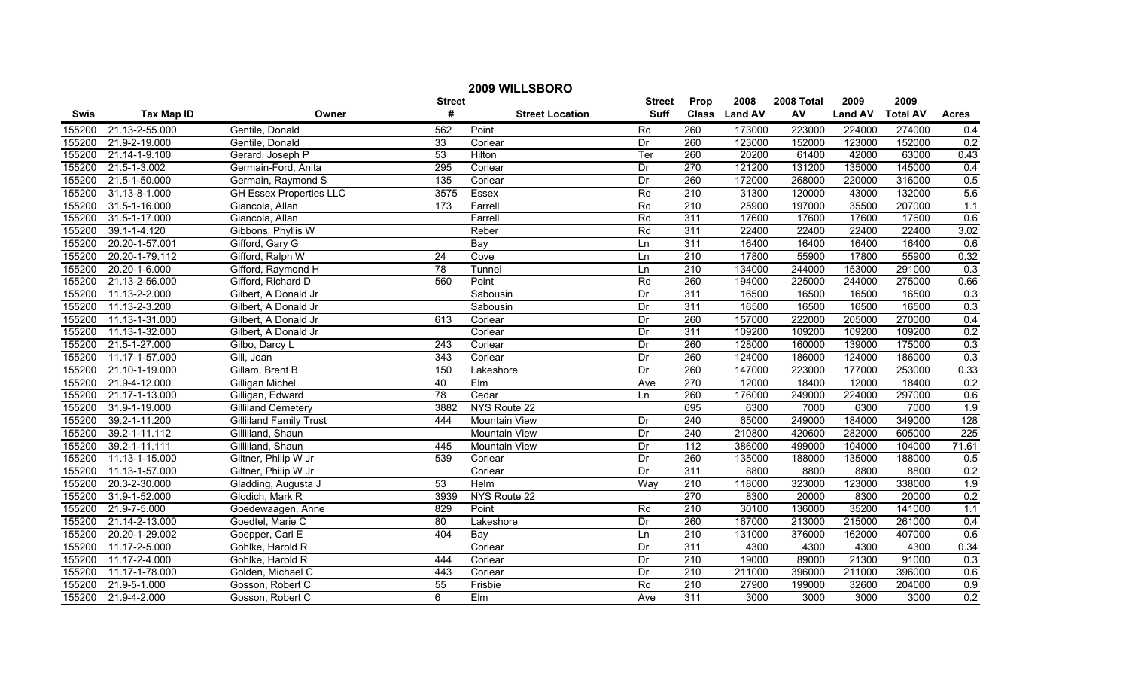| 2009 WILLSBORO |                   |                                |               |                        |                 |                  |               |            |                |                 |              |
|----------------|-------------------|--------------------------------|---------------|------------------------|-----------------|------------------|---------------|------------|----------------|-----------------|--------------|
|                |                   |                                | <b>Street</b> |                        | <b>Street</b>   | Prop             | 2008          | 2008 Total | 2009           | 2009            |              |
| <b>Swis</b>    | <b>Tax Map ID</b> | Owner                          | #             | <b>Street Location</b> | <b>Suff</b>     |                  | Class Land AV | AV         | <b>Land AV</b> | <b>Total AV</b> | <b>Acres</b> |
| 155200         | 21.13-2-55.000    | Gentile, Donald                | 562           | Point                  | Rd              | 260              | 173000        | 223000     | 224000         | 274000          | 0.4          |
| 155200         | 21.9-2-19.000     | Gentile, Donald                | 33            | Corlear                | Dr              | 260              | 123000        | 152000     | 123000         | 152000          | 0.2          |
| 155200         | 21.14-1-9.100     | Gerard, Joseph P               | 53            | Hilton                 | Ter             | 260              | 20200         | 61400      | 42000          | 63000           | 0.43         |
| 155200         | 21.5-1-3.002      | Germain-Ford, Anita            | 295           | Corlear                | Dr              | 270              | 121200        | 131200     | 135000         | 145000          | 0.4          |
| 155200         | 21.5-1-50.000     | Germain, Raymond S             | 135           | Corlear                | Dr              | 260              | 172000        | 268000     | 220000         | 316000          | 0.5          |
| 155200         | 31.13-8-1.000     | <b>GH Essex Properties LLC</b> | 3575          | Essex                  | Rd              | 210              | 31300         | 120000     | 43000          | 132000          | 5.6          |
| 155200         | 31.5-1-16.000     | Giancola, Allan                | 173           | Farrell                | Rd              | 210              | 25900         | 197000     | 35500          | 207000          | 1.1          |
| 155200         | 31.5-1-17.000     | Giancola, Allan                |               | Farrell                | Rd              | 311              | 17600         | 17600      | 17600          | 17600           | 0.6          |
| 155200         | 39.1-1-4.120      | Gibbons, Phyllis W             |               | Reber                  | Rd              | 311              | 22400         | 22400      | 22400          | 22400           | 3.02         |
| 155200         | 20.20-1-57.001    | Gifford, Gary G                |               | Bay                    | Ln              | 311              | 16400         | 16400      | 16400          | 16400           | 0.6          |
| 155200         | 20.20-1-79.112    | Gifford, Ralph W               | 24            | Cove                   | Ln              | 210              | 17800         | 55900      | 17800          | 55900           | 0.32         |
| 155200         | 20.20-1-6.000     | Gifford, Raymond H             | 78            | Tunnel                 | Ln              | $\overline{210}$ | 134000        | 244000     | 153000         | 291000          | 0.3          |
| 155200         | 21.13-2-56.000    | Gifford, Richard D             | 560           | Point                  | Rd              | 260              | 194000        | 225000     | 244000         | 275000          | 0.66         |
| 155200         | 11.13-2-2.000     | Gilbert, A Donald Jr           |               | Sabousin               | Dr              | 311              | 16500         | 16500      | 16500          | 16500           | 0.3          |
| 155200         | 11.13-2-3.200     | Gilbert, A Donald Jr           |               | Sabousin               | Dr              | 311              | 16500         | 16500      | 16500          | 16500           | 0.3          |
| 155200         | 11.13-1-31.000    | Gilbert, A Donald Jr           | 613           | Corlear                | Dr              | 260              | 157000        | 222000     | 205000         | 270000          | 0.4          |
| 155200         | 11.13-1-32.000    | Gilbert, A Donald Jr           |               | Corlear                | Dr              | 311              | 109200        | 109200     | 109200         | 109200          | 0.2          |
| 155200         | 21.5-1-27.000     | Gilbo, Darcy L                 | 243           | Corlear                | Dr              | 260              | 128000        | 160000     | 139000         | 175000          | 0.3          |
| 155200         | 11.17-1-57.000    | Gill, Joan                     | 343           | Corlear                | Dr              | 260              | 124000        | 186000     | 124000         | 186000          | 0.3          |
| 155200         | 21.10-1-19.000    | Gillam, Brent B                | 150           | Lakeshore              | Dr              | 260              | 147000        | 223000     | 177000         | 253000          | 0.33         |
| 155200         | 21.9-4-12.000     | Gilligan Michel                | 40            | Elm                    | Ave             | 270              | 12000         | 18400      | 12000          | 18400           | 0.2          |
| 155200         | 21.17-1-13.000    | Gilligan, Edward               | 78            | Cedar                  | Ln              | 260              | 176000        | 249000     | 224000         | 297000          | 0.6          |
| 155200         | 31.9-1-19.000     | <b>Gilliland Cemetery</b>      | 3882          | NYS Route 22           |                 | 695              | 6300          | 7000       | 6300           | 7000            | 1.9          |
| 155200         | 39.2-1-11.200     | <b>Gillilland Family Trust</b> | 444           | <b>Mountain View</b>   | Dr              | 240              | 65000         | 249000     | 184000         | 349000          | 128          |
| 155200         | 39.2-1-11.112     | Gillilland, Shaun              |               | Mountain View          | Dr              | $\overline{240}$ | 210800        | 420600     | 282000         | 605000          | 225          |
| 155200         | 39.2-1-11.111     | Gillilland, Shaun              | 445           | Mountain View          | Dr              | $\overline{112}$ | 386000        | 499000     | 104000         | 104000          | 71.61        |
| 155200         | 11.13-1-15.000    | Giltner, Philip W Jr           | 539           | Corlear                | Dr              | 260              | 135000        | 188000     | 135000         | 188000          | 0.5          |
| 155200         | 11.13-1-57.000    | Giltner, Philip W Jr           |               | Corlear                | Dr              | 311              | 8800          | 8800       | 8800           | 8800            | 0.2          |
| 155200         | 20.3-2-30.000     | Gladding, Augusta J            | 53            | Helm                   | Way             | 210              | 118000        | 323000     | 123000         | 338000          | 1.9          |
| 155200         | 31.9-1-52.000     | Glodich, Mark R                | 3939          | NYS Route 22           |                 | 270              | 8300          | 20000      | 8300           | 20000           | 0.2          |
| 155200         | 21.9-7-5.000      | Goedewaagen, Anne              | 829           | Point                  | Rd              | 210              | 30100         | 136000     | 35200          | 141000          | 1.1          |
| 155200         | 21.14-2-13.000    | Goedtel, Marie C               | 80            | Lakeshore              | Dr              | 260              | 167000        | 213000     | 215000         | 261000          | 0.4          |
| 155200         | 20.20-1-29.002    | Goepper, Carl E                | 404           | Bay                    | Ln              | 210              | 131000        | 376000     | 162000         | 407000          | 0.6          |
| 155200         | 11.17-2-5.000     | Gohlke, Harold R               |               | Corlear                | Dr              | 311              | 4300          | 4300       | 4300           | 4300            | 0.34         |
| 155200         | 11.17-2-4.000     | Gohlke, Harold R               | 444           | Corlear                | Dr              | $\overline{210}$ | 19000         | 89000      | 21300          | 91000           | 0.3          |
| 155200         | 11.17-1-78.000    | Golden, Michael C              | 443           | Corlear                | $\overline{Dr}$ | $\overline{210}$ | 211000        | 396000     | 211000         | 396000          | 0.6          |
| 155200         | 21.9-5-1.000      | Gosson, Robert C               | 55            | Frisbie                | Rd              | 210              | 27900         | 199000     | 32600          | 204000          | 0.9          |
| 155200         | 21.9-4-2.000      | Gosson, Robert C               | 6             | EIm                    | Ave             | 311              | 3000          | 3000       | 3000           | 3000            | 0.2          |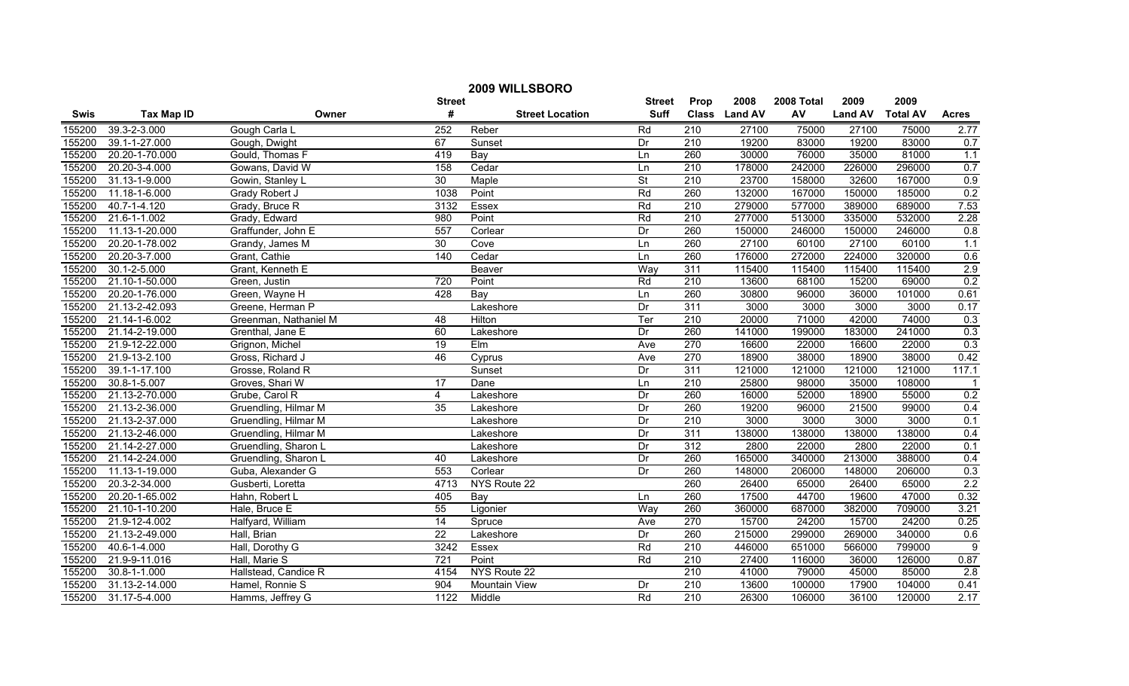| 2009 WILLSBORO |                    |                       |                  |                        |                          |                  |               |            |                |                 |                  |
|----------------|--------------------|-----------------------|------------------|------------------------|--------------------------|------------------|---------------|------------|----------------|-----------------|------------------|
|                |                    |                       | <b>Street</b>    |                        | <b>Street</b>            | Prop             | 2008          | 2008 Total | 2009           | 2009            |                  |
| <b>Swis</b>    | <b>Tax Map ID</b>  | Owner                 | #                | <b>Street Location</b> | <b>Suff</b>              |                  | Class Land AV | AV         | <b>Land AV</b> | <b>Total AV</b> | <b>Acres</b>     |
| 155200         | 39.3-2-3.000       | Gough Carla L         | 252              | Reber                  | Rd                       | 210              | 27100         | 75000      | 27100          | 75000           | 2.77             |
| 155200         | 39.1-1-27.000      | Gough, Dwight         | 67               | Sunset                 | Dr                       | 210              | 19200         | 83000      | 19200          | 83000           | 0.7              |
| 155200         | 20.20-1-70.000     | Gould, Thomas F       | 419              | Bay                    | Ln                       | 260              | 30000         | 76000      | 35000          | 81000           | 1.1              |
| 155200         | 20.20-3-4.000      | Gowans, David W       | 158              | Cedar                  | Ln                       | 210              | 178000        | 242000     | 226000         | 296000          | 0.7              |
| 155200         | 31.13-1-9.000      | Gowin, Stanley L      | 30               | Maple                  | $\overline{\mathsf{St}}$ | 210              | 23700         | 158000     | 32600          | 167000          | 0.9              |
| 155200         | 11.18-1-6.000      | Grady Robert J        | 1038             | Point                  | Rd                       | 260              | 132000        | 167000     | 150000         | 185000          | 0.2              |
| 155200         | 40.7-1-4.120       | Grady, Bruce R        | 3132             | Essex                  | Rd                       | 210              | 279000        | 577000     | 389000         | 689000          | 7.53             |
| 155200         | 21.6-1-1.002       | Grady, Edward         | 980              | Point                  | Rd                       | 210              | 277000        | 513000     | 335000         | 532000          | 2.28             |
| 155200         | 11.13-1-20.000     | Graffunder, John E    | 557              | Corlear                | Dr                       | 260              | 150000        | 246000     | 150000         | 246000          | 0.8              |
| 155200         | 20.20-1-78.002     | Grandy, James M       | 30               | Cove                   | Ln                       | 260              | 27100         | 60100      | 27100          | 60100           | 1.1              |
| 155200         | 20.20-3-7.000      | Grant, Cathie         | 140              | Cedar                  | Ln                       | 260              | 176000        | 272000     | 224000         | 320000          | 0.6              |
| 155200         | $30.1 - 2 - 5.000$ | Grant, Kenneth E      |                  | Beaver                 | Way                      | 311              | 115400        | 115400     | 115400         | 115400          | 2.9              |
| 155200         | 21.10-1-50.000     | Green, Justin         | 720              | Point                  | Rd                       | 210              | 13600         | 68100      | 15200          | 69000           | 0.2              |
| 155200         | 20.20-1-76.000     | Green, Wayne H        | 428              | Bay                    | Ln                       | 260              | 30800         | 96000      | 36000          | 101000          | 0.61             |
| 155200         | 21.13-2-42.093     | Greene, Herman P      |                  | Lakeshore              | Dr                       | 311              | 3000          | 3000       | 3000           | 3000            | 0.17             |
| 155200         | 21.14-1-6.002      | Greenman, Nathaniel M | 48               | Hilton                 | Ter                      | $\overline{210}$ | 20000         | 71000      | 42000          | 74000           | 0.3              |
| 155200         | 21.14-2-19.000     | Grenthal, Jane E      | 60               | Lakeshore              | Dr                       | 260              | 141000        | 199000     | 183000         | 241000          | 0.3              |
| 155200         | 21.9-12-22.000     | Grignon, Michel       | 19               | Elm                    | Ave                      | 270              | 16600         | 22000      | 16600          | 22000           | 0.3              |
| 155200         | 21.9-13-2.100      | Gross, Richard J      | 46               | Cyprus                 | Ave                      | 270              | 18900         | 38000      | 18900          | 38000           | 0.42             |
| 155200         | 39.1-1-17.100      | Grosse, Roland R      |                  | Sunset                 | Dr                       | 311              | 121000        | 121000     | 121000         | 121000          | 117.1            |
| 155200         | 30.8-1-5.007       | Groves, Shari W       | $\overline{17}$  | Dane                   | Ln                       | 210              | 25800         | 98000      | 35000          | 108000          |                  |
| 155200         | 21.13-2-70.000     | Grube, Carol R        | $\overline{4}$   | Lakeshore              | Dr                       | 260              | 16000         | 52000      | 18900          | 55000           | 0.2              |
| 155200         | 21.13-2-36.000     | Gruendling, Hilmar M  | 35               | Lakeshore              | Dr                       | 260              | 19200         | 96000      | 21500          | 99000           | 0.4              |
| 155200         | 21.13-2-37.000     | Gruendling, Hilmar M  |                  | Lakeshore              | Dr                       | $\overline{210}$ | 3000          | 3000       | 3000           | 3000            | 0.1              |
| 155200         | 21.13-2-46.000     | Gruendling, Hilmar M  |                  | Lakeshore              | Dr                       | $\overline{311}$ | 138000        | 138000     | 138000         | 138000          | 0.4              |
| 155200         | 21.14-2-27.000     | Gruendling, Sharon L  |                  | Lakeshore              | Dr                       | 312              | 2800          | 22000      | 2800           | 22000           | 0.1              |
| 155200         | 21.14-2-24.000     | Gruendling, Sharon L  | 40               | Lakeshore              | Dr                       | 260              | 165000        | 340000     | 213000         | 388000          | 0.4              |
| 155200         | 11.13-1-19.000     | Guba, Alexander G     | 553              | Corlear                | Dr                       | 260              | 148000        | 206000     | 148000         | 206000          | 0.3              |
| 155200         | 20.3-2-34.000      | Gusberti, Loretta     | 4713             | NYS Route 22           |                          | 260              | 26400         | 65000      | 26400          | 65000           | 2.2              |
| 155200         | 20.20-1-65.002     | Hahn, Robert L        | 405              | Bay                    | Ln                       | 260              | 17500         | 44700      | 19600          | 47000           | 0.32             |
| 155200         | 21.10-1-10.200     | Hale, Bruce E         | 55               | Ligonier               | Way                      | 260              | 360000        | 687000     | 382000         | 709000          | 3.21             |
| 155200         | 21.9-12-4.002      | Halfyard, William     | 14               | Spruce                 | Ave                      | 270              | 15700         | 24200      | 15700          | 24200           | 0.25             |
| 155200         | 21.13-2-49.000     | Hall, Brian           | $\overline{22}$  | Lakeshore              | Dr                       | 260              | 215000        | 299000     | 269000         | 340000          | 0.6              |
| 155200         | 40.6-1-4.000       | Hall, Dorothy G       | 3242             | Essex                  | Rd                       | $\overline{210}$ | 446000        | 651000     | 566000         | 799000          | 9                |
| 155200         | 21.9-9-11.016      | Hall, Marie S         | $\overline{721}$ | Point                  | Rd                       | 210              | 27400         | 116000     | 36000          | 126000          | 0.87             |
| 155200         | $30.8 - 1 - 1.000$ | Hallstead, Candice R  | 4154             | NYS Route 22           |                          | $\overline{210}$ | 41000         | 79000      | 45000          | 85000           | $\overline{2.8}$ |
| 155200         | 31.13-2-14.000     | Hamel, Ronnie S       | 904              | Mountain View          | Dr                       | 210              | 13600         | 100000     | 17900          | 104000          | 0.41             |
| 155200         | 31.17-5-4.000      | Hamms, Jeffrey G      | 1122             | Middle                 | Rd                       | 210              | 26300         | 106000     | 36100          | 120000          | 2.17             |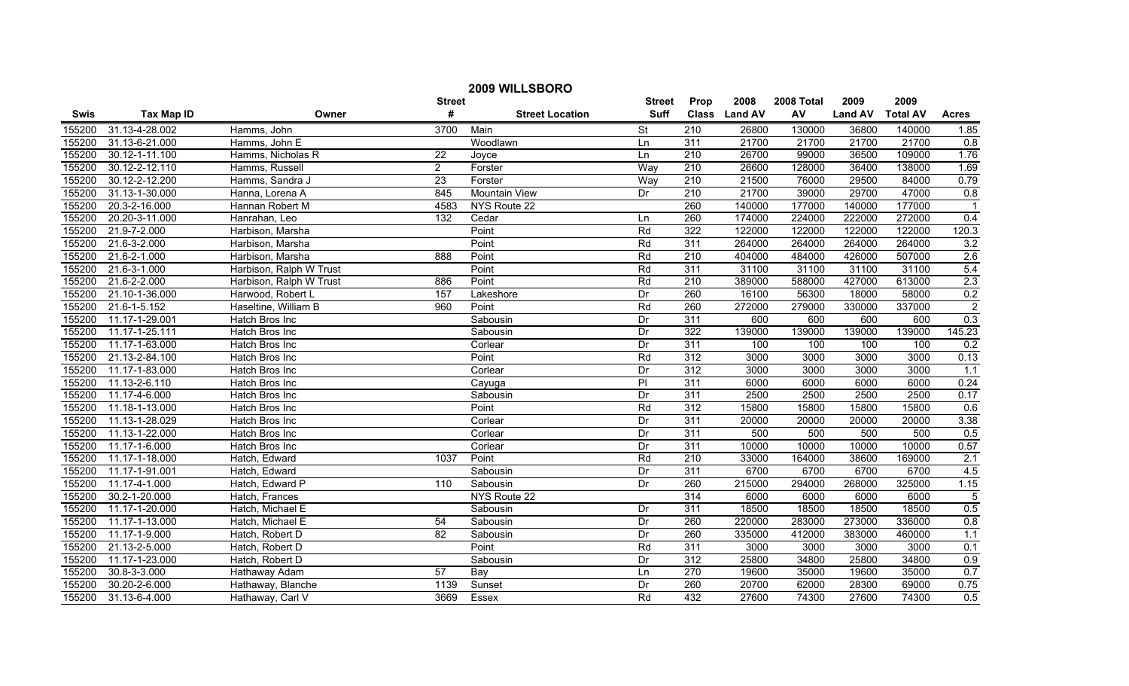| 2009 WILLSBORO |                   |                         |                 |                        |               |                  |               |            |                |                 |                |
|----------------|-------------------|-------------------------|-----------------|------------------------|---------------|------------------|---------------|------------|----------------|-----------------|----------------|
|                |                   |                         | <b>Street</b>   |                        | <b>Street</b> | Prop             | 2008          | 2008 Total | 2009           | 2009            |                |
| <b>Swis</b>    | <b>Tax Map ID</b> | Owner                   | #               | <b>Street Location</b> | <b>Suff</b>   |                  | Class Land AV | AV         | <b>Land AV</b> | <b>Total AV</b> | <b>Acres</b>   |
| 155200         | 31.13-4-28.002    | Hamms, John             | 3700            | Main                   | <b>St</b>     | 210              | 26800         | 130000     | 36800          | 140000          | 1.85           |
| 155200         | 31.13-6-21.000    | Hamms, John E           |                 | Woodlawn               | Ln            | 311              | 21700         | 21700      | 21700          | 21700           | 0.8            |
| 155200         | 30.12-1-11.100    | Hamms, Nicholas R       | $\overline{22}$ | Joyce                  | Ln            | $\overline{210}$ | 26700         | 99000      | 36500          | 109000          | 1.76           |
| 155200         | 30.12-2-12.110    | Hamms, Russell          | $\overline{2}$  | Forster                | Way           | 210              | 26600         | 128000     | 36400          | 138000          | 1.69           |
| 155200         | 30.12-2-12.200    | Hamms, Sandra J         | $\overline{23}$ | Forster                | Way           | 210              | 21500         | 76000      | 29500          | 84000           | 0.79           |
| 155200         | 31.13-1-30.000    | Hanna, Lorena A         | 845             | <b>Mountain View</b>   | Dr            | 210              | 21700         | 39000      | 29700          | 47000           | 0.8            |
| 155200         | 20.3-2-16.000     | Hannan Robert M         | 4583            | NYS Route 22           |               | 260              | 140000        | 177000     | 140000         | 177000          |                |
| 155200         | 20.20-3-11.000    | Hanrahan, Leo           | 132             | Cedar                  | Ln            | 260              | 174000        | 224000     | 222000         | 272000          | 0.4            |
| 155200         | 21.9-7-2.000      | Harbison, Marsha        |                 | Point                  | Rd            | 322              | 122000        | 122000     | 122000         | 122000          | 120.3          |
| 155200         | 21.6-3-2.000      | Harbison, Marsha        |                 | Point                  | Rd            | 311              | 264000        | 264000     | 264000         | 264000          | 3.2            |
| 155200         | 21.6-2-1.000      | Harbison, Marsha        | 888             | Point                  | Rd            | 210              | 404000        | 484000     | 426000         | 507000          | 2.6            |
| 155200         | 21.6-3-1.000      | Harbison, Ralph W Trust |                 | Point                  | Rd            | 311              | 31100         | 31100      | 31100          | 31100           | 5.4            |
| 155200         | 21.6-2-2.000      | Harbison, Ralph W Trust | 886             | Point                  | Rd            | $\overline{210}$ | 389000        | 588000     | 427000         | 613000          | 2.3            |
| 155200         | 21.10-1-36.000    | Harwood, Robert L       | 157             | Lakeshore              | Dr            | 260              | 16100         | 56300      | 18000          | 58000           | 0.2            |
| 155200         | 21.6-1-5.152      | Haseltine, William B    | 960             | Point                  | Rd            | 260              | 272000        | 279000     | 330000         | 337000          | $\overline{2}$ |
| 155200         | 11.17-1-29.001    | Hatch Bros Inc          |                 | Sabousin               | Dr            | 311              | 600           | 600        | 600            | 600             | 0.3            |
| 155200         | 11.17-1-25.111    | Hatch Bros Inc          |                 | Sabousin               | Dr            | 322              | 139000        | 139000     | 139000         | 139000          | 145.23         |
| 155200         | 11.17-1-63.000    | Hatch Bros Inc          |                 | Corlear                | Dr            | 311              | 100           | 100        | 100            | 100             | 0.2            |
| 155200         | 21.13-2-84.100    | Hatch Bros Inc          |                 | Point                  | Rd            | 312              | 3000          | 3000       | 3000           | 3000            | 0.13           |
| 155200         | 11.17-1-83.000    | Hatch Bros Inc          |                 | Corlear                | Dr            | 312              | 3000          | 3000       | 3000           | 3000            | 1.1            |
| 155200         | 11.13-2-6.110     | Hatch Bros Inc          |                 | Cayuga                 | P             | 311              | 6000          | 6000       | 6000           | 6000            | 0.24           |
| 155200         | 11.17-4-6.000     | Hatch Bros Inc          |                 | Sabousin               | Dr            | 311              | 2500          | 2500       | 2500           | 2500            | 0.17           |
| 155200         | 11.18-1-13.000    | Hatch Bros Inc          |                 | Point                  | Rd            | 312              | 15800         | 15800      | 15800          | 15800           | 0.6            |
| 155200         | 11.13-1-28.029    | Hatch Bros Inc          |                 | Corlear                | Dr            | $\overline{311}$ | 20000         | 20000      | 20000          | 20000           | 3.38           |
| 155200         | 11.13-1-22.000    | Hatch Bros Inc          |                 | Corlear                | Dr            | $\overline{311}$ | 500           | 500        | 500            | 500             | 0.5            |
| 155200         | 11.17-1-6.000     | Hatch Bros Inc          |                 | Corlear                | Dr            | 311              | 10000         | 10000      | 10000          | 10000           | 0.57           |
| 155200         | 11.17-1-18.000    | Hatch, Edward           | 1037            | Point                  | Rd            | 210              | 33000         | 164000     | 38600          | 169000          | 2.1            |
| 155200         | 11.17-1-91.001    | Hatch, Edward           |                 | Sabousin               | Dr            | $\overline{311}$ | 6700          | 6700       | 6700           | 6700            | 4.5            |
| 155200         | 11.17-4-1.000     | Hatch, Edward P         | 110             | Sabousin               | Dr            | 260              | 215000        | 294000     | 268000         | 325000          | 1.15           |
| 155200         | 30.2-1-20.000     | Hatch, Frances          |                 | NYS Route 22           |               | 314              | 6000          | 6000       | 6000           | 6000            | $\overline{5}$ |
| 155200         | 11.17-1-20.000    | Hatch, Michael E        |                 | Sabousin               | Dr            | 311              | 18500         | 18500      | 18500          | 18500           | 0.5            |
| 155200         | 11.17-1-13.000    | Hatch, Michael E        | 54              | Sabousin               | Dr            | 260              | 220000        | 283000     | 273000         | 336000          | 0.8            |
| 155200         | 11.17-1-9.000     | Hatch, Robert D         | 82              | Sabousin               | Dr            | 260              | 335000        | 412000     | 383000         | 460000          | 1.1            |
| 155200         | 21.13-2-5.000     | Hatch, Robert D         |                 | Point                  | Rd            | 311              | 3000          | 3000       | 3000           | 3000            | 0.1            |
| 155200         | 11.17-1-23.000    | Hatch, Robert D         |                 | Sabousin               | Dr            | 312              | 25800         | 34800      | 25800          | 34800           | 0.9            |
| 155200         | 30.8-3-3.000      | Hathaway Adam           | 57              | Bay                    | Ln            | 270              | 19600         | 35000      | 19600          | 35000           | 0.7            |
| 155200         | 30.20-2-6.000     | Hathaway, Blanche       | 1139            | Sunset                 | Dr            | 260              | 20700         | 62000      | 28300          | 69000           | 0.75           |
| 155200         | 31.13-6-4.000     | Hathaway, Carl V        | 3669            | Essex                  | Rd            | 432              | 27600         | 74300      | 27600          | 74300           | 0.5            |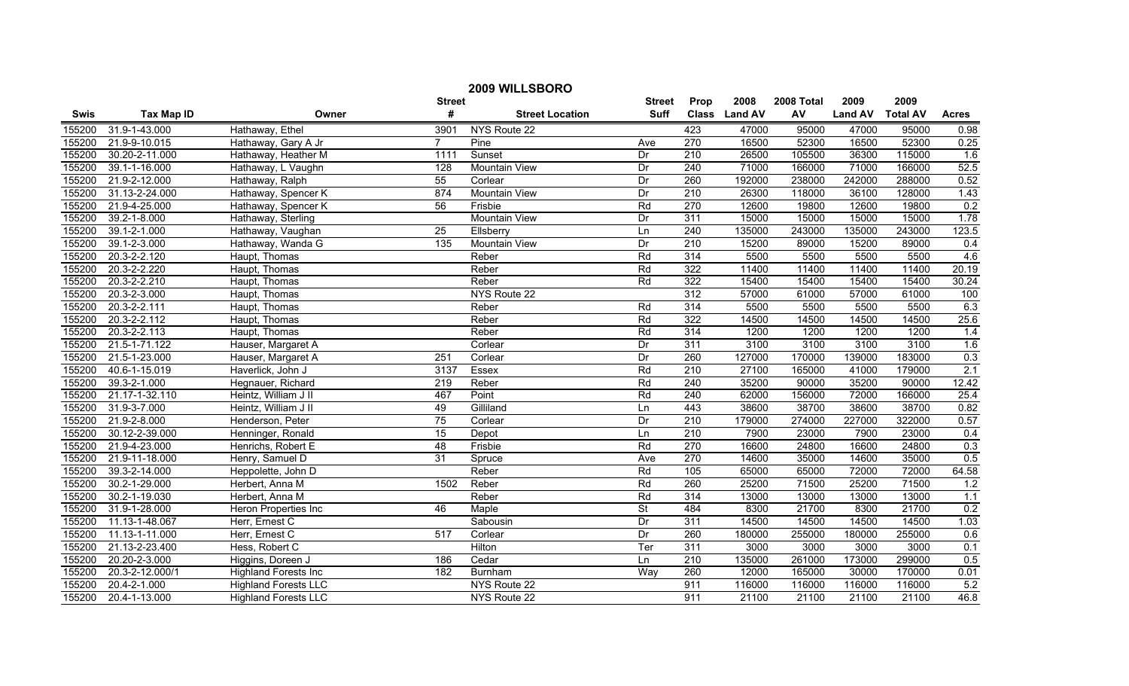| 2009 WILLSBORO |                   |                             |                  |                        |                          |                  |               |            |                |                 |              |
|----------------|-------------------|-----------------------------|------------------|------------------------|--------------------------|------------------|---------------|------------|----------------|-----------------|--------------|
|                |                   |                             | <b>Street</b>    |                        | <b>Street</b>            | Prop             | 2008          | 2008 Total | 2009           | 2009            |              |
| <b>Swis</b>    | <b>Tax Map ID</b> | Owner                       | #                | <b>Street Location</b> | <b>Suff</b>              |                  | Class Land AV | AV         | <b>Land AV</b> | <b>Total AV</b> | <b>Acres</b> |
| 155200         | 31.9-1-43.000     | Hathaway, Ethel             | 3901             | NYS Route 22           |                          | 423              | 47000         | 95000      | 47000          | 95000           | 0.98         |
| 155200         | 21.9-9-10.015     | Hathaway, Gary A Jr         | $\overline{7}$   | Pine                   | Ave                      | 270              | 16500         | 52300      | 16500          | 52300           | 0.25         |
| 155200         | 30.20-2-11.000    | Hathaway, Heather M         | 1111             | Sunset                 | Dr                       | $\overline{210}$ | 26500         | 105500     | 36300          | 115000          | 1.6          |
| 155200         | 39.1-1-16.000     | Hathaway, L Vaughn          | 128              | <b>Mountain View</b>   | Dr                       | 240              | 71000         | 166000     | 71000          | 166000          | 52.5         |
| 155200         | 21.9-2-12.000     | Hathaway, Ralph             | 55               | Corlear                | Dr                       | 260              | 192000        | 238000     | 242000         | 288000          | 0.52         |
| 155200         | 31.13-2-24.000    | Hathaway, Spencer K         | 874              | <b>Mountain View</b>   | Dr                       | 210              | 26300         | 118000     | 36100          | 128000          | 1.43         |
| 155200         | 21.9-4-25.000     | Hathaway, Spencer K         | 56               | Frisbie                | Rd                       | 270              | 12600         | 19800      | 12600          | 19800           | 0.2          |
| 155200         | 39.2-1-8.000      | Hathaway, Sterling          |                  | <b>Mountain View</b>   | Dr                       | 311              | 15000         | 15000      | 15000          | 15000           | 1.78         |
| 155200         | 39.1-2-1.000      | Hathaway, Vaughan           | $\overline{25}$  | Ellsberry              | Ln                       | 240              | 135000        | 243000     | 135000         | 243000          | 123.5        |
| 155200         | 39.1-2-3.000      | Hathaway, Wanda G           | $\overline{135}$ | <b>Mountain View</b>   | Dr                       | $\overline{210}$ | 15200         | 89000      | 15200          | 89000           | 0.4          |
| 155200         | 20.3-2-2.120      | Haupt, Thomas               |                  | Reber                  | Rd                       | 314              | 5500          | 5500       | 5500           | 5500            | 4.6          |
| 155200         | 20.3-2-2.220      | Haupt, Thomas               |                  | Reber                  | Rd                       | 322              | 11400         | 11400      | 11400          | 11400           | 20.19        |
| 155200         | 20.3-2-2.210      | Haupt, Thomas               |                  | Reber                  | Rd                       | 322              | 15400         | 15400      | 15400          | 15400           | 30.24        |
| 155200         | 20.3-2-3.000      | Haupt, Thomas               |                  | NYS Route 22           |                          | 312              | 57000         | 61000      | 57000          | 61000           | 100          |
| 155200         | 20.3-2-2.111      | Haupt, Thomas               |                  | Reber                  | Rd                       | 314              | 5500          | 5500       | 5500           | 5500            | 6.3          |
| 155200         | 20.3-2-2.112      | Haupt, Thomas               |                  | Reber                  | Rd                       | 322              | 14500         | 14500      | 14500          | 14500           | 25.6         |
| 155200         | 20.3-2-2.113      | Haupt, Thomas               |                  | Reber                  | Rd                       | 314              | 1200          | 1200       | 1200           | 1200            | 1.4          |
| 155200         | 21.5-1-71.122     | Hauser, Margaret A          |                  | Corlear                | Dr                       | 311              | 3100          | 3100       | 3100           | 3100            | 1.6          |
| 155200         | 21.5-1-23.000     | Hauser, Margaret A          | 251              | Corlear                | Dr                       | 260              | 127000        | 170000     | 139000         | 183000          | 0.3          |
| 155200         | 40.6-1-15.019     | Haverlick, John J           | 3137             | Essex                  | Rd                       | 210              | 27100         | 165000     | 41000          | 179000          | 2.1          |
| 155200         | 39.3-2-1.000      | Hegnauer, Richard           | 219              | Reber                  | Rd                       | 240              | 35200         | 90000      | 35200          | 90000           | 12.42        |
| 155200         | 21.17-1-32.110    | Heintz, William J II        | 467              | Point                  | Rd                       | $\overline{240}$ | 62000         | 156000     | 72000          | 166000          | 25.4         |
| 155200         | 31.9-3-7.000      | Heintz, William J II        | 49               | Gilliland              | Ln                       | 443              | 38600         | 38700      | 38600          | 38700           | 0.82         |
| 155200         | 21.9-2-8.000      | Henderson, Peter            | 75               | Corlear                | Dr                       | $\overline{210}$ | 179000        | 274000     | 227000         | 322000          | 0.57         |
| 155200         | 30.12-2-39.000    | Henninger, Ronald           | 15               | Depot                  | Ln                       | $\overline{210}$ | 7900          | 23000      | 7900           | 23000           | 0.4          |
| 155200         | 21.9-4-23.000     | Henrichs, Robert E          | 48               | Frisbie                | Rd                       | 270              | 16600         | 24800      | 16600          | 24800           | 0.3          |
| 155200         | 21.9-11-18.000    | Henry, Samuel D             | 31               | Spruce                 | Ave                      | 270              | 14600         | 35000      | 14600          | 35000           | 0.5          |
| 155200         | 39.3-2-14.000     | Heppolette, John D          |                  | Reber                  | Rd                       | 105              | 65000         | 65000      | 72000          | 72000           | 64.58        |
| 155200         | 30.2-1-29.000     | Herbert, Anna M             | 1502             | Reber                  | Rd                       | 260              | 25200         | 71500      | 25200          | 71500           | 1.2          |
| 155200         | 30.2-1-19.030     | Herbert, Anna M             |                  | Reber                  | Rd                       | 314              | 13000         | 13000      | 13000          | 13000           | 1.1          |
| 155200         | 31.9-1-28.000     | <b>Heron Properties Inc</b> | 46               | Maple                  | $\overline{\mathsf{St}}$ | 484              | 8300          | 21700      | 8300           | 21700           | 0.2          |
| 155200         | 11.13-1-48.067    | Herr, Ernest C              |                  | Sabousin               | Dr                       | 311              | 14500         | 14500      | 14500          | 14500           | 1.03         |
| 155200         | 11.13-1-11.000    | Herr, Ernest C              | 517              | Corlear                | Dr                       | 260              | 180000        | 255000     | 180000         | 255000          | 0.6          |
| 155200         | 21.13-2-23.400    | Hess, Robert C              |                  | Hilton                 | Ter                      | 311              | 3000          | 3000       | 3000           | 3000            | 0.1          |
| 155200         | 20.20-2-3.000     | Higgins, Doreen J           | 186              | Cedar                  | Ln                       | 210              | 135000        | 261000     | 173000         | 299000          | 0.5          |
| 155200         | 20.3-2-12.000/1   | <b>Highland Forests Inc</b> | 182              | <b>Burnham</b>         | Way                      | 260              | 12000         | 165000     | 30000          | 170000          | 0.01         |
| 155200         | 20.4-2-1.000      | <b>Highland Forests LLC</b> |                  | NYS Route 22           |                          | 911              | 116000        | 116000     | 116000         | 116000          | 5.2          |
| 155200         | 20.4-1-13.000     | <b>Highland Forests LLC</b> |                  | NYS Route 22           |                          | 911              | 21100         | 21100      | 21100          | 21100           | 46.8         |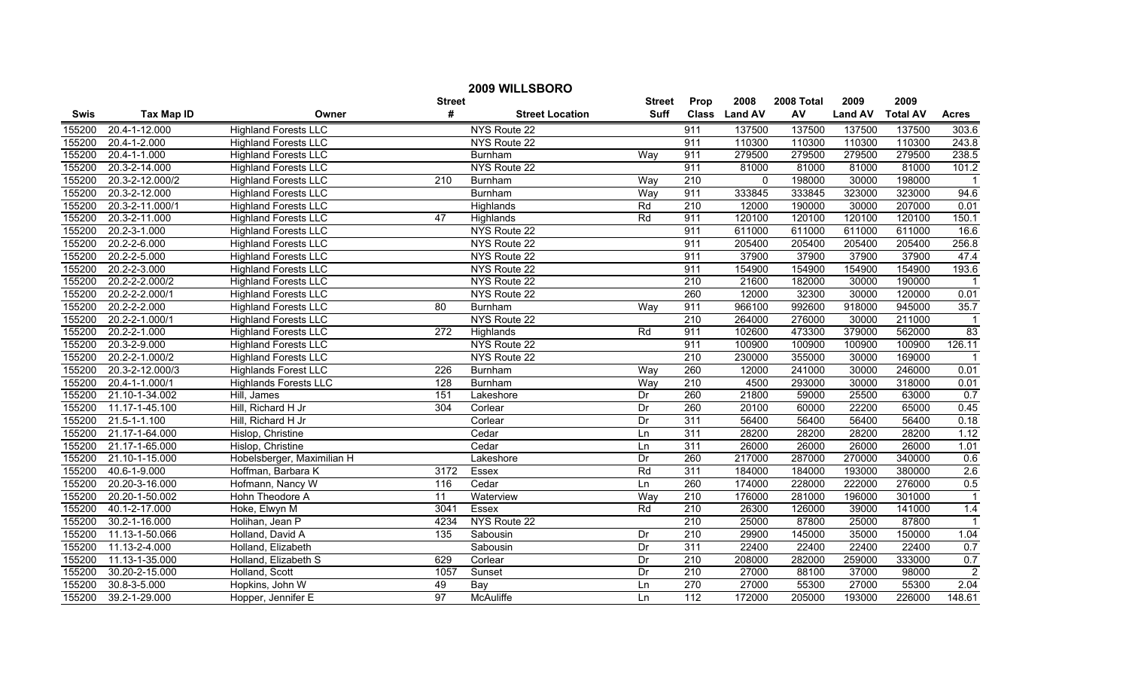|        |                             |                              |               | 2009 WILLSBORO         |               |                  |                |            |                |                 |                |
|--------|-----------------------------|------------------------------|---------------|------------------------|---------------|------------------|----------------|------------|----------------|-----------------|----------------|
|        |                             |                              | <b>Street</b> |                        | <b>Street</b> | Prop             | 2008           | 2008 Total | 2009           | 2009            |                |
| Swis   | <b>Tax Map ID</b>           | Owner                        | #             | <b>Street Location</b> | <b>Suff</b>   | <b>Class</b>     | <b>Land AV</b> | AV         | <b>Land AV</b> | <b>Total AV</b> | <b>Acres</b>   |
| 155200 | 20.4-1-12.000               | <b>Highland Forests LLC</b>  |               | NYS Route 22           |               | 911              | 137500         | 137500     | 137500         | 137500          | 303.6          |
| 155200 | 20.4-1-2.000                | <b>Highland Forests LLC</b>  |               | NYS Route 22           |               | 911              | 110300         | 110300     | 110300         | 110300          | 243.8          |
| 155200 | 20.4-1-1.000                | <b>Highland Forests LLC</b>  |               | Burnham                | Way           | 911              | 279500         | 279500     | 279500         | 279500          | 238.5          |
| 155200 | 20.3-2-14.000               | <b>Highland Forests LLC</b>  |               | NYS Route 22           |               | 911              | 81000          | 81000      | 81000          | 81000           | 101.2          |
| 155200 | 20.3-2-12.000/2             | <b>Highland Forests LLC</b>  | 210           | <b>Burnham</b>         | Way           | $\overline{210}$ | 0              | 198000     | 30000          | 198000          |                |
| 155200 | 20.3-2-12.000               | <b>Highland Forests LLC</b>  |               | Burnham                | Way           | 911              | 333845         | 333845     | 323000         | 323000          | 94.6           |
| 155200 | 20.3-2-11.000/1             | <b>Highland Forests LLC</b>  |               | Highlands              | Rd            | 210              | 12000          | 190000     | 30000          | 207000          | 0.01           |
| 155200 | 20.3-2-11.000               | <b>Highland Forests LLC</b>  | 47            | <b>Highlands</b>       | Rd            | 911              | 120100         | 120100     | 120100         | 120100          | 150.1          |
| 155200 | 20.2-3-1.000                | <b>Highland Forests LLC</b>  |               | NYS Route 22           |               | 911              | 611000         | 611000     | 611000         | 611000          | 16.6           |
| 155200 | 20.2-2-6.000                | <b>Highland Forests LLC</b>  |               | NYS Route 22           |               | 911              | 205400         | 205400     | 205400         | 205400          | 256.8          |
| 155200 | 20.2-2-5.000                | <b>Highland Forests LLC</b>  |               | NYS Route 22           |               | 911              | 37900          | 37900      | 37900          | 37900           | 47.4           |
| 155200 | 20.2-2-3.000                | <b>Highland Forests LLC</b>  |               | NYS Route 22           |               | 911              | 154900         | 154900     | 154900         | 154900          | 193.6          |
| 155200 | 20.2-2-2.000/2              | <b>Highland Forests LLC</b>  |               | NYS Route 22           |               | $\overline{210}$ | 21600          | 182000     | 30000          | 190000          |                |
| 155200 | 20.2-2-2.000/1              | <b>Highland Forests LLC</b>  |               | NYS Route 22           |               | 260              | 12000          | 32300      | 30000          | 120000          | 0.01           |
| 155200 | 20.2-2-2.000                | <b>Highland Forests LLC</b>  | 80            | Burnham                | Way           | 911              | 966100         | 992600     | 918000         | 945000          | 35.7           |
| 155200 | $20.\overline{2-2-1.000/1}$ | <b>Highland Forests LLC</b>  |               | NYS Route 22           |               | $\overline{210}$ | 264000         | 276000     | 30000          | 211000          |                |
| 155200 | 20.2-2-1.000                | <b>Highland Forests LLC</b>  | 272           | Highlands              | Rd            | 911              | 102600         | 473300     | 379000         | 562000          | 83             |
| 155200 | 20.3-2-9.000                | <b>Highland Forests LLC</b>  |               | NYS Route 22           |               | 911              | 100900         | 100900     | 100900         | 100900          | 126.11         |
| 155200 | 20.2-2-1.000/2              | <b>Highland Forests LLC</b>  |               | NYS Route 22           |               | 210              | 230000         | 355000     | 30000          | 169000          |                |
| 155200 | 20.3-2-12.000/3             | <b>Highlands Forest LLC</b>  | 226           | <b>Burnham</b>         | Way           | 260              | 12000          | 241000     | 30000          | 246000          | 0.01           |
| 155200 | 20.4-1-1.000/1              | <b>Highlands Forests LLC</b> | 128           | <b>Burnham</b>         | Way           | 210              | 4500           | 293000     | 30000          | 318000          | 0.01           |
| 155200 | 21.10-1-34.002              | Hill, James                  | 151           | Lakeshore              | Dr            | 260              | 21800          | 59000      | 25500          | 63000           | 0.7            |
| 155200 | 11.17-1-45.100              | Hill, Richard H Jr           | 304           | Corlear                | Dr            | 260              | 20100          | 60000      | 22200          | 65000           | 0.45           |
| 155200 | $21.5 - 1 - 1.100$          | Hill, Richard H Jr           |               | Corlear                | Dr            | $\overline{311}$ | 56400          | 56400      | 56400          | 56400           | 0.18           |
| 155200 | 21.17-1-64.000              | Hislop, Christine            |               | Cedar                  | Ln            | 311              | 28200          | 28200      | 28200          | 28200           | 1.12           |
| 155200 | 21.17-1-65.000              | Hislop, Christine            |               | Cedar                  | Ln            | 311              | 26000          | 26000      | 26000          | 26000           | 1.01           |
| 155200 | 21.10-1-15.000              | Hobelsberger, Maximilian H   |               | Lakeshore              | Dr            | 260              | 217000         | 287000     | 270000         | 340000          | 0.6            |
| 155200 | 40.6-1-9.000                | Hoffman, Barbara K           | 3172          | Essex                  | Rd            | 311              | 184000         | 184000     | 193000         | 380000          | 2.6            |
| 155200 | 20.20-3-16.000              | Hofmann, Nancy W             | 116           | Cedar                  | Ln            | 260              | 174000         | 228000     | 222000         | 276000          | 0.5            |
| 155200 | 20.20-1-50.002              | Hohn Theodore A              | 11            | Waterview              | Way           | $\overline{210}$ | 176000         | 281000     | 196000         | 301000          |                |
| 155200 | 40.1-2-17.000               | Hoke, Elwyn M                | 3041          | <b>Essex</b>           | Rd            | 210              | 26300          | 126000     | 39000          | 141000          | 1.4            |
| 155200 | 30.2-1-16.000               | Holihan, Jean P              | 4234          | NYS Route 22           |               | 210              | 25000          | 87800      | 25000          | 87800           |                |
| 155200 | 11.13-1-50.066              | Holland, David A             | 135           | Sabousin               | Dr            | 210              | 29900          | 145000     | 35000          | 150000          | 1.04           |
| 155200 | 11.13-2-4.000               | Holland, Elizabeth           |               | Sabousin               | Dr            | 311              | 22400          | 22400      | 22400          | 22400           | 0.7            |
| 155200 | 11.13-1-35.000              | Holland, Elizabeth S         | 629           | Corlear                | Dr            | $\overline{210}$ | 208000         | 282000     | 259000         | 333000          | 0.7            |
| 155200 | 30.20-2-15.000              | Holland, Scott               | 1057          | Sunset                 | Dr            | $\overline{210}$ | 27000          | 88100      | 37000          | 98000           | $\overline{2}$ |
| 155200 | 30.8-3-5.000                | Hopkins, John W              | 49            | Bay                    | Ln            | 270              | 27000          | 55300      | 27000          | 55300           | 2.04           |
| 155200 | 39.2-1-29.000               | Hopper, Jennifer E           | 97            | <b>McAuliffe</b>       | Ln            | $\overline{112}$ | 172000         | 205000     | 193000         | 226000          | 148.61         |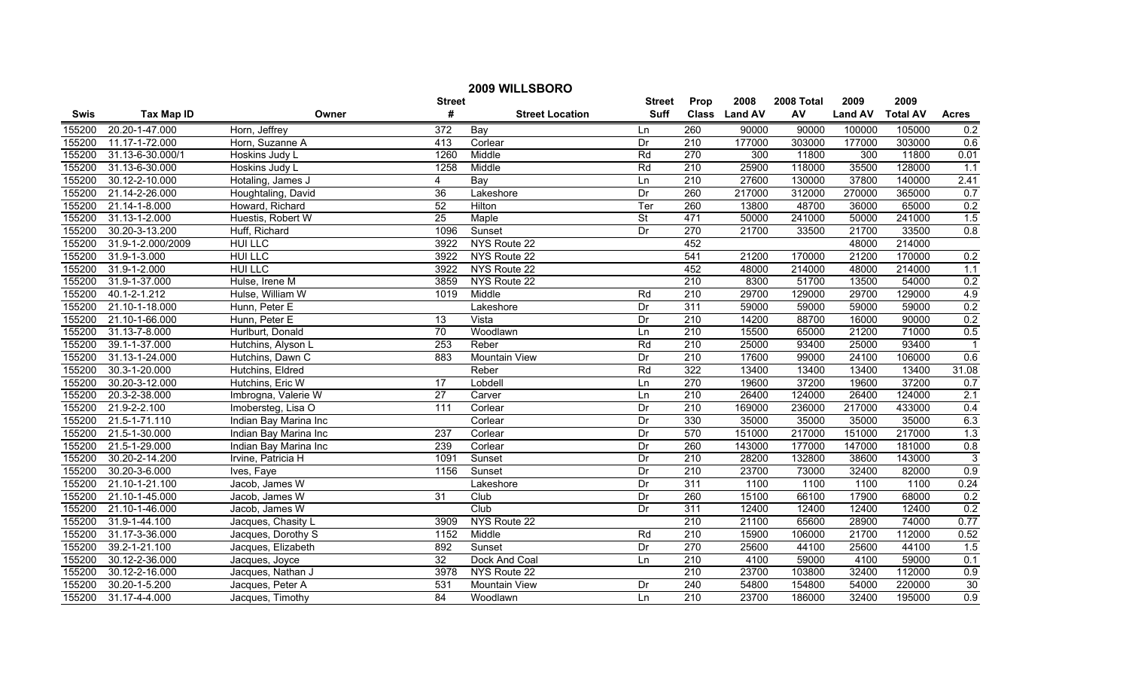| 2009 WILLSBORO |                   |                       |                  |                        |                 |                  |               |            |                |                 |                         |
|----------------|-------------------|-----------------------|------------------|------------------------|-----------------|------------------|---------------|------------|----------------|-----------------|-------------------------|
|                |                   |                       | <b>Street</b>    |                        | <b>Street</b>   | Prop             | 2008          | 2008 Total | 2009           | 2009            |                         |
| <b>Swis</b>    | <b>Tax Map ID</b> | Owner                 | $\pmb{\#}$       | <b>Street Location</b> | <b>Suff</b>     |                  | Class Land AV | AV         | <b>Land AV</b> | <b>Total AV</b> | <b>Acres</b>            |
| 155200         | 20.20-1-47.000    | Horn, Jeffrey         | 372              | Bay                    | Ln              | 260              | 90000         | 90000      | 100000         | 105000          | 0.2                     |
| 155200         | 11.17-1-72.000    | Horn, Suzanne A       | 413              | Corlear                | Dr              | 210              | 177000        | 303000     | 177000         | 303000          | 0.6                     |
| 155200         | 31.13-6-30.000/1  | Hoskins Judy L        | 1260             | Middle                 | Rd              | 270              | 300           | 11800      | 300            | 11800           | 0.01                    |
| 155200         | 31.13-6-30.000    | Hoskins Judy L        | 1258             | Middle                 | Rd              | 210              | 25900         | 118000     | 35500          | 128000          | 1.1                     |
| 155200         | 30.12-2-10.000    | Hotaling, James J     | 4                | Bay                    | Ln              | 210              | 27600         | 130000     | 37800          | 140000          | 2.41                    |
| 155200         | 21.14-2-26.000    | Houghtaling, David    | 36               | Lakeshore              | Dr              | 260              | 217000        | 312000     | 270000         | 365000          | 0.7                     |
| 155200         | 21.14-1-8.000     | Howard, Richard       | 52               | Hilton                 | Ter             | 260              | 13800         | 48700      | 36000          | 65000           | 0.2                     |
| 155200         | 31.13-1-2.000     | Huestis, Robert W     | 25               | Maple                  | <b>St</b>       | 471              | 50000         | 241000     | 50000          | 241000          | 1.5                     |
| 155200         | 30.20-3-13.200    | Huff, Richard         | 1096             | Sunset                 | Dr              | $\overline{270}$ | 21700         | 33500      | 21700          | 33500           | 0.8                     |
| 155200         | 31.9-1-2.000/2009 | <b>HUI LLC</b>        | 3922             | NYS Route 22           |                 | 452              |               |            | 48000          | 214000          |                         |
| 155200         | 31.9-1-3.000      | <b>HUI LLC</b>        | 3922             | NYS Route 22           |                 | 541              | 21200         | 170000     | 21200          | 170000          | 0.2                     |
| 155200         | 31.9-1-2.000      | <b>HUI LLC</b>        | 3922             | NYS Route 22           |                 | 452              | 48000         | 214000     | 48000          | 214000          | 1.1                     |
| 155200         | 31.9-1-37.000     | Hulse, Irene M        | 3859             | NYS Route 22           |                 | 210              | 8300          | 51700      | 13500          | 54000           | 0.2                     |
| 155200         | 40.1-2-1.212      | Hulse, William W      | 1019             | Middle                 | Rd              | $\overline{210}$ | 29700         | 129000     | 29700          | 129000          | 4.9                     |
| 155200         | 21.10-1-18.000    | Hunn, Peter E         |                  | Lakeshore              | Dr              | 311              | 59000         | 59000      | 59000          | 59000           | 0.2                     |
| 155200         | 21.10-1-66.000    | Hunn, Peter E         | 13               | Vista                  | Dr              | $\overline{210}$ | 14200         | 88700      | 16000          | 90000           | 0.2                     |
| 155200         | 31.13-7-8.000     | Hurlburt, Donald      | 70               | Woodlawn               | Ln              | 210              | 15500         | 65000      | 21200          | 71000           | 0.5                     |
| 155200         | 39.1-1-37.000     | Hutchins, Alyson L    | 253              | Reber                  | Rd              | 210              | 25000         | 93400      | 25000          | 93400           | $\overline{\mathbf{1}}$ |
| 155200         | 31.13-1-24.000    | Hutchins, Dawn C      | 883              | <b>Mountain View</b>   | Dr              | 210              | 17600         | 99000      | 24100          | 106000          | 0.6                     |
| 155200         | 30.3-1-20.000     | Hutchins, Eldred      |                  | Reber                  | Rd              | 322              | 13400         | 13400      | 13400          | 13400           | 31.08                   |
| 155200         | 30.20-3-12.000    | Hutchins, Eric W      | $\overline{17}$  | Lobdell                | Ln              | 270              | 19600         | 37200      | 19600          | 37200           | 0.7                     |
| 155200         | 20.3-2-38.000     | Imbrogna, Valerie W   | 27               | Carver                 | Ln              | $\overline{210}$ | 26400         | 124000     | 26400          | 124000          | 2.1                     |
| 155200         | 21.9-2-2.100      | Imobersteg, Lisa O    | 111              | Corlear                | Dr              | 210              | 169000        | 236000     | 217000         | 433000          | 0.4                     |
| 155200         | 21.5-1-71.110     | Indian Bay Marina Inc |                  | Corlear                | Dr              | 330              | 35000         | 35000      | 35000          | 35000           | 6.3                     |
| 155200         | 21.5-1-30.000     | Indian Bay Marina Inc | $\overline{237}$ | Corlear                | Dr              | 570              | 151000        | 217000     | 151000         | 217000          | 1.3                     |
| 155200         | 21.5-1-29.000     | Indian Bay Marina Inc | 239              | Corlear                | Dr              | 260              | 143000        | 177000     | 147000         | 181000          | 0.8                     |
| 155200         | 30.20-2-14.200    | Irvine, Patricia H    | 1091             | Sunset                 | $\overline{Dr}$ | 210              | 28200         | 132800     | 38600          | 143000          | $\overline{3}$          |
| 155200         | 30.20-3-6.000     | Ives, Faye            | 1156             | Sunset                 | Dr              | 210              | 23700         | 73000      | 32400          | 82000           | 0.9                     |
| 155200         | 21.10-1-21.100    | Jacob, James W        |                  | Lakeshore              | Dr              | 311              | 1100          | 1100       | 1100           | 1100            | 0.24                    |
| 155200         | 21.10-1-45.000    | Jacob, James W        | 31               | Club                   | Dr              | 260              | 15100         | 66100      | 17900          | 68000           | 0.2                     |
| 155200         | 21.10-1-46.000    | Jacob, James W        |                  | Club                   | Dr              | 311              | 12400         | 12400      | 12400          | 12400           | 0.2                     |
| 155200         | 31.9-1-44.100     | Jacques, Chasity L    | 3909             | NYS Route 22           |                 | 210              | 21100         | 65600      | 28900          | 74000           | 0.77                    |
| 155200         | 31.17-3-36.000    | Jacques, Dorothy S    | 1152             | Middle                 | Rd              | 210              | 15900         | 106000     | 21700          | 112000          | 0.52                    |
| 155200         | 39.2-1-21.100     | Jacques, Elizabeth    | 892              | Sunset                 | Dr              | $\overline{270}$ | 25600         | 44100      | 25600          | 44100           | 1.5                     |
| 155200         | 30.12-2-36.000    | Jacques, Joyce        | 32               | Dock And Coal          | Ln              | 210              | 4100          | 59000      | 4100           | 59000           | 0.1                     |
| 155200         | 30.12-2-16.000    | Jacques, Nathan J     | 3978             | NYS Route 22           |                 | $\overline{210}$ | 23700         | 103800     | 32400          | 112000          | 0.9                     |
| 155200         | 30.20-1-5.200     | Jacques, Peter A      | 531              | Mountain View          | Dr              | 240              | 54800         | 154800     | 54000          | 220000          | 30                      |
| 155200         | 31.17-4-4.000     | Jacques, Timothy      | 84               | Woodlawn               | Ln              | 210              | 23700         | 186000     | 32400          | 195000          | 0.9                     |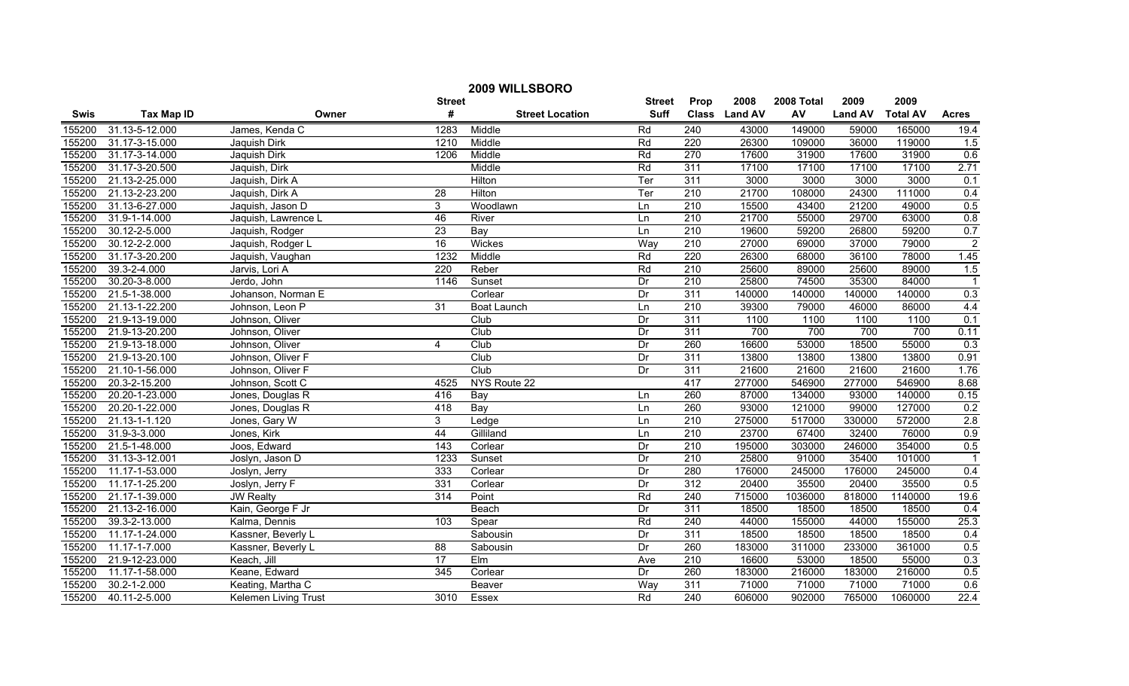| 2009 WILLSBORO |                   |                             |                  |                        |               |                  |               |            |                |                 |                         |
|----------------|-------------------|-----------------------------|------------------|------------------------|---------------|------------------|---------------|------------|----------------|-----------------|-------------------------|
|                |                   |                             | <b>Street</b>    |                        | <b>Street</b> | Prop             | 2008          | 2008 Total | 2009           | 2009            |                         |
| <b>Swis</b>    | <b>Tax Map ID</b> | Owner                       | #                | <b>Street Location</b> | <b>Suff</b>   |                  | Class Land AV | AV         | <b>Land AV</b> | <b>Total AV</b> | <b>Acres</b>            |
| 155200         | 31.13-5-12.000    | James, Kenda C              | 1283             | Middle                 | Rd            | 240              | 43000         | 149000     | 59000          | 165000          | 19.4                    |
| 155200         | 31.17-3-15.000    | Jaquish Dirk                | 1210             | Middle                 | Rd            | 220              | 26300         | 109000     | 36000          | 119000          | 1.5                     |
| 155200         | 31.17-3-14.000    | Jaquish Dirk                | 1206             | Middle                 | Rd            | $\overline{270}$ | 17600         | 31900      | 17600          | 31900           | 0.6                     |
| 155200         | 31.17-3-20.500    | Jaquish, Dirk               |                  | Middle                 | Rd            | 311              | 17100         | 17100      | 17100          | 17100           | 2.71                    |
| 155200         | 21.13-2-25.000    | Jaquish, Dirk A             |                  | Hilton                 | Ter           | 311              | 3000          | 3000       | 3000           | 3000            | 0.1                     |
| 155200         | 21.13-2-23.200    | Jaquish, Dirk A             | $\overline{28}$  | Hilton                 | Ter           | 210              | 21700         | 108000     | 24300          | 111000          | 0.4                     |
| 155200         | 31.13-6-27.000    | Jaquish, Jason D            | $\overline{3}$   | Woodlawn               | Ln            | 210              | 15500         | 43400      | 21200          | 49000           | 0.5                     |
| 155200         | 31.9-1-14.000     | Jaquish, Lawrence L         | 46               | River                  | Ln            | 210              | 21700         | 55000      | 29700          | 63000           | 0.8                     |
| 155200         | 30.12-2-5.000     | Jaquish, Rodger             | $\overline{23}$  | Bay                    | Ln            | 210              | 19600         | 59200      | 26800          | 59200           | 0.7                     |
| 155200         | 30.12-2-2.000     | Jaquish, Rodger L           | $\overline{16}$  | Wickes                 | Way           | 210              | 27000         | 69000      | 37000          | 79000           | $\overline{2}$          |
| 155200         | 31.17-3-20.200    | Jaquish, Vaughan            | 1232             | Middle                 | Rd            | 220              | 26300         | 68000      | 36100          | 78000           | 1.45                    |
| 155200         | 39.3-2-4.000      | Jarvis, Lori A              | 220              | Reber                  | Rd            | 210              | 25600         | 89000      | 25600          | 89000           | 1.5                     |
| 155200         | 30.20-3-8.000     | Jerdo, John                 | 1146             | Sunset                 | Dr            | 210              | 25800         | 74500      | 35300          | 84000           | $\overline{1}$          |
| 155200         | 21.5-1-38.000     | Johanson, Norman E          |                  | Corlear                | Dr            | 311              | 140000        | 140000     | 140000         | 140000          | 0.3                     |
| 155200         | 21.13-1-22.200    | Johnson, Leon P             | $\overline{31}$  | <b>Boat Launch</b>     | Ln            | $\overline{210}$ | 39300         | 79000      | 46000          | 86000           | 4.4                     |
| 155200         | 21.9-13-19.000    | Johnson, Oliver             |                  | Club                   | Dr            | 311              | 1100          | 1100       | 1100           | 1100            | 0.1                     |
| 155200         | 21.9-13-20.200    | Johnson, Oliver             |                  | Club                   | Dr            | 311              | 700           | 700        | 700            | 700             | 0.11                    |
| 155200         | 21.9-13-18.000    | Johnson, Oliver             | 4                | Club                   | Dr            | 260              | 16600         | 53000      | 18500          | 55000           | 0.3                     |
| 155200         | 21.9-13-20.100    | Johnson, Oliver F           |                  | Club                   | Dr            | 311              | 13800         | 13800      | 13800          | 13800           | 0.91                    |
| 155200         | 21.10-1-56.000    | Johnson, Oliver F           |                  | Club                   | Dr            | 311              | 21600         | 21600      | 21600          | 21600           | 1.76                    |
| 155200         | 20.3-2-15.200     | Johnson, Scott C            | 4525             | NYS Route 22           |               | 417              | 277000        | 546900     | 277000         | 546900          | 8.68                    |
| 155200         | 20.20-1-23.000    | Jones, Douglas R            | 416              | Bay                    | Ln            | 260              | 87000         | 134000     | 93000          | 140000          | 0.15                    |
| 155200         | 20.20-1-22.000    | Jones, Douglas R            | 418              | Bay                    | Ln            | 260              | 93000         | 121000     | 99000          | 127000          | 0.2                     |
| 155200         | 21.13-1-1.120     | Jones, Gary W               | 3                | Ledge                  | Ln            | $\overline{210}$ | 275000        | 517000     | 330000         | 572000          | $\overline{2.8}$        |
| 155200         | 31.9-3-3.000      | Jones, Kirk                 | 44               | Gilliland              | Ln            | $\overline{210}$ | 23700         | 67400      | 32400          | 76000           | 0.9                     |
| 155200         | 21.5-1-48.000     | Joos, Edward                | $\overline{143}$ | Corlear                | Dr            | $\overline{210}$ | 195000        | 303000     | 246000         | 354000          | 0.5                     |
| 155200         | 31.13-3-12.001    | Joslyn, Jason D             | 1233             | Sunset                 | Dr            | 210              | 25800         | 91000      | 35400          | 101000          | $\overline{\mathbf{1}}$ |
| 155200         | 11.17-1-53.000    | Joslyn, Jerry               | 333              | Corlear                | Dr            | 280              | 176000        | 245000     | 176000         | 245000          | 0.4                     |
| 155200         | 11.17-1-25.200    | Joslyn, Jerry F             | 331              | Corlear                | Dr            | 312              | 20400         | 35500      | 20400          | 35500           | 0.5                     |
| 155200         | 21.17-1-39.000    | <b>JW Realty</b>            | 314              | Point                  | Rd            | 240              | 715000        | 1036000    | 818000         | 1140000         | 19.6                    |
| 155200         | 21.13-2-16.000    | Kain, George F Jr           |                  | Beach                  | Dr            | 311              | 18500         | 18500      | 18500          | 18500           | 0.4                     |
| 155200         | 39.3-2-13.000     | Kalma, Dennis               | 103              | Spear                  | Rd            | 240              | 44000         | 155000     | 44000          | 155000          | 25.3                    |
| 155200         | 11.17-1-24.000    | Kassner, Beverly L          |                  | Sabousin               | Dr            | 311              | 18500         | 18500      | 18500          | 18500           | 0.4                     |
| 155200         | 11.17-1-7.000     | Kassner, Beverly L          | 88               | Sabousin               | Dr            | 260              | 183000        | 311000     | 233000         | 361000          | 0.5                     |
| 155200         | 21.9-12-23.000    | Keach, Jill                 | 17               | EIm                    | Ave           | $\overline{210}$ | 16600         | 53000      | 18500          | 55000           | 0.3                     |
| 155200         | 11.17-1-58.000    | Keane, Edward               | $\frac{1}{345}$  | Corlear                | Dr            | 260              | 183000        | 216000     | 183000         | 216000          | 0.5                     |
| 155200         | 30.2-1-2.000      | Keating, Martha C           |                  | Beaver                 | Way           | 311              | 71000         | 71000      | 71000          | 71000           | 0.6                     |
| 155200         | 40.11-2-5.000     | <b>Kelemen Living Trust</b> | 3010             | Essex                  | Rd            | 240              | 606000        | 902000     | 765000         | 1060000         | 22.4                    |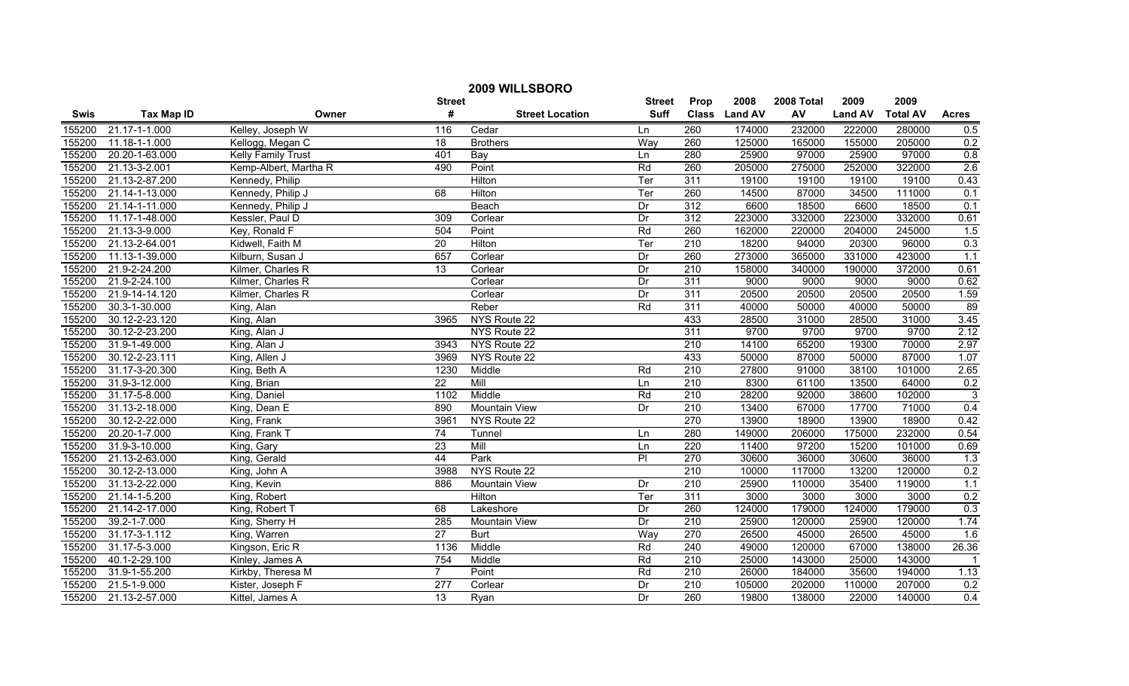| 2009 WILLSBORO |                   |                           |                  |                        |                |                  |               |            |                |                 |              |
|----------------|-------------------|---------------------------|------------------|------------------------|----------------|------------------|---------------|------------|----------------|-----------------|--------------|
|                |                   |                           | <b>Street</b>    |                        | <b>Street</b>  | Prop             | 2008          | 2008 Total | 2009           | 2009            |              |
| Swis           | <b>Tax Map ID</b> | Owner                     | #                | <b>Street Location</b> | <b>Suff</b>    |                  | Class Land AV | AV         | <b>Land AV</b> | <b>Total AV</b> | <b>Acres</b> |
| 155200         | 21.17-1-1.000     | Kelley, Joseph W          | 116              | Cedar                  | Ln             | 260              | 174000        | 232000     | 222000         | 280000          | 0.5          |
| 155200         | 11.18-1-1.000     | Kellogg, Megan C          | $\overline{18}$  | <b>Brothers</b>        | Way            | 260              | 125000        | 165000     | 155000         | 205000          | 0.2          |
| 155200         | 20.20-1-63.000    | <b>Kelly Family Trust</b> | 401              | Bay                    | Ln             | 280              | 25900         | 97000      | 25900          | 97000           | 0.8          |
| 155200         | 21.13-3-2.001     | Kemp-Albert, Martha R     | 490              | Point                  | Rd             | 260              | 205000        | 275000     | 252000         | 322000          | 2.6          |
| 155200         | 21.13-2-87.200    | Kennedy, Philip           |                  | Hilton                 | Ter            | 311              | 19100         | 19100      | 19100          | 19100           | 0.43         |
| 155200         | 21.14-1-13.000    | Kennedy, Philip J         | 68               | Hilton                 | Ter            | 260              | 14500         | 87000      | 34500          | 111000          | 0.1          |
| 155200         | 21.14-1-11.000    | Kennedy, Philip J         |                  | Beach                  | Dr             | 312              | 6600          | 18500      | 6600           | 18500           | 0.1          |
| 155200         | 11.17-1-48.000    | Kessler, Paul D           | 309              | Corlear                | Dr             | 312              | 223000        | 332000     | 223000         | 332000          | 0.61         |
| 155200         | 21.13-3-9.000     | Key, Ronald F             | 504              | Point                  | Rd             | 260              | 162000        | 220000     | 204000         | 245000          | 1.5          |
| 155200         | 21.13-2-64.001    | Kidwell, Faith M          | 20               | Hilton                 | Ter            | $\overline{210}$ | 18200         | 94000      | 20300          | 96000           | 0.3          |
| 155200         | 11.13-1-39.000    | Kilburn, Susan J          | 657              | Corlear                | Dr             | 260              | 273000        | 365000     | 331000         | 423000          | 1.1          |
| 155200         | 21.9-2-24.200     | Kilmer, Charles R         | 13               | Corlear                | Dr             | 210              | 158000        | 340000     | 190000         | 372000          | 0.61         |
| 155200         | 21.9-2-24.100     | Kilmer, Charles R         |                  | Corlear                | Dr             | 311              | 9000          | 9000       | 9000           | 9000            | 0.62         |
| 155200         | 21.9-14-14.120    | Kilmer, Charles R         |                  | Corlear                | Dr             | 311              | 20500         | 20500      | 20500          | 20500           | 1.59         |
| 155200         | 30.3-1-30.000     | King, Alan                |                  | Reber                  | Rd             | $\overline{311}$ | 40000         | 50000      | 40000          | 50000           | 89           |
| 155200         | 30.12-2-23.120    | King, Alan                | 3965             | NYS Route 22           |                | 433              | 28500         | 31000      | 28500          | 31000           | 3.45         |
| 155200         | 30.12-2-23.200    | King, Alan J              |                  | NYS Route 22           |                | 311              | 9700          | 9700       | 9700           | 9700            | 2.12         |
| 155200         | 31.9-1-49.000     | King, Alan J              | 3943             | NYS Route 22           |                | 210              | 14100         | 65200      | 19300          | 70000           | 2.97         |
| 155200         | 30.12-2-23.111    | King, Allen J             | 3969             | NYS Route 22           |                | 433              | 50000         | 87000      | 50000          | 87000           | 1.07         |
| 155200         | 31.17-3-20.300    | King, Beth A              | 1230             | Middle                 | Rd             | 210              | 27800         | 91000      | 38100          | 101000          | 2.65         |
| 155200         | 31.9-3-12.000     | King, Brian               | 22               | Mill                   | Ln             | 210              | 8300          | 61100      | 13500          | 64000           | 0.2          |
| 155200         | 31.17-5-8.000     | King, Daniel              | 1102             | Middle                 | Rd             | 210              | 28200         | 92000      | 38600          | 102000          | 3            |
| 155200         | 31.13-2-18.000    | King, Dean E              | 890              | <b>Mountain View</b>   | Dr             | 210              | 13400         | 67000      | 17700          | 71000           | 0.4          |
| 155200         | 30.12-2-22.000    | King, Frank               | 396 <sup>2</sup> | NYS Route 22           |                | 270              | 13900         | 18900      | 13900          | 18900           | 0.42         |
| 155200         | 20.20-1-7.000     | King, Frank T             | $\overline{74}$  | Tunnel                 | Ln             | 280              | 149000        | 206000     | 175000         | 232000          | 0.54         |
| 155200         | 31.9-3-10.000     | King, Gary                | $\overline{23}$  | Mill                   | Ln             | $\overline{220}$ | 11400         | 97200      | 15200          | 101000          | 0.69         |
| 155200         | 21.13-2-63.000    | King, Gerald              | 44               | Park                   | $\overline{P}$ | 270              | 30600         | 36000      | 30600          | 36000           | 1.3          |
| 155200         | 30.12-2-13.000    | King, John A              | 3988             | NYS Route 22           |                | 210              | 10000         | 117000     | 13200          | 120000          | 0.2          |
| 155200         | 31.13-2-22.000    | King, Kevin               | 886              | <b>Mountain View</b>   | Dr             | 210              | 25900         | 110000     | 35400          | 119000          | 1.1          |
| 155200         | 21.14-1-5.200     | King, Robert              |                  | <b>Hilton</b>          | Ter            | 311              | 3000          | 3000       | 3000           | 3000            | 0.2          |
| 155200         | 21.14-2-17.000    | King, Robert T            | 68               | Lakeshore              | Dr             | 260              | 124000        | 179000     | 124000         | 179000          | 0.3          |
| 155200         | 39.2-1-7.000      | King, Sherry H            | 285              | <b>Mountain View</b>   | Dr             | 210              | 25900         | 120000     | 25900          | 120000          | 1.74         |
| 155200         | 31.17-3-1.112     | King, Warren              | 27               | <b>Burt</b>            | Way            | 270              | 26500         | 45000      | 26500          | 45000           | 1.6          |
| 155200         | 31.17-5-3.000     | Kingson, Eric R           | 1136             | Middle                 | Rd             | 240              | 49000         | 120000     | 67000          | 138000          | 26.36        |
| 155200         | 40.1-2-29.100     | Kinley, James A           | 754              | Middle                 | Rd             | $\overline{210}$ | 25000         | 143000     | 25000          | 143000          | -1           |
| 155200         | 31.9-1-55.200     | Kirkby, Theresa M         | $\overline{7}$   | Point                  | Rd             | 210              | 26000         | 184000     | 35600          | 194000          | 1.13         |
| 155200         | 21.5-1-9.000      | Kister, Joseph F          | 277              | Corlear                | Dr             | 210              | 105000        | 202000     | 110000         | 207000          | 0.2          |
| 155200         | 21.13-2-57.000    | Kittel, James A           | $\overline{13}$  | Ryan                   | Dr             | 260              | 19800         | 138000     | 22000          | 140000          | 0.4          |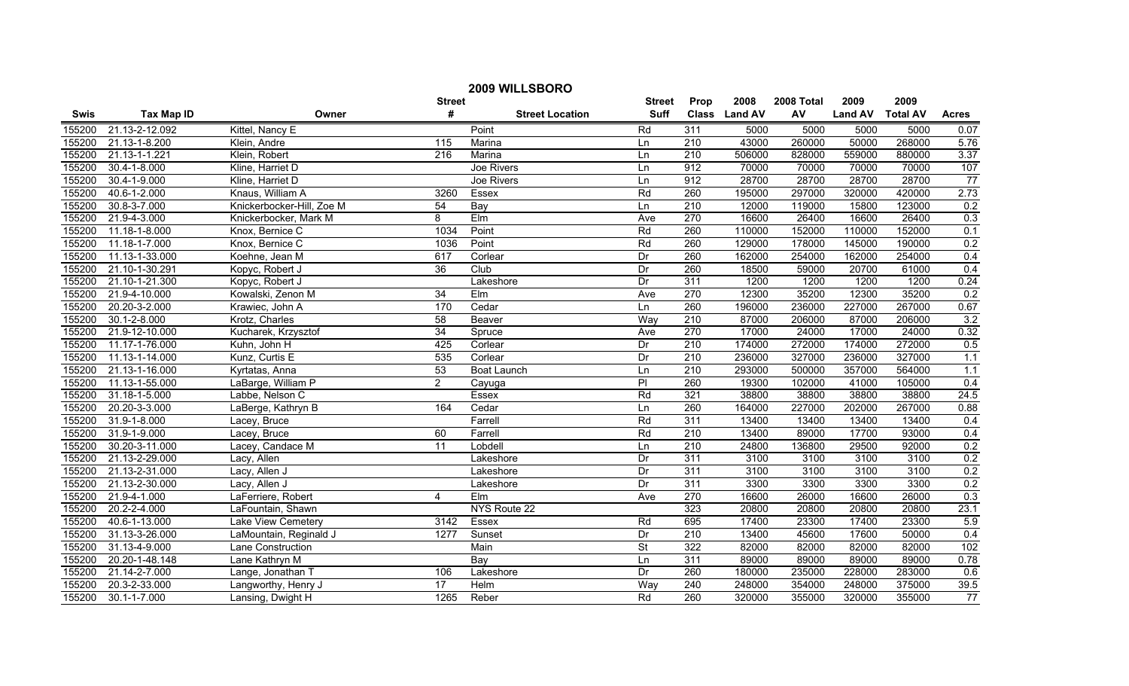| 2009 WILLSBORO |                    |                           |                 |                        |                          |                  |               |            |                |                 |                 |
|----------------|--------------------|---------------------------|-----------------|------------------------|--------------------------|------------------|---------------|------------|----------------|-----------------|-----------------|
|                |                    |                           | <b>Street</b>   |                        | <b>Street</b>            | Prop             | 2008          | 2008 Total | 2009           | 2009            |                 |
| <b>Swis</b>    | <b>Tax Map ID</b>  | Owner                     | #               | <b>Street Location</b> | <b>Suff</b>              |                  | Class Land AV | AV         | <b>Land AV</b> | <b>Total AV</b> | <b>Acres</b>    |
| 155200         | 21.13-2-12.092     | Kittel, Nancy E           |                 | Point                  | Rd                       | 311              | 5000          | 5000       | 5000           | 5000            | 0.07            |
| 155200         | 21.13-1-8.200      | Klein, Andre              | 115             | Marina                 | Ln                       | $\overline{210}$ | 43000         | 260000     | 50000          | 268000          | 5.76            |
| 155200         | 21.13-1-1.221      | Klein, Robert             | 216             | Marina                 | Ln                       | $\overline{210}$ | 506000        | 828000     | 559000         | 880000          | 3.37            |
| 155200         | 30.4-1-8.000       | Kline, Harriet D          |                 | Joe Rivers             | Ln                       | 912              | 70000         | 70000      | 70000          | 70000           | 107             |
| 155200         | 30.4-1-9.000       | Kline, Harriet D          |                 | Joe Rivers             | Ln                       | 912              | 28700         | 28700      | 28700          | 28700           | 77              |
| 155200         | 40.6-1-2.000       | Knaus, William A          | 3260            | Essex                  | Rd                       | 260              | 195000        | 297000     | 320000         | 420000          | 2.73            |
| 155200         | 30.8-3-7.000       | Knickerbocker-Hill, Zoe M | 54              | Bay                    | Ln                       | 210              | 12000         | 119000     | 15800          | 123000          | 0.2             |
| 155200         | 21.9-4-3.000       | Knickerbocker, Mark M     | $\overline{8}$  | Elm                    | Ave                      | 270              | 16600         | 26400      | 16600          | 26400           | 0.3             |
| 155200         | 11.18-1-8.000      | Knox, Bernice C           | 1034            | Point                  | Rd                       | 260              | 110000        | 152000     | 110000         | 152000          | 0.1             |
| 155200         | 11.18-1-7.000      | Knox, Bernice C           | 1036            | Point                  | Rd                       | 260              | 129000        | 178000     | 145000         | 190000          | 0.2             |
| 155200         | 11.13-1-33.000     | Koehne, Jean M            | 617             | Corlear                | Dr                       | 260              | 162000        | 254000     | 162000         | 254000          | 0.4             |
| 155200         | 21.10-1-30.291     | Kopyc, Robert J           | 36              | Club                   | Dr                       | 260              | 18500         | 59000      | 20700          | 61000           | 0.4             |
| 155200         | 21.10-1-21.300     | Kopyc, Robert J           |                 | Lakeshore              | Dr                       | 311              | 1200          | 1200       | 1200           | 1200            | 0.24            |
| 155200         | 21.9-4-10.000      | Kowalski, Zenon M         | 34              | $E$ Im                 | Ave                      | 270              | 12300         | 35200      | 12300          | 35200           | 0.2             |
| 155200         | 20.20-3-2.000      | Krawiec, John A           | 170             | Cedar                  | Ln                       | 260              | 196000        | 236000     | 227000         | 267000          | 0.67            |
| 155200         | $30.1 - 2 - 8.000$ | Krotz, Charles            | 58              | Beaver                 | Way                      | $\overline{210}$ | 87000         | 206000     | 87000          | 206000          | 3.2             |
| 155200         | 21.9-12-10.000     | Kucharek, Krzysztof       | 34              | Spruce                 | Ave                      | 270              | 17000         | 24000      | 17000          | 24000           | 0.32            |
| 155200         | 11.17-1-76.000     | Kuhn, John H              | 425             | Corlear                | Dr                       | 210              | 174000        | 272000     | 174000         | 272000          | 0.5             |
| 155200         | 11.13-1-14.000     | Kunz, Curtis E            | 535             | Corlear                | Dr                       | 210              | 236000        | 327000     | 236000         | 327000          | 1.1             |
| 155200         | 21.13-1-16.000     | Kyrtatas, Anna            | 53              | Boat Launch            | Ln                       | 210              | 293000        | 500000     | 357000         | 564000          | 1.1             |
| 155200         | 11.13-1-55.000     | LaBarge, William P        | $\overline{2}$  | Cayuga                 | $\overline{P}$           | 260              | 19300         | 102000     | 41000          | 105000          | 0.4             |
| 155200         | 31.18-1-5.000      | Labbe, Nelson C           |                 | Essex                  | Rd                       | 321              | 38800         | 38800      | 38800          | 38800           | 24.5            |
| 155200         | 20.20-3-3.000      | LaBerge, Kathryn B        | 164             | Cedar                  | $\overline{\ln}$         | 260              | 164000        | 227000     | 202000         | 267000          | 0.88            |
| 155200         | 31.9-1-8.000       | Lacey, Bruce              |                 | Farrell                | Rd                       | 311              | 13400         | 13400      | 13400          | 13400           | 0.4             |
| 155200         | 31.9-1-9.000       | Lacey, Bruce              | 60              | Farrell                | Rd                       | $\overline{210}$ | 13400         | 89000      | 17700          | 93000           | 0.4             |
| 155200         | 30.20-3-11.000     | Lacey, Candace M          | $\overline{11}$ | Lobdell                | Ln                       | $\overline{210}$ | 24800         | 136800     | 29500          | 92000           | 0.2             |
| 155200         | 21.13-2-29.000     | Lacy, Allen               |                 | Lakeshore              | Dr                       | 311              | 3100          | 3100       | 3100           | 3100            | 0.2             |
| 155200         | 21.13-2-31.000     | Lacy, Allen J             |                 | Lakeshore              | Dr                       | 311              | 3100          | 3100       | 3100           | 3100            | 0.2             |
| 155200         | 21.13-2-30.000     | Lacy, Allen J             |                 | Lakeshore              | Dr                       | 311              | 3300          | 3300       | 3300           | 3300            | 0.2             |
| 155200         | 21.9-4-1.000       | LaFerriere, Robert        | 4               | Elm                    | Ave                      | 270              | 16600         | 26000      | 16600          | 26000           | 0.3             |
| 155200         | $20.2 - 2 - 4.000$ | LaFountain, Shawn         |                 | NYS Route 22           |                          | 323              | 20800         | 20800      | 20800          | 20800           | 23.1            |
| 155200         | 40.6-1-13.000      | Lake View Cemetery        | 3142            | Essex                  | Rd                       | 695              | 17400         | 23300      | 17400          | 23300           | 5.9             |
| 155200         | 31.13-3-26.000     | LaMountain, Reginald J    | 1277            | Sunset                 | Dr                       | 210              | 13400         | 45600      | 17600          | 50000           | 0.4             |
| 155200         | 31.13-4-9.000      | Lane Construction         |                 | Main                   | $\overline{\mathsf{St}}$ | 322              | 82000         | 82000      | 82000          | 82000           | 102             |
| 155200         | 20.20-1-48.148     | Lane Kathryn M            |                 | Bay                    | Ln                       | 311              | 89000         | 89000      | 89000          | 89000           | 0.78            |
| 155200         | 21.14-2-7.000      | Lange, Jonathan T         | 106             | Lakeshore              | Dr                       | 260              | 180000        | 235000     | 228000         | 283000          | 0.6             |
| 155200         | 20.3-2-33.000      | Langworthy, Henry J       | $\overline{17}$ | Helm                   | Way                      | 240              | 248000        | 354000     | 248000         | 375000          | 39.5            |
| 155200         | $30.1 - 1 - 7.000$ | Lansing, Dwight H         | 1265            | Reber                  | Rd                       | 260              | 320000        | 355000     | 320000         | 355000          | $\overline{77}$ |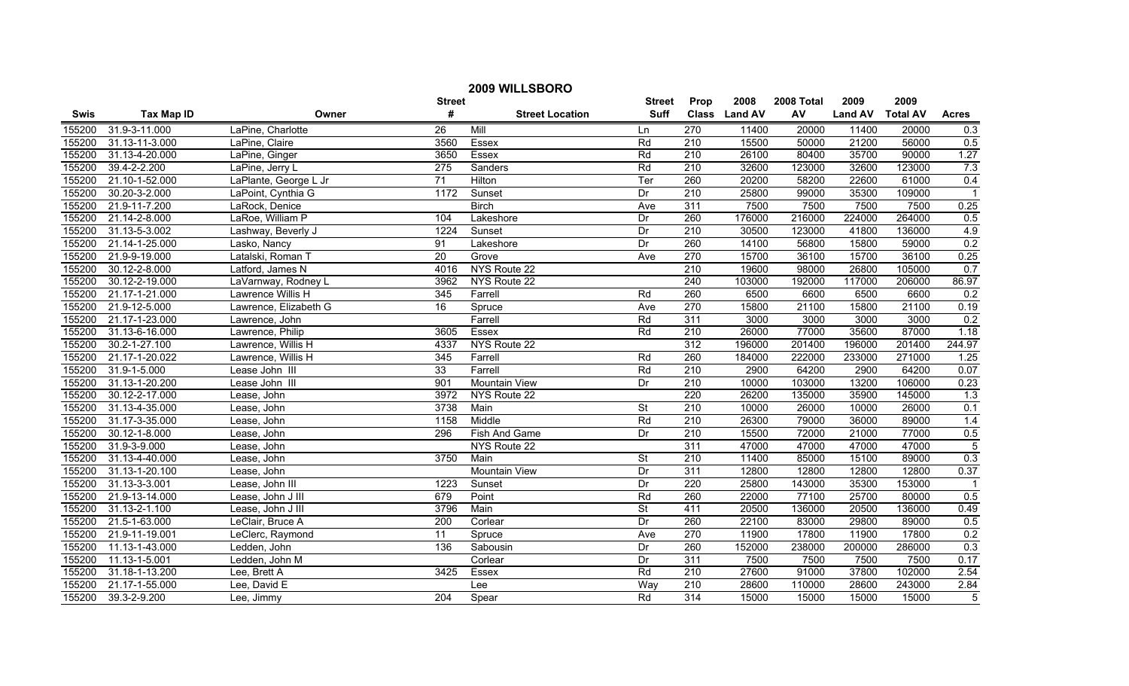| 2009 WILLSBORO |                   |                       |                 |                        |                          |                  |               |            |                |                 |                |
|----------------|-------------------|-----------------------|-----------------|------------------------|--------------------------|------------------|---------------|------------|----------------|-----------------|----------------|
|                |                   |                       | <b>Street</b>   |                        | <b>Street</b>            | Prop             | 2008          | 2008 Total | 2009           | 2009            |                |
| <b>Swis</b>    | <b>Tax Map ID</b> | Owner                 | #               | <b>Street Location</b> | <b>Suff</b>              |                  | Class Land AV | AV         | <b>Land AV</b> | <b>Total AV</b> | <b>Acres</b>   |
| 155200         | 31.9-3-11.000     | LaPine, Charlotte     | $\overline{26}$ | Mill                   | Ln                       | 270              | 11400         | 20000      | 11400          | 20000           | 0.3            |
| 155200         | 31.13-11-3.000    | LaPine, Claire        | 3560            | Essex                  | Rd                       | 210              | 15500         | 50000      | 21200          | 56000           | 0.5            |
| 155200         | 31.13-4-20.000    | LaPine, Ginger        | 3650            | Essex                  | Rd                       | $\overline{210}$ | 26100         | 80400      | 35700          | 90000           | 1.27           |
| 155200         | 39.4-2-2.200      | LaPine, Jerry L       | 275             | Sanders                | Rd                       | 210              | 32600         | 123000     | 32600          | 123000          | 7.3            |
| 155200         | 21.10-1-52.000    | LaPlante, George L Jr | 71              | Hilton                 | Ter                      | 260              | 20200         | 58200      | 22600          | 61000           | 0.4            |
| 155200         | 30.20-3-2.000     | LaPoint, Cynthia G    | 1172            | Sunset                 | Dr                       | 210              | 25800         | 99000      | 35300          | 109000          | $\overline{1}$ |
| 155200         | 21.9-11-7.200     | LaRock, Denice        |                 | <b>Birch</b>           | Ave                      | 311              | 7500          | 7500       | 7500           | 7500            | 0.25           |
| 155200         | 21.14-2-8.000     | LaRoe, William P      | 104             | Lakeshore              | Dr                       | 260              | 176000        | 216000     | 224000         | 264000          | 0.5            |
| 155200         | 31.13-5-3.002     | Lashway, Beverly J    | 1224            | Sunset                 | Dr                       | 210              | 30500         | 123000     | 41800          | 136000          | 4.9            |
| 155200         | 21.14-1-25.000    | Lasko, Nancy          | 91              | Lakeshore              | Dr                       | 260              | 14100         | 56800      | 15800          | 59000           | 0.2            |
| 155200         | 21.9-9-19.000     | Latalski, Roman T     | 20              | Grove                  | Ave                      | 270              | 15700         | 36100      | 15700          | 36100           | 0.25           |
| 155200         | 30.12-2-8.000     | Latford, James N      | 4016            | NYS Route 22           |                          | 210              | 19600         | 98000      | 26800          | 105000          | 0.7            |
| 155200         | 30.12-2-19.000    | LaVarnway, Rodney L   | 3962            | NYS Route 22           |                          | 240              | 103000        | 192000     | 117000         | 206000          | 86.97          |
| 155200         | 21.17-1-21.000    | Lawrence Willis H     | 345             | Farrell                | Rd                       | 260              | 6500          | 6600       | 6500           | 6600            | 0.2            |
| 155200         | 21.9-12-5.000     | Lawrence, Elizabeth G | 16              | Spruce                 | Ave                      | 270              | 15800         | 21100      | 15800          | 21100           | 0.19           |
| 155200         | 21.17-1-23.000    | Lawrence, John        |                 | Farrell                | Rd                       | 311              | 3000          | 3000       | 3000           | 3000            | 0.2            |
| 155200         | 31.13-6-16.000    | Lawrence, Philip      | 3605            | <b>Essex</b>           | Rd                       | 210              | 26000         | 77000      | 35600          | 87000           | 1.18           |
| 155200         | 30.2-1-27.100     | Lawrence, Willis H    | 4337            | NYS Route 22           |                          | 312              | 196000        | 201400     | 196000         | 201400          | 244.97         |
| 155200         | 21.17-1-20.022    | Lawrence, Willis H    | 345             | Farrell                | Rd                       | 260              | 184000        | 222000     | 233000         | 271000          | 1.25           |
| 155200         | 31.9-1-5.000      | Lease John III        | 33              | Farrell                | Rd                       | 210              | 2900          | 64200      | 2900           | 64200           | 0.07           |
| 155200         | 31.13-1-20.200    | Lease John III        | 901             | <b>Mountain View</b>   | Dr                       | 210              | 10000         | 103000     | 13200          | 106000          | 0.23           |
| 155200         | 30.12-2-17.000    | Lease, John           | 3972            | NYS Route 22           |                          | 220              | 26200         | 135000     | 35900          | 145000          | 1.3            |
| 155200         | 31.13-4-35.000    | Lease, John           | 3738            | Main                   | $\overline{\mathsf{St}}$ | 210              | 10000         | 26000      | 10000          | 26000           | 0.1            |
| 155200         | 31.17-3-35.000    | Lease, John           | 1158            | Middle                 | Rd                       | $\overline{210}$ | 26300         | 79000      | 36000          | 89000           | 1.4            |
| 155200         | 30.12-1-8.000     | Lease, John           | 296             | Fish And Game          | Dr                       | $\overline{210}$ | 15500         | 72000      | 21000          | 77000           | 0.5            |
| 155200         | 31.9-3-9.000      | Lease, John           |                 | NYS Route 22           |                          | 311              | 47000         | 47000      | 47000          | 47000           | $\overline{5}$ |
| 155200         | 31.13-4-40.000    | Lease, John           | 3750            | Main                   | $\overline{\mathsf{St}}$ | 210              | 11400         | 85000      | 15100          | 89000           | 0.3            |
| 155200         | 31.13-1-20.100    | Lease, John           |                 | Mountain View          | Dr                       | $\overline{311}$ | 12800         | 12800      | 12800          | 12800           | 0.37           |
| 155200         | 31.13-3-3.001     | Lease, John III       | 1223            | Sunset                 | Dr                       | 220              | 25800         | 143000     | 35300          | 153000          | $\overline{1}$ |
| 155200         | 21.9-13-14.000    | Lease, John J III     | 679             | Point                  | Rd                       | 260              | 22000         | 77100      | 25700          | 80000           | 0.5            |
| 155200         | 31.13-2-1.100     | Lease, John J III     | 3796            | Main                   | $\overline{\mathsf{St}}$ | 411              | 20500         | 136000     | 20500          | 136000          | 0.49           |
| 155200         | 21.5-1-63.000     | LeClair, Bruce A      | 200             | Corlear                | Dr                       | 260              | 22100         | 83000      | 29800          | 89000           | 0.5            |
| 155200         | 21.9-11-19.001    | LeClerc, Raymond      | 11              | Spruce                 | Ave                      | 270              | 11900         | 17800      | 11900          | 17800           | 0.2            |
| 155200         | 11.13-1-43.000    | Ledden, John          | 136             | Sabousin               | Dr                       | 260              | 152000        | 238000     | 200000         | 286000          | 0.3            |
| 155200         | 11.13-1-5.001     | Ledden, John M        |                 | Corlear                | Dr                       | 311              | 7500          | 7500       | 7500           | 7500            | 0.17           |
| 155200         | 31.18-1-13.200    | Lee, Brett A          | 3425            | Essex                  | Rd                       | 210              | 27600         | 91000      | 37800          | 102000          | 2.54           |
| 155200         | 21.17-1-55.000    | Lee, David E          |                 | Lee                    | Way                      | 210              | 28600         | 110000     | 28600          | 243000          | 2.84           |
| 155200         | 39.3-2-9.200      | Lee, Jimmy            | 204             | Spear                  | Rd                       | 314              | 15000         | 15000      | 15000          | 15000           | $\overline{5}$ |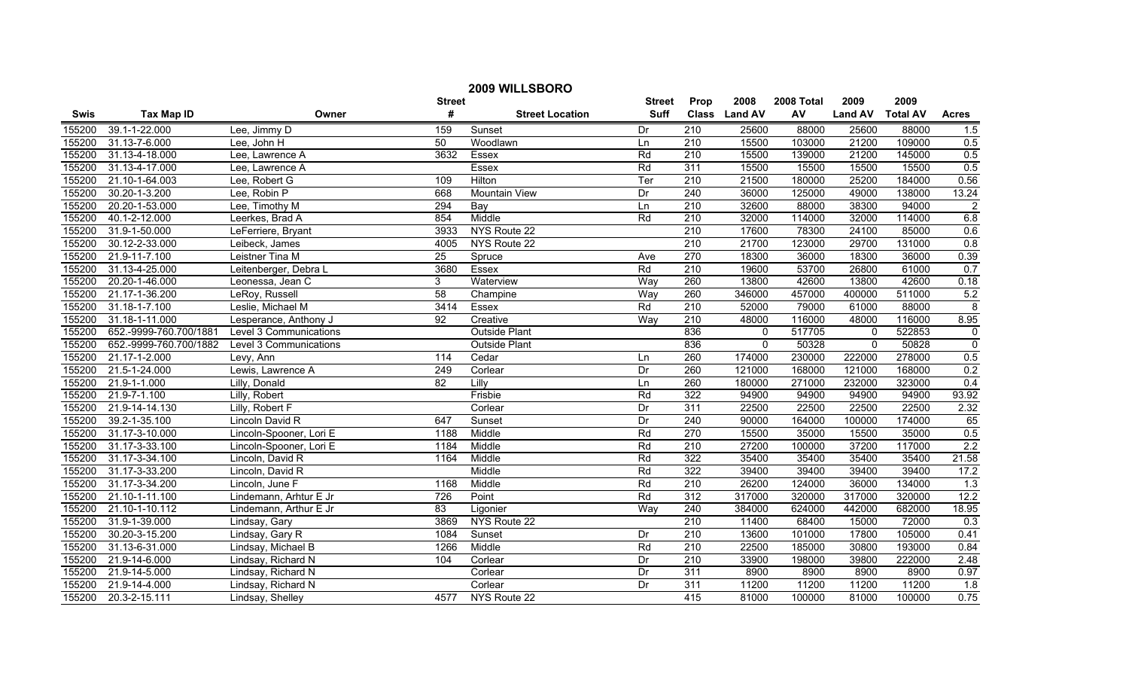|             | 2009 WILLSBORO         |                         |                 |                        |               |                  |               |            |                |                 |                  |  |
|-------------|------------------------|-------------------------|-----------------|------------------------|---------------|------------------|---------------|------------|----------------|-----------------|------------------|--|
|             |                        |                         | <b>Street</b>   |                        | <b>Street</b> | Prop             | 2008          | 2008 Total | 2009           | 2009            |                  |  |
| <b>Swis</b> | <b>Tax Map ID</b>      | Owner                   | #               | <b>Street Location</b> | <b>Suff</b>   |                  | Class Land AV | AV         | <b>Land AV</b> | <b>Total AV</b> | <b>Acres</b>     |  |
| 155200      | 39.1-1-22.000          | Lee, Jimmy D            | 159             | Sunset                 | Dr            | 210              | 25600         | 88000      | 25600          | 88000           | 1.5              |  |
| 155200      | 31.13-7-6.000          | Lee, John H             | 50              | Woodlawn               | Ln            | $\overline{210}$ | 15500         | 103000     | 21200          | 109000          | 0.5              |  |
| 155200      | 31.13-4-18.000         | Lee, Lawrence A         | 3632            | Essex                  | Rd            | $\overline{210}$ | 15500         | 139000     | 21200          | 145000          | 0.5              |  |
| 155200      | 31.13-4-17.000         | Lee, Lawrence A         |                 | <b>Essex</b>           | Rd            | 311              | 15500         | 15500      | 15500          | 15500           | 0.5              |  |
| 155200      | 21.10-1-64.003         | Lee, Robert G           | 109             | Hilton                 | Ter           | 210              | 21500         | 180000     | 25200          | 184000          | 0.56             |  |
| 155200      | 30.20-1-3.200          | Lee, Robin P            | 668             | Mountain View          | Dr            | 240              | 36000         | 125000     | 49000          | 138000          | 13.24            |  |
| 155200      | 20.20-1-53.000         | Lee, Timothy M          | 294             | Bay                    | Ln            | 210              | 32600         | 88000      | 38300          | 94000           | $\overline{2}$   |  |
| 155200      | 40.1-2-12.000          | Leerkes, Brad A         | 854             | Middle                 | Rd            | 210              | 32000         | 114000     | 32000          | 114000          | 6.8              |  |
| 155200      | 31.9-1-50.000          | LeFerriere, Bryant      | 3933            | NYS Route 22           |               | $\overline{210}$ | 17600         | 78300      | 24100          | 85000           | 0.6              |  |
| 155200      | 30.12-2-33.000         | Leibeck, James          | 4005            | NYS Route 22           |               | $\overline{210}$ | 21700         | 123000     | 29700          | 131000          | 0.8              |  |
| 155200      | 21.9-11-7.100          | Leistner Tina M         | $\overline{25}$ | Spruce                 | Ave           | 270              | 18300         | 36000      | 18300          | 36000           | 0.39             |  |
| 155200      | 31.13-4-25.000         | Leitenberger, Debra L   | 3680            | Essex                  | Rd            | $\overline{210}$ | 19600         | 53700      | 26800          | 61000           | 0.7              |  |
| 155200      | 20.20-1-46.000         | Leonessa, Jean C        | 3               | Waterview              | Way           | 260              | 13800         | 42600      | 13800          | 42600           | 0.18             |  |
| 155200      | 21.17-1-36.200         | LeRoy, Russell          | 58              | Champine               | Way           | 260              | 346000        | 457000     | 400000         | 511000          | 5.2              |  |
| 155200      | 31.18-1-7.100          | Leslie, Michael M       | 3414            | Essex                  | Rd            | $\overline{210}$ | 52000         | 79000      | 61000          | 88000           | 8                |  |
| 155200      | 31.18-1-11.000         | Lesperance, Anthony J   | $\overline{92}$ | Creative               | Way           | 210              | 48000         | 116000     | 48000          | 116000          | 8.95             |  |
| 155200      | 652.-9999-760.700/1881 | Level 3 Communications  |                 | <b>Outside Plant</b>   |               | 836              | $\mathbf 0$   | 517705     | $\mathbf 0$    | 522853          | $\overline{0}$   |  |
| 155200      | 652.-9999-760.700/1882 | Level 3 Communications  |                 | <b>Outside Plant</b>   |               | 836              | $\Omega$      | 50328      | $\Omega$       | 50828           | $\overline{0}$   |  |
| 155200      | 21.17-1-2.000          | Levy, Ann               | 114             | Cedar                  | Ln            | 260              | 174000        | 230000     | 222000         | 278000          | 0.5              |  |
| 155200      | 21.5-1-24.000          | Lewis, Lawrence A       | 249             | Corlear                | Dr            | 260              | 121000        | 168000     | 121000         | 168000          | 0.2              |  |
| 155200      | 21.9-1-1.000           | Lilly, Donald           | 82              | Lilly                  | Ln            | 260              | 180000        | 271000     | 232000         | 323000          | 0.4              |  |
| 155200      | 21.9-7-1.100           | Lilly, Robert           |                 | Frisbie                | Rd            | 322              | 94900         | 94900      | 94900          | 94900           | 93.92            |  |
| 155200      | 21.9-14-14.130         | Lilly, Robert F         |                 | Corlear                | Dr            | 311              | 22500         | 22500      | 22500          | 22500           | 2.32             |  |
| 155200      | 39.2-1-35.100          | Lincoln David R         | 647             | Sunset                 | Dr            | $\overline{240}$ | 90000         | 164000     | 100000         | 174000          | 65               |  |
| 155200      | 31.17-3-10.000         | Lincoln-Spooner, Lori E | 1188            | Middle                 | Rd            | 270              | 15500         | 35000      | 15500          | 35000           | 0.5              |  |
| 155200      | 31.17-3-33.100         | Lincoln-Spooner, Lori E | 1184            | Middle                 | Rd            | $\overline{210}$ | 27200         | 100000     | 37200          | 117000          | 2.2              |  |
| 155200      | 31.17-3-34.100         | Lincoln, David R        | 1164            | Middle                 | Rd            | 322              | 35400         | 35400      | 35400          | 35400           | 21.58            |  |
| 155200      | 31.17-3-33.200         | Lincoln, David R        |                 | Middle                 | Rd            | 322              | 39400         | 39400      | 39400          | 39400           | 17.2             |  |
| 155200      | 31.17-3-34.200         | Lincoln, June F         | 1168            | Middle                 | Rd            | 210              | 26200         | 124000     | 36000          | 134000          | 1.3              |  |
| 155200      | 21.10-1-11.100         | Lindemann, Arhtur E Jr  | 726             | Point                  | Rd            | 312              | 317000        | 320000     | 317000         | 320000          | 12.2             |  |
| 155200      | 21.10-1-10.112         | Lindemann, Arthur E Jr  | 83              | Ligonier               | Way           | 240              | 384000        | 624000     | 442000         | 682000          | 18.95            |  |
| 155200      | 31.9-1-39.000          | Lindsay, Gary           | 3869            | NYS Route 22           |               | 210              | 11400         | 68400      | 15000          | 72000           | 0.3              |  |
| 155200      | 30.20-3-15.200         | Lindsay, Gary R         | 1084            | Sunset                 | Dr            | 210              | 13600         | 101000     | 17800          | 105000          | 0.41             |  |
| 155200      | 31.13-6-31.000         | Lindsay, Michael B      | 1266            | Middle                 | Rd            | 210              | 22500         | 185000     | 30800          | 193000          | 0.84             |  |
| 155200      | 21.9-14-6.000          | Lindsay, Richard N      | 104             | Corlear                | Dr            | $\overline{210}$ | 33900         | 198000     | 39800          | 222000          | 2.48             |  |
| 155200      | 21.9-14-5.000          | Lindsay, Richard N      |                 | Corlear                | Dr            | 311              | 8900          | 8900       | 8900           | 8900            | 0.97             |  |
| 155200      | 21.9-14-4.000          | Lindsay, Richard N      |                 | Corlear                | Dr            | 311              | 11200         | 11200      | 11200          | 11200           | $\overline{1.8}$ |  |
| 155200      | 20.3-2-15.111          | Lindsay, Shelley        | 4577            | NYS Route 22           |               | 415              | 81000         | 100000     | 81000          | 100000          | 0.75             |  |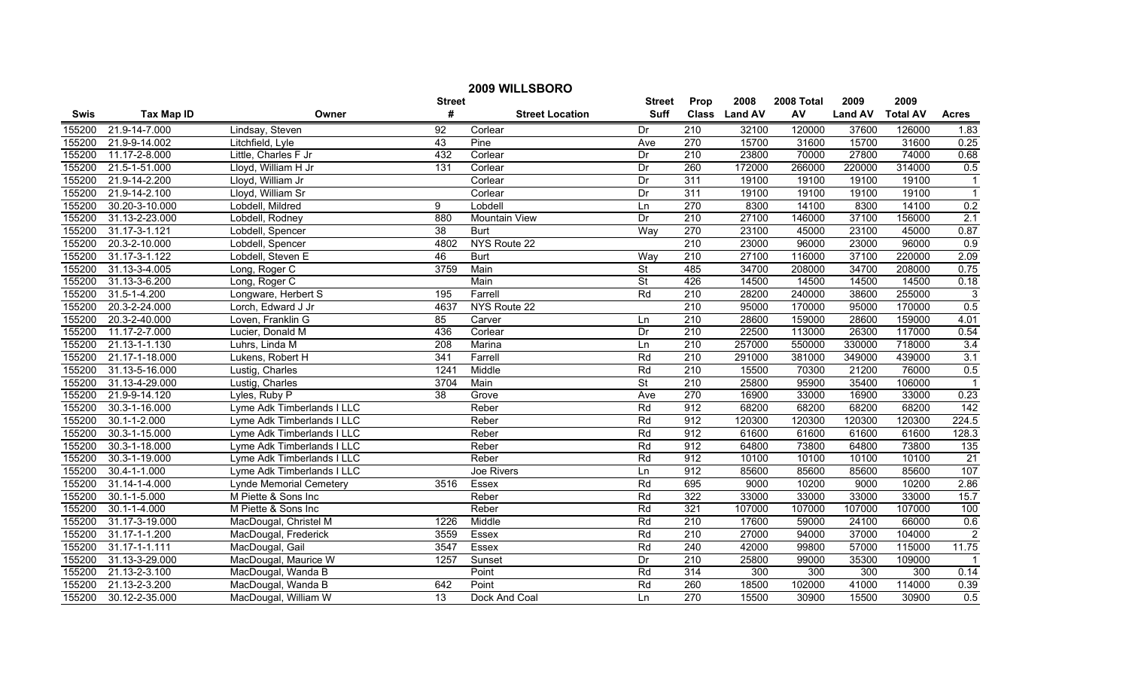| 2009 WILLSBORO |                    |                                |                 |                        |                          |                  |               |            |                |                 |                 |
|----------------|--------------------|--------------------------------|-----------------|------------------------|--------------------------|------------------|---------------|------------|----------------|-----------------|-----------------|
|                |                    |                                | <b>Street</b>   |                        | <b>Street</b>            | Prop             | 2008          | 2008 Total | 2009           | 2009            |                 |
| <b>Swis</b>    | <b>Tax Map ID</b>  | Owner                          | #               | <b>Street Location</b> | <b>Suff</b>              |                  | Class Land AV | AV         | <b>Land AV</b> | <b>Total AV</b> | <b>Acres</b>    |
| 155200         | 21.9-14-7.000      | Lindsay, Steven                | 92              | Corlear                | Dr                       | 210              | 32100         | 120000     | 37600          | 126000          | 1.83            |
| 155200         | 21.9-9-14.002      | Litchfield, Lyle               | 43              | Pine                   | Ave                      | 270              | 15700         | 31600      | 15700          | 31600           | 0.25            |
| 155200         | 11.17-2-8.000      | Little, Charles F Jr           | 432             | Corlear                | Dr                       | $\overline{210}$ | 23800         | 70000      | 27800          | 74000           | 0.68            |
| 155200         | 21.5-1-51.000      | Lloyd, William H Jr            | 131             | Corlear                | Dr                       | 260              | 172000        | 266000     | 220000         | 314000          | 0.5             |
| 155200         | 21.9-14-2.200      | Lloyd, William Jr              |                 | Corlear                | Dr                       | 311              | 19100         | 19100      | 19100          | 19100           | $\overline{1}$  |
| 155200         | 21.9-14-2.100      | Lloyd, William Sr              |                 | Corlear                | Dr                       | 311              | 19100         | 19100      | 19100          | 19100           | $\overline{1}$  |
| 155200         | 30.20-3-10.000     | Lobdell, Mildred               | 9               | Lobdell                | Ln                       | 270              | 8300          | 14100      | 8300           | 14100           | 0.2             |
| 155200         | 31.13-2-23.000     | Lobdell, Rodney                | 880             | <b>Mountain View</b>   | Dr                       | 210              | 27100         | 146000     | 37100          | 156000          | 2.1             |
| 155200         | 31.17-3-1.121      | Lobdell, Spencer               | $\overline{38}$ | <b>Burt</b>            | Way                      | 270              | 23100         | 45000      | 23100          | 45000           | 0.87            |
| 155200         | 20.3-2-10.000      | Lobdell, Spencer               | 4802            | NYS Route 22           |                          | 210              | 23000         | 96000      | 23000          | 96000           | 0.9             |
| 155200         | 31.17-3-1.122      | Lobdell, Steven E              | 46              | <b>Burt</b>            | Wav                      | 210              | 27100         | 116000     | 37100          | 220000          | 2.09            |
| 155200         | 31.13-3-4.005      | Long, Roger C                  | 3759            | Main                   | $\overline{\mathsf{St}}$ | 485              | 34700         | 208000     | 34700          | 208000          | 0.75            |
| 155200         | 31.13-3-6.200      | Long, Roger C                  |                 | Main                   | $\overline{\mathsf{St}}$ | 426              | 14500         | 14500      | 14500          | 14500           | 0.18            |
| 155200         | 31.5-1-4.200       | Longware, Herbert S            | 195             | Farrell                | Rd                       | 210              | 28200         | 240000     | 38600          | 255000          | $\overline{3}$  |
| 155200         | 20.3-2-24.000      | Lorch, Edward J Jr             | 4637            | NYS Route 22           |                          | 210              | 95000         | 170000     | 95000          | 170000          | 0.5             |
| 155200         | 20.3-2-40.000      | Loven, Franklin G              | 85              | Carver                 | Ln                       | 210              | 28600         | 159000     | 28600          | 159000          | 4.01            |
| 155200         | 11.17-2-7.000      | Lucier, Donald M               | 436             | Corlear                | Dr                       | 210              | 22500         | 113000     | 26300          | 117000          | 0.54            |
| 155200         | 21.13-1-1.130      | Luhrs, Linda M                 | 208             | Marina                 | Ln                       | 210              | 257000        | 550000     | 330000         | 718000          | 3.4             |
| 155200         | 21.17-1-18.000     | Lukens, Robert H               | 341             | Farrell                | Rd                       | 210              | 291000        | 381000     | 349000         | 439000          | 3.1             |
| 155200         | 31.13-5-16.000     | Lustig, Charles                | 1241            | Middle                 | Rd                       | 210              | 15500         | 70300      | 21200          | 76000           | 0.5             |
| 155200         | 31.13-4-29.000     | Lustig, Charles                | 3704            | Main                   | $\overline{\mathsf{St}}$ | $\overline{210}$ | 25800         | 95900      | 35400          | 106000          | $\overline{1}$  |
| 155200         | 21.9-9-14.120      | Lyles, Ruby P                  | $\overline{38}$ | Grove                  | Ave                      | 270              | 16900         | 33000      | 16900          | 33000           | 0.23            |
| 155200         | 30.3-1-16.000      | Lyme Adk Timberlands I LLC     |                 | Reber                  | Rd                       | 912              | 68200         | 68200      | 68200          | 68200           | 142             |
| 155200         | $30.1 - 1 - 2.000$ | Lyme Adk Timberlands I LLC     |                 | Reber                  | Rd                       | 912              | 120300        | 120300     | 120300         | 120300          | 224.5           |
| 155200         | 30.3-1-15.000      | Lyme Adk Timberlands I LLC     |                 | Reber                  | Rd                       | 912              | 61600         | 61600      | 61600          | 61600           | 128.3           |
| 155200         | 30.3-1-18.000      | Lyme Adk Timberlands I LLC     |                 | Reber                  | Rd                       | 912              | 64800         | 73800      | 64800          | 73800           | 135             |
| 155200         | 30.3-1-19.000      | Lyme Adk Timberlands I LLC     |                 | Reber                  | Rd                       | 912              | 10100         | 10100      | 10100          | 10100           | $\overline{21}$ |
| 155200         | 30.4-1-1.000       | Lyme Adk Timberlands I LLC     |                 | Joe Rivers             | Ln                       | 912              | 85600         | 85600      | 85600          | 85600           | 107             |
| 155200         | 31.14-1-4.000      | <b>Lynde Memorial Cemetery</b> | 3516            | Essex                  | Rd                       | 695              | 9000          | 10200      | 9000           | 10200           | 2.86            |
| 155200         | $30.1 - 1 - 5.000$ | M Piette & Sons Inc            |                 | Reber                  | Rd                       | 322              | 33000         | 33000      | 33000          | 33000           | 15.7            |
| 155200         | $30.1 - 1 - 4.000$ | M Piette & Sons Inc            |                 | Reber                  | Rd                       | 321              | 107000        | 107000     | 107000         | 107000          | 100             |
| 155200         | 31.17-3-19.000     | MacDougal, Christel M          | 1226            | Middle                 | Rd                       | 210              | 17600         | 59000      | 24100          | 66000           | 0.6             |
| 155200         | 31.17-1-1.200      | MacDougal, Frederick           | 3559            | <b>Essex</b>           | Rd                       | 210              | 27000         | 94000      | 37000          | 104000          | $\overline{2}$  |
| 155200         | 31.17-1-1.111      | MacDougal, Gail                | 3547            | Essex                  | Rd                       | 240              | 42000         | 99800      | 57000          | 115000          | 11.75           |
| 155200         | 31.13-3-29.000     | MacDougal, Maurice W           | 1257            | Sunset                 | Dr                       | 210              | 25800         | 99000      | 35300          | 109000          | -1              |
| 155200         | 21.13-2-3.100      | MacDougal, Wanda B             |                 | Point                  | Rd                       | 314              | 300           | 300        | 300            | 300             | 0.14            |
| 155200         | 21.13-2-3.200      | MacDougal, Wanda B             | 642             | Point                  | Rd                       | 260              | 18500         | 102000     | 41000          | 114000          | 0.39            |
| 155200         | 30.12-2-35.000     | MacDougal, William W           | $\overline{13}$ | Dock And Coal          | Ln                       | 270              | 15500         | 30900      | 15500          | 30900           | 0.5             |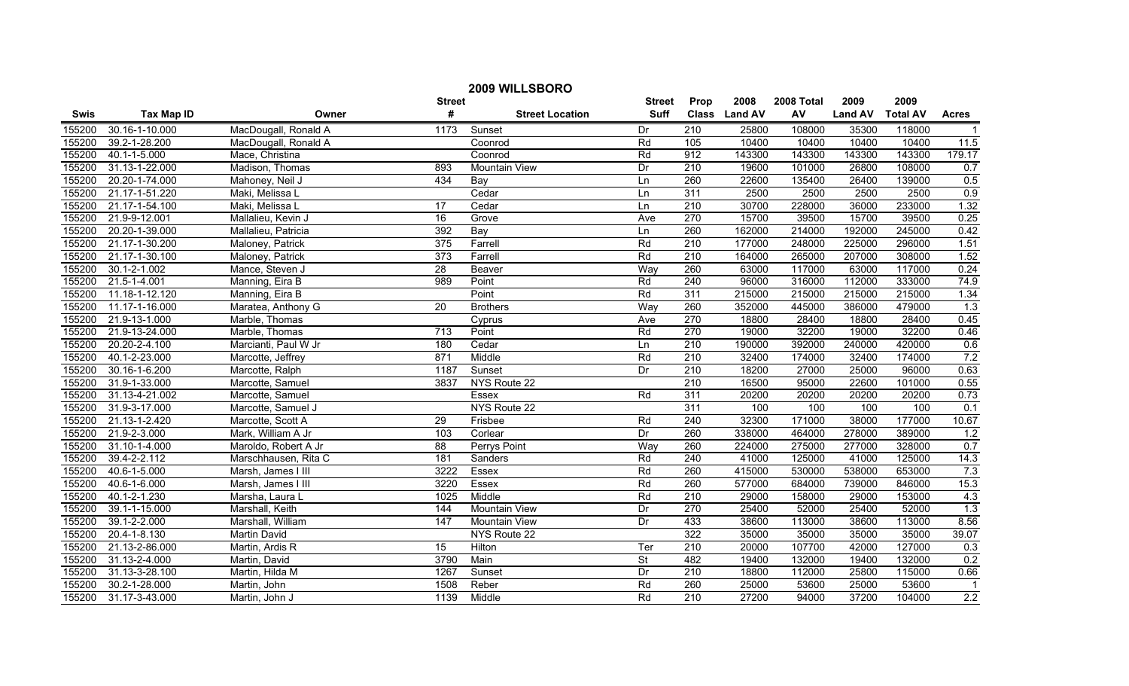| 2009 WILLSBORO |                    |                      |                  |                        |               |                  |               |            |                |                 |                         |
|----------------|--------------------|----------------------|------------------|------------------------|---------------|------------------|---------------|------------|----------------|-----------------|-------------------------|
|                |                    |                      | <b>Street</b>    |                        | <b>Street</b> | Prop             | 2008          | 2008 Total | 2009           | 2009            |                         |
| Swis           | <b>Tax Map ID</b>  | Owner                | #                | <b>Street Location</b> | <b>Suff</b>   |                  | Class Land AV | AV         | <b>Land AV</b> | <b>Total AV</b> | <b>Acres</b>            |
| 155200         | 30.16-1-10.000     | MacDougall, Ronald A | 1173             | Sunset                 | Dr            | 210              | 25800         | 108000     | 35300          | 118000          | $\overline{1}$          |
| 155200         | 39.2-1-28.200      | MacDougall, Ronald A |                  | Coonrod                | Rd            | 105              | 10400         | 10400      | 10400          | 10400           | 11.5                    |
| 155200         | 40.1-1-5.000       | Mace, Christina      |                  | Coonrod                | Rd            | 912              | 143300        | 143300     | 143300         | 143300          | 179.17                  |
| 155200         | 31.13-1-22.000     | Madison, Thomas      | 893              | <b>Mountain View</b>   | Dr            | 210              | 19600         | 101000     | 26800          | 108000          | 0.7                     |
| 155200         | 20.20-1-74.000     | Mahoney, Neil J      | 434              | Bay                    | Ln            | 260              | 22600         | 135400     | 26400          | 139000          | 0.5                     |
| 155200         | 21.17-1-51.220     | Maki, Melissa L      |                  | Cedar                  | Ln            | 311              | 2500          | 2500       | 2500           | 2500            | 0.9                     |
| 155200         | 21.17-1-54.100     | Maki, Melissa L      | 17               | Cedar                  | Ln            | 210              | 30700         | 228000     | 36000          | 233000          | 1.32                    |
| 155200         | 21.9-9-12.001      | Mallalieu, Kevin J   | 16               | Grove                  | Ave           | 270              | 15700         | 39500      | 15700          | 39500           | 0.25                    |
| 155200         | 20.20-1-39.000     | Mallalieu, Patricia  | 392              | Bay                    | Ln            | 260              | 162000        | 214000     | 192000         | 245000          | 0.42                    |
| 155200         | 21.17-1-30.200     | Maloney, Patrick     | 375              | Farrell                | Rd            | 210              | 177000        | 248000     | 225000         | 296000          | 1.51                    |
| 155200         | 21.17-1-30.100     | Maloney, Patrick     | $\overline{373}$ | Farrell                | Rd            | $\overline{210}$ | 164000        | 265000     | 207000         | 308000          | 1.52                    |
| 155200         | $30.1 - 2 - 1.002$ | Mance, Steven J      | $\overline{28}$  | Beaver                 | Way           | 260              | 63000         | 117000     | 63000          | 117000          | 0.24                    |
| 155200         | 21.5-1-4.001       | Manning, Eira B      | 989              | Point                  | Rd            | $\overline{240}$ | 96000         | 316000     | 112000         | 333000          | 74.9                    |
| 155200         | 11.18-1-12.120     | Manning, Eira B      |                  | Point                  | Rd            | 311              | 215000        | 215000     | 215000         | 215000          | 1.34                    |
| 155200         | 11.17-1-16.000     | Maratea, Anthony G   | 20               | <b>Brothers</b>        | Way           | 260              | 352000        | 445000     | 386000         | 479000          | 1.3                     |
| 155200         | 21.9-13-1.000      | Marble, Thomas       |                  | Cyprus                 | Ave           | 270              | 18800         | 28400      | 18800          | 28400           | 0.45                    |
| 155200         | 21.9-13-24.000     | Marble, Thomas       | 713              | Point                  | Rd            | 270              | 19000         | 32200      | 19000          | 32200           | 0.46                    |
| 155200         | 20.20-2-4.100      | Marcianti, Paul W Jr | 180              | Cedar                  | Ln            | 210              | 190000        | 392000     | 240000         | 420000          | 0.6                     |
| 155200         | 40.1-2-23.000      | Marcotte, Jeffrey    | 871              | Middle                 | Rd            | 210              | 32400         | 174000     | 32400          | 174000          | 7.2                     |
| 155200         | 30.16-1-6.200      | Marcotte, Ralph      | 1187             | Sunset                 | Dr            | 210              | 18200         | 27000      | 25000          | 96000           | 0.63                    |
| 155200         | 31.9-1-33.000      | Marcotte, Samuel     | 3837             | NYS Route 22           |               | 210              | 16500         | 95000      | 22600          | 101000          | 0.55                    |
| 155200         | 31.13-4-21.002     | Marcotte, Samuel     |                  | Essex                  | Rd            | 311              | 20200         | 20200      | 20200          | 20200           | 0.73                    |
| 155200         | 31.9-3-17.000      | Marcotte, Samuel J   |                  | NYS Route 22           |               | 311              | 100           | 100        | 100            | 100             | 0.1                     |
| 155200         | 21.13-1-2.420      | Marcotte, Scott A    | 29               | Frisbee                | Rd            | 240              | 32300         | 171000     | 38000          | 177000          | 10.67                   |
| 155200         | 21.9-2-3.000       | Mark, William A Jr   | 103              | Corlear                | Dr            | 260              | 338000        | 464000     | 278000         | 389000          | 1.2                     |
| 155200         | 31.10-1-4.000      | Maroldo, Robert A Jr | 88               | Perrys Point           | Way           | 260              | 224000        | 275000     | 277000         | 328000          | 0.7                     |
| 155200         | 39.4-2-2.112       | Marschhausen, Rita C | 181              | Sanders                | Rd            | $\overline{240}$ | 41000         | 125000     | 41000          | 125000          | 14.3                    |
| 155200         | 40.6-1-5.000       | Marsh, James I III   | 3222             | Essex                  | Rd            | 260              | 415000        | 530000     | 538000         | 653000          | 7.3                     |
| 155200         | 40.6-1-6.000       | Marsh, James I III   | 3220             | Essex                  | Rd            | 260              | 577000        | 684000     | 739000         | 846000          | 15.3                    |
| 155200         | 40.1-2-1.230       | Marsha, Laura L      | 1025             | Middle                 | Rd            | 210              | 29000         | 158000     | 29000          | 153000          | 4.3                     |
| 155200         | 39.1-1-15.000      | Marshall, Keith      | 144              | <b>Mountain View</b>   | Dr            | 270              | 25400         | 52000      | 25400          | 52000           | 1.3                     |
| 155200         | 39.1-2-2.000       | Marshall, William    | 147              | <b>Mountain View</b>   | Dr            | 433              | 38600         | 113000     | 38600          | 113000          | 8.56                    |
| 155200         | 20.4-1-8.130       | <b>Martin David</b>  |                  | NYS Route 22           |               | 322              | 35000         | 35000      | 35000          | 35000           | 39.07                   |
| 155200         | 21.13-2-86.000     | Martin, Ardis R      | 15               | Hilton                 | Ter           | $\overline{210}$ | 20000         | 107700     | 42000          | 127000          | 0.3                     |
| 155200         | 31.13-2-4.000      | Martin, David        | 3790             | Main                   | St            | 482              | 19400         | 132000     | 19400          | 132000          | 0.2                     |
| 155200         | 31.13-3-28.100     | Martin, Hilda M      | 1267             | Sunset                 | Dr            | $\overline{210}$ | 18800         | 112000     | 25800          | 115000          | 0.66                    |
| 155200         | 30.2-1-28.000      | Martin, John         | 1508             | Reber                  | Rd            | 260              | 25000         | 53600      | 25000          | 53600           | $\overline{\mathbf{1}}$ |
| 155200         | 31.17-3-43.000     | Martin, John J       | 1139             | Middle                 | Rd            | $\overline{210}$ | 27200         | 94000      | 37200          | 104000          | 2.2                     |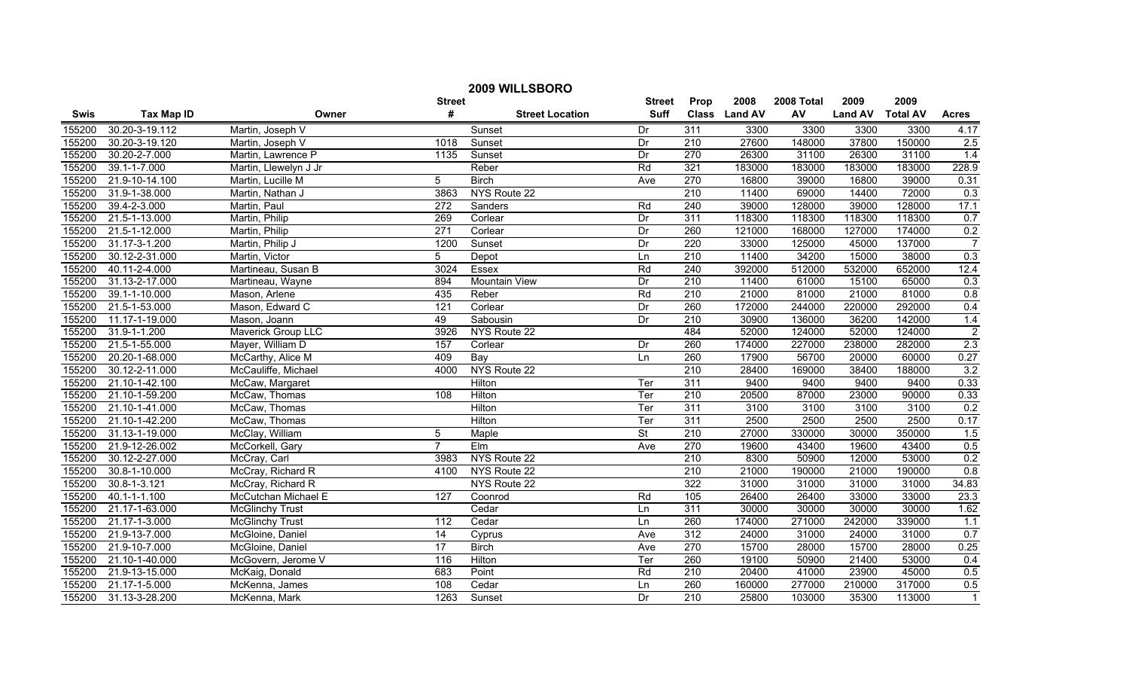| 2009 WILLSBORO |                    |                           |                  |                        |               |                  |               |            |                |                 |                  |
|----------------|--------------------|---------------------------|------------------|------------------------|---------------|------------------|---------------|------------|----------------|-----------------|------------------|
|                |                    |                           | <b>Street</b>    |                        | <b>Street</b> | Prop             | 2008          | 2008 Total | 2009           | 2009            |                  |
| <b>Swis</b>    | <b>Tax Map ID</b>  | Owner                     | #                | <b>Street Location</b> | <b>Suff</b>   |                  | Class Land AV | AV         | <b>Land AV</b> | <b>Total AV</b> | <b>Acres</b>     |
| 155200         | 30.20-3-19.112     | Martin, Joseph V          |                  | Sunset                 | Dr            | 311              | 3300          | 3300       | 3300           | 3300            | 4.17             |
| 155200         | 30.20-3-19.120     | Martin, Joseph V          | 1018             | Sunset                 | Dr            | $\overline{210}$ | 27600         | 148000     | 37800          | 150000          | 2.5              |
| 155200         | 30.20-2-7.000      | Martin, Lawrence P        | 1135             | Sunset                 | Dr            | 270              | 26300         | 31100      | 26300          | 31100           | 1.4              |
| 155200         | 39.1-1-7.000       | Martin, Llewelyn J Jr     |                  | Reber                  | Rd            | 321              | 183000        | 183000     | 183000         | 183000          | 228.9            |
| 155200         | 21.9-10-14.100     | Martin, Lucille M         | 5                | <b>Birch</b>           | Ave           | 270              | 16800         | 39000      | 16800          | 39000           | 0.31             |
| 155200         | 31.9-1-38.000      | Martin, Nathan J          | 3863             | NYS Route 22           |               | 210              | 11400         | 69000      | 14400          | 72000           | 0.3              |
| 155200         | 39.4-2-3.000       | Martin, Paul              | 272              | Sanders                | Rd            | 240              | 39000         | 128000     | 39000          | 128000          | 17.1             |
| 155200         | 21.5-1-13.000      | Martin, Philip            | 269              | Corlear                | Dr            | 311              | 118300        | 118300     | 118300         | 118300          | 0.7              |
| 155200         | 21.5-1-12.000      | Martin, Philip            | $\overline{271}$ | Corlear                | Dr            | 260              | 121000        | 168000     | 127000         | 174000          | 0.2              |
| 155200         | 31.17-3-1.200      | Martin, Philip J          | 1200             | Sunset                 | Dr            | $\overline{220}$ | 33000         | 125000     | 45000          | 137000          | $\overline{7}$   |
| 155200         | 30.12-2-31.000     | Martin, Victor            | 5                | Depot                  | Ln            | 210              | 11400         | 34200      | 15000          | 38000           | $\overline{0.3}$ |
| 155200         | 40.11-2-4.000      | Martineau, Susan B        | 3024             | Essex                  | Rd            | 240              | 392000        | 512000     | 532000         | 652000          | 12.4             |
| 155200         | 31.13-2-17.000     | Martineau, Wayne          | 894              | <b>Mountain View</b>   | Dr            | 210              | 11400         | 61000      | 15100          | 65000           | 0.3              |
| 155200         | 39.1-1-10.000      | Mason, Arlene             | 435              | Reber                  | Rd            | 210              | 21000         | 81000      | 21000          | 81000           | 0.8              |
| 155200         | 21.5-1-53.000      | Mason, Edward C           | $\overline{121}$ | Corlear                | Dr            | 260              | 172000        | 244000     | 220000         | 292000          | 0.4              |
| 155200         | 11.17-1-19.000     | Mason, Joann              | 49               | Sabousin               | Dr            | 210              | 30900         | 136000     | 36200          | 142000          | 1.4              |
| 155200         | 31.9-1-1.200       | <b>Maverick Group LLC</b> | 3926             | NYS Route 22           |               | 484              | 52000         | 124000     | 52000          | 124000          | $\overline{2}$   |
| 155200         | 21.5-1-55.000      | Mayer, William D          | 157              | Corlear                | Dr            | 260              | 174000        | 227000     | 238000         | 282000          | 2.3              |
| 155200         | 20.20-1-68.000     | McCarthy, Alice M         | 409              | Bay                    | Ln            | 260              | 17900         | 56700      | 20000          | 60000           | 0.27             |
| 155200         | 30.12-2-11.000     | McCauliffe, Michael       | 4000             | NYS Route 22           |               | 210              | 28400         | 169000     | 38400          | 188000          | 3.2              |
| 155200         | 21.10-1-42.100     | McCaw, Margaret           |                  | Hilton                 | Ter           | 311              | 9400          | 9400       | 9400           | 9400            | 0.33             |
| 155200         | 21.10-1-59.200     | McCaw, Thomas             | 108              | Hilton                 | Ter           | 210              | 20500         | 87000      | 23000          | 90000           | 0.33             |
| 155200         | 21.10-1-41.000     | McCaw, Thomas             |                  | Hilton                 | Ter           | 311              | 3100          | 3100       | 3100           | 3100            | 0.2              |
| 155200         | 21.10-1-42.200     | McCaw, Thomas             |                  | Hilton                 | Ter           | 311              | 2500          | 2500       | 2500           | 2500            | 0.17             |
| 155200         | 31.13-1-19.000     | McClay, William           | 5                | Maple                  | <b>St</b>     | $\overline{210}$ | 27000         | 330000     | 30000          | 350000          | 1.5              |
| 155200         | 21.9-12-26.002     | McCorkell, Gary           | $\overline{7}$   | EIm                    | Ave           | 270              | 19600         | 43400      | 19600          | 43400           | 0.5              |
| 155200         | 30.12-2-27.000     | McCray, Carl              | 3983             | NYS Route 22           |               | 210              | 8300          | 50900      | 12000          | 53000           | 0.2              |
| 155200         | 30.8-1-10.000      | McCray, Richard R         | 4100             | NYS Route 22           |               | $\overline{210}$ | 21000         | 190000     | 21000          | 190000          | 0.8              |
| 155200         | $30.8 - 1 - 3.121$ | McCray, Richard R         |                  | NYS Route 22           |               | 322              | 31000         | 31000      | 31000          | 31000           | 34.83            |
| 155200         | 40.1-1-1.100       | McCutchan Michael E       | 127              | Coonrod                | Rd            | 105              | 26400         | 26400      | 33000          | 33000           | 23.3             |
| 155200         | 21.17-1-63.000     | <b>McGlinchy Trust</b>    |                  | Cedar                  | Ln            | 311              | 30000         | 30000      | 30000          | 30000           | 1.62             |
| 155200         | 21.17-1-3.000      | <b>McGlinchy Trust</b>    | 112              | Cedar                  | Ln            | 260              | 174000        | 271000     | 242000         | 339000          | 1.1              |
| 155200         | 21.9-13-7.000      | McGloine, Daniel          | 14               | Cyprus                 | Ave           | 312              | 24000         | 31000      | 24000          | 31000           | 0.7              |
| 155200         | 21.9-10-7.000      | McGloine, Daniel          | $\overline{17}$  | <b>Birch</b>           | Ave           | 270              | 15700         | 28000      | 15700          | 28000           | 0.25             |
| 155200         | 21.10-1-40.000     | McGovern, Jerome V        | 116              | Hilton                 | Ter           | 260              | 19100         | 50900      | 21400          | 53000           | 0.4              |
| 155200         | 21.9-13-15.000     | McKaig, Donald            | 683              | Point                  | Rd            | $\overline{210}$ | 20400         | 41000      | 23900          | 45000           | 0.5              |
| 155200         | 21.17-1-5.000      | McKenna, James            | 108              | Cedar                  | Ln            | 260              | 160000        | 277000     | 210000         | 317000          | 0.5              |
| 155200         | 31.13-3-28.200     | McKenna, Mark             | 1263             | Sunset                 | Dr            | 210              | 25800         | 103000     | 35300          | 113000          | $\overline{1}$   |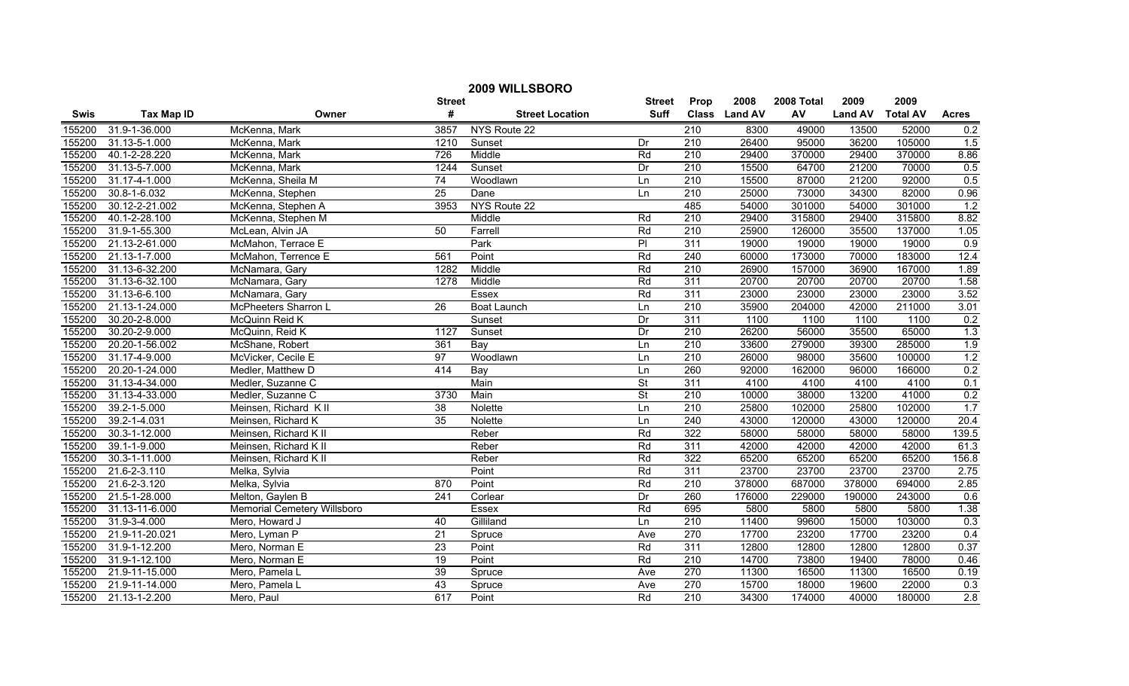| 2009 WILLSBORO |                   |                             |                 |                        |                          |                  |               |            |                |                 |                  |
|----------------|-------------------|-----------------------------|-----------------|------------------------|--------------------------|------------------|---------------|------------|----------------|-----------------|------------------|
|                |                   |                             | <b>Street</b>   |                        | <b>Street</b>            | Prop             | 2008          | 2008 Total | 2009           | 2009            |                  |
| <b>Swis</b>    | <b>Tax Map ID</b> | Owner                       | #               | <b>Street Location</b> | Suff                     |                  | Class Land AV | AV         | <b>Land AV</b> | <b>Total AV</b> | <b>Acres</b>     |
| 155200         | 31.9-1-36.000     | McKenna, Mark               | 3857            | NYS Route 22           |                          | 210              | 8300          | 49000      | 13500          | 52000           | 0.2              |
| 155200         | 31.13-5-1.000     | McKenna, Mark               | 1210            | Sunset                 | Dr                       | $\overline{210}$ | 26400         | 95000      | 36200          | 105000          | 1.5              |
| 155200         | 40.1-2-28.220     | McKenna, Mark               | 726             | Middle                 | Rd                       | $\overline{210}$ | 29400         | 370000     | 29400          | 370000          | 8.86             |
| 155200         | 31.13-5-7.000     | McKenna, Mark               | 1244            | Sunset                 | Dr                       | 210              | 15500         | 64700      | 21200          | 70000           | 0.5              |
| 155200         | 31.17-4-1.000     | McKenna, Sheila M           | 74              | Woodlawn               | Ln                       | 210              | 15500         | 87000      | 21200          | 92000           | 0.5              |
| 155200         | 30.8-1-6.032      | McKenna, Stephen            | 25              | Dane                   | Ln                       | 210              | 25000         | 73000      | 34300          | 82000           | 0.96             |
| 155200         | 30.12-2-21.002    | McKenna, Stephen A          | 3953            | NYS Route 22           |                          | 485              | 54000         | 301000     | 54000          | 301000          | $\overline{1.2}$ |
| 155200         | 40.1-2-28.100     | McKenna, Stephen M          |                 | Middle                 | Rd                       | 210              | 29400         | 315800     | 29400          | 315800          | 8.82             |
| 155200         | 31.9-1-55.300     | McLean, Alvin JA            | 50              | Farrell                | Rd                       | $\overline{210}$ | 25900         | 126000     | 35500          | 137000          | 1.05             |
| 155200         | 21.13-2-61.000    | McMahon, Terrace E          |                 | Park                   | PI                       | $\overline{311}$ | 19000         | 19000      | 19000          | 19000           | 0.9              |
| 155200         | 21.13-1-7.000     | McMahon, Terrence E         | 561             | Point                  | Rd                       | 240              | 60000         | 173000     | 70000          | 183000          | 12.4             |
| 155200         | 31.13-6-32.200    | McNamara, Gary              | 1282            | Middle                 | Rd                       | $\overline{210}$ | 26900         | 157000     | 36900          | 167000          | 1.89             |
| 155200         | 31.13-6-32.100    | McNamara, Gary              | 1278            | Middle                 | Rd                       | 311              | 20700         | 20700      | 20700          | 20700           | 1.58             |
| 155200         | 31.13-6-6.100     | McNamara, Gary              |                 | Essex                  | Rd                       | $\overline{311}$ | 23000         | 23000      | 23000          | 23000           | 3.52             |
| 155200         | 21.13-1-24.000    | McPheeters Sharron L        | $\overline{26}$ | <b>Boat Launch</b>     | Ln                       | $\overline{210}$ | 35900         | 204000     | 42000          | 211000          | 3.01             |
| 155200         | 30.20-2-8.000     | McQuinn Reid K              |                 | Sunset                 | Dr                       | 311              | 1100          | 1100       | 1100           | 1100            | 0.2              |
| 155200         | 30.20-2-9.000     | McQuinn, Reid K             | 1127            | Sunset                 | Dr                       | 210              | 26200         | 56000      | 35500          | 65000           | 1.3              |
| 155200         | 20.20-1-56.002    | McShane, Robert             | 361             | Bay                    | Ln                       | 210              | 33600         | 279000     | 39300          | 285000          | 1.9              |
| 155200         | 31.17-4-9.000     | McVicker, Cecile E          | 97              | Woodlawn               | Ln                       | 210              | 26000         | 98000      | 35600          | 100000          | 1.2              |
| 155200         | 20.20-1-24.000    | Medler, Matthew D           | 414             | Bay                    | Ln                       | 260              | 92000         | 162000     | 96000          | 166000          | 0.2              |
| 155200         | 31.13-4-34.000    | Medler, Suzanne C           |                 | Main                   | $\overline{\mathsf{St}}$ | 311              | 4100          | 4100       | 4100           | 4100            | 0.1              |
| 155200         | 31.13-4-33.000    | Medler, Suzanne C           | 3730            | Main                   | $\overline{\mathsf{St}}$ | $\overline{210}$ | 10000         | 38000      | 13200          | 41000           | 0.2              |
| 155200         | 39.2-1-5.000      | Meinsen, Richard K II       | 38              | Nolette                | Ln                       | 210              | 25800         | 102000     | 25800          | 102000          | 1.7              |
| 155200         | 39.2-1-4.031      | Meinsen, Richard K          | 35              | Nolette                | Ln                       | $\overline{240}$ | 43000         | 120000     | 43000          | 120000          | 20.4             |
| 155200         | 30.3-1-12.000     | Meinsen, Richard K II       |                 | Reber                  | Rd                       | 322              | 58000         | 58000      | 58000          | 58000           | 139.5            |
| 155200         | 39.1-1-9.000      | Meinsen, Richard K II       |                 | Reber                  | Rd                       | $\overline{311}$ | 42000         | 42000      | 42000          | 42000           | 61.3             |
| 155200         | 30.3-1-11.000     | Meinsen, Richard K II       |                 | Reber                  | Rd                       | 322              | 65200         | 65200      | 65200          | 65200           | 156.8            |
| 155200         | 21.6-2-3.110      | Melka, Sylvia               |                 | Point                  | Rd                       | $\overline{311}$ | 23700         | 23700      | 23700          | 23700           | 2.75             |
| 155200         | 21.6-2-3.120      | Melka, Sylvia               | 870             | Point                  | Rd                       | 210              | 378000        | 687000     | 378000         | 694000          | 2.85             |
| 155200         | 21.5-1-28.000     | Melton, Gaylen B            | 241             | Corlear                | Dr                       | 260              | 176000        | 229000     | 190000         | 243000          | 0.6              |
| 155200         | 31.13-11-6.000    | Memorial Cemetery Willsboro |                 | Essex                  | Rd                       | 695              | 5800          | 5800       | 5800           | 5800            | 1.38             |
| 155200         | 31.9-3-4.000      | Mero. Howard J              | 40              | Gilliland              | Ln                       | 210              | 11400         | 99600      | 15000          | 103000          | 0.3              |
| 155200         | 21.9-11-20.021    | Mero, Lyman P               | 21              | Spruce                 | Ave                      | 270              | 17700         | 23200      | 17700          | 23200           | 0.4              |
| 155200         | 31.9-1-12.200     | Mero, Norman E              | 23              | Point                  | Rd                       | 311              | 12800         | 12800      | 12800          | 12800           | 0.37             |
| 155200         | 31.9-1-12.100     | Mero, Norman E              | $\overline{19}$ | Point                  | Rd                       | $\overline{210}$ | 14700         | 73800      | 19400          | 78000           | 0.46             |
| 155200         | 21.9-11-15.000    | Mero, Pamela L              | 39              | Spruce                 | Ave                      | 270              | 11300         | 16500      | 11300          | 16500           | 0.19             |
| 155200         | 21.9-11-14.000    | Mero, Pamela L              | $\overline{43}$ | Spruce                 | Ave                      | 270              | 15700         | 18000      | 19600          | 22000           | 0.3              |
| 155200         | 21.13-1-2.200     | Mero. Paul                  | 617             | Point                  | Rd                       | 210              | 34300         | 174000     | 40000          | 180000          | $\overline{2.8}$ |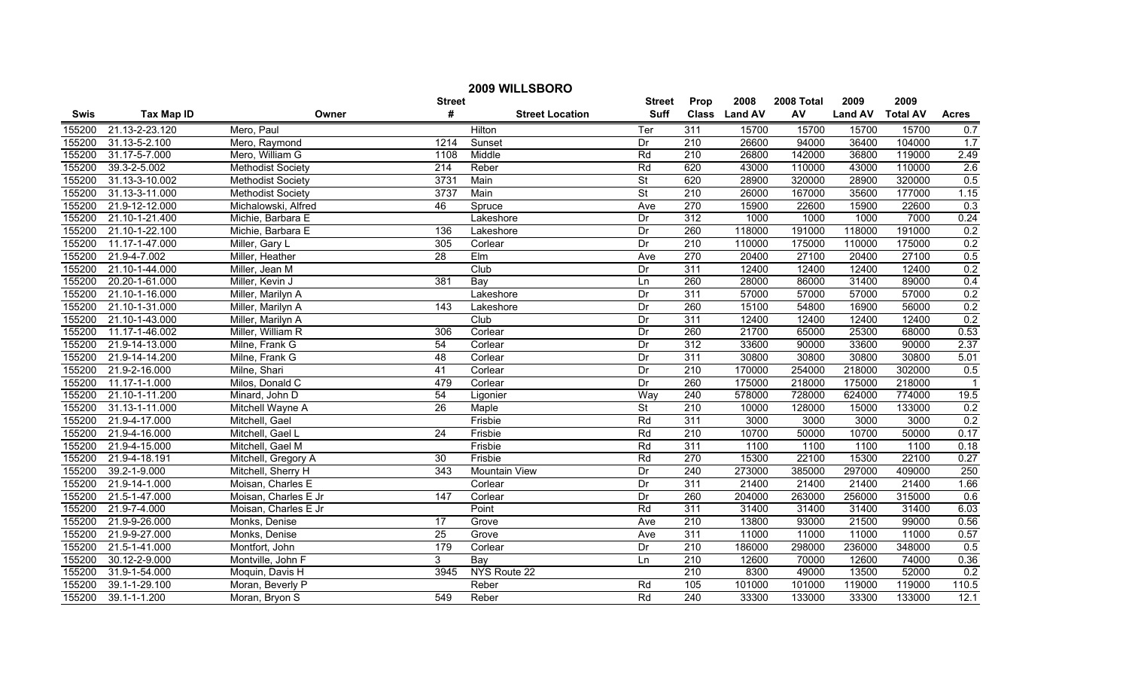| 2009 WILLSBORO |                   |                          |                 |                        |                          |                  |               |            |                |                 |                |
|----------------|-------------------|--------------------------|-----------------|------------------------|--------------------------|------------------|---------------|------------|----------------|-----------------|----------------|
|                |                   |                          | <b>Street</b>   |                        | <b>Street</b>            | Prop             | 2008          | 2008 Total | 2009           | 2009            |                |
| <b>Swis</b>    | <b>Tax Map ID</b> | Owner                    | #               | <b>Street Location</b> | <b>Suff</b>              |                  | Class Land AV | AV         | <b>Land AV</b> | <b>Total AV</b> | <b>Acres</b>   |
| 155200         | 21.13-2-23.120    | Mero, Paul               |                 | Hilton                 | Ter                      | 311              | 15700         | 15700      | 15700          | 15700           | 0.7            |
| 155200         | 31.13-5-2.100     | Mero, Raymond            | 1214            | Sunset                 | Dr                       | 210              | 26600         | 94000      | 36400          | 104000          | 1.7            |
| 155200         | 31.17-5-7.000     | Mero, William G          | 1108            | Middle                 | Rd                       | $\overline{210}$ | 26800         | 142000     | 36800          | 119000          | 2.49           |
| 155200         | 39.3-2-5.002      | <b>Methodist Society</b> | 214             | Reber                  | Rd                       | 620              | 43000         | 110000     | 43000          | 110000          | 2.6            |
| 155200         | 31.13-3-10.002    | <b>Methodist Society</b> | 3731            | Main                   | $\overline{\mathsf{St}}$ | 620              | 28900         | 320000     | 28900          | 320000          | 0.5            |
| 155200         | 31.13-3-11.000    | <b>Methodist Society</b> | 3737            | Main                   | $\overline{\mathsf{St}}$ | 210              | 26000         | 167000     | 35600          | 177000          | 1.15           |
| 155200         | 21.9-12-12.000    | Michalowski, Alfred      | 46              | Spruce                 | Ave                      | 270              | 15900         | 22600      | 15900          | 22600           | 0.3            |
| 155200         | 21.10-1-21.400    | Michie, Barbara E        |                 | Lakeshore              | Dr                       | 312              | 1000          | 1000       | 1000           | 7000            | 0.24           |
| 155200         | 21.10-1-22.100    | Michie, Barbara E        | 136             | Lakeshore              | Dr                       | 260              | 118000        | 191000     | 118000         | 191000          | 0.2            |
| 155200         | 11.17-1-47.000    | Miller, Gary L           | 305             | Corlear                | Dr                       | 210              | 110000        | 175000     | 110000         | 175000          | 0.2            |
| 155200         | 21.9-4-7.002      | Miller, Heather          | 28              | Elm                    | Ave                      | 270              | 20400         | 27100      | 20400          | 27100           | 0.5            |
| 155200         | 21.10-1-44.000    | Miller, Jean M           |                 | Club                   | Dr                       | 311              | 12400         | 12400      | 12400          | 12400           | 0.2            |
| 155200         | 20.20-1-61.000    | Miller, Kevin J          | 381             | Bay                    | Ln                       | 260              | 28000         | 86000      | 31400          | 89000           | 0.4            |
| 155200         | 21.10-1-16.000    | Miller, Marilyn A        |                 | Lakeshore              | Dr                       | $\overline{311}$ | 57000         | 57000      | 57000          | 57000           | 0.2            |
| 155200         | 21.10-1-31.000    | Miller, Marilyn A        | 143             | Lakeshore              | Dr                       | 260              | 15100         | 54800      | 16900          | 56000           | 0.2            |
| 155200         | 21.10-1-43.000    | Miller, Marilyn A        |                 | Club                   | Dr                       | $\overline{311}$ | 12400         | 12400      | 12400          | 12400           | 0.2            |
| 155200         | 11.17-1-46.002    | Miller, William R        | 306             | Corlear                | Dr                       | 260              | 21700         | 65000      | 25300          | 68000           | 0.53           |
| 155200         | 21.9-14-13.000    | Milne, Frank G           | 54              | Corlear                | Dr                       | 312              | 33600         | 90000      | 33600          | 90000           | 2.37           |
| 155200         | 21.9-14-14.200    | Milne, Frank G           | 48              | Corlear                | Dr                       | 311              | 30800         | 30800      | 30800          | 30800           | 5.01           |
| 155200         | 21.9-2-16.000     | Milne, Shari             | 41              | Corlear                | Dr                       | 210              | 170000        | 254000     | 218000         | 302000          | 0.5            |
| 155200         | 11.17-1-1.000     | Milos, Donald C          | 479             | Corlear                | Dr                       | 260              | 175000        | 218000     | 175000         | 218000          | $\overline{1}$ |
| 155200         | 21.10-1-11.200    | Minard, John D           | 54              | Ligonier               | Way                      | 240              | 578000        | 728000     | 624000         | 774000          | 19.5           |
| 155200         | 31.13-1-11.000    | Mitchell Wayne A         | 26              | Maple                  | St                       | 210              | 10000         | 128000     | 15000          | 133000          | 0.2            |
| 155200         | 21.9-4-17.000     | Mitchell, Gael           |                 | Frisbie                | Rd                       | 311              | 3000          | 3000       | 3000           | 3000            | 0.2            |
| 155200         | 21.9-4-16.000     | Mitchell, Gael L         | $\overline{24}$ | Frisbie                | Rd                       | 210              | 10700         | 50000      | 10700          | 50000           | 0.17           |
| 155200         | 21.9-4-15.000     | Mitchell, Gael M         |                 | Frisbie                | Rd                       | 311              | 1100          | 1100       | 1100           | 1100            | 0.18           |
| 155200         | 21.9-4-18.191     | Mitchell, Gregory A      | 30              | Frisbie                | Rd                       | 270              | 15300         | 22100      | 15300          | 22100           | 0.27           |
| 155200         | 39.2-1-9.000      | Mitchell, Sherry H       | 343             | <b>Mountain View</b>   | Dr                       | 240              | 273000        | 385000     | 297000         | 409000          | 250            |
| 155200         | 21.9-14-1.000     | Moisan, Charles E        |                 | Corlear                | Dr                       | 311              | 21400         | 21400      | 21400          | 21400           | 1.66           |
| 155200         | 21.5-1-47.000     | Moisan, Charles E Jr     | 147             | Corlear                | Dr                       | 260              | 204000        | 263000     | 256000         | 315000          | 0.6            |
| 155200         | 21.9-7-4.000      | Moisan, Charles E Jr     |                 | Point                  | Rd                       | 311              | 31400         | 31400      | 31400          | 31400           | 6.03           |
| 155200         | 21.9-9-26.000     | Monks, Denise            | 17              | Grove                  | Ave                      | 210              | 13800         | 93000      | 21500          | 99000           | 0.56           |
| 155200         | 21.9-9-27.000     | Monks, Denise            | 25              | Grove                  | Ave                      | 311              | 11000         | 11000      | 11000          | 11000           | 0.57           |
| 155200         | 21.5-1-41.000     | Montfort, John           | 179             | Corlear                | Dr                       | $\overline{210}$ | 186000        | 298000     | 236000         | 348000          | 0.5            |
| 155200         | 30.12-2-9.000     | Montville, John F        | 3               | Bay                    | Ln                       | 210              | 12600         | 70000      | 12600          | 74000           | 0.36           |
| 155200         | 31.9-1-54.000     | Moquin, Davis H          | 3945            | NYS Route 22           |                          | $\overline{210}$ | 8300          | 49000      | 13500          | 52000           | 0.2            |
| 155200         | 39.1-1-29.100     | Moran, Beverly P         |                 | Reber                  | Rd                       | 105              | 101000        | 101000     | 119000         | 119000          | 110.5          |
| 155200         | 39.1-1-1.200      | Moran, Bryon S           | 549             | Reber                  | Rd                       | 240              | 33300         | 133000     | 33300          | 133000          | 12.1           |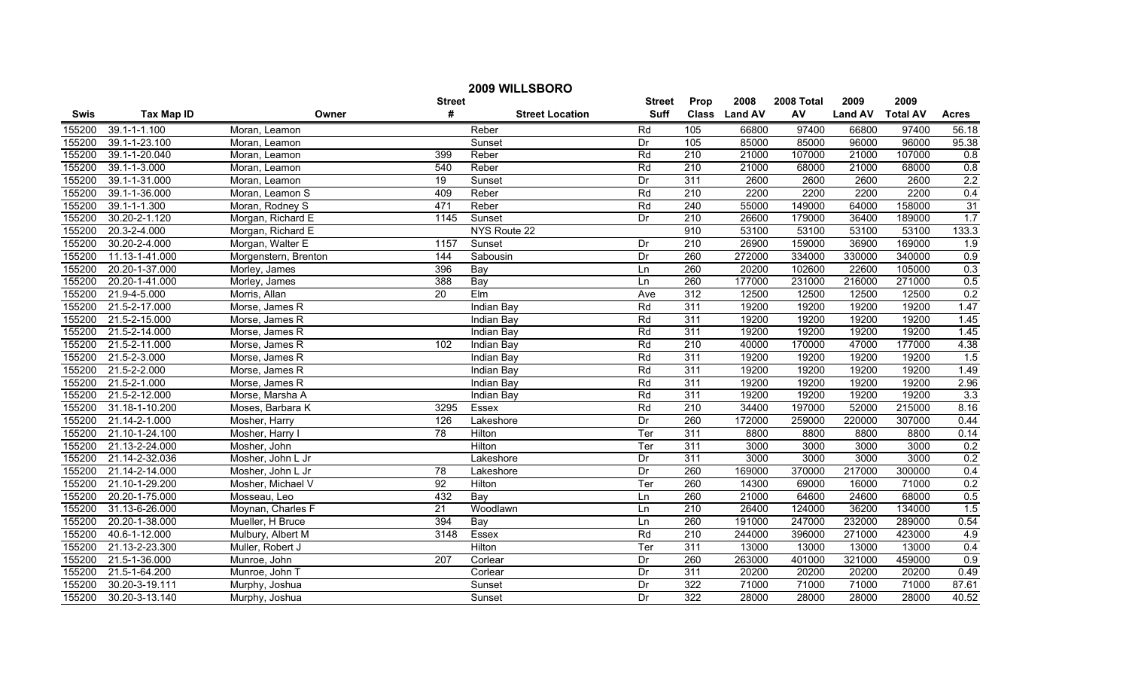| 2009 WILLSBORO |                   |                      |                  |                        |               |                  |               |            |                |                 |              |
|----------------|-------------------|----------------------|------------------|------------------------|---------------|------------------|---------------|------------|----------------|-----------------|--------------|
|                |                   |                      | <b>Street</b>    |                        | <b>Street</b> | Prop             | 2008          | 2008 Total | 2009           | 2009            |              |
| <b>Swis</b>    | <b>Tax Map ID</b> | Owner                | #                | <b>Street Location</b> | <b>Suff</b>   |                  | Class Land AV | AV         | <b>Land AV</b> | <b>Total AV</b> | <b>Acres</b> |
| 155200         | 39.1-1-1.100      | Moran, Leamon        |                  | Reber                  | Rd            | 105              | 66800         | 97400      | 66800          | 97400           | 56.18        |
| 155200         | 39.1-1-23.100     | Moran, Leamon        |                  | Sunset                 | Dr            | 105              | 85000         | 85000      | 96000          | 96000           | 95.38        |
| 155200         | 39.1-1-20.040     | Moran, Leamon        | 399              | Reber                  | Rd            | $\overline{210}$ | 21000         | 107000     | 21000          | 107000          | 0.8          |
| 155200         | 39.1-1-3.000      | Moran, Leamon        | 540              | Reber                  | Rd            | 210              | 21000         | 68000      | 21000          | 68000           | 0.8          |
| 155200         | 39.1-1-31.000     | Moran, Leamon        | 19               | Sunset                 | Dr            | 311              | 2600          | 2600       | 2600           | 2600            | 2.2          |
| 155200         | 39.1-1-36.000     | Moran, Leamon S      | 409              | Reber                  | Rd            | 210              | 2200          | 2200       | 2200           | 2200            | 0.4          |
| 155200         | 39.1-1-1.300      | Moran, Rodney S      | 471              | Reber                  | Rd            | 240              | 55000         | 149000     | 64000          | 158000          | 31           |
| 155200         | 30.20-2-1.120     | Morgan, Richard E    | 1145             | Sunset                 | Dr            | 210              | 26600         | 179000     | 36400          | 189000          | 1.7          |
| 155200         | 20.3-2-4.000      | Morgan, Richard E    |                  | NYS Route 22           |               | 910              | 53100         | 53100      | 53100          | 53100           | 133.3        |
| 155200         | 30.20-2-4.000     | Morgan, Walter E     | 1157             | Sunset                 | Dr            | $\overline{210}$ | 26900         | 159000     | 36900          | 169000          | 1.9          |
| 155200         | 11.13-1-41.000    | Morgenstern, Brenton | 144              | Sabousin               | Dr            | 260              | 272000        | 334000     | 330000         | 340000          | 0.9          |
| 155200         | 20.20-1-37.000    | Morley, James        | 396              | Bay                    | Ln            | 260              | 20200         | 102600     | 22600          | 105000          | 0.3          |
| 155200         | 20.20-1-41.000    | Morley, James        | 388              | Bay                    | Ln            | 260              | 177000        | 231000     | 216000         | 271000          | 0.5          |
| 155200         | 21.9-4-5.000      | Morris, Allan        | $\overline{20}$  | EIm                    | Ave           | 312              | 12500         | 12500      | 12500          | 12500           | 0.2          |
| 155200         | 21.5-2-17.000     | Morse, James R       |                  | Indian Bay             | Rd            | 311              | 19200         | 19200      | 19200          | 19200           | 1.47         |
| 155200         | 21.5-2-15.000     | Morse, James R       |                  | Indian Bay             | Rd            | 311              | 19200         | 19200      | 19200          | 19200           | 1.45         |
| 155200         | 21.5-2-14.000     | Morse, James R       |                  | <b>Indian Bay</b>      | Rd            | 311              | 19200         | 19200      | 19200          | 19200           | 1.45         |
| 155200         | 21.5-2-11.000     | Morse, James R       | 102              | Indian Bay             | Rd            | 210              | 40000         | 170000     | 47000          | 177000          | 4.38         |
| 155200         | 21.5-2-3.000      | Morse, James R       |                  | Indian Bay             | Rd            | 311              | 19200         | 19200      | 19200          | 19200           | 1.5          |
| 155200         | 21.5-2-2.000      | Morse, James R       |                  | Indian Bay             | Rd            | 311              | 19200         | 19200      | 19200          | 19200           | 1.49         |
| 155200         | 21.5-2-1.000      | Morse, James R       |                  | Indian Bay             | Rd            | 311              | 19200         | 19200      | 19200          | 19200           | 2.96         |
| 155200         | 21.5-2-12.000     | Morse, Marsha A      |                  | Indian Bay             | Rd            | $\overline{311}$ | 19200         | 19200      | 19200          | 19200           | 3.3          |
| 155200         | 31.18-1-10.200    | Moses, Barbara K     | 3295             | Essex                  | Rd            | 210              | 34400         | 197000     | 52000          | 215000          | 8.16         |
| 155200         | 21.14-2-1.000     | Mosher, Harry        | 126              | Lakeshore              | Dr            | 260              | 172000        | 259000     | 220000         | 307000          | 0.44         |
| 155200         | 21.10-1-24.100    | Mosher, Harry I      | 78               | Hilton                 | Ter           | 311              | 8800          | 8800       | 8800           | 8800            | 0.14         |
| 155200         | 21.13-2-24.000    | Mosher, John         |                  | Hilton                 | Ter           | 311              | 3000          | 3000       | 3000           | 3000            | 0.2          |
| 155200         | 21.14-2-32.036    | Mosher, John L Jr    |                  | Lakeshore              | Dr            | 311              | 3000          | 3000       | 3000           | 3000            | 0.2          |
| 155200         | 21.14-2-14.000    | Mosher, John L Jr    | 78               | Lakeshore              | Dr            | 260              | 169000        | 370000     | 217000         | 300000          | 0.4          |
| 155200         | 21.10-1-29.200    | Mosher, Michael V    | 92               | Hilton                 | Ter           | 260              | 14300         | 69000      | 16000          | 71000           | 0.2          |
| 155200         | 20.20-1-75.000    | Mosseau, Leo         | 432              | Bay                    | Ln            | 260              | 21000         | 64600      | 24600          | 68000           | 0.5          |
| 155200         | 31.13-6-26.000    | Moynan, Charles F    | $\overline{21}$  | Woodlawn               | Ln            | 210              | 26400         | 124000     | 36200          | 134000          | 1.5          |
| 155200         | 20.20-1-38.000    | Mueller, H Bruce     | 394              | Bay                    | Ln            | 260              | 191000        | 247000     | 232000         | 289000          | 0.54         |
| 155200         | 40.6-1-12.000     | Mulbury, Albert M    | 3148             | Essex                  | Rd            | 210              | 244000        | 396000     | 271000         | 423000          | 4.9          |
| 155200         | 21.13-2-23.300    | Muller, Robert J     |                  | Hilton                 | Ter           | 311              | 13000         | 13000      | 13000          | 13000           | 0.4          |
| 155200         | 21.5-1-36.000     | Munroe, John         | $\overline{207}$ | Corlear                | Dr            | 260              | 263000        | 401000     | 321000         | 459000          | 0.9          |
| 155200         | 21.5-1-64.200     | Munroe, John T       |                  | Corlear                | Dr            | 311              | 20200         | 20200      | 20200          | 20200           | 0.49         |
| 155200         | 30.20-3-19.111    | Murphy, Joshua       |                  | Sunset                 | Dr            | 322              | 71000         | 71000      | 71000          | 71000           | 87.61        |
| 155200         | 30.20-3-13.140    | Murphy, Joshua       |                  | Sunset                 | Dr            | 322              | 28000         | 28000      | 28000          | 28000           | 40.52        |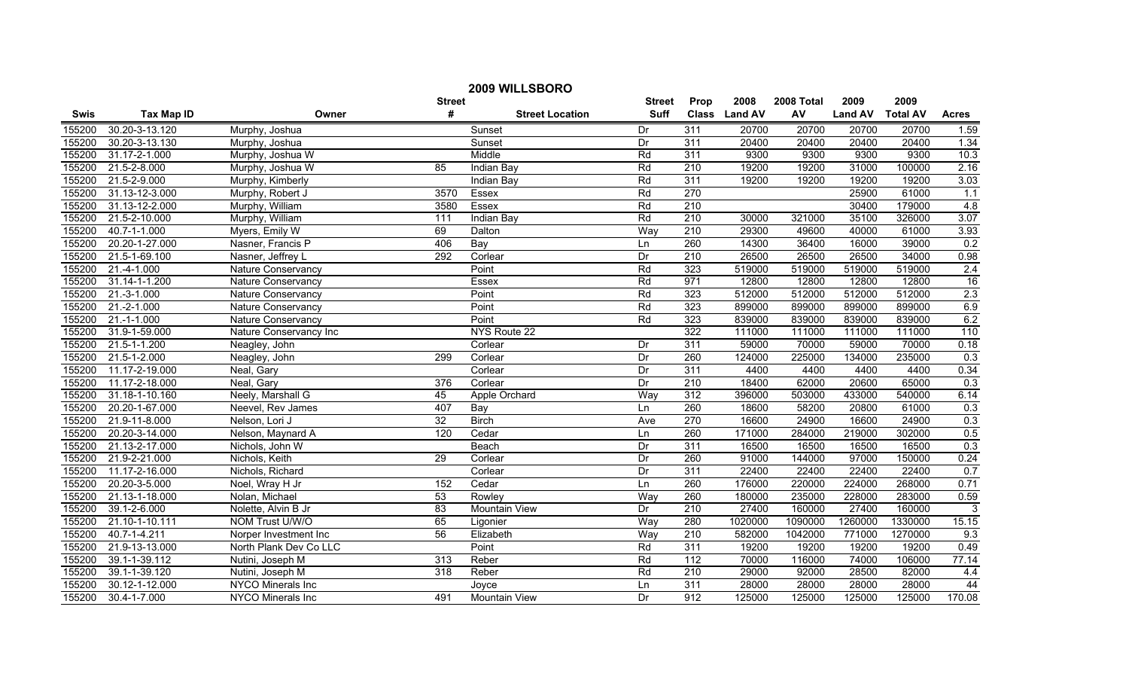| 2009 WILLSBORO |                            |                          |                  |                        |               |                  |                |            |                |                 |              |
|----------------|----------------------------|--------------------------|------------------|------------------------|---------------|------------------|----------------|------------|----------------|-----------------|--------------|
|                |                            |                          | <b>Street</b>    |                        | <b>Street</b> | Prop             | 2008           | 2008 Total | 2009           | 2009            |              |
| <b>Swis</b>    | <b>Tax Map ID</b>          | Owner                    | #                | <b>Street Location</b> | <b>Suff</b>   | <b>Class</b>     | <b>Land AV</b> | AV         | <b>Land AV</b> | <b>Total AV</b> | <b>Acres</b> |
| 155200         | 30.20-3-13.120             | Murphy, Joshua           |                  | Sunset                 | Dr            | 311              | 20700          | 20700      | 20700          | 20700           | 1.59         |
| 155200         | 30.20-3-13.130             | Murphy, Joshua           |                  | Sunset                 | Dr            | 311              | 20400          | 20400      | 20400          | 20400           | 1.34         |
| 155200         | 31.17-2-1.000              | Murphy, Joshua W         |                  | Middle                 | Rd            | 311              | 9300           | 9300       | 9300           | 9300            | 10.3         |
| 155200         | 21.5-2-8.000               | Murphy, Joshua W         | 85               | Indian Bay             | Rd            | 210              | 19200          | 19200      | 31000          | 100000          | 2.16         |
| 155200         | 21.5-2-9.000               | Murphy, Kimberly         |                  | Indian Bay             | Rd            | 311              | 19200          | 19200      | 19200          | 19200           | 3.03         |
| 155200         | 31.13-12-3.000             | Murphy, Robert J         | 3570             | Essex                  | Rd            | 270              |                |            | 25900          | 61000           | 1.1          |
| 155200         | 31.13-12-2.000             | Murphy, William          | 3580             | Essex                  | Rd            | 210              |                |            | 30400          | 179000          | 4.8          |
| 155200         | 21.5-2-10.000              | Murphy, William          | 111              | <b>Indian Bay</b>      | Rd            | 210              | 30000          | 321000     | 35100          | 326000          | 3.07         |
| 155200         | $\overline{40.7-1}$ -1.000 | Myers, Emily W           | 69               | Dalton                 | Way           | $\overline{210}$ | 29300          | 49600      | 40000          | 61000           | 3.93         |
| 155200         | 20.20-1-27.000             | Nasner, Francis P        | 406              | Bay                    | Ln            | 260              | 14300          | 36400      | 16000          | 39000           | 0.2          |
| 155200         | 21.5-1-69.100              | Nasner, Jeffrey L        | 292              | Corlear                | Dr            | $\overline{210}$ | 26500          | 26500      | 26500          | 34000           | 0.98         |
| 155200         | 21.-4-1.000                | Nature Conservancy       |                  | Point                  | Rd            | 323              | 519000         | 519000     | 519000         | 519000          | 2.4          |
| 155200         | 31.14-1-1.200              | Nature Conservancy       |                  | Essex                  | Rd            | 971              | 12800          | 12800      | 12800          | 12800           | 16           |
| 155200         | $21.-3-1.000$              | Nature Conservancy       |                  | Point                  | Rd            | 323              | 512000         | 512000     | 512000         | 512000          | 2.3          |
| 155200         | 21.-2-1.000                | Nature Conservancy       |                  | Point                  | Rd            | 323              | 899000         | 899000     | 899000         | 899000          | 6.9          |
| 155200         | $21.-1-.000$               | Nature Conservancy       |                  | Point                  | Rd            | 323              | 839000         | 839000     | 839000         | 839000          | 6.2          |
| 155200         | 31.9-1-59.000              | Nature Conservancy Inc   |                  | NYS Route 22           |               | 322              | 111000         | 111000     | 111000         | 111000          | 110          |
| 155200         | 21.5-1-1.200               | Neagley, John            |                  | Corlear                | Dr            | 311              | 59000          | 70000      | 59000          | 70000           | 0.18         |
| 155200         | 21.5-1-2.000               | Neagley, John            | 299              | Corlear                | Dr            | 260              | 124000         | 225000     | 134000         | 235000          | 0.3          |
| 155200         | 11.17-2-19.000             | Neal, Gary               |                  | Corlear                | Dr            | 311              | 4400           | 4400       | 4400           | 4400            | 0.34         |
| 155200         | 11.17-2-18.000             | Neal, Gary               | 376              | Corlear                | Dr            | 210              | 18400          | 62000      | 20600          | 65000           | 0.3          |
| 155200         | 31.18-1-10.160             | Neely, Marshall G        | 45               | Apple Orchard          | Way           | 312              | 396000         | 503000     | 433000         | 540000          | 6.14         |
| 155200         | 20.20-1-67.000             | Neevel, Rev James        | 407              | Bay                    | Ln            | 260              | 18600          | 58200      | 20800          | 61000           | 0.3          |
| 155200         | 21.9-11-8.000              | Nelson, Lori J           | 32               | <b>Birch</b>           | Ave           | 270              | 16600          | 24900      | 16600          | 24900           | 0.3          |
| 155200         | 20.20-3-14.000             | Nelson, Maynard A        | 120              | Cedar                  | Ln            | 260              | 171000         | 284000     | 219000         | 302000          | 0.5          |
| 155200         | 21.13-2-17.000             | Nichols, John W          |                  | Beach                  | Dr            | 311              | 16500          | 16500      | 16500          | 16500           | 0.3          |
| 155200         | 21.9-2-21.000              | Nichols, Keith           | 29               | Corlear                | Dr            | 260              | 91000          | 144000     | 97000          | 150000          | 0.24         |
| 155200         | 11.17-2-16.000             | Nichols, Richard         |                  | Corlear                | Dr            | 311              | 22400          | 22400      | 22400          | 22400           | 0.7          |
| 155200         | 20.20-3-5.000              | Noel, Wray H Jr          | 152              | Cedar                  | Ln            | 260              | 176000         | 220000     | 224000         | 268000          | 0.71         |
| 155200         | 21.13-1-18.000             | Nolan, Michael           | 53               | Rowley                 | Way           | 260              | 180000         | 235000     | 228000         | 283000          | 0.59         |
| 155200         | 39.1-2-6.000               | Nolette, Alvin B Jr      | 83               | <b>Mountain View</b>   | Dr            | 210              | 27400          | 160000     | 27400          | 160000          | 3            |
| 155200         | 21.10-1-10.111             | NOM Trust U/W/O          | 65               | Ligonier               | Way           | 280              | 1020000        | 1090000    | 1260000        | 1330000         | 15.15        |
| 155200         | 40.7-1-4.211               | Norper Investment Inc    | 56               | Elizabeth              | Way           | 210              | 582000         | 1042000    | 771000         | 1270000         | 9.3          |
| 155200         | 21.9-13-13.000             | North Plank Dev Co LLC   |                  | Point                  | Rd            | 311              | 19200          | 19200      | 19200          | 19200           | 0.49         |
| 155200         | 39.1-1-39.112              | Nutini, Joseph M         | 313              | Reber                  | Rd            | 112              | 70000          | 116000     | 74000          | 106000          | 77.14        |
| 155200         | 39.1-1-39.120              | Nutini, Joseph M         | $\overline{318}$ | Reber                  | Rd            | $\overline{210}$ | 29000          | 92000      | 28500          | 82000           | 4.4          |
| 155200         | 30.12-1-12.000             | <b>NYCO Minerals Inc</b> |                  | Joyce                  | Ln            | 311              | 28000          | 28000      | 28000          | 28000           | 44           |
| 155200         | 30.4-1-7.000               | NYCO Minerals Inc        | 491              | <b>Mountain View</b>   | Dr.           | 912              | 125000         | 125000     | 125000         | 125000          | 170.08       |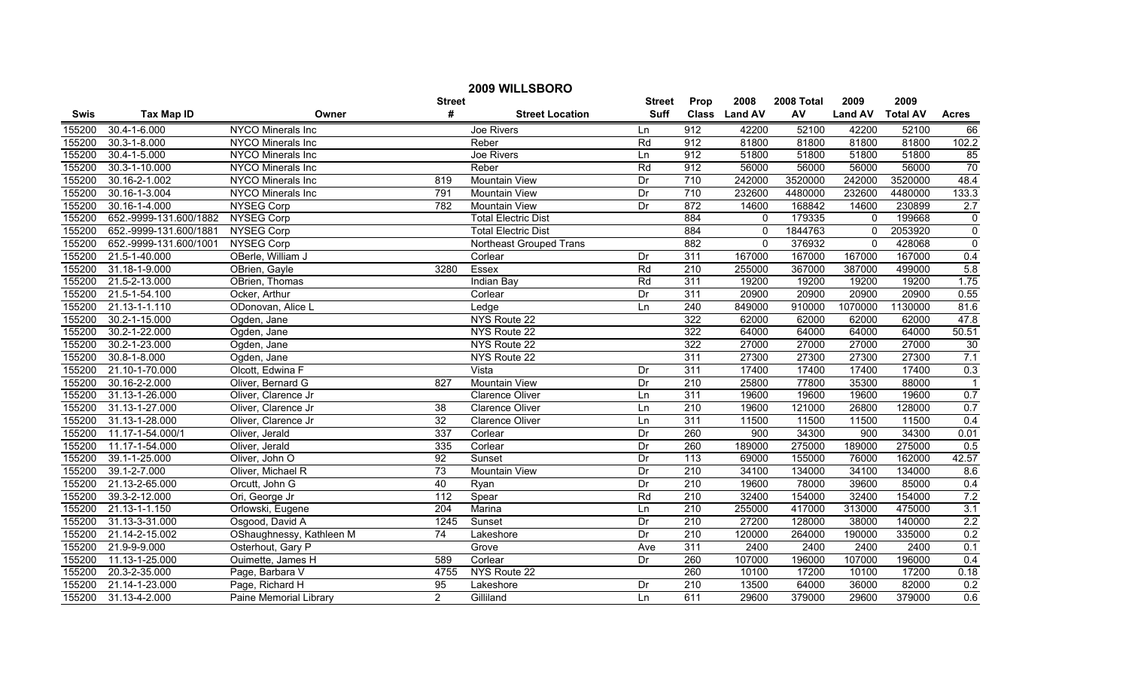| 2009 WILLSBORO |                        |                          |                 |                            |               |                  |               |            |                |                 |                  |
|----------------|------------------------|--------------------------|-----------------|----------------------------|---------------|------------------|---------------|------------|----------------|-----------------|------------------|
|                |                        |                          | <b>Street</b>   |                            | <b>Street</b> | Prop             | 2008          | 2008 Total | 2009           | 2009            |                  |
| Swis           | <b>Tax Map ID</b>      | Owner                    | #               | <b>Street Location</b>     | <b>Suff</b>   |                  | Class Land AV | AV         | <b>Land AV</b> | <b>Total AV</b> | <b>Acres</b>     |
| 155200         | 30.4-1-6.000           | NYCO Minerals Inc        |                 | Joe Rivers                 | Ln            | 912              | 42200         | 52100      | 42200          | 52100           | 66               |
| 155200         | $30.3 - 1 - 8.000$     | NYCO Minerals Inc        |                 | Reber                      | Rd            | 912              | 81800         | 81800      | 81800          | 81800           | 102.2            |
| 155200         | 30.4-1-5.000           | NYCO Minerals Inc        |                 | Joe Rivers                 | Ln            | 912              | 51800         | 51800      | 51800          | 51800           | 85               |
| 155200         | 30.3-1-10.000          | NYCO Minerals Inc        |                 | Reber                      | Rd            | 912              | 56000         | 56000      | 56000          | 56000           | 70               |
| 155200         | 30.16-2-1.002          | NYCO Minerals Inc        | 819             | <b>Mountain View</b>       | Dr            | 710              | 242000        | 3520000    | 242000         | 3520000         | 48.4             |
| 155200         | 30.16-1-3.004          | <b>NYCO Minerals Inc</b> | 791             | <b>Mountain View</b>       | Dr            | 710              | 232600        | 4480000    | 232600         | 4480000         | 133.3            |
| 155200         | 30.16-1-4.000          | <b>NYSEG Corp</b>        | 782             | <b>Mountain View</b>       | Dr            | 872              | 14600         | 168842     | 14600          | 230899          | 2.7              |
| 155200         | 652.-9999-131.600/1882 | <b>NYSEG Corp</b>        |                 | <b>Total Electric Dist</b> |               | 884              | $\Omega$      | 179335     | $\Omega$       | 199668          | $\mathbf 0$      |
| 155200         | 652.-9999-131.600/1881 | <b>NYSEG Corp</b>        |                 | <b>Total Electric Dist</b> |               | 884              | $\Omega$      | 1844763    | $\Omega$       | 2053920         | $\pmb{0}$        |
| 155200         | 652.-9999-131.600/1001 | <b>NYSEG Corp</b>        |                 | Northeast Grouped Trans    |               | 882              | $\mathbf{0}$  | 376932     | $\mathbf{0}$   | 428068          | $\boldsymbol{0}$ |
| 155200         | 21.5-1-40.000          | OBerle, William J        |                 | Corlear                    | Dr            | 311              | 167000        | 167000     | 167000         | 167000          | 0.4              |
| 155200         | 31.18-1-9.000          | OBrien, Gayle            | 3280            | Essex                      | Rd            | $\overline{210}$ | 255000        | 367000     | 387000         | 499000          | 5.8              |
| 155200         | 21.5-2-13.000          | OBrien, Thomas           |                 | <b>Indian Bay</b>          | Rd            | 311              | 19200         | 19200      | 19200          | 19200           | 1.75             |
| 155200         | 21.5-1-54.100          | Ocker, Arthur            |                 | Corlear                    | Dr            | 311              | 20900         | 20900      | 20900          | 20900           | 0.55             |
| 155200         | 21.13-1-1.110          | ODonovan, Alice L        |                 | Ledge                      | Ln            | 240              | 849000        | 910000     | 1070000        | 1130000         | 81.6             |
| 155200         | 30.2-1-15.000          | Ogden, Jane              |                 | NYS Route 22               |               | 322              | 62000         | 62000      | 62000          | 62000           | 47.8             |
| 155200         | 30.2-1-22.000          | Ogden, Jane              |                 | NYS Route 22               |               | 322              | 64000         | 64000      | 64000          | 64000           | 50.51            |
| 155200         | 30.2-1-23.000          | Ogden, Jane              |                 | NYS Route 22               |               | 322              | 27000         | 27000      | 27000          | 27000           | 30               |
| 155200         | $30.8 - 1 - 8.000$     | Ogden, Jane              |                 | NYS Route 22               |               | 311              | 27300         | 27300      | 27300          | 27300           | 7.1              |
| 155200         | 21.10-1-70.000         | Olcott, Edwina F         |                 | Vista                      | Dr            | 311              | 17400         | 17400      | 17400          | 17400           | 0.3              |
| 155200         | 30.16-2-2.000          | Oliver, Bernard G        | 827             | <b>Mountain View</b>       | Dr            | 210              | 25800         | 77800      | 35300          | 88000           | $\overline{1}$   |
| 155200         | 31.13-1-26.000         | Oliver, Clarence Jr      |                 | Clarence Oliver            | Ln            | 311              | 19600         | 19600      | 19600          | 19600           | 0.7              |
| 155200         | 31.13-1-27.000         | Oliver, Clarence Jr      | 38              | <b>Clarence Oliver</b>     | Ln            | $\overline{210}$ | 19600         | 121000     | 26800          | 128000          | 0.7              |
| 155200         | 31.13-1-28.000         | Oliver, Clarence Jr      | 32              | <b>Clarence Oliver</b>     | Ln            | 311              | 11500         | 11500      | 11500          | 11500           | 0.4              |
| 155200         | 11.17-1-54.000/1       | Oliver, Jerald           | 337             | Corlear                    | Dr            | 260              | 900           | 34300      | 900            | 34300           | 0.01             |
| 155200         | 11.17-1-54.000         | Oliver, Jerald           | 335             | Corlear                    | Dr            | 260              | 189000        | 275000     | 189000         | 275000          | 0.5              |
| 155200         | 39.1-1-25.000          | Oliver, John O           | 92              | Sunset                     | Dr            | $\overline{113}$ | 69000         | 155000     | 76000          | 162000          | 42.57            |
| 155200         | 39.1-2-7.000           | Oliver, Michael R        | 73              | <b>Mountain View</b>       | Dr            | 210              | 34100         | 134000     | 34100          | 134000          | 8.6              |
| 155200         | 21.13-2-65.000         | Orcutt, John G           | 40              | Ryan                       | Dr            | 210              | 19600         | 78000      | 39600          | 85000           | 0.4              |
| 155200         | 39.3-2-12.000          | Ori, George Jr           | 112             | Spear                      | Rd            | 210              | 32400         | 154000     | 32400          | 154000          | 7.2              |
| 155200         | 21.13-1-1.150          | Orlowski, Eugene         | 204             | Marina                     | Ln            | 210              | 255000        | 417000     | 313000         | 475000          | 3.1              |
| 155200         | 31.13-3-31.000         | Osgood, David A          | 1245            | Sunset                     | Dr            | 210              | 27200         | 128000     | 38000          | 140000          | 2.2              |
| 155200         | 21.14-2-15.002         | OShaughnessy, Kathleen M | $\overline{74}$ | Lakeshore                  | Dr            | 210              | 120000        | 264000     | 190000         | 335000          | 0.2              |
| 155200         | 21.9-9-9.000           | Osterhout, Gary P        |                 | Grove                      | Ave           | 311              | 2400          | 2400       | 2400           | 2400            | 0.1              |
| 155200         | 11.13-1-25.000         | Ouimette, James H        | 589             | Corlear                    | Dr            | 260              | 107000        | 196000     | 107000         | 196000          | 0.4              |
| 155200         | 20.3-2-35.000          | Page, Barbara V          | 4755            | NYS Route 22               |               | 260              | 10100         | 17200      | 10100          | 17200           | 0.18             |
| 155200         | 21.14-1-23.000         | Page, Richard H          | 95              | Lakeshore                  | Dr            | 210              | 13500         | 64000      | 36000          | 82000           | 0.2              |
| 155200         | 31.13-4-2.000          | Paine Memorial Library   | $\overline{2}$  | Gilliland                  | Ln            | 611              | 29600         | 379000     | 29600          | 379000          | 0.6              |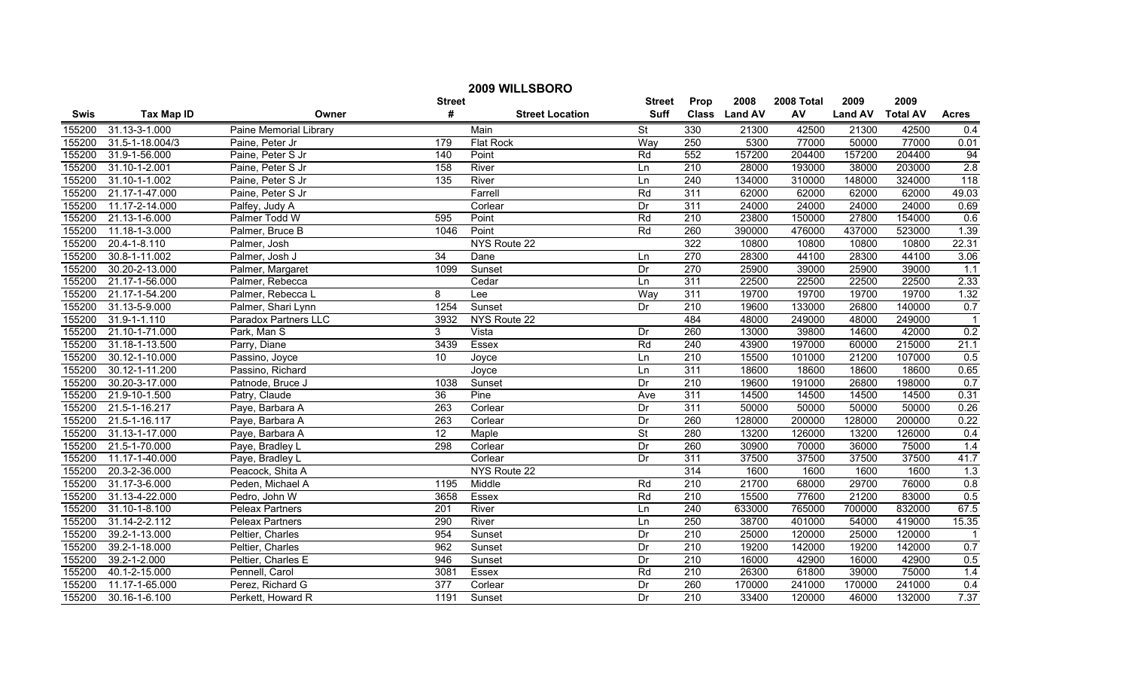| 2009 WILLSBORO |                       |                        |                  |                        |                          |                  |               |            |                |                 |                |
|----------------|-----------------------|------------------------|------------------|------------------------|--------------------------|------------------|---------------|------------|----------------|-----------------|----------------|
|                |                       |                        | <b>Street</b>    |                        | <b>Street</b>            | Prop             | 2008          | 2008 Total | 2009           | 2009            |                |
| <b>Swis</b>    | <b>Tax Map ID</b>     | Owner                  | #                | <b>Street Location</b> | <b>Suff</b>              |                  | Class Land AV | AV         | <b>Land AV</b> | <b>Total AV</b> | <b>Acres</b>   |
| 155200         | 31.13-3-1.000         | Paine Memorial Library |                  | Main                   | <b>St</b>                | 330              | 21300         | 42500      | 21300          | 42500           | 0.4            |
| 155200         | $31.5 - 1 - 18.004/3$ | Paine, Peter Jr        | 179              | <b>Flat Rock</b>       | Way                      | 250              | 5300          | 77000      | 50000          | 77000           | 0.01           |
| 155200         | 31.9-1-56.000         | Paine, Peter S Jr      | 140              | Point                  | Rd                       | 552              | 157200        | 204400     | 157200         | 204400          | 94             |
| 155200         | 31.10-1-2.001         | Paine, Peter S Jr      | 158              | River                  | Ln                       | 210              | 28000         | 193000     | 38000          | 203000          | 2.8            |
| 155200         | 31.10-1-1.002         | Paine, Peter S Jr      | 135              | River                  | Ln                       | 240              | 134000        | 310000     | 148000         | 324000          | 118            |
| 155200         | 21.17-1-47.000        | Paine, Peter S Jr      |                  | Farrell                | Rd                       | 311              | 62000         | 62000      | 62000          | 62000           | 49.03          |
| 155200         | 11.17-2-14.000        | Palfey, Judy A         |                  | Corlear                | Dr                       | 311              | 24000         | 24000      | 24000          | 24000           | 0.69           |
| 155200         | 21.13-1-6.000         | Palmer Todd W          | 595              | Point                  | Rd                       | 210              | 23800         | 150000     | 27800          | 154000          | 0.6            |
| 155200         | 11.18-1-3.000         | Palmer, Bruce B        | 1046             | Point                  | Rd                       | 260              | 390000        | 476000     | 437000         | 523000          | 1.39           |
| 155200         | 20.4-1-8.110          | Palmer, Josh           |                  | NYS Route 22           |                          | 322              | 10800         | 10800      | 10800          | 10800           | 22.31          |
| 155200         | 30.8-1-11.002         | Palmer, Josh J         | 34               | Dane                   | Ln                       | 270              | 28300         | 44100      | 28300          | 44100           | 3.06           |
| 155200         | 30.20-2-13.000        | Palmer, Margaret       | 1099             | Sunset                 | Dr                       | 270              | 25900         | 39000      | 25900          | 39000           | 1.1            |
| 155200         | 21.17-1-56.000        | Palmer, Rebecca        |                  | Cedar                  | Ln                       | 311              | 22500         | 22500      | 22500          | 22500           | 2.33           |
| 155200         | 21.17-1-54.200        | Palmer, Rebecca L      | 8                | Lee                    | Way                      | $\overline{311}$ | 19700         | 19700      | 19700          | 19700           | 1.32           |
| 155200         | 31.13-5-9.000         | Palmer, Shari Lynn     | 1254             | Sunset                 | Dr                       | 210              | 19600         | 133000     | 26800          | 140000          | 0.7            |
| 155200         | 31.9-1-1.110          | Paradox Partners LLC   | 3932             | NYS Route 22           |                          | 484              | 48000         | 249000     | 48000          | 249000          | $\overline{1}$ |
| 155200         | 21.10-1-71.000        | Park, Man S            | 3                | Vista                  | Dr                       | 260              | 13000         | 39800      | 14600          | 42000           | 0.2            |
| 155200         | 31.18-1-13.500        | Parry, Diane           | 3439             | Essex                  | Rd                       | 240              | 43900         | 197000     | 60000          | 215000          | 21.1           |
| 155200         | 30.12-1-10.000        | Passino, Joyce         | 10               | Joyce                  | Ln                       | 210              | 15500         | 101000     | 21200          | 107000          | 0.5            |
| 155200         | 30.12-1-11.200        | Passino, Richard       |                  | Joyce                  | Ln                       | 311              | 18600         | 18600      | 18600          | 18600           | 0.65           |
| 155200         | 30.20-3-17.000        | Patnode, Bruce J       | 1038             | Sunset                 | Dr                       | 210              | 19600         | 191000     | 26800          | 198000          | 0.7            |
| 155200         | 21.9-10-1.500         | Patry, Claude          | 36               | Pine                   | Ave                      | $\overline{311}$ | 14500         | 14500      | 14500          | 14500           | 0.31           |
| 155200         | 21.5-1-16.217         | Paye, Barbara A        | 263              | Corlear                | Dr                       | 311              | 50000         | 50000      | 50000          | 50000           | 0.26           |
| 155200         | 21.5-1-16.117         | Paye, Barbara A        | $\overline{263}$ | Corlear                | Dr                       | 260              | 128000        | 200000     | 128000         | 200000          | 0.22           |
| 155200         | 31.13-1-17.000        | Paye, Barbara A        | $\overline{12}$  | Maple                  | $\overline{\mathsf{St}}$ | 280              | 13200         | 126000     | 13200          | 126000          | 0.4            |
| 155200         | 21.5-1-70.000         | Paye, Bradley L        | 298              | Corlear                | Dr                       | 260              | 30900         | 70000      | 36000          | 75000           | 1.4            |
| 155200         | 11.17-1-40.000        | Paye, Bradley L        |                  | Corlear                | Dr                       | 311              | 37500         | 37500      | 37500          | 37500           | 41.7           |
| 155200         | 20.3-2-36.000         | Peacock, Shita A       |                  | NYS Route 22           |                          | 314              | 1600          | 1600       | 1600           | 1600            | 1.3            |
| 155200         | 31.17-3-6.000         | Peden, Michael A       | 1195             | Middle                 | Rd                       | 210              | 21700         | 68000      | 29700          | 76000           | 0.8            |
| 155200         | 31.13-4-22.000        | Pedro, John W          | 3658             | Essex                  | Rd                       | $\overline{210}$ | 15500         | 77600      | 21200          | 83000           | 0.5            |
| 155200         | 31.10-1-8.100         | <b>Peleax Partners</b> | 201              | River                  | Ln                       | 240              | 633000        | 765000     | 700000         | 832000          | 67.5           |
| 155200         | 31.14-2-2.112         | <b>Peleax Partners</b> | 290              | River                  | Ln                       | 250              | 38700         | 401000     | 54000          | 419000          | 15.35          |
| 155200         | 39.2-1-13.000         | Peltier, Charles       | 954              | Sunset                 | Dr                       | 210              | 25000         | 120000     | 25000          | 120000          |                |
| 155200         | 39.2-1-18.000         | Peltier, Charles       | 962              | Sunset                 | Dr                       | $\overline{210}$ | 19200         | 142000     | 19200          | 142000          | 0.7            |
| 155200         | 39.2-1-2.000          | Peltier, Charles E     | 946              | Sunset                 | Dr                       | 210              | 16000         | 42900      | 16000          | 42900           | 0.5            |
| 155200         | 40.1-2-15.000         | Pennell, Carol         | 3081             | Essex                  | Rd                       | 210              | 26300         | 61800      | 39000          | 75000           | 1.4            |
| 155200         | 11.17-1-65.000        | Perez, Richard G       | $\overline{377}$ | Corlear                | Dr                       | 260              | 170000        | 241000     | 170000         | 241000          | 0.4            |
| 155200         | 30.16-1-6.100         | Perkett, Howard R      | 1191             | Sunset                 | Dr                       | $\overline{210}$ | 33400         | 120000     | 46000          | 132000          | 7.37           |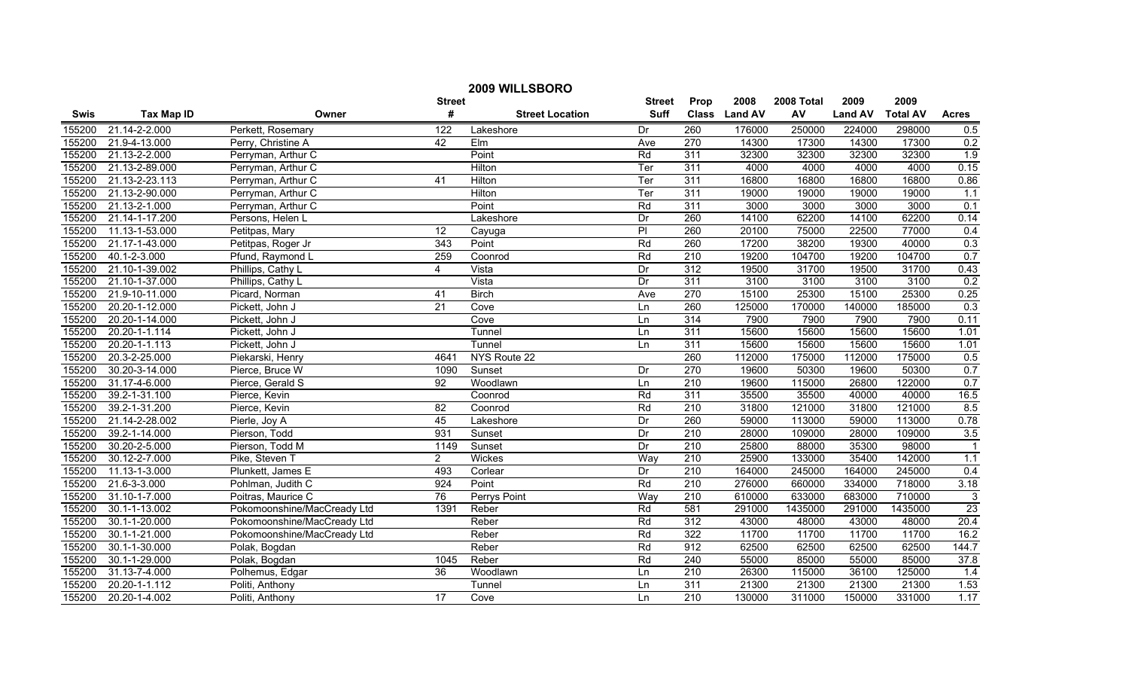| 2009 WILLSBORO |                   |                             |                 |                        |               |                  |               |            |                |                 |                         |
|----------------|-------------------|-----------------------------|-----------------|------------------------|---------------|------------------|---------------|------------|----------------|-----------------|-------------------------|
|                |                   |                             | <b>Street</b>   |                        | <b>Street</b> | Prop             | 2008          | 2008 Total | 2009           | 2009            |                         |
| <b>Swis</b>    | <b>Tax Map ID</b> | Owner                       | #               | <b>Street Location</b> | <b>Suff</b>   |                  | Class Land AV | AV         | <b>Land AV</b> | <b>Total AV</b> | <b>Acres</b>            |
| 155200         | 21.14-2-2.000     | Perkett, Rosemary           | 122             | Lakeshore              | Dr            | 260              | 176000        | 250000     | 224000         | 298000          | 0.5                     |
| 155200         | 21.9-4-13.000     | Perry, Christine A          | 42              | Elm                    | Ave           | 270              | 14300         | 17300      | 14300          | 17300           | 0.2                     |
| 155200         | 21.13-2-2.000     | Perryman, Arthur C          |                 | Point                  | Rd            | 311              | 32300         | 32300      | 32300          | 32300           | 1.9                     |
| 155200         | 21.13-2-89.000    | Perryman, Arthur C          |                 | Hilton                 | Ter           | 311              | 4000          | 4000       | 4000           | 4000            | 0.15                    |
| 155200         | 21.13-2-23.113    | Perryman, Arthur C          | 41              | Hilton                 | Ter           | 311              | 16800         | 16800      | 16800          | 16800           | 0.86                    |
| 155200         | 21.13-2-90.000    | Perryman, Arthur C          |                 | Hilton                 | Ter           | 311              | 19000         | 19000      | 19000          | 19000           | 1.1                     |
| 155200         | 21.13-2-1.000     | Perryman, Arthur C          |                 | Point                  | Rd            | 311              | 3000          | 3000       | 3000           | 3000            | 0.1                     |
| 155200         | 21.14-1-17.200    | Persons, Helen L            |                 | Lakeshore              | Dr            | 260              | 14100         | 62200      | 14100          | 62200           | 0.14                    |
| 155200         | 11.13-1-53.000    | Petitpas, Mary              | 12              | Cayuga                 | P             | 260              | 20100         | 75000      | 22500          | 77000           | 0.4                     |
| 155200         | 21.17-1-43.000    | Petitpas, Roger Jr          | 343             | Point                  | Rd            | 260              | 17200         | 38200      | 19300          | 40000           | 0.3                     |
| 155200         | 40.1-2-3.000      | Pfund, Raymond L            | 259             | Coonrod                | Rd            | 210              | 19200         | 104700     | 19200          | 104700          | 0.7                     |
| 155200         | 21.10-1-39.002    | Phillips, Cathy L           | $\overline{4}$  | Vista                  | Dr            | 312              | 19500         | 31700      | 19500          | 31700           | 0.43                    |
| 155200         | 21.10-1-37.000    | Phillips, Cathy L           |                 | Vista                  | Dr            | 311              | 3100          | 3100       | 3100           | 3100            | 0.2                     |
| 155200         | 21.9-10-11.000    | Picard, Norman              | 41              | <b>Birch</b>           | Ave           | 270              | 15100         | 25300      | 15100          | 25300           | 0.25                    |
| 155200         | 20.20-1-12.000    | Pickett, John J             | 21              | Cove                   | Ln            | 260              | 125000        | 170000     | 140000         | 185000          | 0.3                     |
| 155200         | 20.20-1-14.000    | Pickett, John J             |                 | Cove                   | Ln            | 314              | 7900          | 7900       | 7900           | 7900            | 0.11                    |
| 155200         | 20.20-1-1.114     | Pickett, John J             |                 | Tunnel                 | Ln            | 311              | 15600         | 15600      | 15600          | 15600           | 1.01                    |
| 155200         | 20.20-1-1.113     | Pickett, John J             |                 | Tunnel                 | Ln            | 311              | 15600         | 15600      | 15600          | 15600           | 1.01                    |
| 155200         | 20.3-2-25.000     | Piekarski, Henry            | 4641            | NYS Route 22           |               | 260              | 112000        | 175000     | 112000         | 175000          | 0.5                     |
| 155200         | 30.20-3-14.000    | Pierce, Bruce W             | 1090            | Sunset                 | Dr            | 270              | 19600         | 50300      | 19600          | 50300           | 0.7                     |
| 155200         | 31.17-4-6.000     | Pierce, Gerald S            | 92              | Woodlawn               | Ln            | 210              | 19600         | 115000     | 26800          | 122000          | 0.7                     |
| 155200         | 39.2-1-31.100     | Pierce, Kevin               |                 | Coonrod                | Rd            | $\overline{311}$ | 35500         | 35500      | 40000          | 40000           | 16.5                    |
| 155200         | 39.2-1-31.200     | Pierce, Kevin               | $\overline{82}$ | Coonrod                | Rd            | 210              | 31800         | 121000     | 31800          | 121000          | 8.5                     |
| 155200         | 21.14-2-28.002    | Pierle, Joy A               | 45              | Lakeshore              | Dr            | 260              | 59000         | 113000     | 59000          | 113000          | 0.78                    |
| 155200         | 39.2-1-14.000     | Pierson, Todd               | 931             | Sunset                 | Dr            | $\overline{210}$ | 28000         | 109000     | 28000          | 109000          | 3.5                     |
| 155200         | 30.20-2-5.000     | Pierson, Todd M             | 1149            | Sunset                 | Dr            | 210              | 25800         | 88000      | 35300          | 98000           | $\overline{\mathbf{1}}$ |
| 155200         | 30.12-2-7.000     | Pike, Steven T              | $\overline{2}$  | Wickes                 | Way           | $\overline{210}$ | 25900         | 133000     | 35400          | 142000          | 1.1                     |
| 155200         | 11.13-1-3.000     | Plunkett, James E           | 493             | Corlear                | Dr            | 210              | 164000        | 245000     | 164000         | 245000          | 0.4                     |
| 155200         | 21.6-3-3.000      | Pohlman, Judith C           | 924             | Point                  | Rd            | 210              | 276000        | 660000     | 334000         | 718000          | 3.18                    |
| 155200         | 31.10-1-7.000     | Poitras, Maurice C          | 76              | <b>Perrys Point</b>    | Way           | 210              | 610000        | 633000     | 683000         | 710000          | 3                       |
| 155200         | 30.1-1-13.002     | Pokomoonshine/MacCready Ltd | 1391            | Reber                  | Rd            | 581              | 291000        | 1435000    | 291000         | 1435000         | 23                      |
| 155200         | 30.1-1-20.000     | Pokomoonshine/MacCready Ltd |                 | Reber                  | Rd            | 312              | 43000         | 48000      | 43000          | 48000           | 20.4                    |
| 155200         | 30.1-1-21.000     | Pokomoonshine/MacCready Ltd |                 | Reber                  | Rd            | 322              | 11700         | 11700      | 11700          | 11700           | 16.2                    |
| 155200         | 30.1-1-30.000     | Polak, Bogdan               |                 | Reber                  | Rd            | 912              | 62500         | 62500      | 62500          | 62500           | 144.7                   |
| 155200         | 30.1-1-29.000     | Polak, Bogdan               | 1045            | Reber                  | Rd            | 240              | 55000         | 85000      | 55000          | 85000           | 37.8                    |
| 155200         | 31.13-7-4.000     | Polhemus, Edgar             | 36              | Woodlawn               | Ln            | $\overline{210}$ | 26300         | 115000     | 36100          | 125000          | 1.4                     |
| 155200         | 20.20-1-1.112     | Politi, Anthony             |                 | Tunnel                 | Ln            | 311              | 21300         | 21300      | 21300          | 21300           | 1.53                    |
| 155200         | 20.20-1-4.002     | Politi, Anthony             | 17              | Cove                   | Ln            | $\overline{210}$ | 130000        | 311000     | 150000         | 331000          | 1.17                    |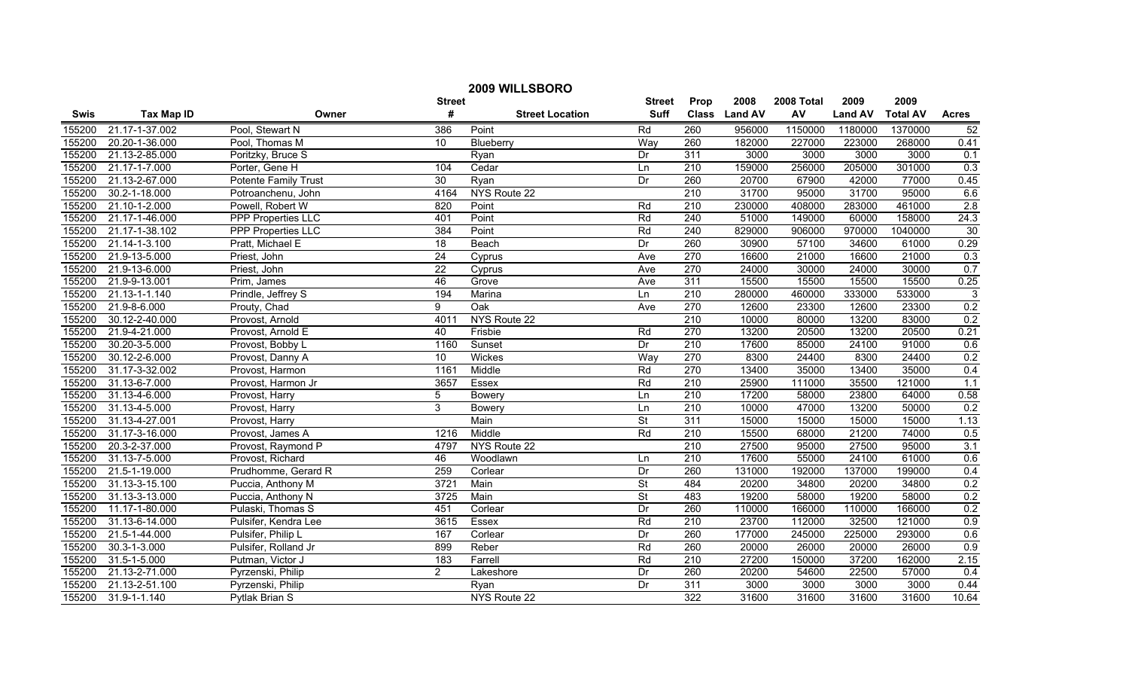| 2009 WILLSBORO |                    |                             |                 |                        |                          |                  |               |            |                |                 |                |
|----------------|--------------------|-----------------------------|-----------------|------------------------|--------------------------|------------------|---------------|------------|----------------|-----------------|----------------|
|                |                    |                             | <b>Street</b>   |                        | <b>Street</b>            | Prop             | 2008          | 2008 Total | 2009           | 2009            |                |
| <b>Swis</b>    | <b>Tax Map ID</b>  | Owner                       | #               | <b>Street Location</b> | <b>Suff</b>              |                  | Class Land AV | AV         | <b>Land AV</b> | <b>Total AV</b> | <b>Acres</b>   |
| 155200         | 21.17-1-37.002     | Pool, Stewart N             | 386             | Point                  | Rd                       | 260              | 956000        | 1150000    | 1180000        | 1370000         | 52             |
| 155200         | 20.20-1-36.000     | Pool, Thomas M              | $\overline{10}$ | Blueberry              | Way                      | 260              | 182000        | 227000     | 223000         | 268000          | 0.41           |
| 155200         | 21.13-2-85.000     | Poritzky, Bruce S           |                 | Ryan                   | Dr                       | 311              | 3000          | 3000       | 3000           | 3000            | 0.1            |
| 155200         | 21.17-1-7.000      | Porter, Gene H              | 104             | Cedar                  | Ln                       | 210              | 159000        | 256000     | 205000         | 301000          | 0.3            |
| 155200         | 21.13-2-67.000     | <b>Potente Family Trust</b> | 30              | Ryan                   | Dr                       | 260              | 20700         | 67900      | 42000          | 77000           | 0.45           |
| 155200         | 30.2-1-18.000      | Potroanchenu, John          | 4164            | NYS Route 22           |                          | 210              | 31700         | 95000      | 31700          | 95000           | 6.6            |
| 155200         | 21.10-1-2.000      | Powell, Robert W            | 820             | Point                  | Rd                       | 210              | 230000        | 408000     | 283000         | 461000          | 2.8            |
| 155200         | 21.17-1-46.000     | <b>PPP Properties LLC</b>   | 401             | Point                  | Rd                       | 240              | 51000         | 149000     | 60000          | 158000          | 24.3           |
| 155200         | 21.17-1-38.102     | <b>PPP Properties LLC</b>   | 384             | Point                  | Rd                       | 240              | 829000        | 906000     | 970000         | 1040000         | 30             |
| 155200         | 21.14-1-3.100      | Pratt, Michael E            | 18              | Beach                  | Dr                       | 260              | 30900         | 57100      | 34600          | 61000           | 0.29           |
| 155200         | 21.9-13-5.000      | Priest, John                | $\overline{24}$ | Cyprus                 | Ave                      | 270              | 16600         | 21000      | 16600          | 21000           | 0.3            |
| 155200         | 21.9-13-6.000      | Priest, John                | $\overline{22}$ | Cyprus                 | Ave                      | 270              | 24000         | 30000      | 24000          | 30000           | 0.7            |
| 155200         | 21.9-9-13.001      | Prim, James                 | 46              | Grove                  | Ave                      | 311              | 15500         | 15500      | 15500          | 15500           | 0.25           |
| 155200         | 21.13-1-1.140      | Prindle, Jeffrey S          | 194             | Marina                 | Ln                       | 210              | 280000        | 460000     | 333000         | 533000          | $\overline{3}$ |
| 155200         | 21.9-8-6.000       | Prouty, Chad                | 9               | Oak                    | Ave                      | 270              | 12600         | 23300      | 12600          | 23300           | 0.2            |
| 155200         | 30.12-2-40.000     | Provost, Arnold             | 4011            | NYS Route 22           |                          | $\overline{210}$ | 10000         | 80000      | 13200          | 83000           | 0.2            |
| 155200         | 21.9-4-21.000      | Provost, Arnold E           | 40              | Frisbie                | Rd                       | 270              | 13200         | 20500      | 13200          | 20500           | 0.21           |
| 155200         | 30.20-3-5.000      | Provost, Bobby L            | 1160            | Sunset                 | Dr                       | 210              | 17600         | 85000      | 24100          | 91000           | 0.6            |
| 155200         | 30.12-2-6.000      | Provost, Danny A            | 10              | Wickes                 | Way                      | 270              | 8300          | 24400      | 8300           | 24400           | 0.2            |
| 155200         | 31.17-3-32.002     | Provost, Harmon             | 1161            | Middle                 | Rd                       | 270              | 13400         | 35000      | 13400          | 35000           | 0.4            |
| 155200         | 31.13-6-7.000      | Provost, Harmon Jr          | 3657            | Essex                  | Rd                       | 210              | 25900         | 111000     | 35500          | 121000          | 1.1            |
| 155200         | 31.13-4-6.000      | Provost, Harry              | 5               | Bowery                 | Ln                       | $\overline{210}$ | 17200         | 58000      | 23800          | 64000           | 0.58           |
| 155200         | 31.13-4-5.000      | Provost, Harry              | $\overline{3}$  | Bowery                 | Ln                       | 210              | 10000         | 47000      | 13200          | 50000           | 0.2            |
| 155200         | 31.13-4-27.001     | Provost, Harry              |                 | Main                   | $\overline{\mathsf{St}}$ | 311              | 15000         | 15000      | 15000          | 15000           | 1.13           |
| 155200         | 31.17-3-16.000     | Provost, James A            | 1216            | Middle                 | Rd                       | 210              | 15500         | 68000      | 21200          | 74000           | 0.5            |
| 155200         | 20.3-2-37.000      | Provost, Raymond P          | 4797            | NYS Route 22           |                          | 210              | 27500         | 95000      | 27500          | 95000           | 3.1            |
| 155200         | 31.13-7-5.000      | Provost, Richard            | 46              | Woodlawn               | Ln                       | $\overline{210}$ | 17600         | 55000      | 24100          | 61000           | 0.6            |
| 155200         | 21.5-1-19.000      | Prudhomme, Gerard R         | 259             | Corlear                | Dr                       | 260              | 131000        | 192000     | 137000         | 199000          | 0.4            |
| 155200         | 31.13-3-15.100     | Puccia, Anthony M           | 3721            | Main                   | St                       | 484              | 20200         | 34800      | 20200          | 34800           | 0.2            |
| 155200         | 31.13-3-13.000     | Puccia, Anthony N           | 3725            | Main                   | <b>St</b>                | 483              | 19200         | 58000      | 19200          | 58000           | 0.2            |
| 155200         | 11.17-1-80.000     | Pulaski, Thomas S           | 451             | Corlear                | Dr                       | 260              | 110000        | 166000     | 110000         | 166000          | 0.2            |
| 155200         | 31.13-6-14.000     | Pulsifer, Kendra Lee        | 3615            | Essex                  | Rd                       | 210              | 23700         | 112000     | 32500          | 121000          | 0.9            |
| 155200         | 21.5-1-44.000      | Pulsifer, Philip L          | 167             | Corlear                | Dr                       | 260              | 177000        | 245000     | 225000         | 293000          | 0.6            |
| 155200         | $30.3 - 1 - 3.000$ | Pulsifer, Rolland Jr        | 899             | Reber                  | Rd                       | 260              | 20000         | 26000      | 20000          | 26000           | 0.9            |
| 155200         | 31.5-1-5.000       | Putman, Victor J            | 183             | Farrell                | Rd                       | 210              | 27200         | 150000     | 37200          | 162000          | 2.15           |
| 155200         | 21.13-2-71.000     | Pyrzenski, Philip           | $\overline{2}$  | Lakeshore              | Dr                       | 260              | 20200         | 54600      | 22500          | 57000           | 0.4            |
| 155200         | 21.13-2-51.100     | Pyrzenski, Philip           |                 | Ryan                   | Dr                       | 311              | 3000          | 3000       | 3000           | 3000            | 0.44           |
| 155200         | 31.9-1-1.140       | Pytlak Brian S              |                 | NYS Route 22           |                          | 322              | 31600         | 31600      | 31600          | 31600           | 10.64          |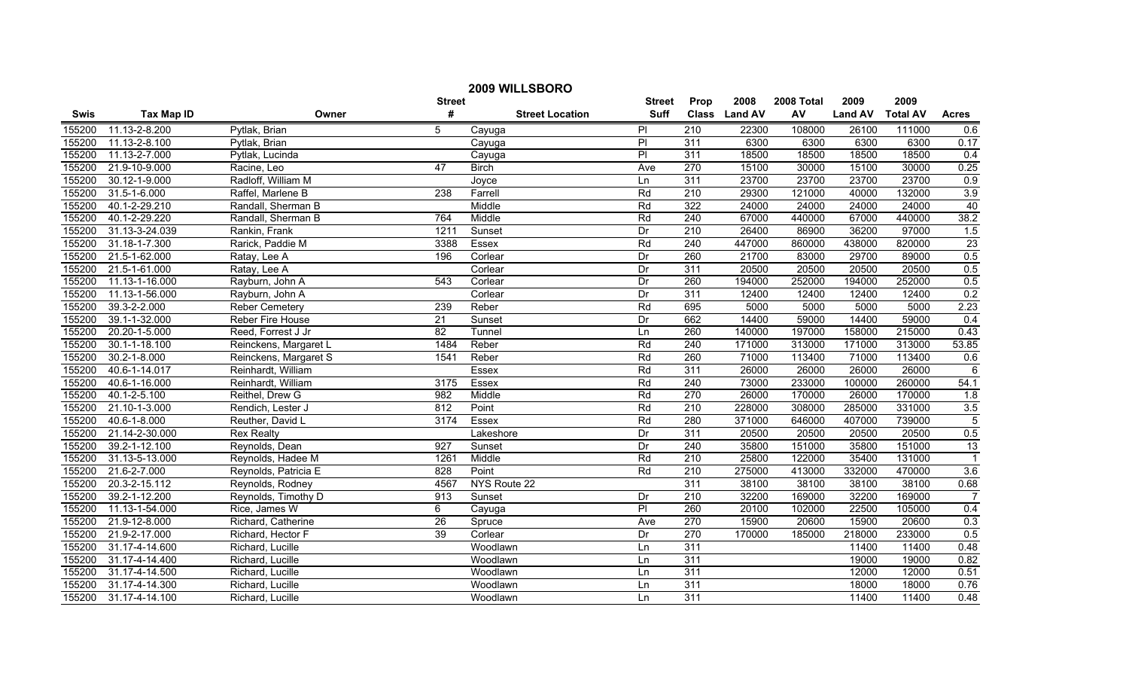| 2009 WILLSBORO |                    |                       |                 |                        |                |                  |               |            |                |                 |                |
|----------------|--------------------|-----------------------|-----------------|------------------------|----------------|------------------|---------------|------------|----------------|-----------------|----------------|
|                |                    |                       | <b>Street</b>   |                        | <b>Street</b>  | Prop             | 2008          | 2008 Total | 2009           | 2009            |                |
| <b>Swis</b>    | <b>Tax Map ID</b>  | Owner                 | #               | <b>Street Location</b> | <b>Suff</b>    |                  | Class Land AV | AV         | <b>Land AV</b> | <b>Total AV</b> | <b>Acres</b>   |
| 155200         | 11.13-2-8.200      | Pytlak, Brian         | 5               | Cayuga                 | PI             | 210              | 22300         | 108000     | 26100          | 111000          | 0.6            |
| 155200         | 11.13-2-8.100      | Pytlak, Brian         |                 | Cayuga                 | $\overline{P}$ | 311              | 6300          | 6300       | 6300           | 6300            | 0.17           |
| 155200         | 11.13-2-7.000      | Pytlak, Lucinda       |                 | Cayuga                 | $\overline{P}$ | 311              | 18500         | 18500      | 18500          | 18500           | 0.4            |
| 155200         | 21.9-10-9.000      | Racine, Leo           | 47              | <b>Birch</b>           | Ave            | 270              | 15100         | 30000      | 15100          | 30000           | 0.25           |
| 155200         | 30.12-1-9.000      | Radloff, William M    |                 | Joyce                  | Ln             | 311              | 23700         | 23700      | 23700          | 23700           | 0.9            |
| 155200         | 31.5-1-6.000       | Raffel, Marlene B     | 238             | Farrell                | Rd             | 210              | 29300         | 121000     | 40000          | 132000          | 3.9            |
| 155200         | 40.1-2-29.210      | Randall, Sherman B    |                 | Middle                 | Rd             | 322              | 24000         | 24000      | 24000          | 24000           | 40             |
| 155200         | 40.1-2-29.220      | Randall, Sherman B    | 764             | Middle                 | Rd             | 240              | 67000         | 440000     | 67000          | 440000          | 38.2           |
| 155200         | 31.13-3-24.039     | Rankin, Frank         | 1211            | Sunset                 | Dr             | $\overline{210}$ | 26400         | 86900      | 36200          | 97000           | 1.5            |
| 155200         | 31.18-1-7.300      | Rarick, Paddie M      | 3388            | Essex                  | Rd             | 240              | 447000        | 860000     | 438000         | 820000          | 23             |
| 155200         | 21.5-1-62.000      | Ratay, Lee A          | 196             | Corlear                | Dr             | 260              | 21700         | 83000      | 29700          | 89000           | 0.5            |
| 155200         | 21.5-1-61.000      | Ratay, Lee A          |                 | Corlear                | Dr             | 311              | 20500         | 20500      | 20500          | 20500           | 0.5            |
| 155200         | 11.13-1-16.000     | Rayburn, John A       | 543             | Corlear                | Dr             | 260              | 194000        | 252000     | 194000         | 252000          | 0.5            |
| 155200         | 11.13-1-56.000     | Rayburn, John A       |                 | Corlear                | Dr             | 311              | 12400         | 12400      | 12400          | 12400           | 0.2            |
| 155200         | 39.3-2-2.000       | Reber Cemetery        | 239             | Reber                  | Rd             | 695              | 5000          | 5000       | 5000           | 5000            | 2.23           |
| 155200         | 39.1-1-32.000      | Reber Fire House      | 21              | Sunset                 | Dr             | 662              | 14400         | 59000      | 14400          | 59000           | 0.4            |
| 155200         | 20.20-1-5.000      | Reed, Forrest J Jr    | 82              | Tunnel                 | Ln             | 260              | 140000        | 197000     | 158000         | 215000          | 0.43           |
| 155200         | 30.1-1-18.100      | Reinckens, Margaret L | 1484            | Reber                  | Rd             | 240              | 171000        | 313000     | 171000         | 313000          | 53.85          |
| 155200         | $30.2 - 1 - 8.000$ | Reinckens, Margaret S | 1541            | Reber                  | Rd             | 260              | 71000         | 113400     | 71000          | 113400          | 0.6            |
| 155200         | 40.6-1-14.017      | Reinhardt, William    |                 | Essex                  | Rd             | 311              | 26000         | 26000      | 26000          | 26000           | $\overline{6}$ |
| 155200         | 40.6-1-16.000      | Reinhardt, William    | 3175            | Essex                  | Rd             | $\overline{240}$ | 73000         | 233000     | 100000         | 260000          | 54.1           |
| 155200         | $40.1 - 2 - 5.100$ | Reithel, Drew G       | 982             | Middle                 | Rd             | 270              | 26000         | 170000     | 26000          | 170000          | 1.8            |
| 155200         | 21.10-1-3.000      | Rendich, Lester J     | 812             | Point                  | Rd             | 210              | 228000        | 308000     | 285000         | 331000          | 3.5            |
| 155200         | 40.6-1-8.000       | Reuther, David L      | 3174            | Essex                  | Rd             | 280              | 371000        | 646000     | 407000         | 739000          | $\overline{5}$ |
| 155200         | 21.14-2-30.000     | <b>Rex Realty</b>     |                 | Lakeshore              | Dr             | 311              | 20500         | 20500      | 20500          | 20500           | 0.5            |
| 155200         | 39.2-1-12.100      | Reynolds, Dean        | 927             | Sunset                 | Dr             | 240              | 35800         | 151000     | 35800          | 151000          | 13             |
| 155200         | 31.13-5-13.000     | Reynolds, Hadee M     | 1261            | Middle                 | Rd             | $\overline{210}$ | 25800         | 122000     | 35400          | 131000          | $\overline{1}$ |
| 155200         | 21.6-2-7.000       | Reynolds, Patricia E  | 828             | Point                  | Rd             | $\overline{210}$ | 275000        | 413000     | 332000         | 470000          | 3.6            |
| 155200         | 20.3-2-15.112      | Reynolds, Rodney      | 4567            | NYS Route 22           |                | 311              | 38100         | 38100      | 38100          | 38100           | 0.68           |
| 155200         | 39.2-1-12.200      | Reynolds, Timothy D   | 913             | Sunset                 | Dr             | 210              | 32200         | 169000     | 32200          | 169000          | $\overline{7}$ |
| 155200         | 11.13-1-54.000     | Rice, James W         | 6               | Cayuga                 | PI             | 260              | 20100         | 102000     | 22500          | 105000          | 0.4            |
| 155200         | 21.9-12-8.000      | Richard, Catherine    | $\overline{26}$ | Spruce                 | Ave            | 270              | 15900         | 20600      | 15900          | 20600           | 0.3            |
| 155200         | 21.9-2-17.000      | Richard, Hector F     | 39              | Corlear                | Dr             | 270              | 170000        | 185000     | 218000         | 233000          | 0.5            |
| 155200         | 31.17-4-14.600     | Richard, Lucille      |                 | Woodlawn               | Ln             | 311              |               |            | 11400          | 11400           | 0.48           |
| 155200         | 31.17-4-14.400     | Richard, Lucille      |                 | Woodlawn               | Ln             | 311              |               |            | 19000          | 19000           | 0.82           |
| 155200         | 31.17-4-14.500     | Richard, Lucille      |                 | Woodlawn               | Ln             | 311              |               |            | 12000          | 12000           | 0.51           |
| 155200         | 31.17-4-14.300     | Richard, Lucille      |                 | Woodlawn               | Ln             | 311              |               |            | 18000          | 18000           | 0.76           |
| 155200         | 31.17-4-14.100     | Richard, Lucille      |                 | Woodlawn               | Ln             | 311              |               |            | 11400          | 11400           | 0.48           |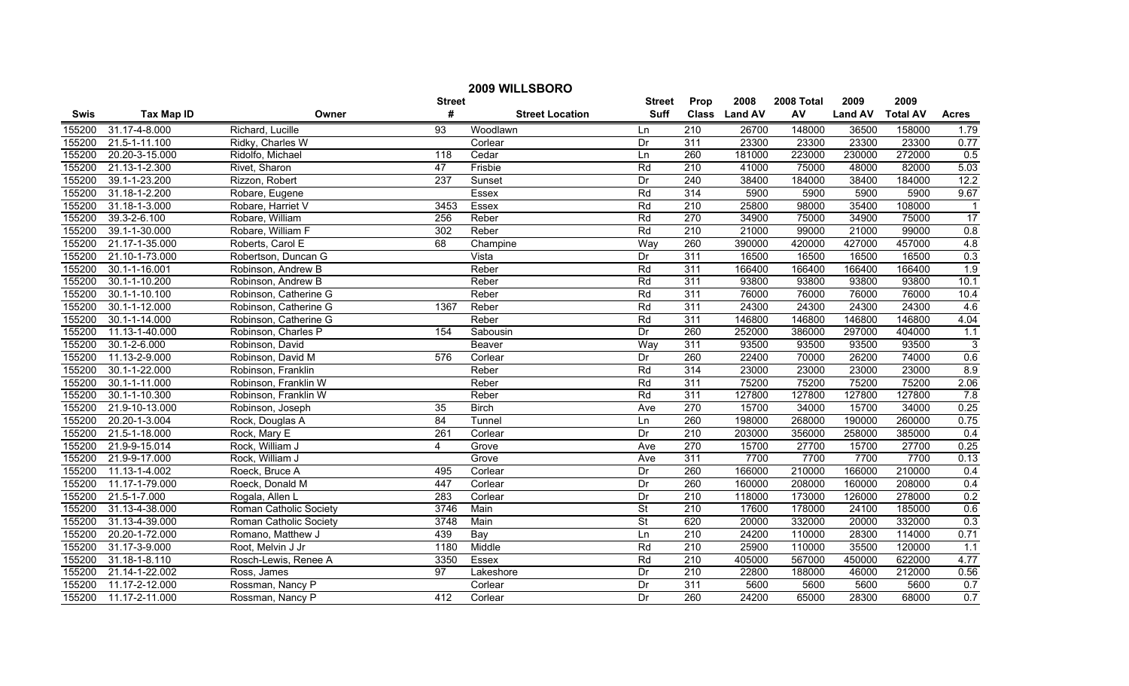| 2009 WILLSBORO |                    |                        |                  |                        |                          |                  |               |            |                |                 |              |
|----------------|--------------------|------------------------|------------------|------------------------|--------------------------|------------------|---------------|------------|----------------|-----------------|--------------|
|                |                    |                        | <b>Street</b>    |                        | <b>Street</b>            | Prop             | 2008          | 2008 Total | 2009           | 2009            |              |
| <b>Swis</b>    | <b>Tax Map ID</b>  | Owner                  | #                | <b>Street Location</b> | <b>Suff</b>              |                  | Class Land AV | AV         | <b>Land AV</b> | <b>Total AV</b> | <b>Acres</b> |
| 155200         | 31.17-4-8.000      | Richard, Lucille       | 93               | Woodlawn               | Ln                       | 210              | 26700         | 148000     | 36500          | 158000          | 1.79         |
| 155200         | 21.5-1-11.100      | Ridky, Charles W       |                  | Corlear                | Dr                       | 311              | 23300         | 23300      | 23300          | 23300           | 0.77         |
| 155200         | 20.20-3-15.000     | Ridolfo, Michael       | $\overline{118}$ | Cedar                  | Ln                       | 260              | 181000        | 223000     | 230000         | 272000          | 0.5          |
| 155200         | 21.13-1-2.300      | Rivet, Sharon          | 47               | Frisbie                | Rd                       | 210              | 41000         | 75000      | 48000          | 82000           | 5.03         |
| 155200         | 39.1-1-23.200      | Rizzon, Robert         | 237              | Sunset                 | Dr                       | 240              | 38400         | 184000     | 38400          | 184000          | 12.2         |
| 155200         | 31.18-1-2.200      | Robare, Eugene         |                  | <b>Essex</b>           | Rd                       | 314              | 5900          | 5900       | 5900           | 5900            | 9.67         |
| 155200         | 31.18-1-3.000      | Robare, Harriet V      | 3453             | Essex                  | Rd                       | 210              | 25800         | 98000      | 35400          | 108000          |              |
| 155200         | 39.3-2-6.100       | Robare, William        | 256              | Reber                  | Rd                       | 270              | 34900         | 75000      | 34900          | 75000           | 17           |
| 155200         | 39.1-1-30.000      | Robare, William F      | 302              | Reber                  | Rd                       | $\overline{210}$ | 21000         | 99000      | 21000          | 99000           | 0.8          |
| 155200         | 21.17-1-35.000     | Roberts, Carol E       | 68               | Champine               | Way                      | 260              | 390000        | 420000     | 427000         | 457000          | 4.8          |
| 155200         | 21.10-1-73.000     | Robertson, Duncan G    |                  | Vista                  | Dr                       | 311              | 16500         | 16500      | 16500          | 16500           | 0.3          |
| 155200         | 30.1-1-16.001      | Robinson, Andrew B     |                  | Reber                  | Rd                       | 311              | 166400        | 166400     | 166400         | 166400          | 1.9          |
| 155200         | 30.1-1-10.200      | Robinson, Andrew B     |                  | Reber                  | Rd                       | 311              | 93800         | 93800      | 93800          | 93800           | 10.1         |
| 155200         | 30.1-1-10.100      | Robinson, Catherine G  |                  | Reber                  | Rd                       | 311              | 76000         | 76000      | 76000          | 76000           | 10.4         |
| 155200         | 30.1-1-12.000      | Robinson, Catherine G  | 1367             | Reber                  | Rd                       | 311              | 24300         | 24300      | 24300          | 24300           | 4.6          |
| 155200         | 30.1-1-14.000      | Robinson, Catherine G  |                  | Reber                  | Rd                       | 311              | 146800        | 146800     | 146800         | 146800          | 4.04         |
| 155200         | 11.13-1-40.000     | Robinson, Charles P    | 154              | Sabousin               | Dr                       | 260              | 252000        | 386000     | 297000         | 404000          | 1.1          |
| 155200         | $30.1 - 2 - 6.000$ | Robinson, David        |                  | Beaver                 | Way                      | 311              | 93500         | 93500      | 93500          | 93500           | 3            |
| 155200         | 11.13-2-9.000      | Robinson, David M      | 576              | Corlear                | Dr                       | 260              | 22400         | 70000      | 26200          | 74000           | 0.6          |
| 155200         | 30.1-1-22.000      | Robinson, Franklin     |                  | Reber                  | Rd                       | 314              | 23000         | 23000      | 23000          | 23000           | 8.9          |
| 155200         | 30.1-1-11.000      | Robinson, Franklin W   |                  | Reber                  | Rd                       | 311              | 75200         | 75200      | 75200          | 75200           | 2.06         |
| 155200         | 30.1-1-10.300      | Robinson, Franklin W   |                  | Reber                  | Rd                       | 311              | 127800        | 127800     | 127800         | 127800          | 7.8          |
| 155200         | 21.9-10-13.000     | Robinson, Joseph       | 35               | <b>Birch</b>           | Ave                      | 270              | 15700         | 34000      | 15700          | 34000           | 0.25         |
| 155200         | 20.20-1-3.004      | Rock, Douglas A        | 84               | Tunnel                 | Ln                       | 260              | 198000        | 268000     | 190000         | 260000          | 0.75         |
| 155200         | 21.5-1-18.000      | Rock, Mary E           | 261              | Corlear                | Dr                       | $\overline{210}$ | 203000        | 356000     | 258000         | 385000          | 0.4          |
| 155200         | 21.9-9-15.014      | Rock, William J        | 4                | Grove                  | Ave                      | 270              | 15700         | 27700      | 15700          | 27700           | 0.25         |
| 155200         | 21.9-9-17.000      | Rock, William J        |                  | Grove                  | Ave                      | 311              | 7700          | 7700       | 7700           | 7700            | 0.13         |
| 155200         | 11.13-1-4.002      | Roeck, Bruce A         | 495              | Corlear                | Dr                       | 260              | 166000        | 210000     | 166000         | 210000          | 0.4          |
| 155200         | 11.17-1-79.000     | Roeck, Donald M        | 447              | Corlear                | Dr                       | 260              | 160000        | 208000     | 160000         | 208000          | 0.4          |
| 155200         | 21.5-1-7.000       | Rogala, Allen L        | 283              | Corlear                | Dr                       | 210              | 118000        | 173000     | 126000         | 278000          | 0.2          |
| 155200         | 31.13-4-38.000     | Roman Catholic Society | 3746             | Main                   | $\overline{\mathsf{St}}$ | 210              | 17600         | 178000     | 24100          | 185000          | 0.6          |
| 155200         | 31.13-4-39.000     | Roman Catholic Society | 3748             | Main                   | <b>St</b>                | 620              | 20000         | 332000     | 20000          | 332000          | 0.3          |
| 155200         | 20.20-1-72.000     | Romano, Matthew J      | 439              | Bay                    | Ln                       | 210              | 24200         | 110000     | 28300          | 114000          | 0.71         |
| 155200         | 31.17-3-9.000      | Root, Melvin J Jr      | 1180             | Middle                 | Rd                       | 210              | 25900         | 110000     | 35500          | 120000          | 1.1          |
| 155200         | 31.18-1-8.110      | Rosch-Lewis, Renee A   | 3350             | Essex                  | Rd                       | 210              | 405000        | 567000     | 450000         | 622000          | 4.77         |
| 155200         | 21.14-1-22.002     | Ross, James            | 97               | Lakeshore              | Dr                       | $\overline{210}$ | 22800         | 188000     | 46000          | 212000          | 0.56         |
| 155200         | 11.17-2-12.000     | Rossman, Nancy P       |                  | Corlear                | Dr                       | 311              | 5600          | 5600       | 5600           | 5600            | 0.7          |
| 155200         | 11.17-2-11.000     | Rossman, Nancy P       | 412              | Corlear                | Dr                       | 260              | 24200         | 65000      | 28300          | 68000           | 0.7          |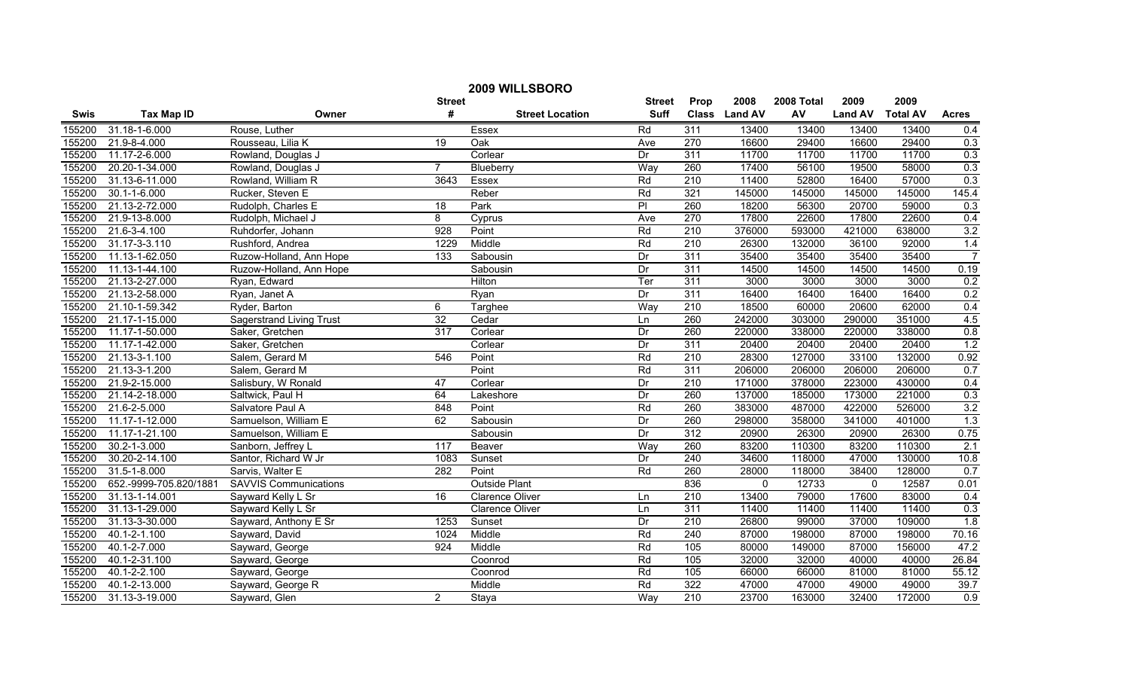| 2009 WILLSBORO |                        |                                 |                  |                        |                |                  |               |            |                |                 |                  |
|----------------|------------------------|---------------------------------|------------------|------------------------|----------------|------------------|---------------|------------|----------------|-----------------|------------------|
|                |                        |                                 | <b>Street</b>    |                        | <b>Street</b>  | Prop             | 2008          | 2008 Total | 2009           | 2009            |                  |
| Swis           | <b>Tax Map ID</b>      | Owner                           | #                | <b>Street Location</b> | <b>Suff</b>    |                  | Class Land AV | AV         | <b>Land AV</b> | <b>Total AV</b> | <b>Acres</b>     |
| 155200         | 31.18-1-6.000          | Rouse, Luther                   |                  | Essex                  | Rd             | 311              | 13400         | 13400      | 13400          | 13400           | 0.4              |
| 155200         | 21.9-8-4.000           | Rousseau, Lilia K               | $\overline{19}$  | Oak                    | Ave            | 270              | 16600         | 29400      | 16600          | 29400           | 0.3              |
| 155200         | 11.17-2-6.000          | Rowland, Douglas J              |                  | Corlear                | Dr             | 311              | 11700         | 11700      | 11700          | 11700           | 0.3              |
| 155200         | 20.20-1-34.000         | Rowland, Douglas J              | $\overline{7}$   | Blueberry              | Way            | 260              | 17400         | 56100      | 19500          | 58000           | 0.3              |
| 155200         | 31.13-6-11.000         | Rowland, William R              | 3643             | Essex                  | Rd             | 210              | 11400         | 52800      | 16400          | 57000           | 0.3              |
| 155200         | $30.1 - 1 - 6.000$     | Rucker, Steven E                |                  | Reber                  | Rd             | 321              | 145000        | 145000     | 145000         | 145000          | 145.4            |
| 155200         | 21.13-2-72.000         | Rudolph, Charles E              | 18               | Park                   | $\overline{P}$ | 260              | 18200         | 56300      | 20700          | 59000           | 0.3              |
| 155200         | 21.9-13-8.000          | Rudolph, Michael J              | $\overline{8}$   | Cyprus                 | Ave            | 270              | 17800         | 22600      | 17800          | 22600           | 0.4              |
| 155200         | 21.6-3-4.100           | Ruhdorfer, Johann               | $\overline{928}$ | Point                  | Rd             | 210              | 376000        | 593000     | 421000         | 638000          | 3.2              |
| 155200         | 31.17-3-3.110          | Rushford, Andrea                | 1229             | Middle                 | Rd             | 210              | 26300         | 132000     | 36100          | 92000           | 1.4              |
| 155200         | 11.13-1-62.050         | Ruzow-Holland, Ann Hope         | 133              | Sabousin               | Dr             | 311              | 35400         | 35400      | 35400          | 35400           | $\overline{7}$   |
| 155200         | 11.13-1-44.100         | Ruzow-Holland, Ann Hope         |                  | Sabousin               | Dr             | 311              | 14500         | 14500      | 14500          | 14500           | 0.19             |
| 155200         | 21.13-2-27.000         | Ryan, Edward                    |                  | Hilton                 | Ter            | 311              | 3000          | 3000       | 3000           | 3000            | 0.2              |
| 155200         | 21.13-2-58.000         | Ryan, Janet A                   |                  | Ryan                   | Dr             | 311              | 16400         | 16400      | 16400          | 16400           | 0.2              |
| 155200         | 21.10-1-59.342         | Ryder, Barton                   | 6                | Targhee                | Way            | 210              | 18500         | 60000      | 20600          | 62000           | 0.4              |
| 155200         | 21.17-1-15.000         | <b>Sagerstrand Living Trust</b> | 32               | Cedar                  | Ln             | 260              | 242000        | 303000     | 290000         | 351000          | 4.5              |
| 155200         | 11.17-1-50.000         | Saker, Gretchen                 | 317              | Corlear                | Dr             | 260              | 220000        | 338000     | 220000         | 338000          | 0.8              |
| 155200         | 11.17-1-42.000         | Saker, Gretchen                 |                  | Corlear                | Dr             | 311              | 20400         | 20400      | 20400          | 20400           | 1.2              |
| 155200         | 21.13-3-1.100          | Salem, Gerard M                 | 546              | Point                  | Rd             | 210              | 28300         | 127000     | 33100          | 132000          | 0.92             |
| 155200         | 21.13-3-1.200          | Salem, Gerard M                 |                  | Point                  | Rd             | 311              | 206000        | 206000     | 206000         | 206000          | 0.7              |
| 155200         | 21.9-2-15.000          | Salisbury, W Ronald             | 47               | Corlear                | Dr             | $\overline{210}$ | 171000        | 378000     | 223000         | 430000          | 0.4              |
| 155200         | 21.14-2-18.000         | Saltwick, Paul H                | 64               | Lakeshore              | Dr             | 260              | 137000        | 185000     | 173000         | 221000          | 0.3              |
| 155200         | 21.6-2-5.000           | Salvatore Paul A                | 848              | Point                  | Rd             | 260              | 383000        | 487000     | 422000         | 526000          | 3.2              |
| 155200         | 11.17-1-12.000         | Samuelson, William E            | 62               | Sabousin               | Dr             | 260              | 298000        | 358000     | 341000         | 401000          | 1.3              |
| 155200         | 11.17-1-21.100         | Samuelson, William E            |                  | Sabousin               | Dr             | 312              | 20900         | 26300      | 20900          | 26300           | 0.75             |
| 155200         | 30.2-1-3.000           | Sanborn, Jeffrey L              | 117              | Beaver                 | Way            | 260              | 83200         | 110300     | 83200          | 110300          | 2.1              |
| 155200         | 30.20-2-14.100         | Santor, Richard W Jr            | 1083             | Sunset                 | Dr             | 240              | 34600         | 118000     | 47000          | 130000          | 10.8             |
| 155200         | 31.5-1-8.000           | Sarvis, Walter E                | 282              | Point                  | Rd             | 260              | 28000         | 118000     | 38400          | 128000          | 0.7              |
| 155200         | 652.-9999-705.820/1881 | <b>SAVVIS Communications</b>    |                  | <b>Outside Plant</b>   |                | 836              | $\Omega$      | 12733      | $\mathbf{0}$   | 12587           | 0.01             |
| 155200         | 31.13-1-14.001         | Sayward Kelly L Sr              | 16               | <b>Clarence Oliver</b> | Ln             | 210              | 13400         | 79000      | 17600          | 83000           | 0.4              |
| 155200         | 31.13-1-29.000         | Sayward Kelly L Sr              |                  | Clarence Oliver        | Ln             | 311              | 11400         | 11400      | 11400          | 11400           | 0.3              |
| 155200         | 31.13-3-30.000         | Sayward, Anthony E Sr           | 1253             | Sunset                 | Dr             | 210              | 26800         | 99000      | 37000          | 109000          | 1.8              |
| 155200         | 40.1-2-1.100           | Sayward, David                  | 1024             | Middle                 | Rd             | 240              | 87000         | 198000     | 87000          | 198000          | 70.16            |
| 155200         | 40.1-2-7.000           | Sayward, George                 | 924              | Middle                 | Rd             | 105              | 80000         | 149000     | 87000          | 156000          | 47.2             |
| 155200         | 40.1-2-31.100          | Sayward, George                 |                  | Coonrod                | Rd             | 105              | 32000         | 32000      | 40000          | 40000           | 26.84            |
| 155200         | 40.1-2-2.100           | Sayward, George                 |                  | Coonrod                | Rd             | 105              | 66000         | 66000      | 81000          | 81000           | 55.12            |
| 155200         | 40.1-2-13.000          | Sayward, George R               |                  | Middle                 | Rd             | 322              | 47000         | 47000      | 49000          | 49000           | 39.7             |
| 155200         | 31.13-3-19.000         | Sayward, Glen                   | $\overline{2}$   | Staya                  | Way            | $\overline{210}$ | 23700         | 163000     | 32400          | 172000          | $\overline{0.9}$ |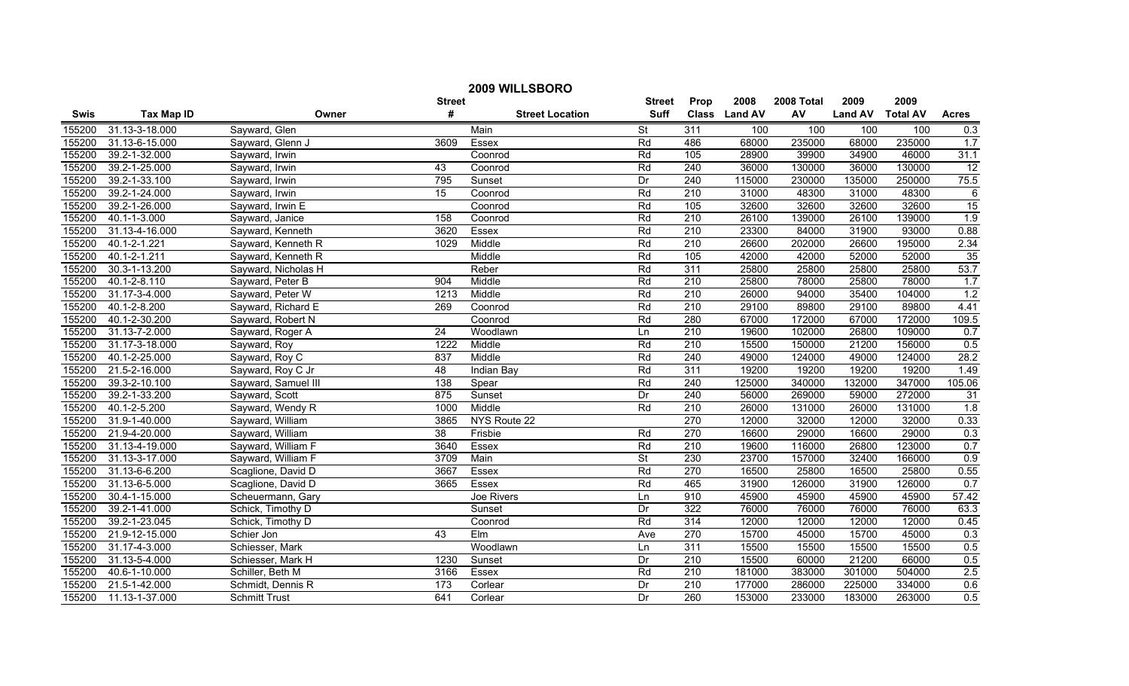| 2009 WILLSBORO |                   |                      |                 |                        |                          |                  |               |            |                |                 |                 |
|----------------|-------------------|----------------------|-----------------|------------------------|--------------------------|------------------|---------------|------------|----------------|-----------------|-----------------|
|                |                   |                      | <b>Street</b>   |                        | <b>Street</b>            | Prop             | 2008          | 2008 Total | 2009           | 2009            |                 |
| <b>Swis</b>    | <b>Tax Map ID</b> | Owner                | #               | <b>Street Location</b> | <b>Suff</b>              |                  | Class Land AV | AV         | <b>Land AV</b> | <b>Total AV</b> | <b>Acres</b>    |
| 155200         | 31.13-3-18.000    | Sayward, Glen        |                 | Main                   | <b>St</b>                | 311              | 100           | 100        | 100            | 100             | 0.3             |
| 155200         | 31.13-6-15.000    | Sayward, Glenn J     | 3609            | Essex                  | Rd                       | 486              | 68000         | 235000     | 68000          | 235000          | 1.7             |
| 155200         | 39.2-1-32.000     | Sayward, Irwin       |                 | Coonrod                | Rd                       | 105              | 28900         | 39900      | 34900          | 46000           | 31.1            |
| 155200         | 39.2-1-25.000     | Sayward, Irwin       | 43              | Coonrod                | Rd                       | 240              | 36000         | 130000     | 36000          | 130000          | 12              |
| 155200         | 39.2-1-33.100     | Sayward, Irwin       | 795             | Sunset                 | Dr                       | 240              | 115000        | 230000     | 135000         | 250000          | 75.5            |
| 155200         | 39.2-1-24.000     | Sayward, Irwin       | 15              | Coonrod                | Rd                       | 210              | 31000         | 48300      | 31000          | 48300           | $\overline{6}$  |
| 155200         | 39.2-1-26.000     | Sayward, Irwin E     |                 | Coonrod                | Rd                       | 105              | 32600         | 32600      | 32600          | 32600           | $\overline{15}$ |
| 155200         | 40.1-1-3.000      | Sayward, Janice      | 158             | Coonrod                | Rd                       | 210              | 26100         | 139000     | 26100          | 139000          | 1.9             |
| 155200         | 31.13-4-16.000    | Sayward, Kenneth     | 3620            | Essex                  | Rd                       | $\overline{210}$ | 23300         | 84000      | 31900          | 93000           | 0.88            |
| 155200         | 40.1-2-1.221      | Sayward, Kenneth R   | 1029            | Middle                 | Rd                       | 210              | 26600         | 202000     | 26600          | 195000          | 2.34            |
| 155200         | 40.1-2-1.211      | Sayward, Kenneth R   |                 | Middle                 | Rd                       | 105              | 42000         | 42000      | 52000          | 52000           | $\overline{35}$ |
| 155200         | 30.3-1-13.200     | Sayward, Nicholas H  |                 | Reber                  | Rd                       | 311              | 25800         | 25800      | 25800          | 25800           | 53.7            |
| 155200         | 40.1-2-8.110      | Sayward, Peter B     | 904             | Middle                 | Rd                       | $\overline{210}$ | 25800         | 78000      | 25800          | 78000           | 1.7             |
| 155200         | 31.17-3-4.000     | Sayward, Peter W     | 1213            | Middle                 | Rd                       | $\overline{210}$ | 26000         | 94000      | 35400          | 104000          | 1.2             |
| 155200         | 40.1-2-8.200      | Sayward, Richard E   | 269             | Coonrod                | Rd                       | 210              | 29100         | 89800      | 29100          | 89800           | 4.41            |
| 155200         | 40.1-2-30.200     | Sayward, Robert N    |                 | Coonrod                | Rd                       | 280              | 67000         | 172000     | 67000          | 172000          | 109.5           |
| 155200         | 31.13-7-2.000     | Sayward, Roger A     | 24              | Woodlawn               | Ln                       | 210              | 19600         | 102000     | 26800          | 109000          | 0.7             |
| 155200         | 31.17-3-18.000    | Sayward, Roy         | 1222            | Middle                 | Rd                       | 210              | 15500         | 150000     | 21200          | 156000          | 0.5             |
| 155200         | 40.1-2-25.000     | Sayward, Roy C       | 837             | Middle                 | Rd                       | 240              | 49000         | 124000     | 49000          | 124000          | 28.2            |
| 155200         | 21.5-2-16.000     | Sayward, Roy C Jr    | 48              | Indian Bay             | Rd                       | 311              | 19200         | 19200      | 19200          | 19200           | 1.49            |
| 155200         | 39.3-2-10.100     | Sayward, Samuel III  | 138             | Spear                  | Rd                       | 240              | 125000        | 340000     | 132000         | 347000          | 105.06          |
| 155200         | 39.2-1-33.200     | Sayward, Scott       | 875             | Sunset                 | Dr                       | 240              | 56000         | 269000     | 59000          | 272000          | $\overline{31}$ |
| 155200         | 40.1-2-5.200      | Sayward, Wendy R     | 1000            | Middle                 | Rd                       | 210              | 26000         | 131000     | 26000          | 131000          | 1.8             |
| 155200         | 31.9-1-40.000     | Sayward, William     | 3865            | NYS Route 22           |                          | 270              | 12000         | 32000      | 12000          | 32000           | 0.33            |
| 155200         | 21.9-4-20.000     | Sayward, William     | $\overline{38}$ | Frisbie                | Rd                       | 270              | 16600         | 29000      | 16600          | 29000           | 0.3             |
| 155200         | 31.13-4-19.000    | Sayward, William F   | 3640            | Essex                  | Rd                       | $\overline{210}$ | 19600         | 116000     | 26800          | 123000          | 0.7             |
| 155200         | 31.13-3-17.000    | Sayward, William F   | 3709            | Main                   | $\overline{\mathsf{St}}$ | 230              | 23700         | 157000     | 32400          | 166000          | 0.9             |
| 155200         | 31.13-6-6.200     | Scaglione, David D   | 3667            | Essex                  | Rd                       | 270              | 16500         | 25800      | 16500          | 25800           | 0.55            |
| 155200         | 31.13-6-5.000     | Scaglione, David D   | 3665            | Essex                  | Rd                       | 465              | 31900         | 126000     | 31900          | 126000          | 0.7             |
| 155200         | 30.4-1-15.000     | Scheuermann, Gary    |                 | Joe Rivers             | Ln                       | 910              | 45900         | 45900      | 45900          | 45900           | 57.42           |
| 155200         | 39.2-1-41.000     | Schick, Timothy D    |                 | Sunset                 | Dr                       | 322              | 76000         | 76000      | 76000          | 76000           | 63.3            |
| 155200         | 39.2-1-23.045     | Schick, Timothy D    |                 | Coonrod                | Rd                       | 314              | 12000         | 12000      | 12000          | 12000           | 0.45            |
| 155200         | 21.9-12-15.000    | Schier Jon           | 43              | Elm                    | Ave                      | 270              | 15700         | 45000      | 15700          | 45000           | 0.3             |
| 155200         | 31.17-4-3.000     | Schiesser, Mark      |                 | Woodlawn               | Ln                       | 311              | 15500         | 15500      | 15500          | 15500           | 0.5             |
| 155200         | 31.13-5-4.000     | Schiesser, Mark H    | 1230            | Sunset                 | Dr                       | 210              | 15500         | 60000      | 21200          | 66000           | 0.5             |
| 155200         | 40.6-1-10.000     | Schiller, Beth M     | 3166            | Essex                  | Rd                       | $\overline{210}$ | 181000        | 383000     | 301000         | 504000          | 2.5             |
| 155200         | 21.5-1-42.000     | Schmidt, Dennis R    | 173             | Corlear                | Dr                       | $\overline{210}$ | 177000        | 286000     | 225000         | 334000          | 0.6             |
| 155200         | 11.13-1-37.000    | <b>Schmitt Trust</b> | 641             | Corlear                | Dr                       | 260              | 153000        | 233000     | 183000         | 263000          | 0.5             |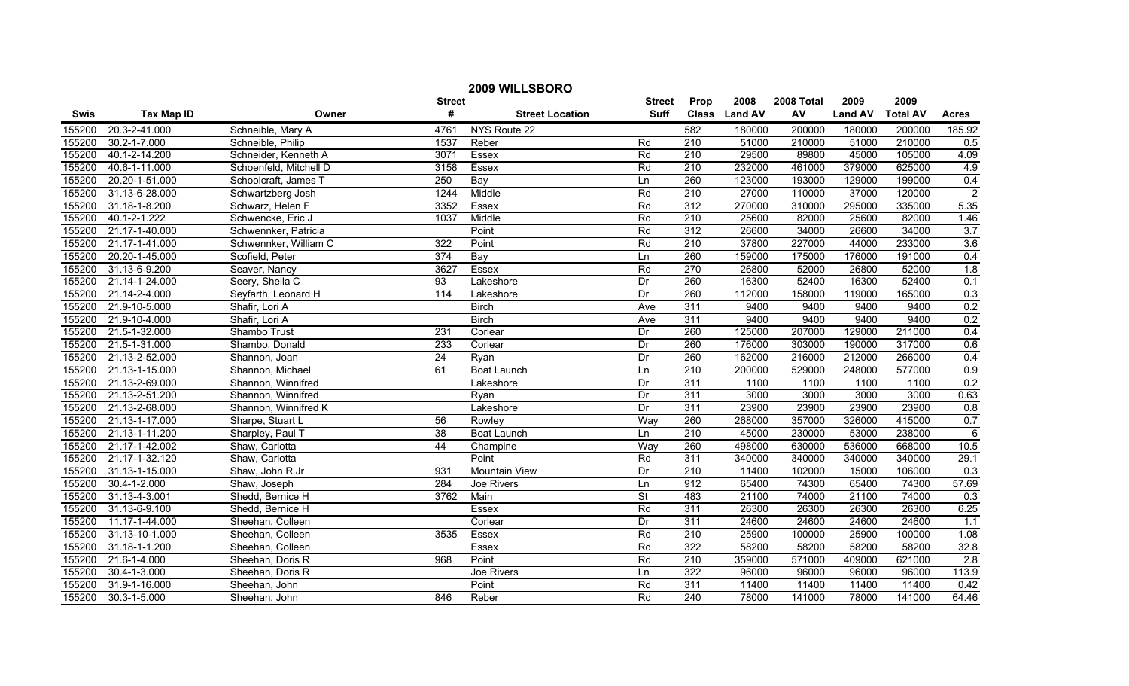|             | 2009 WILLSBORO     |                        |                 |                        |               |                  |               |            |                |                 |                  |  |
|-------------|--------------------|------------------------|-----------------|------------------------|---------------|------------------|---------------|------------|----------------|-----------------|------------------|--|
|             |                    |                        | <b>Street</b>   |                        | <b>Street</b> | Prop             | 2008          | 2008 Total | 2009           | 2009            |                  |  |
| <b>Swis</b> | <b>Tax Map ID</b>  | Owner                  | #               | <b>Street Location</b> | <b>Suff</b>   |                  | Class Land AV | AV         | <b>Land AV</b> | <b>Total AV</b> | <b>Acres</b>     |  |
| 155200      | 20.3-2-41.000      | Schneible, Mary A      | 4761            | NYS Route 22           |               | 582              | 180000        | 200000     | 180000         | 200000          | 185.92           |  |
| 155200      | 30.2-1-7.000       | Schneible, Philip      | 1537            | Reber                  | Rd            | $\overline{210}$ | 51000         | 210000     | 51000          | 210000          | 0.5              |  |
| 155200      | 40.1-2-14.200      | Schneider, Kenneth A   | 3071            | Essex                  | Rd            | $\overline{210}$ | 29500         | 89800      | 45000          | 105000          | 4.09             |  |
| 155200      | 40.6-1-11.000      | Schoenfeld, Mitchell D | 3158            | Essex                  | Rd            | 210              | 232000        | 461000     | 379000         | 625000          | 4.9              |  |
| 155200      | 20.20-1-51.000     | Schoolcraft, James T   | 250             | Bay                    | Ln            | 260              | 123000        | 193000     | 129000         | 199000          | 0.4              |  |
| 155200      | 31.13-6-28.000     | Schwartzberg Josh      | 1244            | Middle                 | Rd            | 210              | 27000         | 110000     | 37000          | 120000          | $\overline{2}$   |  |
| 155200      | 31.18-1-8.200      | Schwarz, Helen F       | 3352            | Essex                  | Rd            | 312              | 270000        | 310000     | 295000         | 335000          | 5.35             |  |
| 155200      | 40.1-2-1.222       | Schwencke, Eric J      | 1037            | Middle                 | Rd            | 210              | 25600         | 82000      | 25600          | 82000           | 1.46             |  |
| 155200      | 21.17-1-40.000     | Schwennker, Patricia   |                 | Point                  | Rd            | 312              | 26600         | 34000      | 26600          | 34000           | 3.7              |  |
| 155200      | 21.17-1-41.000     | Schwennker, William C  | 322             | Point                  | Rd            | $\overline{210}$ | 37800         | 227000     | 44000          | 233000          | 3.6              |  |
| 155200      | 20.20-1-45.000     | Scofield, Peter        | 374             | Bay                    | Ln            | 260              | 159000        | 175000     | 176000         | 191000          | 0.4              |  |
| 155200      | 31.13-6-9.200      | Seaver, Nancy          | 3627            | Essex                  | Rd            | 270              | 26800         | 52000      | 26800          | 52000           | 1.8              |  |
| 155200      | 21.14-1-24.000     | Seery, Sheila C        | $\overline{93}$ | Lakeshore              | Dr            | 260              | 16300         | 52400      | 16300          | 52400           | 0.1              |  |
| 155200      | 21.14-2-4.000      | Seyfarth, Leonard H    | 114             | Lakeshore              | Dr            | 260              | 112000        | 158000     | 119000         | 165000          | 0.3              |  |
| 155200      | 21.9-10-5.000      | Shafir, Lori A         |                 | <b>Birch</b>           | Ave           | 311              | 9400          | 9400       | 9400           | 9400            | 0.2              |  |
| 155200      | 21.9-10-4.000      | Shafir, Lori A         |                 | <b>Birch</b>           | Ave           | 311              | 9400          | 9400       | 9400           | 9400            | 0.2              |  |
| 155200      | 21.5-1-32.000      | Shambo Trust           | 231             | Corlear                | Dr            | 260              | 125000        | 207000     | 129000         | 211000          | 0.4              |  |
| 155200      | 21.5-1-31.000      | Shambo, Donald         | 233             | Corlear                | Dr            | 260              | 176000        | 303000     | 190000         | 317000          | 0.6              |  |
| 155200      | 21.13-2-52.000     | Shannon, Joan          | $\overline{24}$ | Ryan                   | Dr            | 260              | 162000        | 216000     | 212000         | 266000          | 0.4              |  |
| 155200      | 21.13-1-15.000     | Shannon, Michael       | 61              | Boat Launch            | Ln            | 210              | 200000        | 529000     | 248000         | 577000          | 0.9              |  |
| 155200      | 21.13-2-69.000     | Shannon, Winnifred     |                 | Lakeshore              | Dr            | 311              | 1100          | 1100       | 1100           | 1100            | 0.2              |  |
| 155200      | 21.13-2-51.200     | Shannon, Winnifred     |                 | Ryan                   | Dr            | 311              | 3000          | 3000       | 3000           | 3000            | 0.63             |  |
| 155200      | 21.13-2-68.000     | Shannon, Winnifred K   |                 | Lakeshore              | Dr            | 311              | 23900         | 23900      | 23900          | 23900           | 0.8              |  |
| 155200      | 21.13-1-17.000     | Sharpe, Stuart L       | 56              | Rowley                 | Way           | 260              | 268000        | 357000     | 326000         | 415000          | 0.7              |  |
| 155200      | 21.13-1-11.200     | Sharpley, Paul T       | 38              | <b>Boat Launch</b>     | Ln            | 210              | 45000         | 230000     | 53000          | 238000          | $6\phantom{1}6$  |  |
| 155200      | 21.17-1-42.002     | Shaw, Carlotta         | 44              | Champine               | Way           | 260              | 498000        | 630000     | 536000         | 668000          | 10.5             |  |
| 155200      | 21.17-1-32.120     | Shaw, Carlotta         |                 | Point                  | Rd            | 311              | 340000        | 340000     | 340000         | 340000          | 29.1             |  |
| 155200      | 31.13-1-15.000     | Shaw, John R Jr        | 931             | <b>Mountain View</b>   | Dr            | $\overline{210}$ | 11400         | 102000     | 15000          | 106000          | $\overline{0.3}$ |  |
| 155200      | 30.4-1-2.000       | Shaw, Joseph           | 284             | Joe Rivers             | Ln            | 912              | 65400         | 74300      | 65400          | 74300           | 57.69            |  |
| 155200      | 31.13-4-3.001      | Shedd, Bernice H       | 3762            | Main                   | <b>St</b>     | 483              | 21100         | 74000      | 21100          | 74000           | 0.3              |  |
| 155200      | 31.13-6-9.100      | Shedd, Bernice H       |                 | Essex                  | Rd            | 311              | 26300         | 26300      | 26300          | 26300           | 6.25             |  |
| 155200      | 11.17-1-44.000     | Sheehan, Colleen       |                 | Corlear                | Dr            | 311              | 24600         | 24600      | 24600          | 24600           | 1.1              |  |
| 155200      | 31.13-10-1.000     | Sheehan, Colleen       | 3535            | Essex                  | Rd            | $\overline{210}$ | 25900         | 100000     | 25900          | 100000          | 1.08             |  |
| 155200      | 31.18-1-1.200      | Sheehan, Colleen       |                 | Essex                  | Rd            | 322              | 58200         | 58200      | 58200          | 58200           | 32.8             |  |
| 155200      | 21.6-1-4.000       | Sheehan, Doris R       | 968             | Point                  | Rd            | $\overline{210}$ | 359000        | 571000     | 409000         | 621000          | $\overline{2.8}$ |  |
| 155200      | $30.4 - 1 - 3.000$ | Sheehan, Doris R       |                 | Joe Rivers             | Ln            | 322              | 96000         | 96000      | 96000          | 96000           | 113.9            |  |
| 155200      | 31.9-1-16.000      | Sheehan, John          |                 | Point                  | Rd            | 311              | 11400         | 11400      | 11400          | 11400           | 0.42             |  |
| 155200      | 30.3-1-5.000       | Sheehan, John          | 846             | Reber                  | Rd            | 240              | 78000         | 141000     | 78000          | 141000          | 64.46            |  |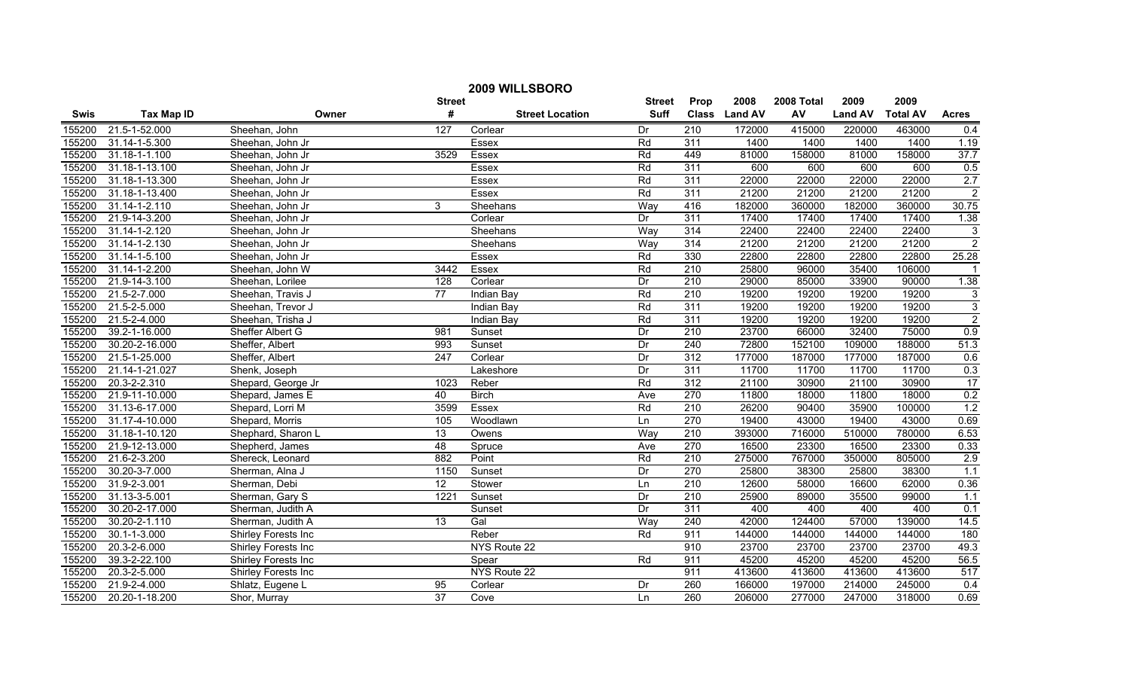|             | 2009 WILLSBORO     |                     |                  |                        |               |                  |               |            |                |                 |                  |
|-------------|--------------------|---------------------|------------------|------------------------|---------------|------------------|---------------|------------|----------------|-----------------|------------------|
|             |                    |                     | <b>Street</b>    |                        | <b>Street</b> | Prop             | 2008          | 2008 Total | 2009           | 2009            |                  |
| <b>Swis</b> | <b>Tax Map ID</b>  | Owner               | #                | <b>Street Location</b> | <b>Suff</b>   |                  | Class Land AV | AV         | <b>Land AV</b> | <b>Total AV</b> | <b>Acres</b>     |
| 155200      | 21.5-1-52.000      | Sheehan, John       | 127              | Corlear                | Dr            | 210              | 172000        | 415000     | 220000         | 463000          | 0.4              |
| 155200      | 31.14-1-5.300      | Sheehan, John Jr    |                  | Essex                  | Rd            | 311              | 1400          | 1400       | 1400           | 1400            | 1.19             |
| 155200      | 31.18-1-1.100      | Sheehan, John Jr    | 3529             | Essex                  | Rd            | 449              | 81000         | 158000     | 81000          | 158000          | 37.7             |
| 155200      | 31.18-1-13.100     | Sheehan, John Jr    |                  | Essex                  | Rd            | 311              | 600           | 600        | 600            | 600             | 0.5              |
| 155200      | 31.18-1-13.300     | Sheehan, John Jr    |                  | Essex                  | Rd            | 311              | 22000         | 22000      | 22000          | 22000           | 2.7              |
| 155200      | 31.18-1-13.400     | Sheehan, John Jr    |                  | Essex                  | Rd            | 311              | 21200         | 21200      | 21200          | 21200           | $\overline{2}$   |
| 155200      | 31.14-1-2.110      | Sheehan, John Jr    | 3                | Sheehans               | Way           | 416              | 182000        | 360000     | 182000         | 360000          | 30.75            |
| 155200      | 21.9-14-3.200      | Sheehan, John Jr    |                  | Corlear                | Dr            | 311              | 17400         | 17400      | 17400          | 17400           | 1.38             |
| 155200      | 31.14-1-2.120      | Sheehan, John Jr    |                  | Sheehans               | Way           | 314              | 22400         | 22400      | 22400          | 22400           | 3                |
| 155200      | 31.14-1-2.130      | Sheehan, John Jr    |                  | Sheehans               | Way           | 314              | 21200         | 21200      | 21200          | 21200           | $\overline{2}$   |
| 155200      | 31.14-1-5.100      | Sheehan, John Jr    |                  | Essex                  | Rd            | 330              | 22800         | 22800      | 22800          | 22800           | 25.28            |
| 155200      | 31.14-1-2.200      | Sheehan, John W     | 3442             | Essex                  | Rd            | $\overline{210}$ | 25800         | 96000      | 35400          | 106000          |                  |
| 155200      | 21.9-14-3.100      | Sheehan, Lorilee    | $\overline{128}$ | Corlear                | Dr            | 210              | 29000         | 85000      | 33900          | 90000           | 1.38             |
| 155200      | 21.5-2-7.000       | Sheehan, Travis J   | 77               | Indian Bay             | Rd            | $\overline{210}$ | 19200         | 19200      | 19200          | 19200           | 3                |
| 155200      | 21.5-2-5.000       | Sheehan, Trevor J   |                  | Indian Bay             | Rd            | 311              | 19200         | 19200      | 19200          | 19200           | $\overline{3}$   |
| 155200      | 21.5-2-4.000       | Sheehan, Trisha J   |                  | Indian Bay             | Rd            | 311              | 19200         | 19200      | 19200          | 19200           | $\overline{2}$   |
| 155200      | 39.2-1-16.000      | Sheffer Albert G    | 981              | Sunset                 | Dr            | 210              | 23700         | 66000      | 32400          | 75000           | 0.9              |
| 155200      | 30.20-2-16.000     | Sheffer, Albert     | 993              | Sunset                 | Dr            | 240              | 72800         | 152100     | 109000         | 188000          | 51.3             |
| 155200      | 21.5-1-25.000      | Sheffer, Albert     | 247              | Corlear                | Dr            | 312              | 177000        | 187000     | 177000         | 187000          | 0.6              |
| 155200      | 21.14-1-21.027     | Shenk, Joseph       |                  | Lakeshore              | Dr            | 311              | 11700         | 11700      | 11700          | 11700           | 0.3              |
| 155200      | 20.3-2-2.310       | Shepard, George Jr  | 1023             | Reber                  | Rd            | 312              | 21100         | 30900      | 21100          | 30900           | 17               |
| 155200      | 21.9-11-10.000     | Shepard, James E    | 40               | <b>Birch</b>           | Ave           | 270              | 11800         | 18000      | 11800          | 18000           | 0.2              |
| 155200      | 31.13-6-17.000     | Shepard, Lorri M    | 3599             | Essex                  | Rd            | 210              | 26200         | 90400      | 35900          | 100000          | 1.2              |
| 155200      | 31.17-4-10.000     | Shepard, Morris     | 105              | Woodlawn               | Ln            | 270              | 19400         | 43000      | 19400          | 43000           | 0.69             |
| 155200      | 31.18-1-10.120     | Shephard, Sharon L  | 13               | Owens                  | Way           | $\overline{210}$ | 393000        | 716000     | 510000         | 780000          | 6.53             |
| 155200      | 21.9-12-13.000     | Shepherd, James     | 48               | Spruce                 | Ave           | 270              | 16500         | 23300      | 16500          | 23300           | 0.33             |
| 155200      | 21.6-2-3.200       | Shereck, Leonard    | 882              | Point                  | Rd            | 210              | 275000        | 767000     | 350000         | 805000          | 2.9              |
| 155200      | 30.20-3-7.000      | Sherman, Alna J     | 1150             | Sunset                 | Dr            | 270              | 25800         | 38300      | 25800          | 38300           | 1.1              |
| 155200      | 31.9-2-3.001       | Sherman, Debi       | 12               | Stower                 | Ln            | 210              | 12600         | 58000      | 16600          | 62000           | 0.36             |
| 155200      | 31.13-3-5.001      | Sherman, Gary S     | 1221             | Sunset                 | Dr            | $\overline{210}$ | 25900         | 89000      | 35500          | 99000           | 1.1              |
| 155200      | 30.20-2-17.000     | Sherman, Judith A   |                  | Sunset                 | Dr            | 311              | 400           | 400        | 400            | 400             | 0.1              |
| 155200      | 30.20-2-1.110      | Sherman, Judith A   | 13               | Gal                    | Way           | 240              | 42000         | 124400     | 57000          | 139000          | 14.5             |
| 155200      | $30.1 - 1 - 3.000$ | Shirley Forests Inc |                  | Reber                  | Rd            | 911              | 144000        | 144000     | 144000         | 144000          | 180              |
| 155200      | 20.3-2-6.000       | Shirley Forests Inc |                  | NYS Route 22           |               | 910              | 23700         | 23700      | 23700          | 23700           | 49.3             |
| 155200      | 39.3-2-22.100      | Shirley Forests Inc |                  | Spear                  | Rd            | 911              | 45200         | 45200      | 45200          | 45200           | 56.5             |
| 155200      | 20.3-2-5.000       | Shirley Forests Inc |                  | NYS Route 22           |               | 911              | 413600        | 413600     | 413600         | 413600          | 517              |
| 155200      | 21.9-2-4.000       | Shlatz, Eugene L    | 95               | Corlear                | Dr            | 260              | 166000        | 197000     | 214000         | 245000          | $\overline{0.4}$ |
| 155200      | 20.20-1-18.200     | Shor, Murray        | $\overline{37}$  | Cove                   | Ln            | 260              | 206000        | 277000     | 247000         | 318000          | 0.69             |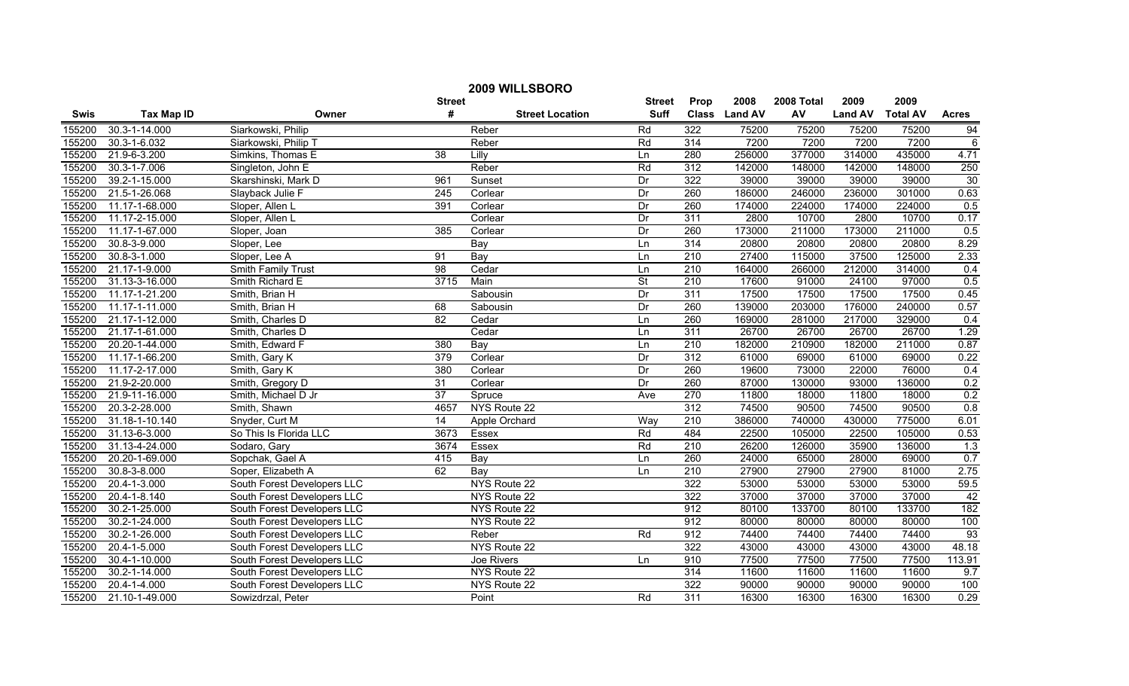| 2009 WILLSBORO |                   |                             |                 |                        |                          |                  |               |            |                |                 |                |
|----------------|-------------------|-----------------------------|-----------------|------------------------|--------------------------|------------------|---------------|------------|----------------|-----------------|----------------|
|                |                   |                             | <b>Street</b>   |                        | <b>Street</b>            | Prop             | 2008          | 2008 Total | 2009           | 2009            |                |
| <b>Swis</b>    | <b>Tax Map ID</b> | Owner                       | #               | <b>Street Location</b> | <b>Suff</b>              |                  | Class Land AV | AV         | <b>Land AV</b> | <b>Total AV</b> | <b>Acres</b>   |
| 155200         | 30.3-1-14.000     | Siarkowski, Philip          |                 | Reber                  | Rd                       | 322              | 75200         | 75200      | 75200          | 75200           | 94             |
| 155200         | 30.3-1-6.032      | Siarkowski, Philip T        |                 | Reber                  | Rd                       | 314              | 7200          | 7200       | 7200           | 7200            | $\overline{6}$ |
| 155200         | 21.9-6-3.200      | Simkins, Thomas E           | $\overline{38}$ | Lilly                  | Ln                       | 280              | 256000        | 377000     | 314000         | 435000          | 4.71           |
| 155200         | 30.3-1-7.006      | Singleton, John E           |                 | Reber                  | Rd                       | 312              | 142000        | 148000     | 142000         | 148000          | 250            |
| 155200         | 39.2-1-15.000     | Skarshinski, Mark D         | 961             | Sunset                 | Dr                       | 322              | 39000         | 39000      | 39000          | 39000           | 30             |
| 155200         | 21.5-1-26.068     | Slayback Julie F            | 245             | Corlear                | Dr                       | 260              | 186000        | 246000     | 236000         | 301000          | 0.63           |
| 155200         | 11.17-1-68.000    | Sloper, Allen L             | 391             | Corlear                | Dr                       | 260              | 174000        | 224000     | 174000         | 224000          | 0.5            |
| 155200         | 11.17-2-15.000    | Sloper, Allen L             |                 | Corlear                | Dr                       | 311              | 2800          | 10700      | 2800           | 10700           | 0.17           |
| 155200         | 11.17-1-67.000    | Sloper, Joan                | 385             | Corlear                | Dr                       | 260              | 173000        | 211000     | 173000         | 211000          | 0.5            |
| 155200         | 30.8-3-9.000      | Sloper, Lee                 |                 | Bay                    | Ln                       | 314              | 20800         | 20800      | 20800          | 20800           | 8.29           |
| 155200         | 30.8-3-1.000      | Sloper, Lee A               | 91              | Bay                    | Ln                       | $\overline{210}$ | 27400         | 115000     | 37500          | 125000          | 2.33           |
| 155200         | 21.17-1-9.000     | Smith Family Trust          | $\overline{98}$ | Cedar                  | Ln                       | $\overline{210}$ | 164000        | 266000     | 212000         | 314000          | 0.4            |
| 155200         | 31.13-3-16.000    | Smith Richard E             | 3715            | Main                   | $\overline{\mathsf{St}}$ | 210              | 17600         | 91000      | 24100          | 97000           | 0.5            |
| 155200         | 11.17-1-21.200    | Smith, Brian H              |                 | Sabousin               | Dr                       | 311              | 17500         | 17500      | 17500          | 17500           | 0.45           |
| 155200         | 11.17-1-11.000    | Smith, Brian H              | 68              | Sabousin               | Dr                       | 260              | 139000        | 203000     | 176000         | 240000          | 0.57           |
| 155200         | 21.17-1-12.000    | Smith, Charles D            | $\overline{82}$ | Cedar                  | Ln                       | 260              | 169000        | 281000     | 217000         | 329000          | 0.4            |
| 155200         | 21.17-1-61.000    | Smith, Charles D            |                 | Cedar                  | Ln                       | 311              | 26700         | 26700      | 26700          | 26700           | 1.29           |
| 155200         | 20.20-1-44.000    | Smith, Edward F             | 380             | Bay                    | Ln                       | 210              | 182000        | 210900     | 182000         | 211000          | 0.87           |
| 155200         | 11.17-1-66.200    | Smith, Gary K               | 379             | Corlear                | Dr                       | 312              | 61000         | 69000      | 61000          | 69000           | 0.22           |
| 155200         | 11.17-2-17.000    | Smith, Gary K               | 380             | Corlear                | Dr                       | 260              | 19600         | 73000      | 22000          | 76000           | 0.4            |
| 155200         | 21.9-2-20.000     | Smith, Gregory D            | $\overline{31}$ | Corlear                | Dr                       | 260              | 87000         | 130000     | 93000          | 136000          | 0.2            |
| 155200         | 21.9-11-16.000    | Smith, Michael D Jr         | 37              | Spruce                 | Ave                      | 270              | 11800         | 18000      | 11800          | 18000           | 0.2            |
| 155200         | 20.3-2-28.000     | Smith, Shawn                | 4657            | NYS Route 22           |                          | 312              | 74500         | 90500      | 74500          | 90500           | 0.8            |
| 155200         | 31.18-1-10.140    | Snyder, Curt M              | 14              | Apple Orchard          | Way                      | $\overline{210}$ | 386000        | 740000     | 430000         | 775000          | 6.01           |
| 155200         | 31.13-6-3.000     | So This Is Florida LLC      | 3673            | Essex                  | Rd                       | 484              | 22500         | 105000     | 22500          | 105000          | 0.53           |
| 155200         | 31.13-4-24.000    | Sodaro, Gary                | 3674            | <b>Essex</b>           | Rd                       | $\overline{210}$ | 26200         | 126000     | 35900          | 136000          | 1.3            |
| 155200         | 20.20-1-69.000    | Sopchak, Gael A             | 415             | Bay                    | Ln                       | 260              | 24000         | 65000      | 28000          | 69000           | 0.7            |
| 155200         | 30.8-3-8.000      | Soper, Elizabeth A          | 62              | Bay                    | Ln                       | $\overline{210}$ | 27900         | 27900      | 27900          | 81000           | 2.75           |
| 155200         | 20.4-1-3.000      | South Forest Developers LLC |                 | NYS Route 22           |                          | 322              | 53000         | 53000      | 53000          | 53000           | 59.5           |
| 155200         | 20.4-1-8.140      | South Forest Developers LLC |                 | NYS Route 22           |                          | 322              | 37000         | 37000      | 37000          | 37000           | 42             |
| 155200         | 30.2-1-25.000     | South Forest Developers LLC |                 | NYS Route 22           |                          | 912              | 80100         | 133700     | 80100          | 133700          | 182            |
| 155200         | 30.2-1-24.000     | South Forest Developers LLC |                 | NYS Route 22           |                          | 912              | 80000         | 80000      | 80000          | 80000           | 100            |
| 155200         | 30.2-1-26.000     | South Forest Developers LLC |                 | Reber                  | Rd                       | 912              | 74400         | 74400      | 74400          | 74400           | 93             |
| 155200         | 20.4-1-5.000      | South Forest Developers LLC |                 | NYS Route 22           |                          | 322              | 43000         | 43000      | 43000          | 43000           | 48.18          |
| 155200         | 30.4-1-10.000     | South Forest Developers LLC |                 | Joe Rivers             | Ln                       | 910              | 77500         | 77500      | 77500          | 77500           | 113.91         |
| 155200         | 30.2-1-14.000     | South Forest Developers LLC |                 | NYS Route 22           |                          | 314              | 11600         | 11600      | 11600          | 11600           | 9.7            |
| 155200         | 20.4-1-4.000      | South Forest Developers LLC |                 | NYS Route 22           |                          | 322              | 90000         | 90000      | 90000          | 90000           | 100            |
| 155200         | 21.10-1-49.000    | Sowizdrzal, Peter           |                 | Point                  | Rd                       | 311              | 16300         | 16300      | 16300          | 16300           | 0.29           |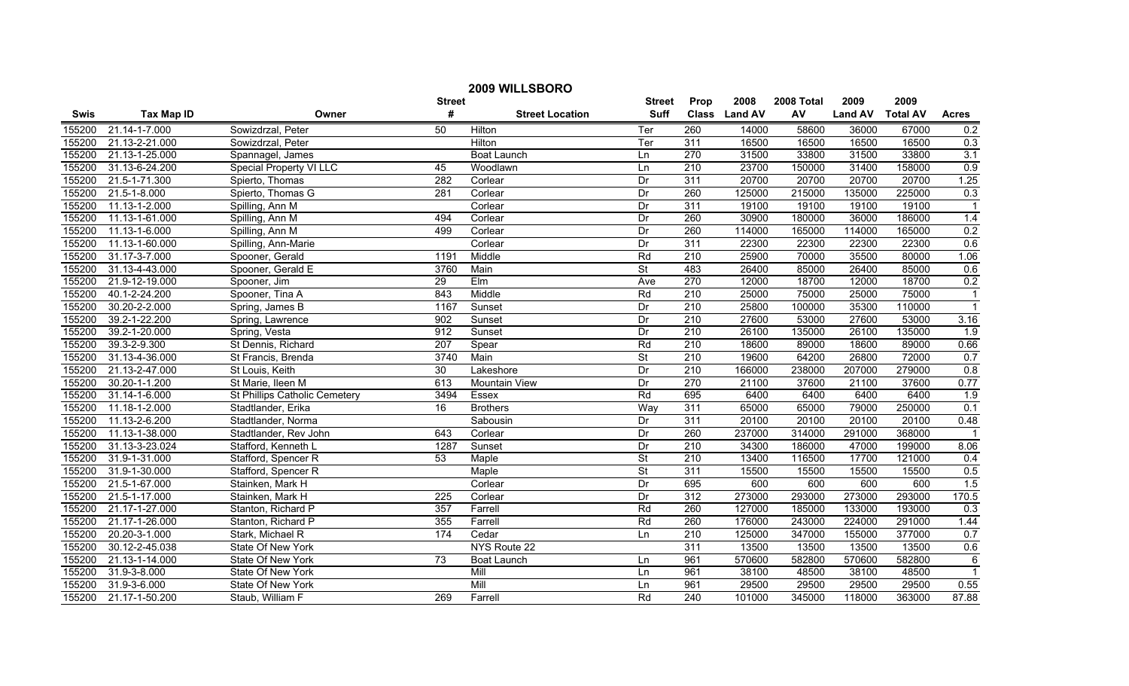| 2009 WILLSBORO |                   |                                |                  |                        |                          |                  |               |            |                |                 |                  |
|----------------|-------------------|--------------------------------|------------------|------------------------|--------------------------|------------------|---------------|------------|----------------|-----------------|------------------|
|                |                   |                                | <b>Street</b>    |                        | <b>Street</b>            | Prop             | 2008          | 2008 Total | 2009           | 2009            |                  |
| Swis           | <b>Tax Map ID</b> | Owner                          | #                | <b>Street Location</b> | <b>Suff</b>              |                  | Class Land AV | AV         | <b>Land AV</b> | <b>Total AV</b> | <b>Acres</b>     |
| 155200         | 21.14-1-7.000     | Sowizdrzal, Peter              | 50               | Hilton                 | Ter                      | 260              | 14000         | 58600      | 36000          | 67000           | 0.2              |
| 155200         | 21.13-2-21.000    | Sowizdrzal, Peter              |                  | Hilton                 | Ter                      | 311              | 16500         | 16500      | 16500          | 16500           | 0.3              |
| 155200         | 21.13-1-25.000    | Spannagel, James               |                  | <b>Boat Launch</b>     | Ln                       | 270              | 31500         | 33800      | 31500          | 33800           | 3.1              |
| 155200         | 31.13-6-24.200    | <b>Special Property VI LLC</b> | 45               | Woodlawn               | Ln                       | 210              | 23700         | 150000     | 31400          | 158000          | 0.9              |
| 155200         | 21.5-1-71.300     | Spierto, Thomas                | 282              | Corlear                | Dr                       | 311              | 20700         | 20700      | 20700          | 20700           | 1.25             |
| 155200         | 21.5-1-8.000      | Spierto, Thomas G              | 281              | Corlear                | Dr                       | 260              | 125000        | 215000     | 135000         | 225000          | 0.3              |
| 155200         | 11.13-1-2.000     | Spilling, Ann M                |                  | Corlear                | Dr                       | 311              | 19100         | 19100      | 19100          | 19100           |                  |
| 155200         | 11.13-1-61.000    | Spilling, Ann M                | 494              | Corlear                | Dr                       | 260              | 30900         | 180000     | 36000          | 186000          | 1.4              |
| 155200         | 11.13-1-6.000     | Spilling, Ann M                | 499              | Corlear                | Dr                       | 260              | 114000        | 165000     | 114000         | 165000          | 0.2              |
| 155200         | 11.13-1-60.000    | Spilling, Ann-Marie            |                  | Corlear                | Dr                       | $\overline{311}$ | 22300         | 22300      | 22300          | 22300           | 0.6              |
| 155200         | 31.17-3-7.000     | Spooner, Gerald                | 1191             | Middle                 | Rd                       | 210              | 25900         | 70000      | 35500          | 80000           | 1.06             |
| 155200         | 31.13-4-43.000    | Spooner, Gerald E              | 3760             | Main                   | $\overline{\mathsf{St}}$ | 483              | 26400         | 85000      | 26400          | 85000           | 0.6              |
| 155200         | 21.9-12-19.000    | Spooner, Jim                   | 29               | Elm                    | Ave                      | 270              | 12000         | 18700      | 12000          | 18700           | 0.2              |
| 155200         | 40.1-2-24.200     | Spooner, Tina A                | 843              | Middle                 | Rd                       | $\overline{210}$ | 25000         | 75000      | 25000          | 75000           | $\overline{1}$   |
| 155200         | 30.20-2-2.000     | Spring, James B                | 1167             | Sunset                 | Dr                       | 210              | 25800         | 100000     | 35300          | 110000          | $\overline{1}$   |
| 155200         | 39.2-1-22.200     | Spring, Lawrence               | 902              | Sunset                 | Dr                       | $\overline{210}$ | 27600         | 53000      | 27600          | 53000           | 3.16             |
| 155200         | 39.2-1-20.000     | Spring, Vesta                  | 912              | Sunset                 | Dr                       | 210              | 26100         | 135000     | 26100          | 135000          | $\overline{1.9}$ |
| 155200         | 39.3-2-9.300      | St Dennis, Richard             | 207              | Spear                  | Rd                       | 210              | 18600         | 89000      | 18600          | 89000           | 0.66             |
| 155200         | 31.13-4-36.000    | St Francis, Brenda             | 3740             | Main                   | St                       | 210              | 19600         | 64200      | 26800          | 72000           | 0.7              |
| 155200         | 21.13-2-47.000    | St Louis, Keith                | 30               | Lakeshore              | Dr                       | 210              | 166000        | 238000     | 207000         | 279000          | 0.8              |
| 155200         | 30.20-1-1.200     | St Marie, Ileen M              | 613              | Mountain View          | Dr                       | 270              | 21100         | 37600      | 21100          | 37600           | 0.77             |
| 155200         | 31.14-1-6.000     | St Phillips Catholic Cemetery  | 3494             | Essex                  | Rd                       | 695              | 6400          | 6400       | 6400           | 6400            | 1.9              |
| 155200         | 11.18-1-2.000     | Stadtlander, Erika             | 16               | <b>Brothers</b>        | Way                      | 311              | 65000         | 65000      | 79000          | 250000          | 0.1              |
| 155200         | 11.13-2-6.200     | Stadtlander, Norma             |                  | Sabousin               | Dr                       | $\overline{311}$ | 20100         | 20100      | 20100          | 20100           | 0.48             |
| 155200         | 11.13-1-38.000    | Stadtlander, Rev John          | 643              | Corlear                | Dr                       | 260              | 237000        | 314000     | 291000         | 368000          | -1               |
| 155200         | 31.13-3-23.024    | Stafford, Kenneth L            | 1287             | Sunset                 | Dr                       | $\overline{210}$ | 34300         | 186000     | 47000          | 199000          | 8.06             |
| 155200         | 31.9-1-31.000     | Stafford, Spencer R            | 53               | Maple                  | $\overline{\mathsf{St}}$ | 210              | 13400         | 116500     | 17700          | 121000          | 0.4              |
| 155200         | 31.9-1-30.000     | Stafford, Spencer R            |                  | Maple                  | $\overline{\mathsf{St}}$ | 311              | 15500         | 15500      | 15500          | 15500           | 0.5              |
| 155200         | 21.5-1-67.000     | Stainken, Mark H               |                  | Corlear                | Dr                       | 695              | 600           | 600        | 600            | 600             | 1.5              |
| 155200         | 21.5-1-17.000     | Stainken, Mark H               | $\overline{225}$ | Corlear                | Dr                       | 312              | 273000        | 293000     | 273000         | 293000          | 170.5            |
| 155200         | 21.17-1-27.000    | Stanton, Richard P             | 357              | Farrell                | Rd                       | 260              | 127000        | 185000     | 133000         | 193000          | 0.3              |
| 155200         | 21.17-1-26.000    | Stanton, Richard P             | 355              | Farrell                | Rd                       | 260              | 176000        | 243000     | 224000         | 291000          | 1.44             |
| 155200         | 20.20-3-1.000     | Stark, Michael R               | 174              | Cedar                  | Ln                       | 210              | 125000        | 347000     | 155000         | 377000          | 0.7              |
| 155200         | 30.12-2-45.038    | State Of New York              |                  | NYS Route 22           |                          | $\overline{311}$ | 13500         | 13500      | 13500          | 13500           | 0.6              |
| 155200         | 21.13-1-14.000    | State Of New York              | $\overline{73}$  | Boat Launch            | Ln                       | 961              | 570600        | 582800     | 570600         | 582800          | $\,6$            |
| 155200         | 31.9-3-8.000      | State Of New York              |                  | Mill                   | Ln                       | 961              | 38100         | 48500      | 38100          | 48500           | $\overline{1}$   |
| 155200         | 31.9-3-6.000      | State Of New York              |                  | Mill                   | Ln                       | 961              | 29500         | 29500      | 29500          | 29500           | 0.55             |
| 155200         | 21.17-1-50.200    | Staub, William F               | 269              | Farrell                | Rd                       | $\overline{240}$ | 101000        | 345000     | 118000         | 363000          | 87.88            |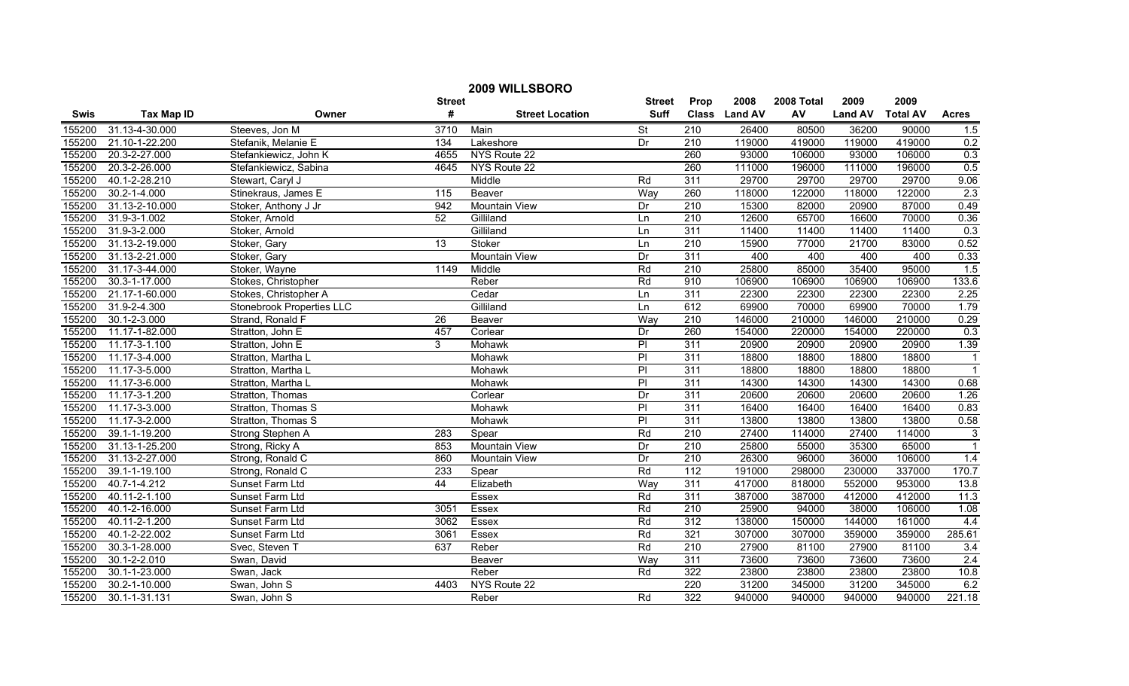| 2009 WILLSBORO |                     |                           |                |                        |                 |                  |               |            |                |                 |                |
|----------------|---------------------|---------------------------|----------------|------------------------|-----------------|------------------|---------------|------------|----------------|-----------------|----------------|
|                |                     |                           | <b>Street</b>  |                        | <b>Street</b>   | Prop             | 2008          | 2008 Total | 2009           | 2009            |                |
| <b>Swis</b>    | <b>Tax Map ID</b>   | Owner                     | $\pmb{\#}$     | <b>Street Location</b> | <b>Suff</b>     |                  | Class Land AV | AV         | <b>Land AV</b> | <b>Total AV</b> | <b>Acres</b>   |
| 155200         | 31.13-4-30.000      | Steeves, Jon M            | 3710           | Main                   | <b>St</b>       | $\overline{210}$ | 26400         | 80500      | 36200          | 90000           | 1.5            |
| 155200         | 21.10-1-22.200      | Stefanik, Melanie E       | 134            | Lakeshore              | Dr              | $\overline{210}$ | 119000        | 419000     | 119000         | 419000          | 0.2            |
| 155200         | 20.3-2-27.000       | Stefankiewicz, John K     | 4655           | NYS Route 22           |                 | 260              | 93000         | 106000     | 93000          | 106000          | 0.3            |
| 155200         | 20.3-2-26.000       | Stefankiewicz, Sabina     | 4645           | NYS Route 22           |                 | 260              | 111000        | 196000     | 111000         | 196000          | 0.5            |
| 155200         | 40.1-2-28.210       | Stewart, Caryl J          |                | Middle                 | Rd              | 311              | 29700         | 29700      | 29700          | 29700           | 9.06           |
| 155200         | $30.2 - 1 - 4.000$  | Stinekraus, James E       | 115            | Beaver                 | Way             | 260              | 118000        | 122000     | 118000         | 122000          | 2.3            |
| 155200         | 31.13-2-10.000      | Stoker, Anthony J Jr      | 942            | <b>Mountain View</b>   | Dr              | 210              | 15300         | 82000      | 20900          | 87000           | 0.49           |
| 155200         | 31.9-3-1.002        | Stoker, Arnold            | 52             | Gilliland              | Ln              | 210              | 12600         | 65700      | 16600          | 70000           | 0.36           |
| 155200         | 31.9-3-2.000        | Stoker, Arnold            |                | Gilliland              | Ln              | 311              | 11400         | 11400      | 11400          | 11400           | 0.3            |
| 155200         | 31.13-2-19.000      | Stoker, Gary              | 13             | Stoker                 | Ln              | 210              | 15900         | 77000      | 21700          | 83000           | 0.52           |
| 155200         | 31.13-2-21.000      | Stoker, Gary              |                | <b>Mountain View</b>   | Dr              | 311              | 400           | 400        | 400            | 400             | 0.33           |
| 155200         | 31.17-3-44.000      | Stoker, Wayne             | 1149           | Middle                 | Rd              | $\overline{210}$ | 25800         | 85000      | 35400          | 95000           | 1.5            |
| 155200         | 30.3-1-17.000       | Stokes, Christopher       |                | Reber                  | Rd              | 910              | 106900        | 106900     | 106900         | 106900          | 133.6          |
| 155200         | 21.17-1-60.000      | Stokes, Christopher A     |                | Cedar                  | Ln              | 311              | 22300         | 22300      | 22300          | 22300           | 2.25           |
| 155200         | 31.9-2-4.300        | Stonebrook Properties LLC |                | Gilliland              | Ln              | 612              | 69900         | 70000      | 69900          | 70000           | 1.79           |
| 155200         | 30.1-2-3.000        | Strand, Ronald F          | 26             | Beaver                 | Way             | $\overline{210}$ | 146000        | 210000     | 146000         | 210000          | 0.29           |
| 155200         | 11.17-1-82.000      | Stratton, John E          | 457            | Corlear                | Dr              | 260              | 154000        | 220000     | 154000         | 220000          | 0.3            |
| 155200         | 11.17-3-1.100       | Stratton, John E          | $\overline{3}$ | Mohawk                 | $\overline{PI}$ | 311              | 20900         | 20900      | 20900          | 20900           | 1.39           |
| 155200         | 11.17-3-4.000       | Stratton, Martha L        |                | Mohawk                 | P               | 311              | 18800         | 18800      | 18800          | 18800           | $\overline{1}$ |
| 155200         | 11.17-3-5.000       | Stratton, Martha L        |                | Mohawk                 | $\overline{P}$  | 311              | 18800         | 18800      | 18800          | 18800           | $\overline{1}$ |
| 155200         | 11.17-3-6.000       | Stratton, Martha L        |                | Mohawk                 | P               | 311              | 14300         | 14300      | 14300          | 14300           | 0.68           |
| 155200         | 11.17-3-1.200       | Stratton, Thomas          |                | Corlear                | Dr              | 311              | 20600         | 20600      | 20600          | 20600           | 1.26           |
| 155200         | 11.17-3-3.000       | Stratton, Thomas S        |                | Mohawk                 | $\overline{P}$  | 311              | 16400         | 16400      | 16400          | 16400           | 0.83           |
| 155200         | 11.17-3-2.000       | Stratton, Thomas S        |                | Mohawk                 | P               | 311              | 13800         | 13800      | 13800          | 13800           | 0.58           |
| 155200         | 39.1-1-19.200       | Strong Stephen A          | 283            | Spear                  | Rd              | $\overline{210}$ | 27400         | 114000     | 27400          | 114000          | 3              |
| 155200         | 31.13-1-25.200      | Strong, Ricky A           | 853            | Mountain View          | Dr              | $\overline{210}$ | 25800         | 55000      | 35300          | 65000           | $\overline{1}$ |
| 155200         | 31.13-2-27.000      | Strong, Ronald C          | 860            | Mountain View          | Dr              | 210              | 26300         | 96000      | 36000          | 106000          | 1.4            |
| 155200         | 39.1-1-19.100       | Strong, Ronald C          | 233            | Spear                  | Rd              | 112              | 191000        | 298000     | 230000         | 337000          | 170.7          |
| 155200         | 40.7-1-4.212        | Sunset Farm Ltd           | 44             | Elizabeth              | Wav             | 311              | 417000        | 818000     | 552000         | 953000          | 13.8           |
| 155200         | 40.11-2-1.100       | Sunset Farm Ltd           |                | Essex                  | Rd              | 311              | 387000        | 387000     | 412000         | 412000          | 11.3           |
| 155200         | 40.1-2-16.000       | Sunset Farm Ltd           | 3051           | Essex                  | Rd              | 210              | 25900         | 94000      | 38000          | 106000          | 1.08           |
| 155200         | 40.11-2-1.200       | Sunset Farm Ltd           | 3062           | Essex                  | Rd              | 312              | 138000        | 150000     | 144000         | 161000          | 4.4            |
| 155200         | 40.1-2-22.002       | Sunset Farm Ltd           | 3061           | Essex                  | Rd              | 321              | 307000        | 307000     | 359000         | 359000          | 285.61         |
| 155200         | 30.3-1-28.000       | Svec, Steven T            | 637            | Reber                  | Rd              | $\overline{210}$ | 27900         | 81100      | 27900          | 81100           | 3.4            |
| 155200         | 30.1-2-2.010        | Swan, David               |                | Beaver                 | Way             | 311              | 73600         | 73600      | 73600          | 73600           | 2.4            |
| 155200         | 30.1-1-23.000       | Swan, Jack                |                | Reber                  | Rd              | 322              | 23800         | 23800      | 23800          | 23800           | 10.8           |
| 155200         | 30.2-1-10.000       | Swan, John S              | 4403           | NYS Route 22           |                 | 220              | 31200         | 345000     | 31200          | 345000          | 6.2            |
| 155200         | $30.1 - 1 - 31.131$ | Swan, John S              |                | Reber                  | Rd              | 322              | 940000        | 940000     | 940000         | 940000          | 221.18         |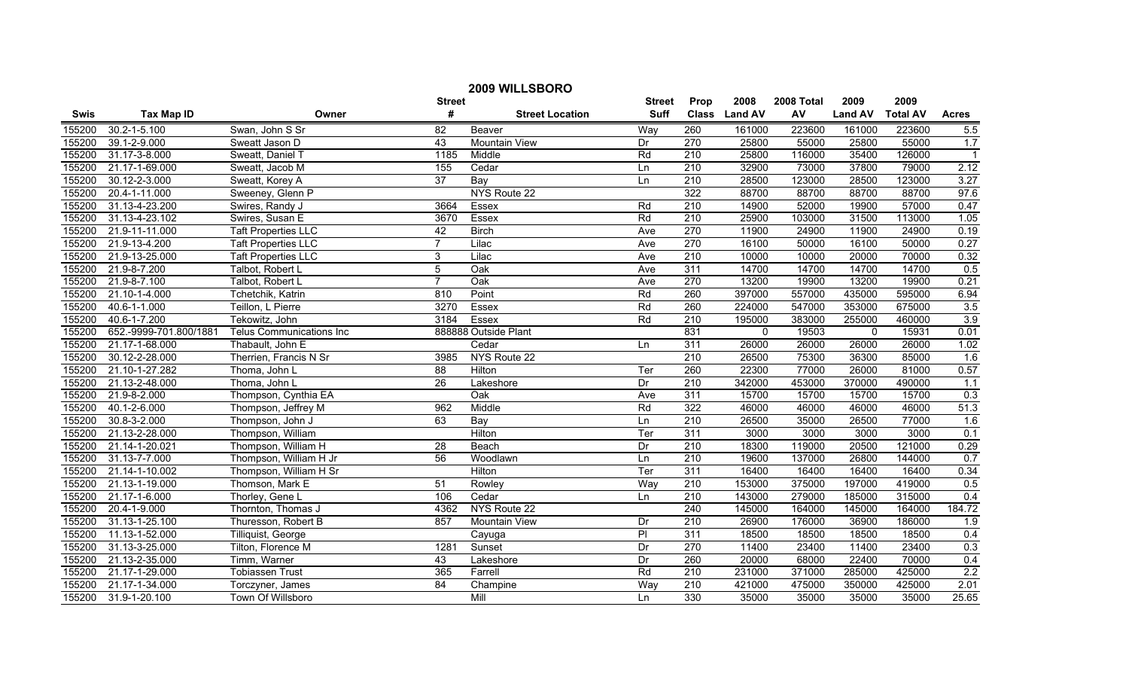| 2009 WILLSBORO |                        |                            |                 |                        |               |                  |               |            |                |                 |                |
|----------------|------------------------|----------------------------|-----------------|------------------------|---------------|------------------|---------------|------------|----------------|-----------------|----------------|
|                |                        |                            | <b>Street</b>   |                        | <b>Street</b> | Prop             | 2008          | 2008 Total | 2009           | 2009            |                |
| <b>Swis</b>    | <b>Tax Map ID</b>      | Owner                      | #               | <b>Street Location</b> | <b>Suff</b>   |                  | Class Land AV | AV         | <b>Land AV</b> | <b>Total AV</b> | <b>Acres</b>   |
| 155200         | 30.2-1-5.100           | Swan, John S Sr            | 82              | Beaver                 | Way           | 260              | 161000        | 223600     | 161000         | 223600          | 5.5            |
| 155200         | 39.1-2-9.000           | Sweatt Jason D             | 43              | Mountain View          | Dr            | 270              | 25800         | 55000      | 25800          | 55000           | 1.7            |
| 155200         | 31.17-3-8.000          | Sweatt, Daniel T           | 1185            | Middle                 | Rd            | $\overline{210}$ | 25800         | 116000     | 35400          | 126000          | $\overline{1}$ |
| 155200         | 21.17-1-69.000         | Sweatt, Jacob M            | 155             | Cedar                  | Ln            | 210              | 32900         | 73000      | 37800          | 79000           | 2.12           |
| 155200         | 30.12-2-3.000          | Sweatt, Korey A            | $\overline{37}$ | Bay                    | Ln            | 210              | 28500         | 123000     | 28500          | 123000          | 3.27           |
| 155200         | 20.4-1-11.000          | Sweeney, Glenn P           |                 | NYS Route 22           |               | 322              | 88700         | 88700      | 88700          | 88700           | 97.6           |
| 155200         | 31.13-4-23.200         | Swires, Randy J            | 3664            | Essex                  | Rd            | 210              | 14900         | 52000      | 19900          | 57000           | 0.47           |
| 155200         | 31.13-4-23.102         | Swires, Susan E            | 3670            | Essex                  | Rd            | 210              | 25900         | 103000     | 31500          | 113000          | 1.05           |
| 155200         | 21.9-11-11.000         | <b>Taft Properties LLC</b> | 42              | <b>Birch</b>           | Ave           | $\overline{270}$ | 11900         | 24900      | 11900          | 24900           | 0.19           |
| 155200         | 21.9-13-4.200          | <b>Taft Properties LLC</b> | $\overline{7}$  | Lilac                  | Ave           | 270              | 16100         | 50000      | 16100          | 50000           | 0.27           |
| 155200         | 21.9-13-25.000         | <b>Taft Properties LLC</b> | 3               | Lilac                  | Ave           | 210              | 10000         | 10000      | 20000          | 70000           | 0.32           |
| 155200         | 21.9-8-7.200           | Talbot, Robert L           | $\overline{5}$  | $\overline{Oak}$       | Ave           | 311              | 14700         | 14700      | 14700          | 14700           | 0.5            |
| 155200         | 21.9-8-7.100           | Talbot, Robert L           | $\overline{7}$  | Oak                    | Ave           | $\overline{270}$ | 13200         | 19900      | 13200          | 19900           | 0.21           |
| 155200         | 21.10-1-4.000          | Tchetchik, Katrin          | 810             | Point                  | Rd            | 260              | 397000        | 557000     | 435000         | 595000          | 6.94           |
| 155200         | 40.6-1-1.000           | Teillon, L Pierre          | 3270            | Essex                  | Rd            | 260              | 224000        | 547000     | 353000         | 675000          | 3.5            |
| 155200         | 40.6-1-7.200           | Tekowitz, John             | 3184            | Essex                  | Rd            | 210              | 195000        | 383000     | 255000         | 460000          | 3.9            |
| 155200         | 652.-9999-701.800/1881 | Telus Communications Inc   |                 | 888888 Outside Plant   |               | 831              | 0             | 19503      | 0              | 15931           | 0.01           |
| 155200         | 21.17-1-68.000         | Thabault, John E           |                 | Cedar                  | Ln            | 311              | 26000         | 26000      | 26000          | 26000           | 1.02           |
| 155200         | 30.12-2-28.000         | Therrien, Francis N Sr     | 3985            | NYS Route 22           |               | 210              | 26500         | 75300      | 36300          | 85000           | 1.6            |
| 155200         | 21.10-1-27.282         | Thoma, John L              | $\overline{88}$ | Hilton                 | Ter           | 260              | 22300         | 77000      | 26000          | 81000           | 0.57           |
| 155200         | 21.13-2-48.000         | Thoma, John L              | 26              | Lakeshore              | Dr            | 210              | 342000        | 453000     | 370000         | 490000          | 1.1            |
| 155200         | 21.9-8-2.000           | Thompson, Cynthia EA       |                 | $\overline{Oak}$       | Ave           | 311              | 15700         | 15700      | 15700          | 15700           | 0.3            |
| 155200         | 40.1-2-6.000           | Thompson, Jeffrey M        | 962             | Middle                 | Rd            | 322              | 46000         | 46000      | 46000          | 46000           | 51.3           |
| 155200         | 30.8-3-2.000           | Thompson, John J           | 63              | Bay                    | Ln            | $\overline{210}$ | 26500         | 35000      | 26500          | 77000           | 1.6            |
| 155200         | 21.13-2-28.000         | Thompson, William          |                 | Hilton                 | Ter           | 311              | 3000          | 3000       | 3000           | 3000            | 0.1            |
| 155200         | 21.14-1-20.021         | Thompson, William H        | 28              | Beach                  | Dr            | $\overline{210}$ | 18300         | 119000     | 20500          | 121000          | 0.29           |
| 155200         | 31.13-7-7.000          | Thompson, William H Jr     | 56              | Woodlawn               | Ln            | 210              | 19600         | 137000     | 26800          | 144000          | 0.7            |
| 155200         | 21.14-1-10.002         | Thompson, William H Sr     |                 | Hilton                 | Ter           | 311              | 16400         | 16400      | 16400          | 16400           | 0.34           |
| 155200         | 21.13-1-19.000         | Thomson, Mark E            | 51              | Rowley                 | Way           | 210              | 153000        | 375000     | 197000         | 419000          | 0.5            |
| 155200         | 21.17-1-6.000          | Thorley, Gene L            | 106             | Cedar                  | Ln            | $\overline{210}$ | 143000        | 279000     | 185000         | 315000          | 0.4            |
| 155200         | 20.4-1-9.000           | Thornton, Thomas J         | 4362            | NYS Route 22           |               | 240              | 145000        | 164000     | 145000         | 164000          | 184.72         |
| 155200         | 31.13-1-25.100         | Thuresson, Robert B        | 857             | <b>Mountain View</b>   | Dr            | 210              | 26900         | 176000     | 36900          | 186000          | 1.9            |
| 155200         | 11.13-1-52.000         | Tilliquist, George         |                 | Cayuga                 | P             | 311              | 18500         | 18500      | 18500          | 18500           | 0.4            |
| 155200         | 31.13-3-25.000         | Tilton, Florence M         | 1281            | Sunset                 | Dr            | 270              | 11400         | 23400      | 11400          | 23400           | 0.3            |
| 155200         | 21.13-2-35.000         | Timm, Warner               | 43              | Lakeshore              | Dr            | 260              | 20000         | 68000      | 22400          | 70000           | 0.4            |
| 155200         | 21.17-1-29.000         | <b>Tobiassen Trust</b>     | 365             | Farrell                | Rd            | $\overline{210}$ | 231000        | 371000     | 285000         | 425000          | 2.2            |
| 155200         | 21.17-1-34.000         | Torczyner, James           | 84              | Champine               | Way           | $\overline{210}$ | 421000        | 475000     | 350000         | 425000          | 2.01           |
| 155200         | 31.9-1-20.100          | Town Of Willsboro          |                 | Mill                   | Ln            | 330              | 35000         | 35000      | 35000          | 35000           | 25.65          |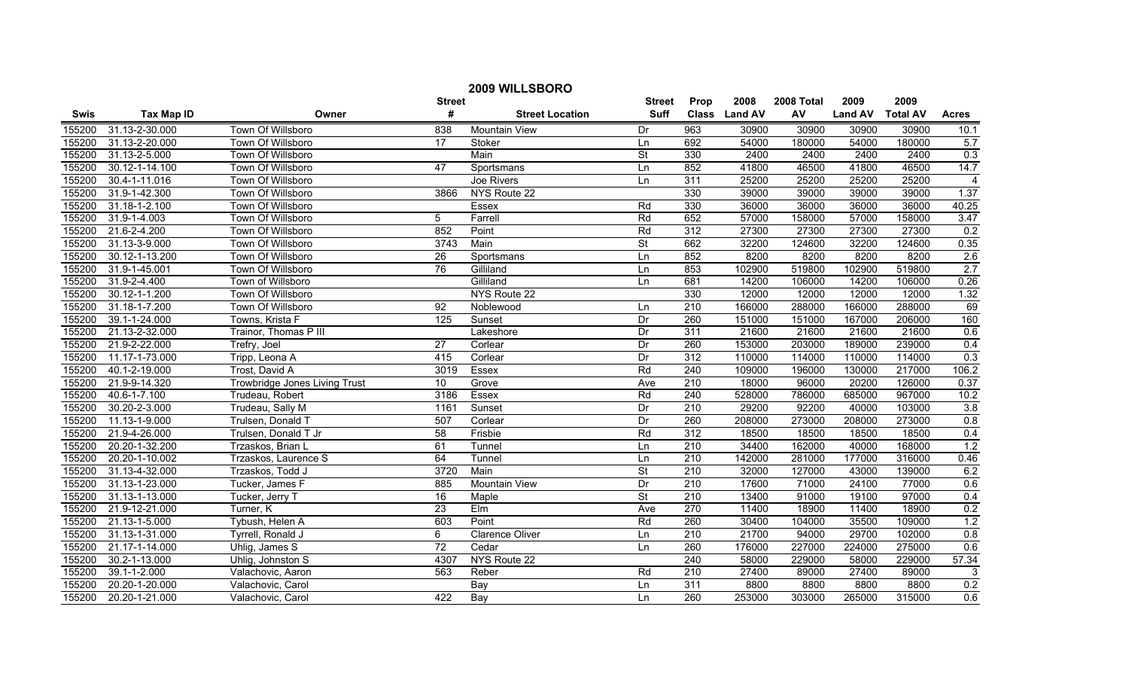| 2009 WILLSBORO |                   |                               |                 |                        |                          |                  |               |            |                |                 |                |
|----------------|-------------------|-------------------------------|-----------------|------------------------|--------------------------|------------------|---------------|------------|----------------|-----------------|----------------|
|                |                   |                               | <b>Street</b>   |                        | <b>Street</b>            | Prop             | 2008          | 2008 Total | 2009           | 2009            |                |
| <b>Swis</b>    | <b>Tax Map ID</b> | Owner                         | #               | <b>Street Location</b> | <b>Suff</b>              |                  | Class Land AV | AV         | <b>Land AV</b> | <b>Total AV</b> | <b>Acres</b>   |
| 155200         | 31.13-2-30.000    | Town Of Willsboro             | 838             | Mountain View          | Dr                       | 963              | 30900         | 30900      | 30900          | 30900           | 10.1           |
| 155200         | 31.13-2-20.000    | Town Of Willsboro             | $\overline{17}$ | Stoker                 | Ln                       | 692              | 54000         | 180000     | 54000          | 180000          | 5.7            |
| 155200         | 31.13-2-5.000     | Town Of Willsboro             |                 | Main                   | <b>St</b>                | 330              | 2400          | 2400       | 2400           | 2400            | 0.3            |
| 155200         | 30.12-1-14.100    | Town Of Willsboro             | 47              | Sportsmans             | Ln                       | 852              | 41800         | 46500      | 41800          | 46500           | 14.7           |
| 155200         | 30.4-1-11.016     | Town Of Willsboro             |                 | Joe Rivers             | Ln                       | 311              | 25200         | 25200      | 25200          | 25200           | $\overline{4}$ |
| 155200         | 31.9-1-42.300     | Town Of Willsboro             | 3866            | NYS Route 22           |                          | 330              | 39000         | 39000      | 39000          | 39000           | 1.37           |
| 155200         | 31.18-1-2.100     | Town Of Willsboro             |                 | Essex                  | Rd                       | 330              | 36000         | 36000      | 36000          | 36000           | 40.25          |
| 155200         | 31.9-1-4.003      | Town Of Willsboro             | $\overline{5}$  | Farrell                | Rd                       | 652              | 57000         | 158000     | 57000          | 158000          | 3.47           |
| 155200         | 21.6-2-4.200      | Town Of Willsboro             | 852             | Point                  | Rd                       | $\overline{312}$ | 27300         | 27300      | 27300          | 27300           | 0.2            |
| 155200         | 31.13-3-9.000     | Town Of Willsboro             | 3743            | Main                   | <b>St</b>                | 662              | 32200         | 124600     | 32200          | 124600          | 0.35           |
| 155200         | 30.12-1-13.200    | Town Of Willsboro             | 26              | Sportsmans             | Ln                       | 852              | 8200          | 8200       | 8200           | 8200            | 2.6            |
| 155200         | 31.9-1-45.001     | Town Of Willsboro             | 76              | Gilliland              | Ln                       | 853              | 102900        | 519800     | 102900         | 519800          | 2.7            |
| 155200         | 31.9-2-4.400      | Town of Willsboro             |                 | Gilliland              | Ln                       | 681              | 14200         | 106000     | 14200          | 106000          | 0.26           |
| 155200         | 30.12-1-1.200     | Town Of Willsboro             |                 | NYS Route 22           |                          | 330              | 12000         | 12000      | 12000          | 12000           | 1.32           |
| 155200         | 31.18-1-7.200     | Town Of Willsboro             | 92              | Noblewood              | Ln                       | $\overline{210}$ | 166000        | 288000     | 166000         | 288000          | 69             |
| 155200         | 39.1-1-24.000     | Towns, Krista F               | 125             | Sunset                 | Dr                       | 260              | 151000        | 151000     | 167000         | 206000          | 160            |
| 155200         | 21.13-2-32.000    | Trainor, Thomas P III         |                 | Lakeshore              | Dr                       | 311              | 21600         | 21600      | 21600          | 21600           | 0.6            |
| 155200         | 21.9-2-22.000     | Trefry, Joel                  | $\overline{27}$ | Corlear                | Dr                       | 260              | 153000        | 203000     | 189000         | 239000          | 0.4            |
| 155200         | 11.17-1-73.000    | Tripp, Leona A                | 415             | Corlear                | Dr                       | 312              | 110000        | 114000     | 110000         | 114000          | 0.3            |
| 155200         | 40.1-2-19.000     | Trost, David A                | 3019            | Essex                  | Rd                       | 240              | 109000        | 196000     | 130000         | 217000          | 106.2          |
| 155200         | 21.9-9-14.320     | Trowbridge Jones Living Trust | 10              | Grove                  | Ave                      | 210              | 18000         | 96000      | 20200          | 126000          | 0.37           |
| 155200         | 40.6-1-7.100      | Trudeau, Robert               | 3186            | Essex                  | Rd                       | 240              | 528000        | 786000     | 685000         | 967000          | 10.2           |
| 155200         | 30.20-2-3.000     | Trudeau, Sally M              | 1161            | Sunset                 | Dr                       | 210              | 29200         | 92200      | 40000          | 103000          | 3.8            |
| 155200         | 11.13-1-9.000     | Trulsen, Donald T             | 507             | Corlear                | Dr                       | 260              | 208000        | 273000     | 208000         | 273000          | 0.8            |
| 155200         | 21.9-4-26.000     | Trulsen, Donald T Jr          | 58              | Frisbie                | Rd                       | 312              | 18500         | 18500      | 18500          | 18500           | 0.4            |
| 155200         | 20.20-1-32.200    | Trzaskos, Brian L             | 61              | Tunnel                 | Ln                       | 210              | 34400         | 162000     | 40000          | 168000          | 1.2            |
| 155200         | 20.20-1-10.002    | Trzaskos, Laurence S          | 64              | Tunnel                 | Ln                       | $\overline{210}$ | 142000        | 281000     | 177000         | 316000          | 0.46           |
| 155200         | 31.13-4-32.000    | Trzaskos, Todd J              | 3720            | Main                   | $\overline{\mathsf{St}}$ | 210              | 32000         | 127000     | 43000          | 139000          | 6.2            |
| 155200         | 31.13-1-23.000    | Tucker, James F               | 885             | <b>Mountain View</b>   | Dr                       | 210              | 17600         | 71000      | 24100          | 77000           | 0.6            |
| 155200         | 31.13-1-13.000    | Tucker, Jerry T               | 16              | Maple                  | <b>St</b>                | $\overline{210}$ | 13400         | 91000      | 19100          | 97000           | 0.4            |
| 155200         | 21.9-12-21.000    | Turner, K                     | 23              | EIm                    | Ave                      | 270              | 11400         | 18900      | 11400          | 18900           | 0.2            |
| 155200         | 21.13-1-5.000     | Tybush, Helen A               | 603             | Point                  | Rd                       | 260              | 30400         | 104000     | 35500          | 109000          | 1.2            |
| 155200         | 31.13-1-31.000    | Tyrrell, Ronald J             | 6               | <b>Clarence Oliver</b> | Ln                       | 210              | 21700         | 94000      | 29700          | 102000          | 0.8            |
| 155200         | 21.17-1-14.000    | Uhlig, James S                | $\overline{72}$ | Cedar                  | Ln                       | 260              | 176000        | 227000     | 224000         | 275000          | 0.6            |
| 155200         | 30.2-1-13.000     | Uhlig, Johnston S             | 4307            | NYS Route 22           |                          | 240              | 58000         | 229000     | 58000          | 229000          | 57.34          |
| 155200         | 39.1-1-2.000      | Valachovic, Aaron             | 563             | Reber                  | Rd                       | 210              | 27400         | 89000      | 27400          | 89000           | 3              |
| 155200         | 20.20-1-20.000    | Valachovic, Carol             |                 | Bay                    | Ln                       | 311              | 8800          | 8800       | 8800           | 8800            | 0.2            |
| 155200         | 20.20-1-21.000    | Valachovic, Carol             | 422             | Bay                    | Ln                       | 260              | 253000        | 303000     | 265000         | 315000          | 0.6            |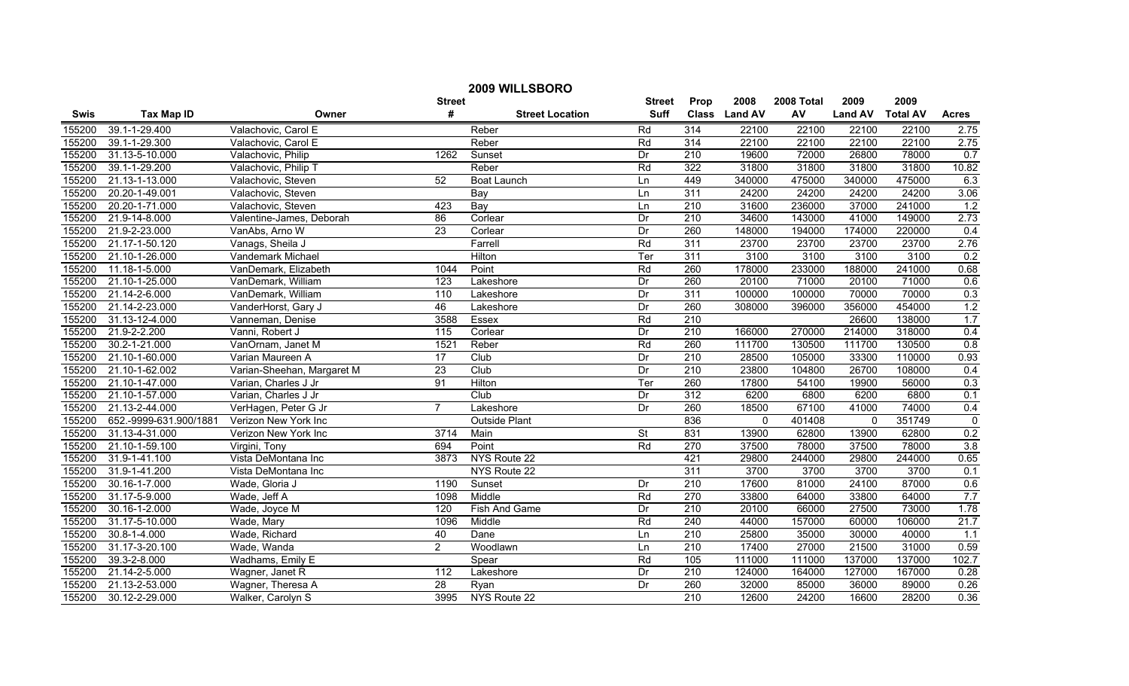| 2009 WILLSBORO |                        |                            |                 |                        |               |                  |               |            |                |                 |                |
|----------------|------------------------|----------------------------|-----------------|------------------------|---------------|------------------|---------------|------------|----------------|-----------------|----------------|
|                |                        |                            | <b>Street</b>   |                        | <b>Street</b> | Prop             | 2008          | 2008 Total | 2009           | 2009            |                |
| <b>Swis</b>    | <b>Tax Map ID</b>      | Owner                      | #               | <b>Street Location</b> | <b>Suff</b>   |                  | Class Land AV | AV         | <b>Land AV</b> | <b>Total AV</b> | <b>Acres</b>   |
| 155200         | 39.1-1-29.400          | Valachovic, Carol E        |                 | Reber                  | Rd            | 314              | 22100         | 22100      | 22100          | 22100           | 2.75           |
| 155200         | 39.1-1-29.300          | Valachovic, Carol E        |                 | Reber                  | Rd            | 314              | 22100         | 22100      | 22100          | 22100           | 2.75           |
| 155200         | 31.13-5-10.000         | Valachovic, Philip         | 1262            | Sunset                 | Dr            | $\overline{210}$ | 19600         | 72000      | 26800          | 78000           | 0.7            |
| 155200         | 39.1-1-29.200          | Valachovic, Philip T       |                 | Reber                  | Rd            | 322              | 31800         | 31800      | 31800          | 31800           | 10.82          |
| 155200         | 21.13-1-13.000         | Valachovic, Steven         | 52              | <b>Boat Launch</b>     | Ln            | 449              | 340000        | 475000     | 340000         | 475000          | 6.3            |
| 155200         | 20.20-1-49.001         | Valachovic, Steven         |                 | Bay                    | Ln            | 311              | 24200         | 24200      | 24200          | 24200           | 3.06           |
| 155200         | 20.20-1-71.000         | Valachovic, Steven         | 423             | Bay                    | Ln            | 210              | 31600         | 236000     | 37000          | 241000          | 1.2            |
| 155200         | 21.9-14-8.000          | Valentine-James, Deborah   | 86              | Corlear                | Dr            | 210              | 34600         | 143000     | 41000          | 149000          | 2.73           |
| 155200         | 21.9-2-23.000          | VanAbs, Arno W             | 23              | Corlear                | Dr            | 260              | 148000        | 194000     | 174000         | 220000          | 0.4            |
| 155200         | 21.17-1-50.120         | Vanags, Sheila J           |                 | Farrell                | Rd            | 311              | 23700         | 23700      | 23700          | 23700           | 2.76           |
| 155200         | 21.10-1-26.000         | Vandemark Michael          |                 | Hilton                 | Ter           | 311              | 3100          | 3100       | 3100           | 3100            | 0.2            |
| 155200         | 11.18-1-5.000          | VanDemark, Elizabeth       | 1044            | Point                  | Rd            | 260              | 178000        | 233000     | 188000         | 241000          | 0.68           |
| 155200         | 21.10-1-25.000         | VanDemark, William         | 123             | Lakeshore              | Dr            | 260              | 20100         | 71000      | 20100          | 71000           | 0.6            |
| 155200         | 21.14-2-6.000          | VanDemark, William         | 110             | Lakeshore              | Dr            | 311              | 100000        | 100000     | 70000          | 70000           | 0.3            |
| 155200         | 21.14-2-23.000         | VanderHorst, Gary J        | 46              | Lakeshore              | Dr            | 260              | 308000        | 396000     | 356000         | 454000          | 1.2            |
| 155200         | 31.13-12-4.000         | Vanneman, Denise           | 3588            | Essex                  | Rd            | 210              |               |            | 26600          | 138000          | 1.7            |
| 155200         | 21.9-2-2.200           | Vanni, Robert J            | 115             | Corlear                | Dr            | 210              | 166000        | 270000     | 214000         | 318000          | 0.4            |
| 155200         | 30.2-1-21.000          | VanOrnam, Janet M          | 1521            | Reber                  | Rd            | 260              | 111700        | 130500     | 111700         | 130500          | 0.8            |
| 155200         | 21.10-1-60.000         | Varian Maureen A           | 17              | Club                   | Dr            | 210              | 28500         | 105000     | 33300          | 110000          | 0.93           |
| 155200         | 21.10-1-62.002         | Varian-Sheehan, Margaret M | 23              | Club                   | Dr            | 210              | 23800         | 104800     | 26700          | 108000          | 0.4            |
| 155200         | 21.10-1-47.000         | Varian, Charles J Jr       | 91              | Hilton                 | Ter           | 260              | 17800         | 54100      | 19900          | 56000           | 0.3            |
| 155200         | 21.10-1-57.000         | Varian, Charles J Jr       |                 | Club                   | Dr            | 312              | 6200          | 6800       | 6200           | 6800            | 0.1            |
| 155200         | 21.13-2-44.000         | VerHagen, Peter G Jr       | $\overline{7}$  | Lakeshore              | Dr            | 260              | 18500         | 67100      | 41000          | 74000           | 0.4            |
| 155200         | 652.-9999-631.900/1881 | Verizon New York Inc       |                 | <b>Outside Plant</b>   |               | 836              | $\Omega$      | 401408     | $\mathbf 0$    | 351749          | $\overline{0}$ |
| 155200         | 31.13-4-31.000         | Verizon New York Inc       | 3714            | Main                   | St            | 831              | 13900         | 62800      | 13900          | 62800           | 0.2            |
| 155200         | 21.10-1-59.100         | Virgini, Tony              | 694             | Point                  | Rd            | 270              | 37500         | 78000      | 37500          | 78000           | 3.8            |
| 155200         | 31.9-1-41.100          | Vista DeMontana Inc        | 3873            | NYS Route 22           |               | 421              | 29800         | 244000     | 29800          | 244000          | 0.65           |
| 155200         | 31.9-1-41.200          | Vista DeMontana Inc        |                 | NYS Route 22           |               | 311              | 3700          | 3700       | 3700           | 3700            | 0.1            |
| 155200         | 30.16-1-7.000          | Wade, Gloria J             | 1190            | Sunset                 | Dr            | 210              | 17600         | 81000      | 24100          | 87000           | 0.6            |
| 155200         | 31.17-5-9.000          | Wade, Jeff A               | 1098            | Middle                 | Rd            | 270              | 33800         | 64000      | 33800          | 64000           | 7.7            |
| 155200         | 30.16-1-2.000          | Wade, Joyce M              | 120             | Fish And Game          | Dr            | 210              | 20100         | 66000      | 27500          | 73000           | 1.78           |
| 155200         | 31.17-5-10.000         | Wade, Mary                 | 1096            | Middle                 | Rd            | 240              | 44000         | 157000     | 60000          | 106000          | 21.7           |
| 155200         | 30.8-1-4.000           | Wade, Richard              | 40              | Dane                   | Ln            | 210              | 25800         | 35000      | 30000          | 40000           | 1.1            |
| 155200         | 31.17-3-20.100         | Wade, Wanda                | $\overline{2}$  | Woodlawn               | Ln            | $\overline{210}$ | 17400         | 27000      | 21500          | 31000           | 0.59           |
| 155200         | 39.3-2-8.000           | Wadhams, Emily E           |                 | Spear                  | Rd            | 105              | 111000        | 111000     | 137000         | 137000          | 102.7          |
| 155200         | 21.14-2-5.000          | Wagner, Janet R            | 112             | Lakeshore              | Dr            | $\overline{210}$ | 124000        | 164000     | 127000         | 167000          | 0.28           |
| 155200         | 21.13-2-53.000         | Wagner, Theresa A          | $\overline{28}$ | Ryan                   | Dr            | 260              | 32000         | 85000      | 36000          | 89000           | 0.26           |
| 155200         | 30.12-2-29.000         | Walker, Carolyn S          | 3995            | NYS Route 22           |               | 210              | 12600         | 24200      | 16600          | 28200           | 0.36           |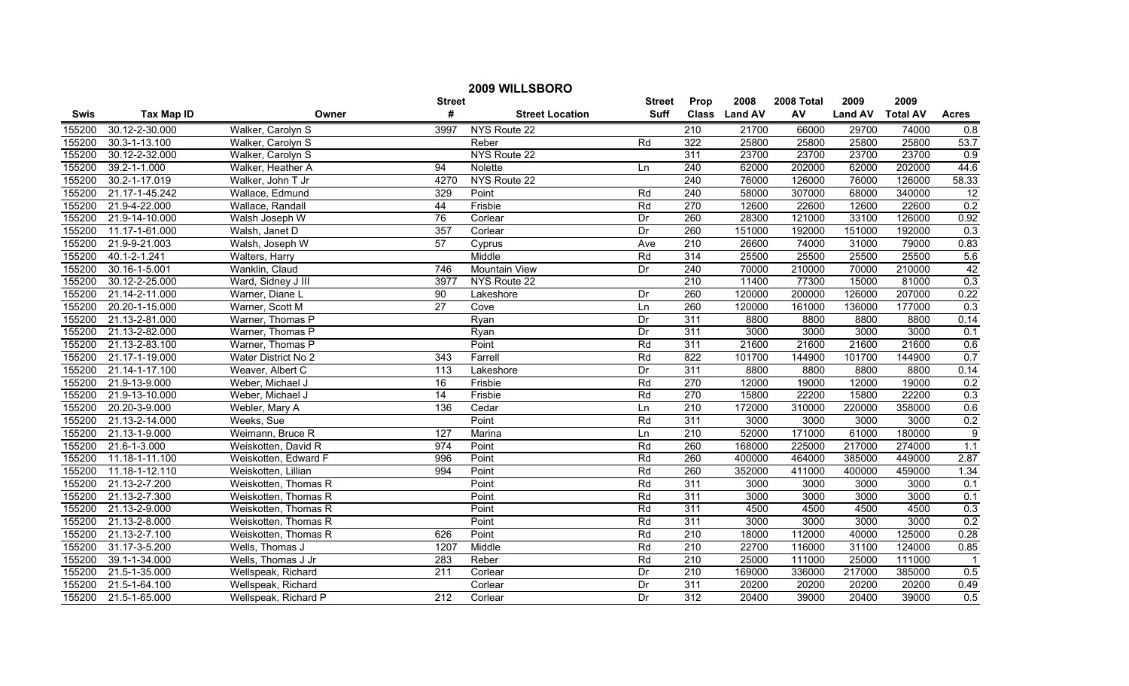| 2009 WILLSBORO |                             |                      |                  |                        |                  |                  |               |            |                |                 |                 |
|----------------|-----------------------------|----------------------|------------------|------------------------|------------------|------------------|---------------|------------|----------------|-----------------|-----------------|
|                |                             |                      | <b>Street</b>    |                        | <b>Street</b>    | Prop             | 2008          | 2008 Total | 2009           | 2009            |                 |
| <b>Swis</b>    | <b>Tax Map ID</b>           | Owner                | #                | <b>Street Location</b> | <b>Suff</b>      |                  | Class Land AV | AV         | <b>Land AV</b> | <b>Total AV</b> | <b>Acres</b>    |
| 155200         | 30.12-2-30.000              | Walker, Carolyn S    | 3997             | NYS Route 22           |                  | $\overline{210}$ | 21700         | 66000      | 29700          | 74000           | 0.8             |
| 155200         | 30.3-1-13.100               | Walker, Carolyn S    |                  | Reber                  | Rd               | 322              | 25800         | 25800      | 25800          | 25800           | 53.7            |
| 155200         | 30.12-2-32.000              | Walker, Carolyn S    |                  | NYS Route 22           |                  | 311              | 23700         | 23700      | 23700          | 23700           | 0.9             |
| 155200         | 39.2-1-1.000                | Walker, Heather A    | 94               | Nolette                | Ln               | 240              | 62000         | 202000     | 62000          | 202000          | 44.6            |
| 155200         | 30.2-1-17.019               | Walker, John T Jr    | 4270             | NYS Route 22           |                  | 240              | 76000         | 126000     | 76000          | 126000          | 58.33           |
| 155200         | 21.17-1-45.242              | Wallace, Edmund      | 329              | Point                  | Rd               | 240              | 58000         | 307000     | 68000          | 340000          | $\overline{12}$ |
| 155200         | 21.9-4-22.000               | Wallace, Randall     | 44               | Frisbie                | Rd               | 270              | 12600         | 22600      | 12600          | 22600           | 0.2             |
| 155200         | 21.9-14-10.000              | Walsh Joseph W       | 76               | Corlear                | Dr               | 260              | 28300         | 121000     | 33100          | 126000          | 0.92            |
| 155200         | 11.17-1-61.000              | Walsh, Janet D       | 357              | Corlear                | Dr               | 260              | 151000        | 192000     | 151000         | 192000          | 0.3             |
| 155200         | 21.9-9-21.003               | Walsh, Joseph W      | 57               | Cyprus                 | Ave              | 210              | 26600         | 74000      | 31000          | 79000           | 0.83            |
| 155200         | 40.1-2-1.241                | Walters, Harry       |                  | Middle                 | Rd               | 314              | 25500         | 25500      | 25500          | 25500           | 5.6             |
| 155200         | 30.16-1-5.001               | Wanklin, Claud       | 746              | Mountain View          | Dr               | 240              | 70000         | 210000     | 70000          | 210000          | 42              |
| 155200         | 30.12-2-25.000              | Ward, Sidney J III   | 3977             | NYS Route 22           |                  | $\overline{210}$ | 11400         | 77300      | 15000          | 81000           | 0.3             |
| 155200         | 21.14-2-11.000              | Warner, Diane L      | 90               | Lakeshore              | Dr               | 260              | 120000        | 200000     | 126000         | 207000          | 0.22            |
| 155200         | 20.20-1-15.000              | Warner, Scott M      | $\overline{27}$  | Cove                   | Ln               | 260              | 120000        | 161000     | 136000         | 177000          | 0.3             |
| 155200         | 21.13-2-81.000              | Warner, Thomas P     |                  | Ryan                   | Dr               | 311              | 8800          | 8800       | 8800           | 8800            | 0.14            |
| 155200         | 21.13-2-82.000              | Warner, Thomas P     |                  | Ryan                   | Dr               | 311              | 3000          | 3000       | 3000           | 3000            | 0.1             |
| 155200         | 21.13-2-83.100              | Warner, Thomas P     |                  | Point                  | Rd               | 311              | 21600         | 21600      | 21600          | 21600           | 0.6             |
| 155200         | 21.17-1-19.000              | Water District No 2  | 343              | Farrell                | Rd               | 822              | 101700        | 144900     | 101700         | 144900          | 0.7             |
| 155200         | 21.14-1-17.100              | Weaver, Albert C     | 113              | Lakeshore              | Dr               | 311              | 8800          | 8800       | 8800           | 8800            | 0.14            |
| 155200         | 21.9-13-9.000               | Weber, Michael J     | 16               | Frisbie                | Rd               | 270              | 12000         | 19000      | 12000          | 19000           | 0.2             |
| 155200         | 21.9-13-10.000              | Weber, Michael J     | 14               | Frisbie                | Rd               | 270              | 15800         | 22200      | 15800          | 22200           | 0.3             |
| 155200         | 20.20-3-9.000               | Webler, Mary A       | 136              | Cedar                  | $\overline{\ln}$ | 210              | 172000        | 310000     | 220000         | 358000          | 0.6             |
| 155200         | 21.13-2-14.000              | Weeks, Sue           |                  | Point                  | Rd               | 311              | 3000          | 3000       | 3000           | 3000            | 0.2             |
| 155200         | 21.13-1-9.000               | Weimann, Bruce R     | $\overline{127}$ | Marina                 | Ln               | $\overline{210}$ | 52000         | 171000     | 61000          | 180000          | $\overline{9}$  |
| 155200         | 21.6-1-3.000                | Weiskotten, David R  | 974              | Point                  | Rd               | 260              | 168000        | 225000     | 217000         | 274000          | 1.1             |
| 155200         | 11.18-1-11.100              | Weiskotten, Edward F | 996              | Point                  | Rd               | 260              | 400000        | 464000     | 385000         | 449000          | 2.87            |
| 155200         | 11.18-1-12.110              | Weiskotten, Lillian  | 994              | Point                  | Rd               | 260              | 352000        | 411000     | 400000         | 459000          | 1.34            |
| 155200         | 21.13-2-7.200               | Weiskotten, Thomas R |                  | Point                  | Rd               | 311              | 3000          | 3000       | 3000           | 3000            | 0.1             |
| 155200         | 21.13-2-7.300               | Weiskotten, Thomas R |                  | Point                  | Rd               | 311              | 3000          | 3000       | 3000           | 3000            | 0.1             |
| 155200         | 21.13-2-9.000               | Weiskotten, Thomas R |                  | Point                  | Rd               | 311              | 4500          | 4500       | 4500           | 4500            | 0.3             |
| 155200         | 21.13-2-8.000               | Weiskotten, Thomas R |                  | Point                  | Rd               | 311              | 3000          | 3000       | 3000           | 3000            | 0.2             |
| 155200         | 21.13-2-7.100               | Weiskotten, Thomas R | 626              | Point                  | Rd               | 210              | 18000         | 112000     | 40000          | 125000          | 0.28            |
| 155200         | 31.17-3-5.200               | Wells, Thomas J      | 1207             | Middle                 | Rd               | $\overline{210}$ | 22700         | 116000     | 31100          | 124000          | 0.85            |
| 155200         | 39.1-1-34.000               | Wells, Thomas J Jr   | 283              | Reber                  | Rd               | 210              | 25000         | 111000     | 25000          | 111000          | $\overline{1}$  |
| 155200         | 21.5-1-35.000               | Wellspeak, Richard   | 211              | Corlear                | Dr               | $\overline{210}$ | 169000        | 336000     | 217000         | 385000          | 0.5             |
| 155200         | 21.5-1-64.100               | Wellspeak, Richard   |                  | Corlear                | Dr               | 311              | 20200         | 20200      | 20200          | 20200           | 0.49            |
| 155200         | $\overline{21.5}$ -1-65.000 | Wellspeak, Richard P | $\overline{212}$ | Corlear                | Dr               | $\overline{312}$ | 20400         | 39000      | 20400          | 39000           | 0.5             |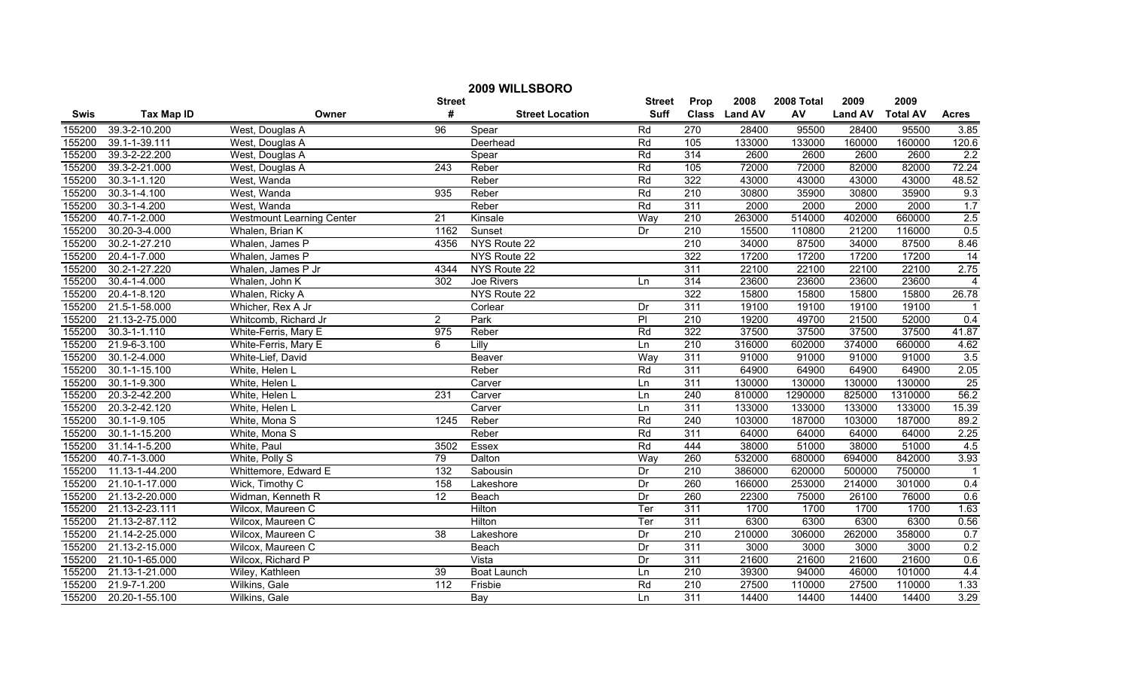| 2009 WILLSBORO |                    |                                  |                 |                        |               |                  |               |            |                |                 |                         |
|----------------|--------------------|----------------------------------|-----------------|------------------------|---------------|------------------|---------------|------------|----------------|-----------------|-------------------------|
|                |                    |                                  | <b>Street</b>   |                        | <b>Street</b> | Prop             | 2008          | 2008 Total | 2009           | 2009            |                         |
| <b>Swis</b>    | <b>Tax Map ID</b>  | Owner                            | #               | <b>Street Location</b> | <b>Suff</b>   |                  | Class Land AV | AV         | <b>Land AV</b> | <b>Total AV</b> | <b>Acres</b>            |
| 155200         | 39.3-2-10.200      | West, Douglas A                  | 96              | Spear                  | Rd            | 270              | 28400         | 95500      | 28400          | 95500           | 3.85                    |
| 155200         | 39.1-1-39.111      | West, Douglas A                  |                 | Deerhead               | Rd            | 105              | 133000        | 133000     | 160000         | 160000          | 120.6                   |
| 155200         | 39.3-2-22.200      | West, Douglas A                  |                 | Spear                  | Rd            | 314              | 2600          | 2600       | 2600           | 2600            | 2.2                     |
| 155200         | 39.3-2-21.000      | West, Douglas A                  | 243             | Reber                  | Rd            | 105              | 72000         | 72000      | 82000          | 82000           | 72.24                   |
| 155200         | $30.3 - 1 - 1.120$ | West, Wanda                      |                 | Reber                  | Rd            | 322              | 43000         | 43000      | 43000          | 43000           | 48.52                   |
| 155200         | $30.3 - 1 - 4.100$ | West, Wanda                      | 935             | Reber                  | Rd            | 210              | 30800         | 35900      | 30800          | 35900           | 9.3                     |
| 155200         | 30.3-1-4.200       | West, Wanda                      |                 | Reber                  | Rd            | 311              | 2000          | 2000       | 2000           | 2000            | 1.7                     |
| 155200         | 40.7-1-2.000       | <b>Westmount Learning Center</b> | 21              | Kinsale                | Way           | 210              | 263000        | 514000     | 402000         | 660000          | 2.5                     |
| 155200         | 30.20-3-4.000      | Whalen, Brian K                  | 1162            | Sunset                 | Dr            | $\overline{210}$ | 15500         | 110800     | 21200          | 116000          | 0.5                     |
| 155200         | 30.2-1-27.210      | Whalen, James P                  | 4356            | NYS Route 22           |               | $\overline{210}$ | 34000         | 87500      | 34000          | 87500           | 8.46                    |
| 155200         | 20.4-1-7.000       | Whalen, James P                  |                 | NYS Route 22           |               | 322              | 17200         | 17200      | 17200          | 17200           | $\overline{14}$         |
| 155200         | 30.2-1-27.220      | Whalen, James P Jr               | 4344            | NYS Route 22           |               | 311              | 22100         | 22100      | 22100          | 22100           | 2.75                    |
| 155200         | 30.4-1-4.000       | Whalen, John K                   | 302             | Joe Rivers             | Ln            | 314              | 23600         | 23600      | 23600          | 23600           | $\overline{4}$          |
| 155200         | 20.4-1-8.120       | Whalen, Ricky A                  |                 | NYS Route 22           |               | 322              | 15800         | 15800      | 15800          | 15800           | 26.78                   |
| 155200         | 21.5-1-58.000      | Whicher, Rex A Jr                |                 | Corlear                | Dr            | 311              | 19100         | 19100      | 19100          | 19100           | -1                      |
| 155200         | 21.13-2-75.000     | Whitcomb, Richard Jr             | $\overline{2}$  | Park                   | P             | $\overline{210}$ | 19200         | 49700      | 21500          | 52000           | 0.4                     |
| 155200         | $30.3 - 1 - 1.110$ | White-Ferris, Mary E             | 975             | Reber                  | Rd            | 322              | 37500         | 37500      | 37500          | 37500           | 41.87                   |
| 155200         | 21.9-6-3.100       | White-Ferris, Mary E             | 6               | Lilly                  | Ln            | 210              | 316000        | 602000     | 374000         | 660000          | 4.62                    |
| 155200         | $30.1 - 2 - 4.000$ | White-Lief, David                |                 | Beaver                 | Way           | 311              | 91000         | 91000      | 91000          | 91000           | 3.5                     |
| 155200         | 30.1-1-15.100      | White, Helen L                   |                 | Reber                  | Rd            | 311              | 64900         | 64900      | 64900          | 64900           | 2.05                    |
| 155200         | 30.1-1-9.300       | White, Helen L                   |                 | Carver                 | Ln            | 311              | 130000        | 130000     | 130000         | 130000          | 25                      |
| 155200         | 20.3-2-42.200      | White, Helen L                   | 231             | Carver                 | Ln            | 240              | 810000        | 1290000    | 825000         | 1310000         | 56.2                    |
| 155200         | 20.3-2-42.120      | White, Helen L                   |                 | Carver                 | Ln            | 311              | 133000        | 133000     | 133000         | 133000          | 15.39                   |
| 155200         | $30.1 - 1 - 9.105$ | White, Mona S                    | 1245            | Reber                  | Rd            | 240              | 103000        | 187000     | 103000         | 187000          | 89.2                    |
| 155200         | 30.1-1-15.200      | White, Mona S                    |                 | Reber                  | Rd            | 311              | 64000         | 64000      | 64000          | 64000           | 2.25                    |
| 155200         | 31.14-1-5.200      | White, Paul                      | 3502            | Essex                  | Rd            | 444              | 38000         | 51000      | 38000          | 51000           | 4.5                     |
| 155200         | 40.7-1-3.000       | White, Polly S                   | 79              | Dalton                 | Way           | 260              | 532000        | 680000     | 694000         | 842000          | 3.93                    |
| 155200         | 11.13-1-44.200     | Whittemore, Edward E             | 132             | Sabousin               | Dr            | 210              | 386000        | 620000     | 500000         | 750000          | $\overline{\mathbf{1}}$ |
| 155200         | 21.10-1-17.000     | Wick, Timothy C                  | 158             | Lakeshore              | Dr            | 260              | 166000        | 253000     | 214000         | 301000          | 0.4                     |
| 155200         | 21.13-2-20.000     | Widman, Kenneth R                | $\overline{12}$ | Beach                  | Dr            | 260              | 22300         | 75000      | 26100          | 76000           | 0.6                     |
| 155200         | 21.13-2-23.111     | Wilcox, Maureen C                |                 | <b>Hilton</b>          | Ter           | 311              | 1700          | 1700       | 1700           | 1700            | 1.63                    |
| 155200         | 21.13-2-87.112     | Wilcox, Maureen C                |                 | Hilton                 | Ter           | 311              | 6300          | 6300       | 6300           | 6300            | 0.56                    |
| 155200         | 21.14-2-25.000     | Wilcox, Maureen C                | $\overline{38}$ | Lakeshore              | Dr            | 210              | 210000        | 306000     | 262000         | 358000          | 0.7                     |
| 155200         | 21.13-2-15.000     | Wilcox, Maureen C                |                 | Beach                  | Dr            | 311              | 3000          | 3000       | 3000           | 3000            | 0.2                     |
| 155200         | 21.10-1-65.000     | Wilcox, Richard P                |                 | Vista                  | Dr            | 311              | 21600         | 21600      | 21600          | 21600           | 0.6                     |
| 155200         | 21.13-1-21.000     | Wiley, Kathleen                  | 39              | <b>Boat Launch</b>     | Ln            | $\overline{210}$ | 39300         | 94000      | 46000          | 101000          | 4.4                     |
| 155200         | 21.9-7-1.200       | Wilkins, Gale                    | 112             | Frisbie                | Rd            | 210              | 27500         | 110000     | 27500          | 110000          | 1.33                    |
| 155200         | 20.20-1-55.100     | Wilkins, Gale                    |                 | $\overline{Bav}$       | Ln            | 311              | 14400         | 14400      | 14400          | 14400           | 3.29                    |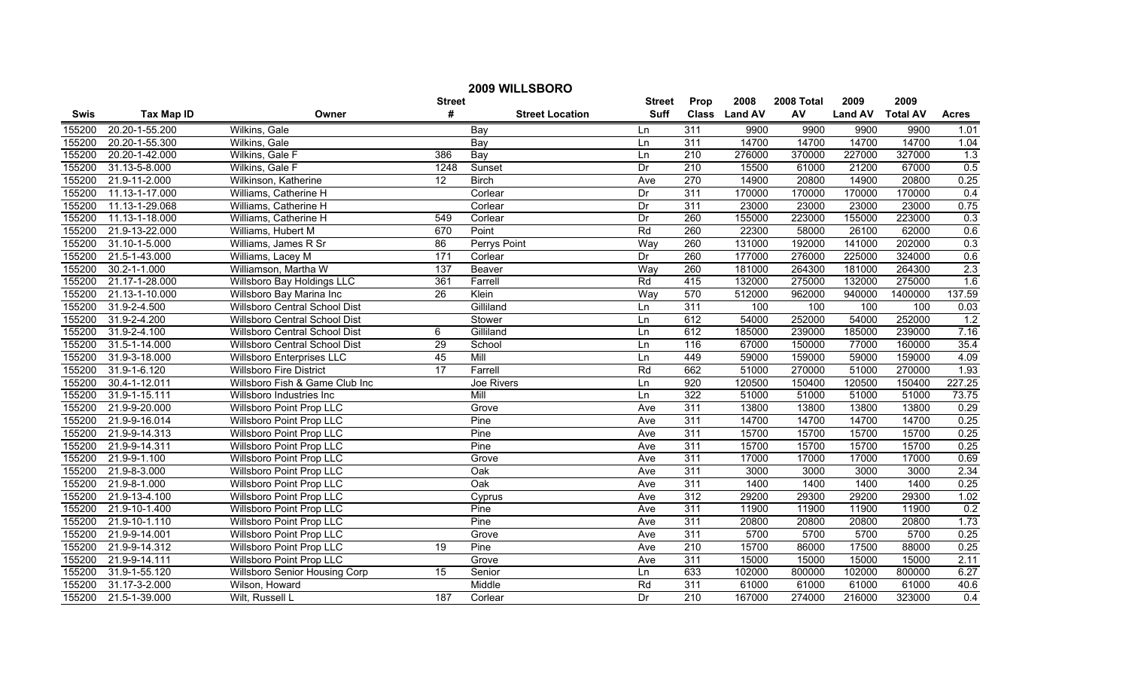| 2009 WILLSBORO |                    |                                  |                  |                        |               |                  |               |            |                |                 |                  |
|----------------|--------------------|----------------------------------|------------------|------------------------|---------------|------------------|---------------|------------|----------------|-----------------|------------------|
|                |                    |                                  | <b>Street</b>    |                        | <b>Street</b> | Prop             | 2008          | 2008 Total | 2009           | 2009            |                  |
| Swis           | <b>Tax Map ID</b>  | Owner                            | #                | <b>Street Location</b> | <b>Suff</b>   |                  | Class Land AV | AV         | <b>Land AV</b> | <b>Total AV</b> | <b>Acres</b>     |
| 155200         | 20.20-1-55.200     | Wilkins, Gale                    |                  | Bay                    | Ln            | 311              | 9900          | 9900       | 9900           | 9900            | 1.01             |
| 155200         | 20.20-1-55.300     | Wilkins, Gale                    |                  | Bay                    | Ln            | 311              | 14700         | 14700      | 14700          | 14700           | 1.04             |
| 155200         | 20.20-1-42.000     | Wilkins, Gale F                  | 386              | Bay                    | Ln            | $\overline{210}$ | 276000        | 370000     | 227000         | 327000          | 1.3              |
| 155200         | 31.13-5-8.000      | Wilkins, Gale F                  | 1248             | Sunset                 | Dr            | 210              | 15500         | 61000      | 21200          | 67000           | 0.5              |
| 155200         | 21.9-11-2.000      | Wilkinson, Katherine             | $\overline{12}$  | <b>Birch</b>           | Ave           | 270              | 14900         | 20800      | 14900          | 20800           | 0.25             |
| 155200         | 11.13-1-17.000     | Williams, Catherine H            |                  | Corlear                | Dr            | 311              | 170000        | 170000     | 170000         | 170000          | 0.4              |
| 155200         | 11.13-1-29.068     | Williams, Catherine H            |                  | Corlear                | Dr            | 311              | 23000         | 23000      | 23000          | 23000           | 0.75             |
| 155200         | 11.13-1-18.000     | Williams, Catherine H            | 549              | Corlear                | Dr            | 260              | 155000        | 223000     | 155000         | 223000          | 0.3              |
| 155200         | 21.9-13-22.000     | Williams, Hubert M               | 670              | Point                  | Rd            | 260              | 22300         | 58000      | 26100          | 62000           | 0.6              |
| 155200         | 31.10-1-5.000      | Williams, James R Sr             | 86               | Perrys Point           | Way           | 260              | 131000        | 192000     | 141000         | 202000          | 0.3              |
| 155200         | 21.5-1-43.000      | Williams, Lacey M                | $\overline{171}$ | Corlear                | Dr            | 260              | 177000        | 276000     | 225000         | 324000          | 0.6              |
| 155200         | $30.2 - 1 - 1.000$ | Williamson, Martha W             | $\overline{137}$ | Beaver                 | Way           | 260              | 181000        | 264300     | 181000         | 264300          | 2.3              |
| 155200         | 21.17-1-28.000     | Willsboro Bay Holdings LLC       | 361              | Farrell                | Rd            | 415              | 132000        | 275000     | 132000         | 275000          | 1.6              |
| 155200         | 21.13-1-10.000     | Willsboro Bay Marina Inc         | $\overline{26}$  | Klein                  | Way           | 570              | 512000        | 962000     | 940000         | 1400000         | 137.59           |
| 155200         | 31.9-2-4.500       | Willsboro Central School Dist    |                  | Gilliland              | Ln            | 311              | 100           | 100        | 100            | 100             | 0.03             |
| 155200         | 31.9-2-4.200       | Willsboro Central School Dist    |                  | Stower                 | Ln            | 612              | 54000         | 252000     | 54000          | 252000          | 1.2              |
| 155200         | 31.9-2-4.100       | Willsboro Central School Dist    | 6                | Gilliland              | Ln            | 612              | 185000        | 239000     | 185000         | 239000          | 7.16             |
| 155200         | 31.5-1-14.000      | Willsboro Central School Dist    | 29               | School                 | Ln            | 116              | 67000         | 150000     | 77000          | 160000          | 35.4             |
| 155200         | 31.9-3-18.000      | <b>Willsboro Enterprises LLC</b> | 45               | Mill                   | Ln            | 449              | 59000         | 159000     | 59000          | 159000          | 4.09             |
| 155200         | 31.9-1-6.120       | <b>Willsboro Fire District</b>   | 17               | Farrell                | Rd            | 662              | 51000         | 270000     | 51000          | 270000          | 1.93             |
| 155200         | 30.4-1-12.011      | Willsboro Fish & Game Club Inc   |                  | Joe Rivers             | Ln            | 920              | 120500        | 150400     | 120500         | 150400          | 227.25           |
| 155200         | 31.9-1-15.111      | Willsboro Industries Inc         |                  | Mill                   | Ln            | 322              | 51000         | 51000      | 51000          | 51000           | 73.75            |
| 155200         | 21.9-9-20.000      | <b>Willsboro Point Prop LLC</b>  |                  | Grove                  | Ave           | 311              | 13800         | 13800      | 13800          | 13800           | 0.29             |
| 155200         | 21.9-9-16.014      | Willsboro Point Prop LLC         |                  | Pine                   | Ave           | 311              | 14700         | 14700      | 14700          | 14700           | 0.25             |
| 155200         | 21.9-9-14.313      | Willsboro Point Prop LLC         |                  | Pine                   | Ave           | 311              | 15700         | 15700      | 15700          | 15700           | 0.25             |
| 155200         | 21.9-9-14.311      | Willsboro Point Prop LLC         |                  | Pine                   | Ave           | 311              | 15700         | 15700      | 15700          | 15700           | 0.25             |
| 155200         | 21.9-9-1.100       | Willsboro Point Prop LLC         |                  | Grove                  | Ave           | 311              | 17000         | 17000      | 17000          | 17000           | 0.69             |
| 155200         | 21.9-8-3.000       | <b>Willsboro Point Prop LLC</b>  |                  | $\overline{Oak}$       | Ave           | 311              | 3000          | 3000       | 3000           | 3000            | 2.34             |
| 155200         | 21.9-8-1.000       | <b>Willsboro Point Prop LLC</b>  |                  | Oak                    | Ave           | 311              | 1400          | 1400       | 1400           | 1400            | 0.25             |
| 155200         | 21.9-13-4.100      | <b>Willsboro Point Prop LLC</b>  |                  | Cyprus                 | Ave           | 312              | 29200         | 29300      | 29200          | 29300           | 1.02             |
| 155200         | 21.9-10-1.400      | <b>Willsboro Point Prop LLC</b>  |                  | Pine                   | Ave           | 311              | 11900         | 11900      | 11900          | 11900           | 0.2              |
| 155200         | 21.9-10-1.110      | <b>Willsboro Point Prop LLC</b>  |                  | Pine                   | Ave           | 311              | 20800         | 20800      | 20800          | 20800           | 1.73             |
| 155200         | 21.9-9-14.001      | <b>Willsboro Point Prop LLC</b>  |                  | Grove                  | Ave           | 311              | 5700          | 5700       | 5700           | 5700            | 0.25             |
| 155200         | 21.9-9-14.312      | <b>Willsboro Point Prop LLC</b>  | 19               | Pine                   | Ave           | $\overline{210}$ | 15700         | 86000      | 17500          | 88000           | 0.25             |
| 155200         | 21.9-9-14.111      | Willsboro Point Prop LLC         |                  | Grove                  | Ave           | 311              | 15000         | 15000      | 15000          | 15000           | 2.11             |
| 155200         | 31.9-1-55.120      | Willsboro Senior Housing Corp    | 15               | Senior                 | Ln            | 633              | 102000        | 800000     | 102000         | 800000          | 6.27             |
| 155200         | 31.17-3-2.000      | Wilson, Howard                   |                  | Middle                 | Rd            | 311              | 61000         | 61000      | 61000          | 61000           | 40.6             |
| 155200         | 21.5-1-39.000      | Wilt, Russell L                  | 187              | Corlear                | Dr            | $\overline{210}$ | 167000        | 274000     | 216000         | 323000          | $\overline{0.4}$ |